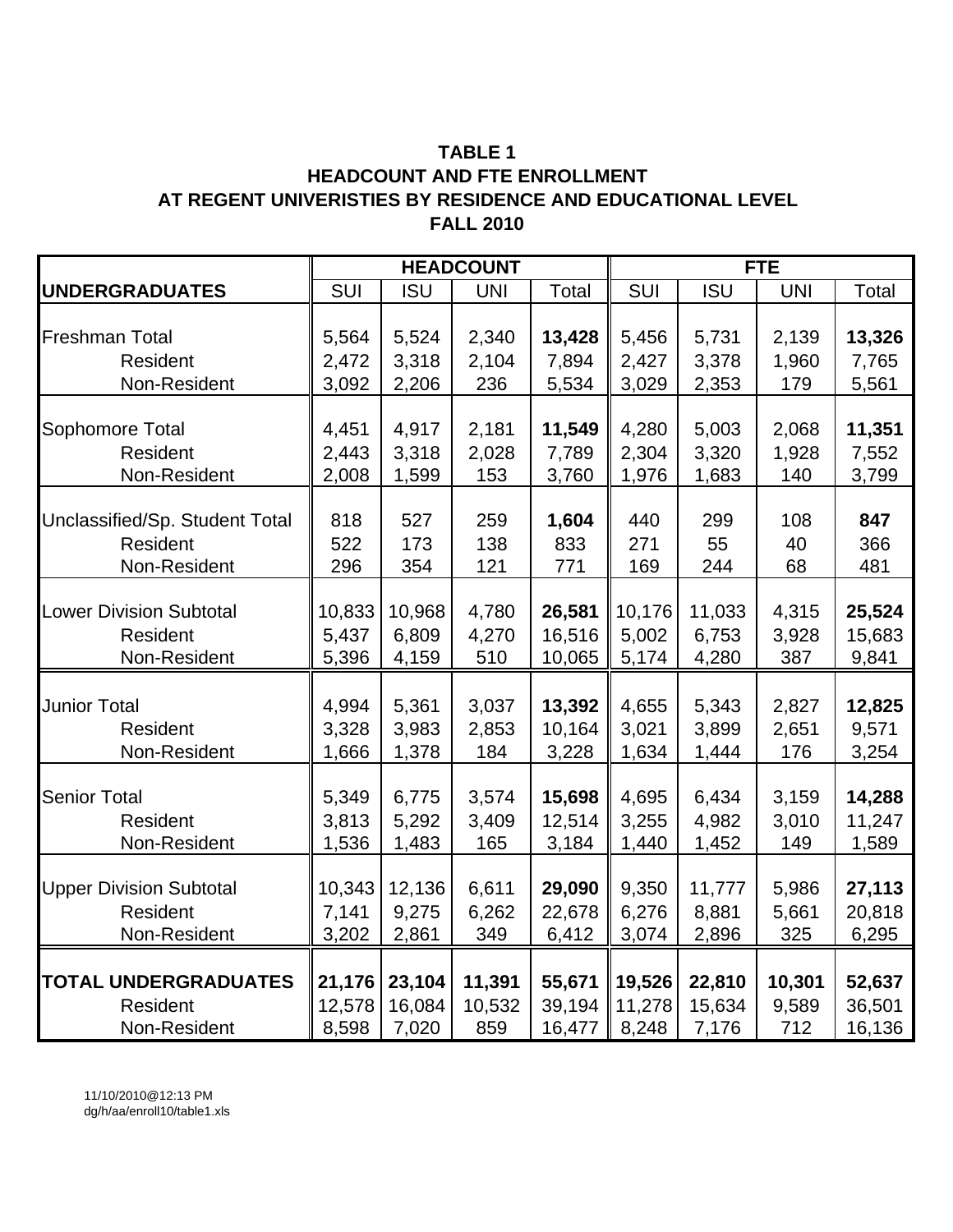### **TABLE 1 HEADCOUNT AND FTE ENROLLMENT AT REGENT UNIVERISTIES BY RESIDENCE AND EDUCATIONAL LEVEL FALL 2010**

|                                |        |            | <b>HEADCOUNT</b> |        |        | <b>FTE</b> |            |        |  |
|--------------------------------|--------|------------|------------------|--------|--------|------------|------------|--------|--|
| <b>UNDERGRADUATES</b>          | SUI    | <b>ISU</b> | <b>UNI</b>       | Total  | SUI    | <b>ISU</b> | <b>UNI</b> | Total  |  |
|                                |        |            |                  |        |        |            |            |        |  |
| Freshman Total                 | 5,564  | 5,524      | 2,340            | 13,428 | 5,456  | 5,731      | 2,139      | 13,326 |  |
| Resident                       | 2,472  | 3,318      | 2,104            | 7,894  | 2,427  | 3,378      | 1,960      | 7,765  |  |
| Non-Resident                   | 3,092  | 2,206      | 236              | 5,534  | 3,029  | 2,353      | 179        | 5,561  |  |
|                                |        |            |                  |        |        |            |            |        |  |
| Sophomore Total                | 4,451  | 4,917      | 2,181            | 11,549 | 4,280  | 5,003      | 2,068      | 11,351 |  |
| Resident                       | 2,443  | 3,318      | 2,028            | 7,789  | 2,304  | 3,320      | 1,928      | 7,552  |  |
| Non-Resident                   | 2,008  | 1,599      | 153              | 3,760  | 1,976  | 1,683      | 140        | 3,799  |  |
|                                |        |            |                  |        |        |            |            |        |  |
| Unclassified/Sp. Student Total | 818    | 527        | 259              | 1,604  | 440    | 299        | 108        | 847    |  |
| Resident                       | 522    | 173        | 138              | 833    | 271    | 55         | 40         | 366    |  |
| Non-Resident                   | 296    | 354        | 121              | 771    | 169    | 244        | 68         | 481    |  |
|                                |        |            |                  |        |        |            |            |        |  |
| <b>Lower Division Subtotal</b> | 10,833 | 10,968     | 4,780            | 26,581 | 10,176 | 11,033     | 4,315      | 25,524 |  |
| Resident                       | 5,437  | 6,809      | 4,270            | 16,516 | 5,002  | 6,753      | 3,928      | 15,683 |  |
| Non-Resident                   | 5,396  | 4,159      | 510              | 10,065 | 5,174  | 4,280      | 387        | 9,841  |  |
|                                |        |            |                  |        |        |            |            |        |  |
| <b>Junior Total</b>            | 4,994  | 5,361      | 3,037            | 13,392 | 4,655  | 5,343      | 2,827      | 12,825 |  |
| Resident                       | 3,328  | 3,983      | 2,853            | 10,164 | 3,021  | 3,899      | 2,651      | 9,571  |  |
| Non-Resident                   | 1,666  | 1,378      | 184              | 3,228  | 1,634  | 1,444      | 176        | 3,254  |  |
|                                |        |            |                  |        |        |            |            |        |  |
| <b>Senior Total</b>            | 5,349  | 6,775      | 3,574            | 15,698 | 4,695  | 6,434      | 3,159      | 14,288 |  |
| Resident                       | 3,813  | 5,292      | 3,409            | 12,514 | 3,255  | 4,982      | 3,010      | 11,247 |  |
| Non-Resident                   | 1,536  | 1,483      | 165              | 3,184  | 1,440  | 1,452      | 149        | 1,589  |  |
|                                |        |            |                  |        |        |            |            |        |  |
| <b>Upper Division Subtotal</b> | 10,343 | 12,136     | 6,611            | 29,090 | 9,350  | 11,777     | 5,986      | 27,113 |  |
| Resident                       | 7,141  | 9,275      | 6,262            | 22,678 | 6,276  | 8,881      | 5,661      | 20,818 |  |
| Non-Resident                   | 3,202  | 2,861      | 349              | 6,412  | 3,074  | 2,896      | 325        | 6,295  |  |
|                                |        |            |                  |        |        |            |            |        |  |
| <b>TOTAL UNDERGRADUATES</b>    | 21,176 | 23,104     | 11,391           | 55,671 | 19,526 | 22,810     | 10,301     | 52,637 |  |
| Resident                       | 12,578 | 16,084     | 10,532           | 39,194 | 11,278 | 15,634     | 9,589      | 36,501 |  |
| Non-Resident                   | 8,598  | 7,020      | 859              | 16,477 | 8,248  | 7,176      | 712        | 16,136 |  |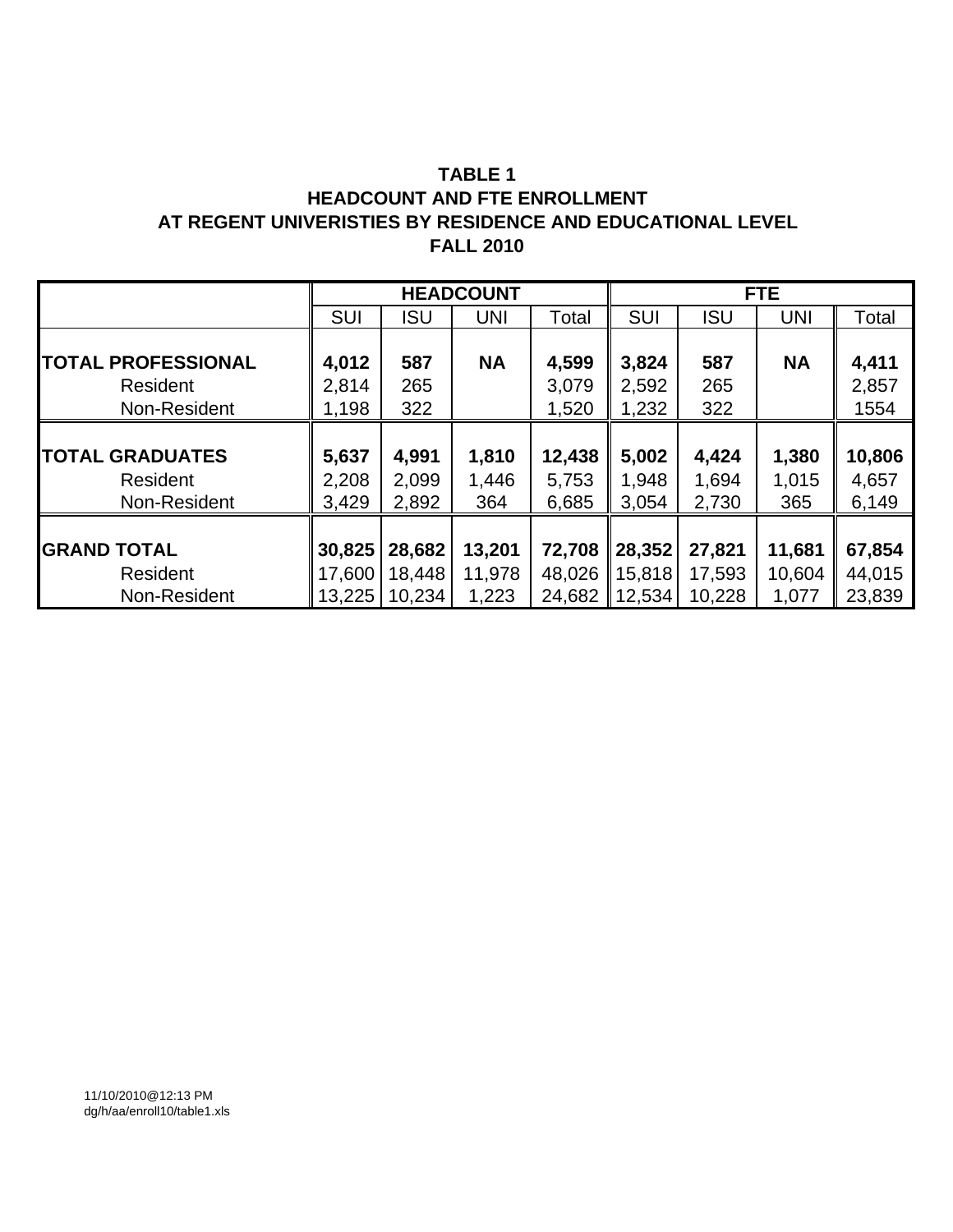### **AT REGENT UNIVERISTIES BY RESIDENCE AND EDUCATIONAL LEVEL FALL 2010 TABLE 1 HEADCOUNT AND FTE ENROLLMENT**

|                           |            |            | <b>HEADCOUNT</b> |        |                    |            | <b>FTE</b> |        |
|---------------------------|------------|------------|------------------|--------|--------------------|------------|------------|--------|
|                           | <b>SUI</b> | <b>ISU</b> | UNI              | Total  | <b>SUI</b>         | <b>ISU</b> | <b>UNI</b> | Total  |
|                           |            |            |                  |        |                    |            |            |        |
| <b>TOTAL PROFESSIONAL</b> | 4,012      | 587        | <b>NA</b>        | 4,599  | 3,824              | 587        | <b>NA</b>  | 4,411  |
| Resident                  | 2,814      | 265        |                  | 3,079  | 2,592              | 265        |            | 2,857  |
| Non-Resident              | 1,198      | 322        |                  | 1,520  | 1,232              | 322        |            | 1554   |
|                           |            |            |                  |        |                    |            |            |        |
| <b>TOTAL GRADUATES</b>    | 5,637      | 4,991      | 1,810            | 12,438 | 5,002              | 4,424      | 1,380      | 10,806 |
| Resident                  | 2,208      | 2,099      | 1,446            | 5,753  | 1,948              | 1,694      | 1,015      | 4,657  |
| Non-Resident              | 3,429      | 2,892      | 364              | 6,685  | 3,054              | 2,730      | 365        | 6,149  |
|                           |            |            |                  |        |                    |            |            |        |
| <b>GRAND TOTAL</b>        | 30,825     | 28,682     | 13,201           | 72,708 | $\parallel$ 28,352 | 27,821     | 11,681     | 67,854 |
| Resident                  | 17,600     | 18,448     | 11,978           | 48,026 | 15,818             | 17,593     | 10,604     | 44,015 |
| Non-Resident              | 13,225     | 10,234     | 1,223            | 24,682 | 12,534             | 10,228     | 1,077      | 23,839 |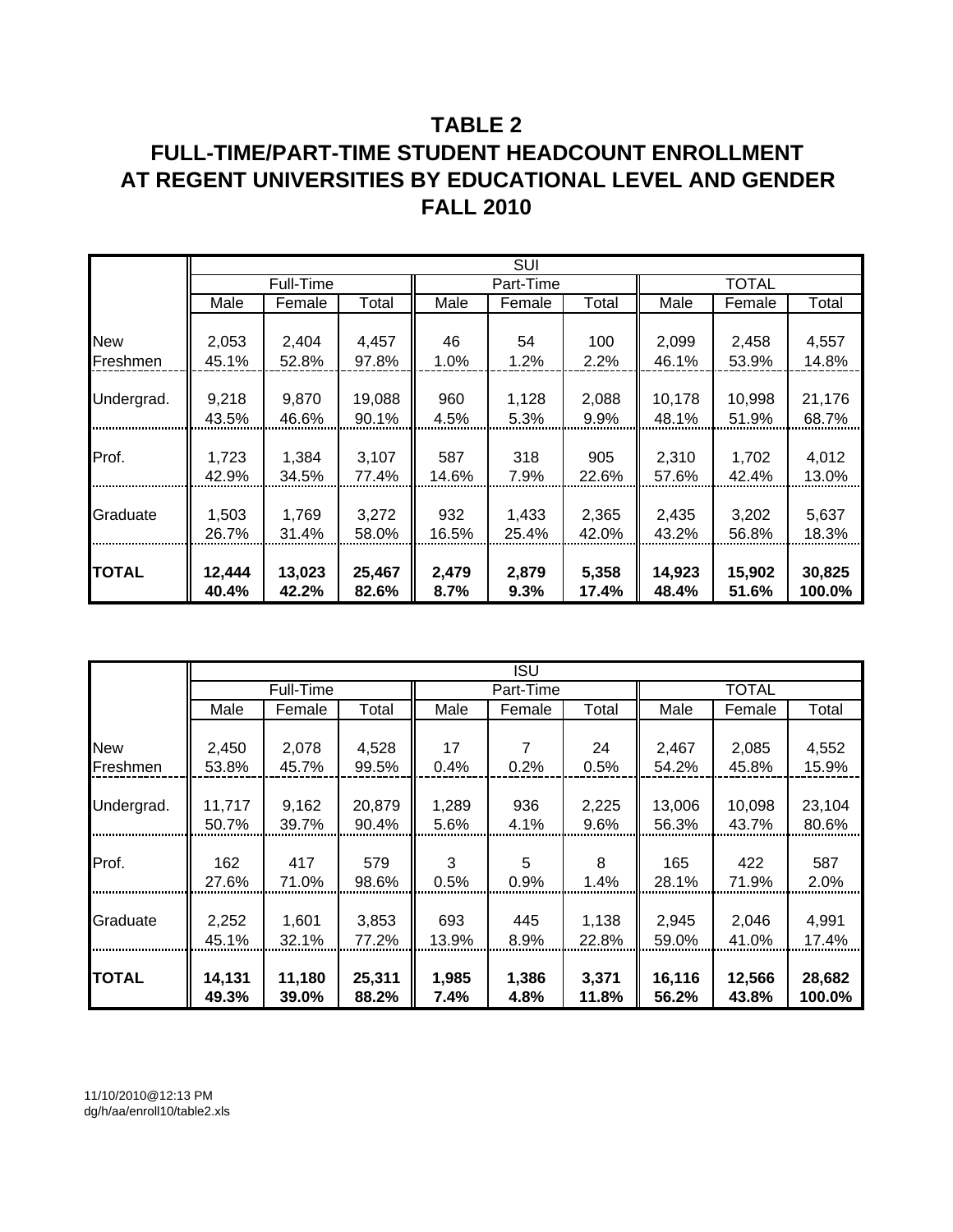## **TABLE 2 FULL-TIME/PART-TIME STUDENT HEADCOUNT ENROLLMENT AT REGENT UNIVERSITIES BY EDUCATIONAL LEVEL AND GENDER FALL 2010**

|              | <b>SUI</b> |           |        |       |           |       |        |              |        |
|--------------|------------|-----------|--------|-------|-----------|-------|--------|--------------|--------|
|              |            | Full-Time |        |       | Part-Time |       |        | <b>TOTAL</b> |        |
|              | Male       | Female    | Total  | Male  | Female    | Total | Male   | Female       | Total  |
|              |            |           |        |       |           |       |        |              |        |
| <b>New</b>   | 2,053      | 2,404     | 4,457  | 46    | 54        | 100   | 2,099  | 2,458        | 4,557  |
| Freshmen     | 45.1%      | 52.8%     | 97.8%  | 1.0%  | 1.2%      | 2.2%  | 46.1%  | 53.9%        | 14.8%  |
|              |            |           |        |       |           |       |        |              |        |
| Undergrad.   | 9,218      | 9,870     | 19,088 | 960   | 1,128     | 2,088 | 10,178 | 10,998       | 21,176 |
|              | 43.5%      | 46.6%     | 90.1%  | 4.5%  | 5.3%      | 9.9%  | 48.1%  | 51.9%        | 68.7%  |
|              |            |           |        |       |           |       |        |              |        |
| Prof.        | 1,723      | 1,384     | 3,107  | 587   | 318       | 905   | 2,310  | 1,702        | 4,012  |
|              | 42.9%      | 34.5%     | 77.4%  | 14.6% | 7.9%      | 22.6% | 57.6%  | 42.4%        | 13.0%  |
|              |            |           |        |       |           |       |        |              |        |
| Graduate     | 1,503      | 1,769     | 3,272  | 932   | 1,433     | 2,365 | 2,435  | 3,202        | 5,637  |
|              | 26.7%      | 31.4%     | 58.0%  | 16.5% | 25.4%     | 42.0% | 43.2%  | 56.8%        | 18.3%  |
|              |            |           |        |       |           |       |        |              |        |
| <b>TOTAL</b> | 12,444     | 13,023    | 25,467 | 2,479 | 2,879     | 5,358 | 14,923 | 15,902       | 30,825 |
|              | 40.4%      | 42.2%     | 82.6%  | 8.7%  | 9.3%      | 17.4% | 48.4%  | 51.6%        | 100.0% |

|              |        |           |        |       | ISU       |       |        |              |        |
|--------------|--------|-----------|--------|-------|-----------|-------|--------|--------------|--------|
|              |        | Full-Time |        |       | Part-Time |       |        | <b>TOTAL</b> |        |
|              | Male   | Female    | Total  | Male  | Female    | Total | Male   | Female       | Total  |
|              |        |           |        |       |           |       |        |              |        |
| <b>New</b>   | 2,450  | 2,078     | 4,528  | 17    | 7         | 24    | 2,467  | 2,085        | 4,552  |
| Freshmen     | 53.8%  | 45.7%     | 99.5%  | 0.4%  | 0.2%      | 0.5%  | 54.2%  | 45.8%        | 15.9%  |
|              |        |           |        |       |           |       |        |              |        |
| Undergrad.   | 11,717 | 9,162     | 20,879 | 1,289 | 936       | 2,225 | 13,006 | 10,098       | 23,104 |
|              | 50.7%  | 39.7%     | 90.4%  | 5.6%  | 4.1%      | 9.6%  | 56.3%  | 43.7%        | 80.6%  |
|              |        |           |        |       |           |       |        |              |        |
| Prof.        | 162    | 417       | 579    | 3     | 5         | 8     | 165    | 422          | 587    |
|              | 27.6%  | 71.0%     | 98.6%  | 0.5%  | 0.9%      | 1.4%  | 28.1%  | 71.9%        | 2.0%   |
|              |        |           |        |       |           |       |        |              |        |
| Graduate     | 2,252  | 1,601     | 3,853  | 693   | 445       | 1,138 | 2,945  | 2,046        | 4,991  |
|              | 45.1%  | 32.1%     | 77.2%  | 13.9% | 8.9%      | 22.8% | 59.0%  | 41.0%        | 17.4%  |
|              |        |           |        |       |           |       |        |              |        |
| <b>TOTAL</b> | 14,131 | 11,180    | 25,311 | 1,985 | 1,386     | 3,371 | 16,116 | 12,566       | 28,682 |
|              | 49.3%  | 39.0%     | 88.2%  | 7.4%  | 4.8%      | 11.8% | 56.2%  | 43.8%        | 100.0% |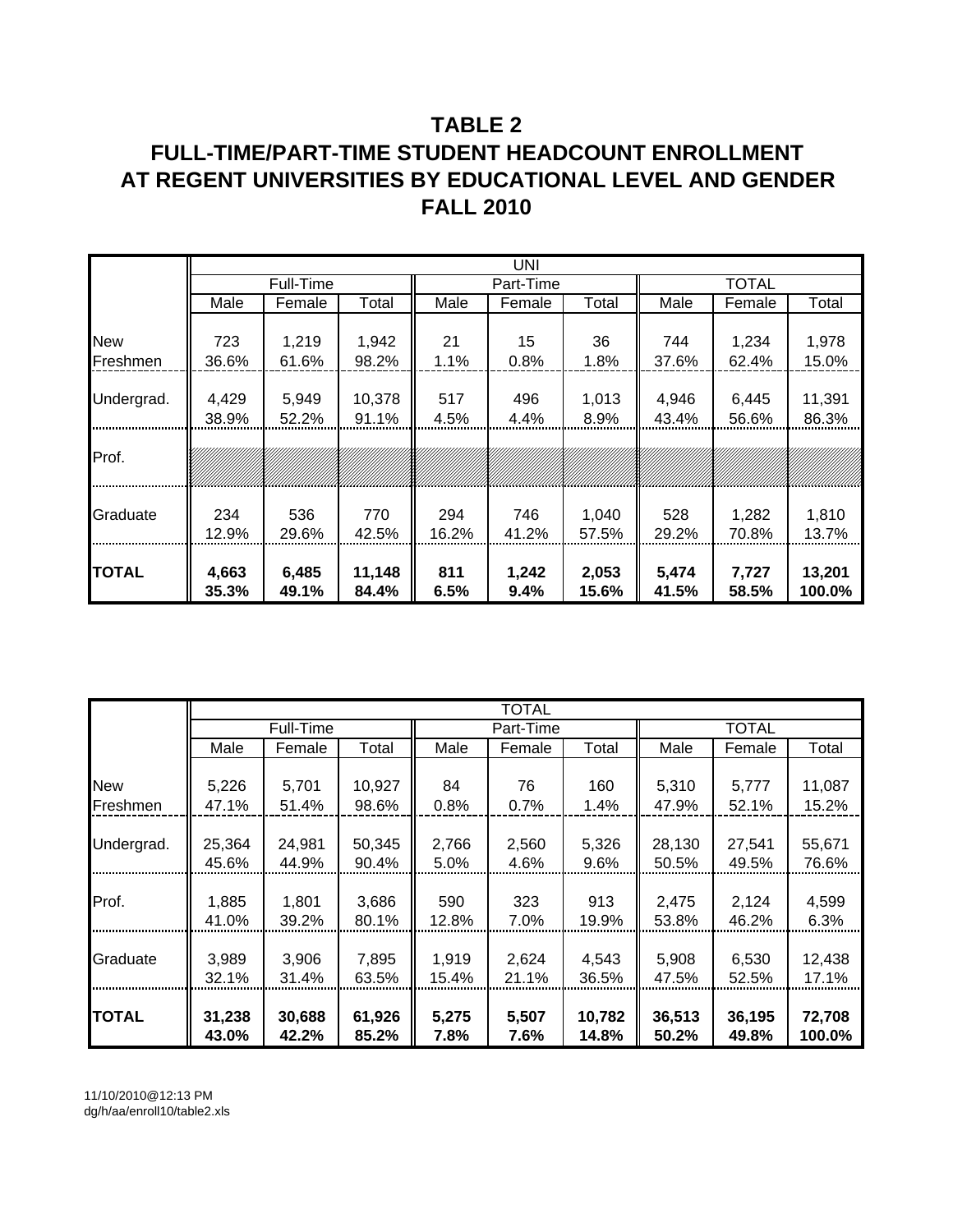## **TABLE 2 FULL-TIME/PART-TIME STUDENT HEADCOUNT ENROLLMENT AT REGENT UNIVERSITIES BY EDUCATIONAL LEVEL AND GENDER FALL 2010**

|            | UNI   |           |        |       |           |       |       |              |        |
|------------|-------|-----------|--------|-------|-----------|-------|-------|--------------|--------|
|            |       | Full-Time |        |       | Part-Time |       |       | <b>TOTAL</b> |        |
|            | Male  | Female    | Total  | Male  | Female    | Total | Male  | Female       | Total  |
|            |       |           |        |       |           |       |       |              |        |
| <b>New</b> | 723   | 1,219     | 1,942  | 21    | 15        | 36    | 744   | 1,234        | 1,978  |
| Freshmen   | 36.6% | 61.6%     | 98.2%  | 1.1%  | 0.8%      | 1.8%  | 37.6% | 62.4%        | 15.0%  |
|            |       |           |        |       |           |       |       |              |        |
| Undergrad. | 4,429 | 5,949     | 10,378 | 517   | 496       | 1,013 | 4,946 | 6,445        | 11,391 |
|            | 38.9% | 52.2%     | 91.1%  | 4.5%  | 4.4%      | 8.9%  | 43.4% | 56.6%        | 86.3%  |
|            |       |           |        |       |           |       |       |              |        |
| Prof.      |       |           |        |       |           |       |       |              |        |
|            |       |           |        |       |           |       |       |              |        |
|            |       |           |        |       |           |       |       |              |        |
| Graduate   | 234   | 536       | 770    | 294   | 746       | 1,040 | 528   | 1,282        | 1,810  |
|            | 12.9% | 29.6%     | 42.5%  | 16.2% | 41.2%     | 57.5% | 29.2% | 70.8%        | 13.7%  |
|            |       |           |        |       |           |       |       |              |        |
| TOTAL      | 4,663 | 6,485     | 11,148 | 811   | 1,242     | 2,053 | 5,474 | 7,727        | 13,201 |
|            | 35.3% | 49.1%     | 84.4%  | 6.5%  | 9.4%      | 15.6% | 41.5% | 58.5%        | 100.0% |

|               |        |           |        |       | <b>TOTAL</b> |        |        |              |        |
|---------------|--------|-----------|--------|-------|--------------|--------|--------|--------------|--------|
|               |        | Full-Time |        |       | Part-Time    |        |        | <b>TOTAL</b> |        |
|               | Male   | Female    | Total  | Male  | Female       | Total  | Male   | Female       | Total  |
|               |        |           |        |       |              |        |        |              |        |
| <b>New</b>    | 5,226  | 5,701     | 10,927 | 84    | 76           | 160    | 5,310  | 5,777        | 11,087 |
| Freshmen      | 47.1%  | 51.4%     | 98.6%  | 0.8%  | 0.7%         | 1.4%   | 47.9%  | 52.1%        | 15.2%  |
|               |        |           |        |       |              |        |        |              |        |
| Undergrad.    | 25,364 | 24,981    | 50,345 | 2,766 | 2,560        | 5,326  | 28,130 | 27,541       | 55,671 |
|               | 45.6%  | 44.9%     | 90.4%  | 5.0%  | 4.6%         | 9.6%   | 50.5%  | 49.5%        | 76.6%  |
|               |        |           |        |       |              |        |        |              |        |
| Prof.         | 1,885  | 1,801     | 3,686  | 590   | 323          | 913    | 2,475  | 2,124        | 4,599  |
|               | 41.0%  | 39.2%     | 80.1%  | 12.8% | 7.0%         | 19.9%  | 53.8%  | 46.2%        | 6.3%   |
|               |        |           |        |       |              |        |        |              |        |
| Graduate      | 3,989  | 3,906     | 7,895  | 1,919 | 2,624        | 4,543  | 5,908  | 6,530        | 12,438 |
|               | 32.1%  | 31.4%     | 63.5%  | 15.4% | 21.1%        | 36.5%  | 47.5%  | 52.5%        | 17.1%  |
|               |        |           |        |       |              |        |        |              |        |
| <b>ITOTAL</b> | 31,238 | 30,688    | 61,926 | 5,275 | 5,507        | 10,782 | 36,513 | 36,195       | 72,708 |
|               | 43.0%  | 42.2%     | 85.2%  | 7.8%  | 7.6%         | 14.8%  | 50.2%  | 49.8%        | 100.0% |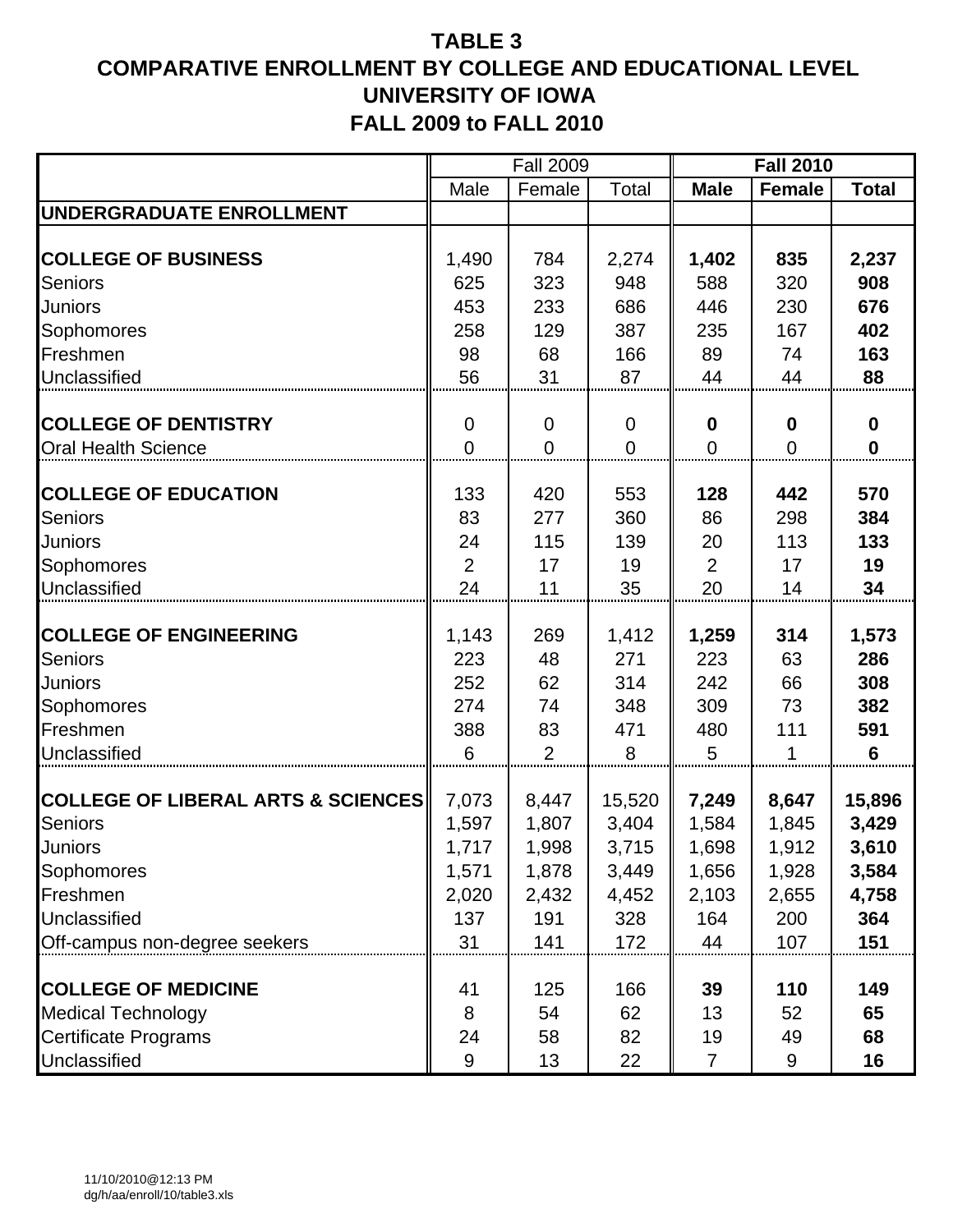|                                               |                | <b>Fall 2009</b> |                |                  | <b>Fall 2010</b> |              |
|-----------------------------------------------|----------------|------------------|----------------|------------------|------------------|--------------|
|                                               | Male           | Female           | Total          | <b>Male</b>      | <b>Female</b>    | <b>Total</b> |
| <b>UNDERGRADUATE ENROLLMENT</b>               |                |                  |                |                  |                  |              |
|                                               |                |                  |                |                  |                  |              |
| <b>COLLEGE OF BUSINESS</b>                    | 1,490          | 784              | 2,274          | 1,402            | 835              | 2,237        |
| <b>Seniors</b>                                | 625            | 323              | 948            | 588              | 320              | 908          |
| <b>Juniors</b>                                | 453            | 233              | 686            | 446              | 230              | 676          |
| Sophomores                                    | 258            | 129              | 387            | 235              | 167              | 402          |
| Freshmen                                      | 98             | 68               | 166            | 89               | 74               | 163          |
| Unclassified                                  | 56             | 31               | 87             | 44               | 44               | 88           |
|                                               |                |                  |                |                  |                  |              |
| <b>COLLEGE OF DENTISTRY</b>                   | $\overline{0}$ | $\mathbf 0$      | $\mathbf 0$    | $\boldsymbol{0}$ | $\bf{0}$         | $\bf{0}$     |
| <b>Oral Health Science</b>                    | $\overline{0}$ | $\mathbf 0$      | $\overline{0}$ | $\overline{0}$   | $\overline{0}$   | $\mathbf 0$  |
| <b>COLLEGE OF EDUCATION</b>                   | 133            | 420              | 553            | 128              | 442              | 570          |
| <b>Seniors</b>                                | 83             | 277              | 360            | 86               | 298              | 384          |
| Juniors                                       | 24             | 115              | 139            | 20               | 113              | 133          |
| Sophomores                                    | $\overline{2}$ | 17               | 19             | $\overline{2}$   | 17               | 19           |
| Unclassified                                  | 24             | 11               | 35             | 20               | 14               | 34           |
|                                               |                |                  |                |                  |                  |              |
| <b>COLLEGE OF ENGINEERING</b>                 | 1,143          | 269              | 1,412          | 1,259            | 314              | 1,573        |
| <b>Seniors</b>                                | 223            | 48               | 271            | 223              | 63               | 286          |
| <b>Juniors</b>                                | 252            | 62               | 314            | 242              | 66               | 308          |
| Sophomores                                    | 274            | 74               | 348            | 309              | 73               | 382          |
| Freshmen                                      | 388            | 83               | 471            | 480              | 111              | 591          |
| Unclassified                                  | 6              | $\overline{2}$   | 8              | 5                | 1                | 6            |
|                                               |                |                  |                |                  |                  |              |
| <b>COLLEGE OF LIBERAL ARTS &amp; SCIENCES</b> | 7,073          | 8,447            | 15,520         | 7,249            | 8,647            | 15,896       |
| <b>Seniors</b>                                | 1,597          | 1,807            | 3,404          | 1,584            | 1,845            | 3,429        |
| Juniors                                       | 1,717          | 1,998            | 3,715          | 1,698            | 1,912            | 3,610        |
| Sophomores                                    | 1,571          | 1,878            | 3,449          | 1,656            | 1,928            | 3,584        |
| Freshmen                                      | 2,020          | 2,432            | 4,452          | 2,103            | 2,655            | 4,758        |
| Unclassified                                  | 137            | 191              | 328            | 164              | 200              | 364          |
| Off-campus non-degree seekers                 | 31             | 141              | 172            | 44               | 107              | 151          |
| <b>COLLEGE OF MEDICINE</b>                    | 41             | 125              | 166            | 39               | 110              | 149          |
| <b>Medical Technology</b>                     | 8              | 54               | 62             | 13               | 52               | 65           |
| <b>Certificate Programs</b>                   | 24             | 58               | 82             | 19               | 49               | 68           |
| Unclassified                                  | 9              | 13               | 22             | $\overline{7}$   | 9                | 16           |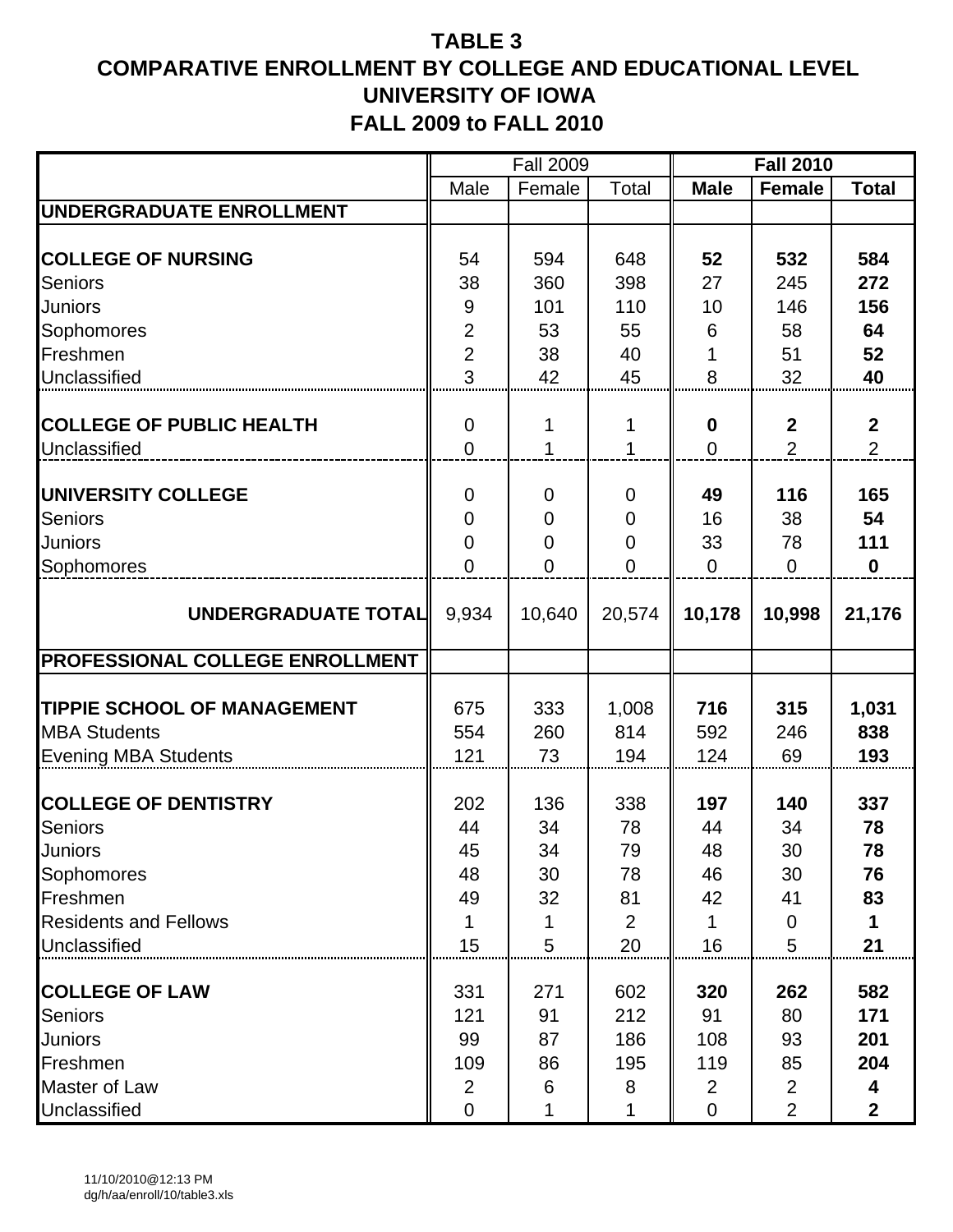|                                        |                | <b>Fall 2009</b> |                |                  | <b>Fall 2010</b> |                  |
|----------------------------------------|----------------|------------------|----------------|------------------|------------------|------------------|
|                                        | Male           | Female           | Total          | <b>Male</b>      | <b>Female</b>    | <b>Total</b>     |
| UNDERGRADUATE ENROLLMENT               |                |                  |                |                  |                  |                  |
|                                        |                |                  |                |                  |                  |                  |
| <b>COLLEGE OF NURSING</b>              | 54             | 594              | 648            | 52               | 532              | 584              |
| <b>Seniors</b>                         | 38             | 360              | 398            | 27               | 245              | 272              |
| <b>Juniors</b>                         | 9              | 101              | 110            | 10               | 146              | 156              |
| Sophomores                             | $\overline{2}$ | 53               | 55             | 6                | 58               | 64               |
| Freshmen                               | $\overline{2}$ | 38               | 40             |                  | 51               | 52               |
| Unclassified                           | 3              | 42               | 45             | 8                | 32               | 40               |
|                                        |                |                  |                |                  |                  |                  |
| <b>COLLEGE OF PUBLIC HEALTH</b>        | $\mathbf 0$    | 1                | 1              | $\boldsymbol{0}$ | $\boldsymbol{2}$ | $\boldsymbol{2}$ |
| Unclassified                           | $\overline{0}$ | 1                | 1              | $\overline{0}$   | $\overline{2}$   | $\overline{2}$   |
|                                        |                |                  |                |                  |                  |                  |
| UNIVERSITY COLLEGE                     | $\mathbf 0$    | 0                | $\mathbf 0$    | 49               | 116              | 165              |
| <b>Seniors</b>                         | $\mathbf 0$    | $\mathbf 0$      | $\mathbf 0$    | 16               | 38               | 54               |
| <b>Juniors</b>                         | $\overline{0}$ | $\mathbf 0$      | $\mathbf 0$    | 33               | 78               | 111              |
| Sophomores                             | $\overline{0}$ | $\overline{0}$   | $\overline{0}$ | $\Omega$         | $\Omega$         | $\mathbf 0$      |
|                                        |                |                  |                |                  |                  |                  |
| UNDERGRADUATE TOTAL                    | 9,934          | 10,640           | 20,574         | 10,178           | 10,998           | 21,176           |
|                                        |                |                  |                |                  |                  |                  |
| <b>PROFESSIONAL COLLEGE ENROLLMENT</b> |                |                  |                |                  |                  |                  |
| <b>TIPPIE SCHOOL OF MANAGEMENT</b>     | 675            | 333              | 1,008          | 716              | 315              | 1,031            |
| <b>MBA Students</b>                    | 554            | 260              | 814            | 592              | 246              | 838              |
|                                        | 121            | 73               | 194            | 124              | 69               | 193              |
| <b>Evening MBA Students</b>            |                |                  |                |                  |                  |                  |
| <b>COLLEGE OF DENTISTRY</b>            | 202            | 136              | 338            | 197              | 140              | 337              |
| <b>Seniors</b>                         | 44             | 34               | 78             | 44               | 34               | 78               |
| <b>Juniors</b>                         | 45             | 34               | 79             | 48               | 30               | 78               |
| Sophomores                             | 48             | 30               | 78             | 46               | 30               | 76               |
| Freshmen                               | 49             | 32               | 81             | 42               | 41               | 83               |
| <b>Residents and Fellows</b>           |                | 1                | $\overline{2}$ | 1                | 0                |                  |
| Unclassified                           | 15             | 5                | 20             | 16               | 5                | 21               |
|                                        |                |                  |                |                  |                  |                  |
| <b>COLLEGE OF LAW</b>                  | 331            | 271              | 602            | 320              | 262              | 582              |
| <b>Seniors</b>                         | 121            | 91               | 212            | 91               | 80               | 171              |
| <b>Juniors</b>                         | 99             | 87               | 186            | 108              | 93               | 201              |
| Freshmen                               | 109            | 86               | 195            | 119              | 85               | 204              |
| Master of Law                          | 2              | 6                | 8              | $\overline{2}$   | $\overline{2}$   | 4                |
| Unclassified                           | 0              |                  | 1              | $\mathbf 0$      | $\overline{2}$   | $\mathbf{2}$     |
|                                        |                |                  |                |                  |                  |                  |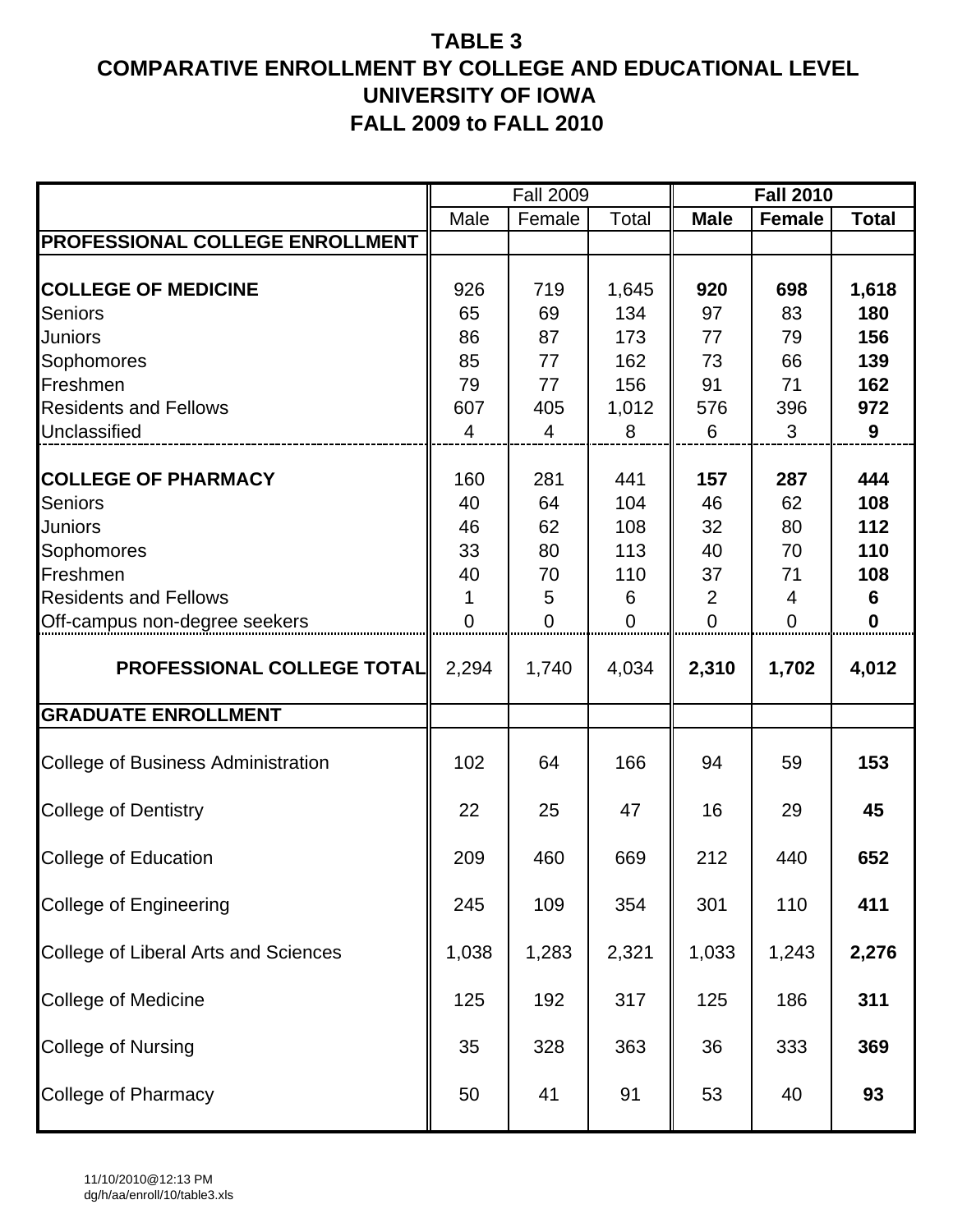|                                             |                | <b>Fall 2009</b> |                |                | <b>Fall 2010</b> |              |
|---------------------------------------------|----------------|------------------|----------------|----------------|------------------|--------------|
|                                             | Male           | Female           | Total          | <b>Male</b>    | <b>Female</b>    | <b>Total</b> |
| PROFESSIONAL COLLEGE ENROLLMENT             |                |                  |                |                |                  |              |
| <b>COLLEGE OF MEDICINE</b>                  | 926            | 719              | 1,645          | 920            | 698              | 1,618        |
| <b>Seniors</b>                              | 65             | 69               | 134            | 97             | 83               | 180          |
| Juniors                                     | 86             | 87               | 173            | 77             | 79               | 156          |
| Sophomores                                  | 85             | 77               | 162            | 73             | 66               | 139          |
| Freshmen                                    | 79             | 77               | 156            | 91             | 71               | 162          |
| <b>Residents and Fellows</b>                | 607            | 405              | 1,012          | 576            | 396              | 972          |
| Unclassified                                | $\overline{4}$ | 4                | 8              | 6              | 3                | 9            |
| <b>COLLEGE OF PHARMACY</b>                  | 160            | 281              | 441            | 157            | 287              | 444          |
| <b>Seniors</b>                              | 40             | 64               | 104            | 46             | 62               | 108          |
| <b>Juniors</b>                              | 46             | 62               | 108            | 32             | 80               | 112          |
| Sophomores                                  | 33             | 80               | 113            | 40             | 70               | 110          |
| Freshmen                                    | 40             | 70               | 110            | 37             | 71               | 108          |
| <b>Residents and Fellows</b>                |                | 5                | 6              | 2              | 4                | 6            |
| Off-campus non-degree seekers               | $\overline{0}$ | $\overline{0}$   | $\overline{0}$ | $\overline{0}$ | $\overline{0}$   | $\mathbf 0$  |
| <b>PROFESSIONAL COLLEGE TOTAL</b>           | 2,294          | 1,740            | 4,034          | 2,310          | 1,702            | 4,012        |
| <b>GRADUATE ENROLLMENT</b>                  |                |                  |                |                |                  |              |
| <b>College of Business Administration</b>   | 102            | 64               | 166            | 94             | 59               | 153          |
| <b>College of Dentistry</b>                 | 22             | 25               | 47             | 16             | 29               | 45           |
| <b>College of Education</b>                 | 209            | 460              | 669            | 212            | 440              | 652          |
| College of Engineering                      | 245            | 109              | 354            | 301            | 110              | 411          |
| <b>College of Liberal Arts and Sciences</b> | 1,038          | 1,283            | 2,321          | 1,033          | 1,243            | 2,276        |
| College of Medicine                         | 125            | 192              | 317            | 125            | 186              | 311          |
| <b>College of Nursing</b>                   | 35             | 328              | 363            | 36             | 333              | 369          |
| College of Pharmacy                         | 50             | 41               | 91             | 53             | 40               | 93           |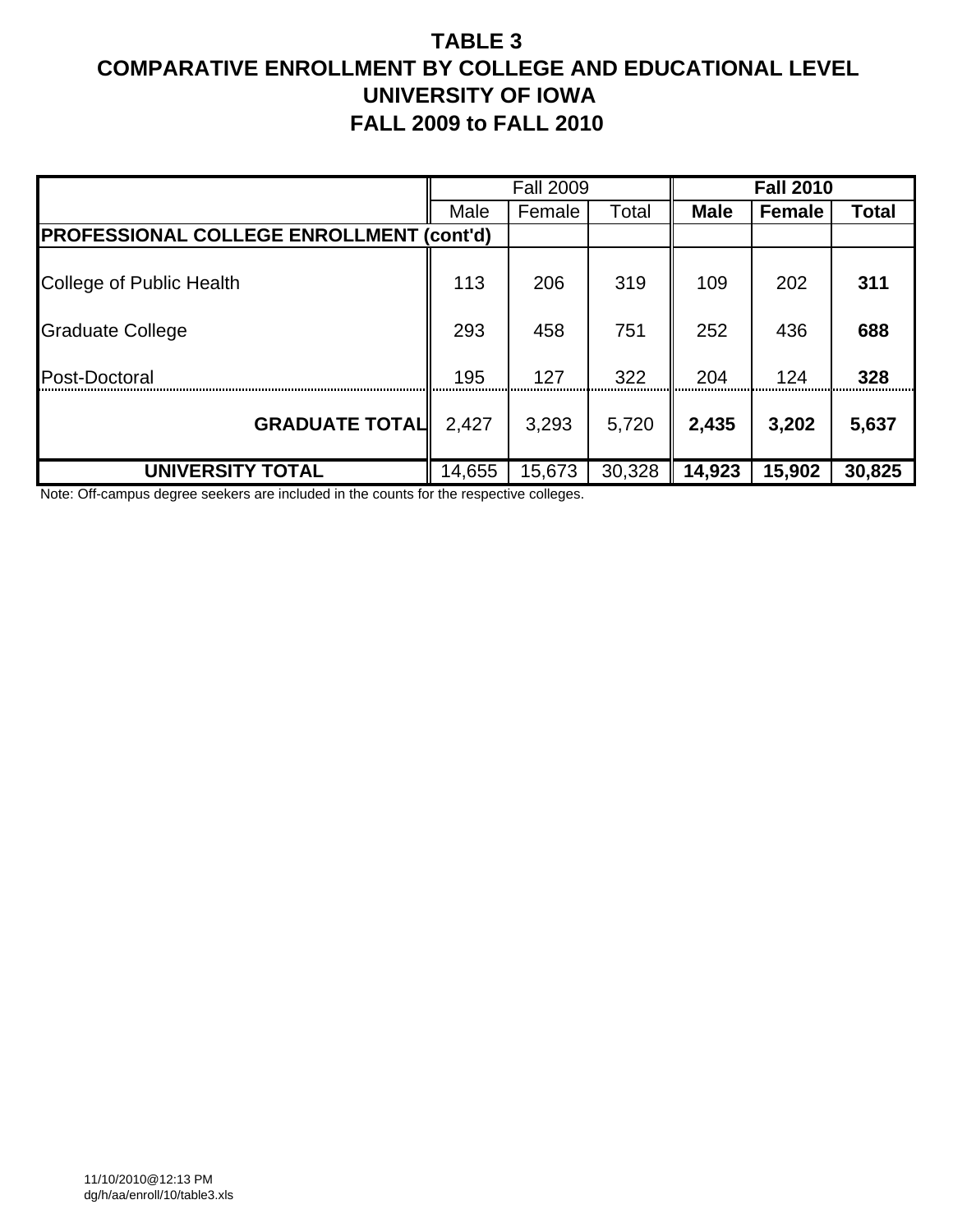|                                                 |        | <b>Fall 2009</b> |        |             | <b>Fall 2010</b> |        |
|-------------------------------------------------|--------|------------------|--------|-------------|------------------|--------|
|                                                 | Male   | Female           | Total  | <b>Male</b> | Female           | Total  |
| <b>PROFESSIONAL COLLEGE ENROLLMENT (cont'd)</b> |        |                  |        |             |                  |        |
| College of Public Health                        | 113    | 206              | 319    | 109         | 202              | 311    |
| <b>Graduate College</b>                         | 293    | 458              | 751    | 252         | 436              | 688    |
| Post-Doctoral                                   | 195    | 127              | 322    | 204         | 124              | 328    |
| <b>GRADUATE TOTAL</b>                           | 2,427  | 3,293            | 5,720  | 2,435       | 3,202            | 5,637  |
| <b>UNIVERSITY TOTAL</b>                         | 14,655 | 15,673           | 30,328 | 14,923      | 15,902           | 30,825 |

Note: Off-campus degree seekers are included in the counts for the respective colleges.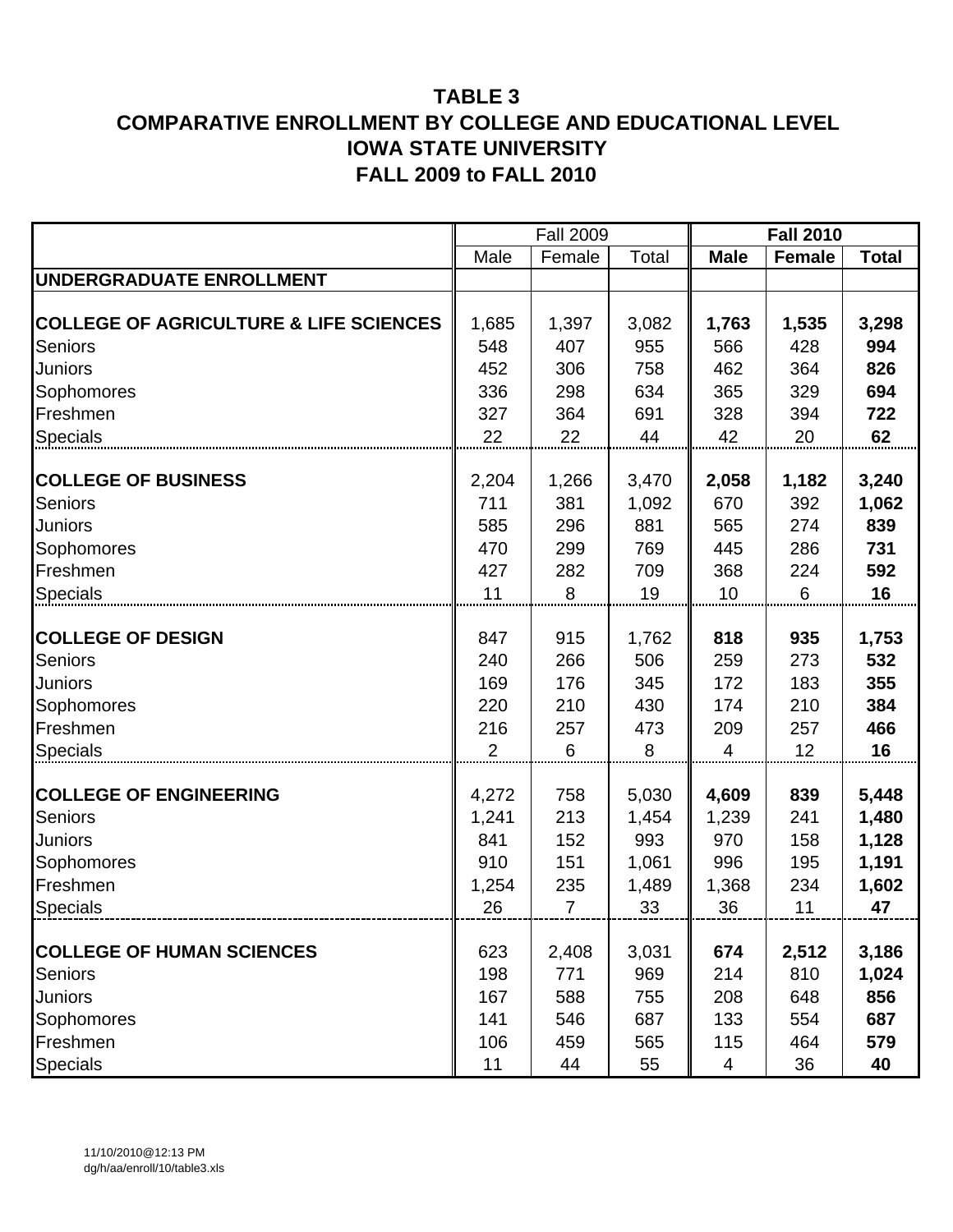|                                                   |                | <b>Fall 2009</b> |       |                | <b>Fall 2010</b> |              |
|---------------------------------------------------|----------------|------------------|-------|----------------|------------------|--------------|
|                                                   | Male           | Female           | Total | <b>Male</b>    | <b>Female</b>    | <b>Total</b> |
| UNDERGRADUATE ENROLLMENT                          |                |                  |       |                |                  |              |
|                                                   |                |                  |       |                |                  |              |
| <b>COLLEGE OF AGRICULTURE &amp; LIFE SCIENCES</b> | 1,685          | 1,397            | 3,082 | 1,763          | 1,535            | 3,298        |
| <b>Seniors</b>                                    | 548            | 407              | 955   | 566            | 428              | 994          |
| Juniors                                           | 452            | 306              | 758   | 462            | 364              | 826          |
| Sophomores                                        | 336            | 298              | 634   | 365            | 329              | 694          |
| Freshmen                                          | 327            | 364              | 691   | 328            | 394              | 722          |
| <b>Specials</b>                                   | 22             | 22               | 44    | 42             | 20               | 62           |
|                                                   |                |                  |       |                |                  |              |
| <b>COLLEGE OF BUSINESS</b>                        | 2,204          | 1,266            | 3,470 | 2,058          | 1,182            | 3,240        |
| <b>Seniors</b>                                    | 711            | 381              | 1,092 | 670            | 392              | 1,062        |
| Juniors                                           | 585            | 296              | 881   | 565            | 274              | 839          |
| Sophomores                                        | 470            | 299              | 769   | 445            | 286              | 731          |
| Freshmen                                          | 427            | 282              | 709   | 368            | 224              | 592          |
| <b>Specials</b>                                   | 11             | 8                | 19    | 10             | 6                | 16           |
|                                                   |                |                  |       |                |                  |              |
| <b>COLLEGE OF DESIGN</b>                          | 847            | 915              | 1,762 | 818            | 935              | 1,753        |
| <b>Seniors</b>                                    | 240            | 266              | 506   | 259            | 273              | 532          |
| Juniors                                           | 169            | 176              | 345   | 172            | 183              | 355          |
| Sophomores                                        | 220            | 210              | 430   | 174            | 210              | 384          |
| Freshmen                                          | 216            | 257              | 473   | 209            | 257              | 466          |
| <b>Specials</b>                                   | $\overline{2}$ | 6                | 8     | $\overline{4}$ | 12               | 16           |
| <b>COLLEGE OF ENGINEERING</b>                     | 4,272          | 758              | 5,030 | 4,609          | 839              | 5,448        |
| <b>Seniors</b>                                    | 1,241          | 213              | 1,454 | 1,239          | 241              | 1,480        |
| Juniors                                           | 841            | 152              | 993   | 970            | 158              | 1,128        |
| Sophomores                                        | 910            | 151              | 1,061 | 996            | 195              | 1,191        |
| Freshmen                                          | 1,254          | 235              | 1,489 | 1,368          | 234              | 1,602        |
| <b>Specials</b>                                   | 26             | $\overline{7}$   | 33    | 36             | 11               | 47           |
|                                                   |                |                  |       |                |                  |              |
| <b>COLLEGE OF HUMAN SCIENCES</b>                  | 623            | 2,408            | 3,031 | 674            | 2,512            | 3,186        |
| Seniors                                           | 198            | 771              | 969   | 214            | 810              | 1,024        |
| Juniors                                           | 167            | 588              | 755   | 208            | 648              | 856          |
| Sophomores                                        | 141            | 546              | 687   | 133            | 554              | 687          |
| Freshmen                                          | 106            | 459              | 565   | 115            | 464              | 579          |
| Specials                                          | 11             | 44               | 55    | 4              | 36               | 40           |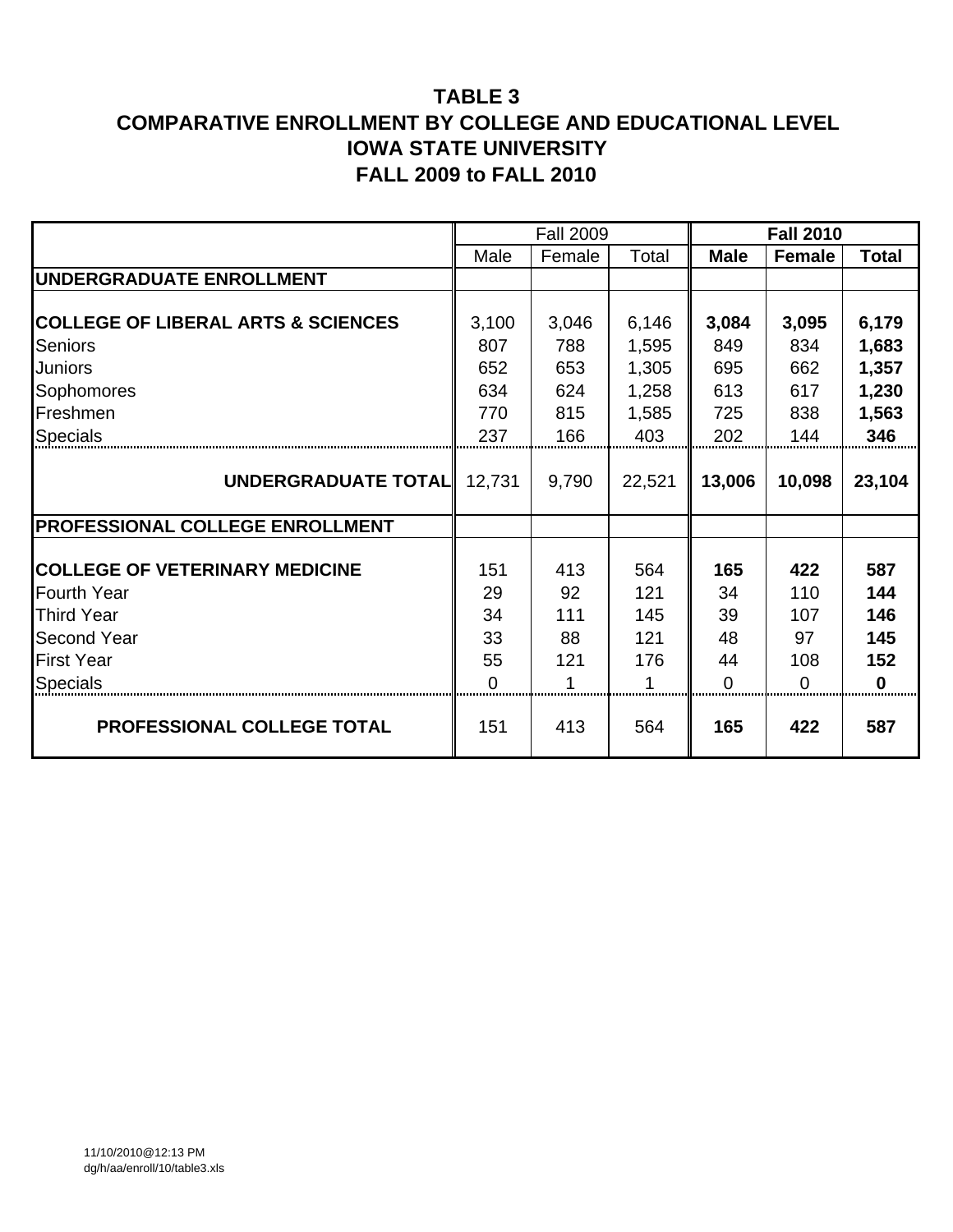|                                               |          | <b>Fall 2009</b> |        |             | <b>Fall 2010</b> |              |
|-----------------------------------------------|----------|------------------|--------|-------------|------------------|--------------|
|                                               | Male     | Female           | Total  | <b>Male</b> | Female           | <b>Total</b> |
| <b>IUNDERGRADUATE ENROLLMENT</b>              |          |                  |        |             |                  |              |
|                                               |          |                  |        |             |                  |              |
| <b>COLLEGE OF LIBERAL ARTS &amp; SCIENCES</b> | 3,100    | 3,046            | 6,146  | 3,084       | 3,095            | 6,179        |
| <b>Seniors</b>                                | 807      | 788              | 1,595  | 849         | 834              | 1,683        |
| <b>Juniors</b>                                | 652      | 653              | 1,305  | 695         | 662              | 1,357        |
| Sophomores                                    | 634      | 624              | 1,258  | 613         | 617              | 1,230        |
| Freshmen                                      | 770      | 815              | 1,585  | 725         | 838              | 1,563        |
| <b>Specials</b>                               | 237      | 166              | 403    | 202         | 144              | 346          |
|                                               |          |                  |        |             |                  |              |
| UNDERGRADUATE TOTAL                           | 12,731   | 9,790            | 22,521 | 13,006      | 10,098           | 23,104       |
|                                               |          |                  |        |             |                  |              |
| <b>PROFESSIONAL COLLEGE ENROLLMENT</b>        |          |                  |        |             |                  |              |
|                                               |          |                  |        |             |                  |              |
| <b>COLLEGE OF VETERINARY MEDICINE</b>         | 151      | 413              | 564    | 165         | 422              | 587          |
| <b>Fourth Year</b>                            | 29       | 92               | 121    | 34          | 110              | 144          |
| <b>Third Year</b>                             | 34       | 111              | 145    | 39          | 107              | 146          |
| <b>Second Year</b>                            | 33       | 88               | 121    | 48          | 97               | 145          |
| <b>First Year</b>                             | 55       | 121              | 176    | 44          | 108              | 152          |
| <b>Specials</b>                               | $\Omega$ | 1                | 1      | 0           | $\Omega$         | $\bf{0}$     |
| PROFESSIONAL COLLEGE TOTAL                    | 151      | 413              | 564    | 165         | 422              | 587          |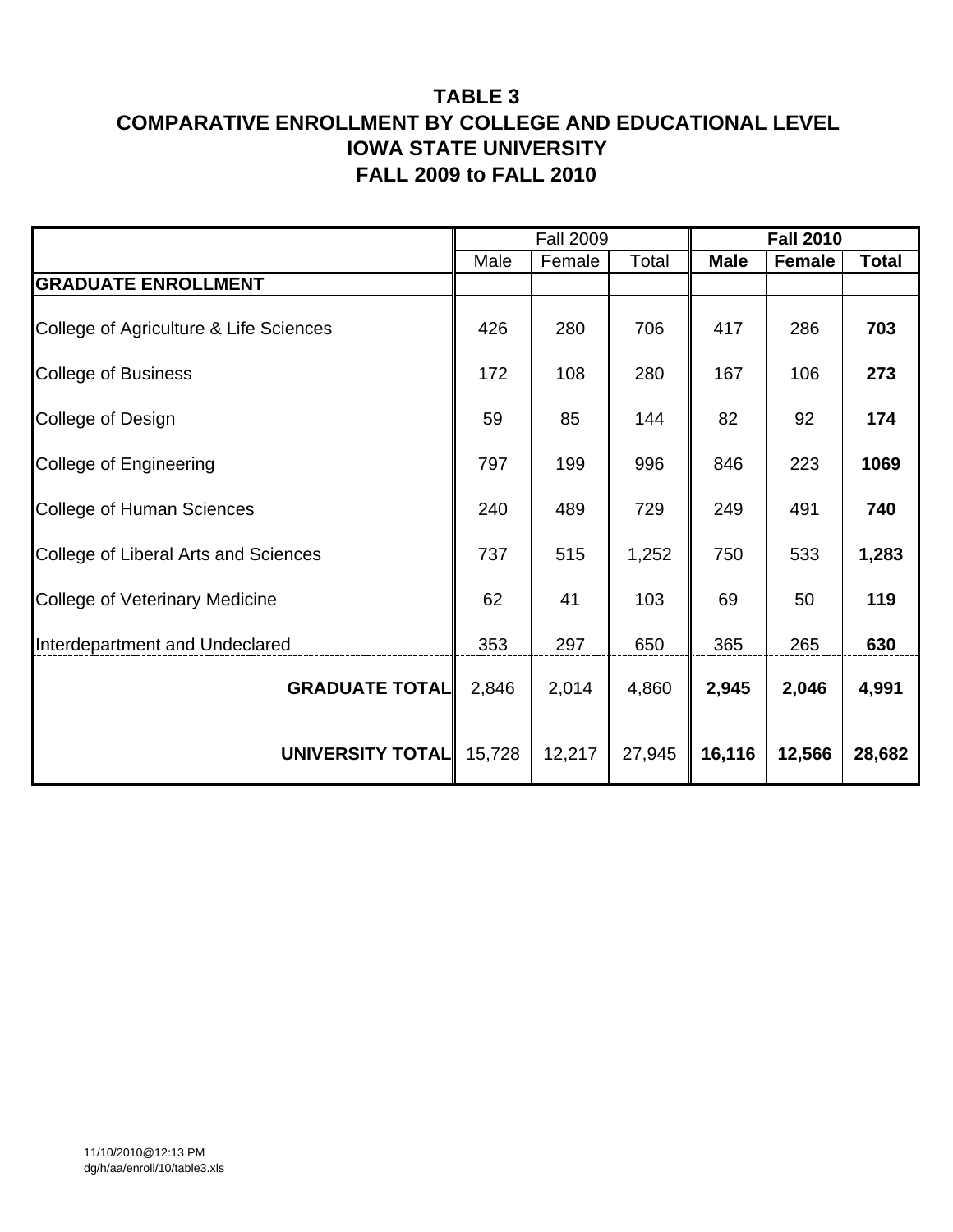|                                        |        | <b>Fall 2009</b> |        |             | <b>Fall 2010</b> |              |
|----------------------------------------|--------|------------------|--------|-------------|------------------|--------------|
|                                        | Male   | Female           | Total  | <b>Male</b> | <b>Female</b>    | <b>Total</b> |
| <b>GRADUATE ENROLLMENT</b>             |        |                  |        |             |                  |              |
| College of Agriculture & Life Sciences | 426    | 280              | 706    | 417         | 286              | 703          |
| <b>College of Business</b>             | 172    | 108              | 280    | 167         | 106              | 273          |
| College of Design                      | 59     | 85               | 144    | 82          | 92               | 174          |
| College of Engineering                 | 797    | 199              | 996    | 846         | 223              | 1069         |
| College of Human Sciences              | 240    | 489              | 729    | 249         | 491              | 740          |
| College of Liberal Arts and Sciences   | 737    | 515              | 1,252  | 750         | 533              | 1,283        |
| <b>College of Veterinary Medicine</b>  | 62     | 41               | 103    | 69          | 50               | 119          |
| Interdepartment and Undeclared         | 353    | 297              | 650    | 365         | 265              | 630          |
| <b>GRADUATE TOTAL</b>                  | 2,846  | 2,014            | 4,860  | 2,945       | 2,046            | 4,991        |
| UNIVERSITY TOTAL                       | 15,728 | 12,217           | 27,945 | 16,116      | 12,566           | 28,682       |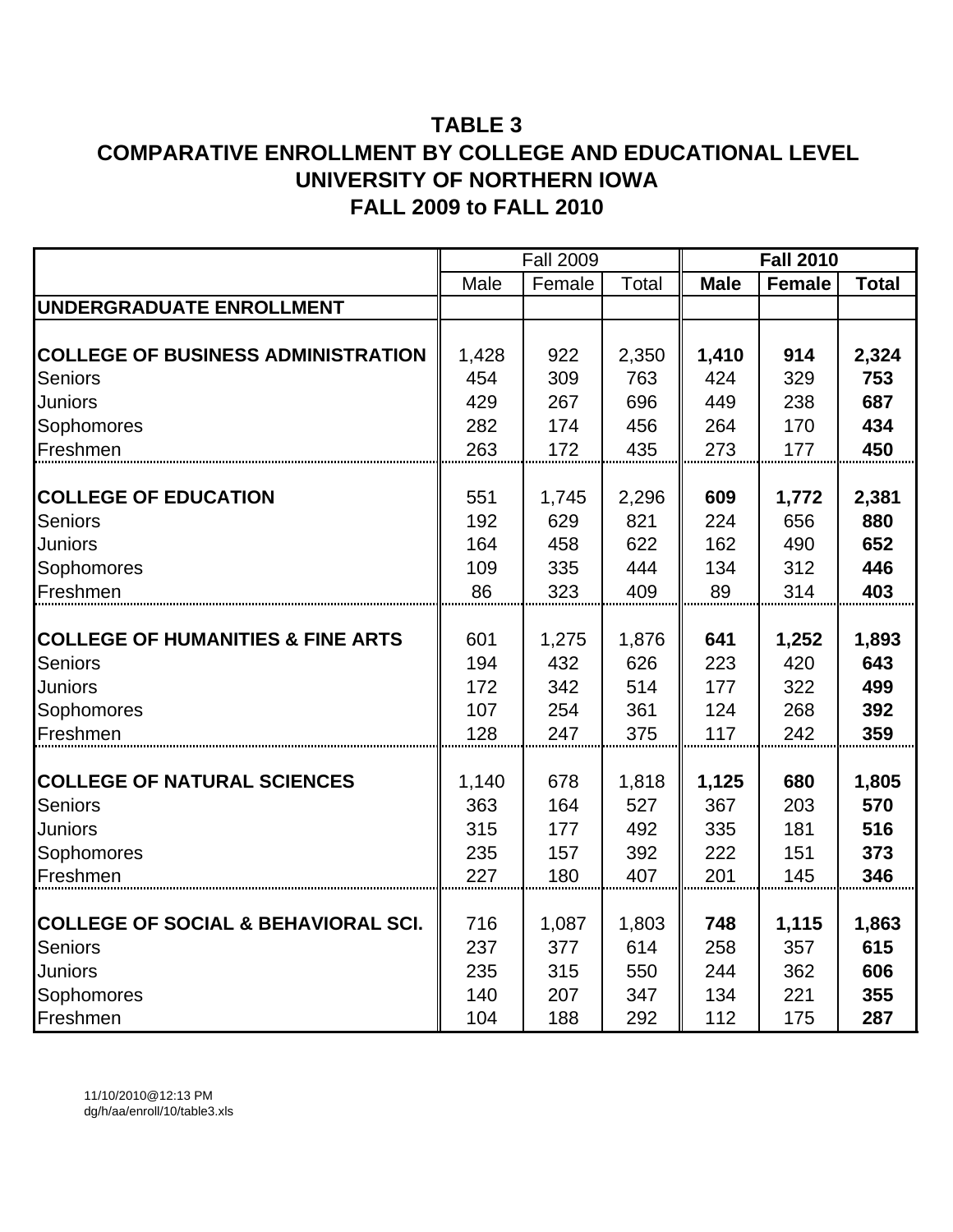|                                                |              | <b>Fall 2009</b> |              |              | <b>Fall 2010</b> |              |
|------------------------------------------------|--------------|------------------|--------------|--------------|------------------|--------------|
|                                                | Male         | Female           | Total        | <b>Male</b>  | <b>Female</b>    | <b>Total</b> |
| UNDERGRADUATE ENROLLMENT                       |              |                  |              |              |                  |              |
|                                                |              |                  |              |              |                  |              |
| <b>COLLEGE OF BUSINESS ADMINISTRATION</b>      | 1,428        | 922              | 2,350        | 1,410        | 914              | 2,324        |
| Seniors                                        | 454          | 309              | 763          | 424          | 329              | 753          |
| Juniors                                        | 429          | 267              | 696          | 449          | 238              | 687          |
| Sophomores                                     | 282          | 174              | 456          | 264          | 170              | 434          |
| Freshmen                                       | 263          | 172              | 435          | 273          | 177              | 450          |
|                                                |              |                  |              |              |                  |              |
| <b>COLLEGE OF EDUCATION</b>                    | 551          | 1,745            | 2,296        | 609          | 1,772            | 2,381        |
| <b>Seniors</b>                                 | 192          | 629              | 821          | 224          | 656              | 880          |
| Juniors                                        | 164          | 458              | 622          | 162          | 490              | 652          |
| Sophomores                                     | 109          | 335              | 444          | 134          | 312              | 446          |
| Freshmen                                       | 86           | 323              | 409          | 89           | 314              | 403          |
|                                                |              |                  |              |              |                  |              |
| <b>COLLEGE OF HUMANITIES &amp; FINE ARTS</b>   | 601          | 1,275            | 1,876        | 641          | 1,252            | 1,893        |
| <b>Seniors</b>                                 | 194          | 432              | 626          | 223          | 420              | 643          |
| Juniors                                        | 172          | 342              | 514          | 177          | 322              | 499          |
| Sophomores                                     | 107          | 254              | 361          | 124          | 268              | 392          |
| Freshmen                                       | 128          | 247              | 375          | 117          | 242              | 359          |
| <b>COLLEGE OF NATURAL SCIENCES</b>             |              | 678              |              |              | 680              |              |
| <b>Seniors</b>                                 | 1,140<br>363 | 164              | 1,818<br>527 | 1,125<br>367 | 203              | 1,805<br>570 |
| Juniors                                        | 315          | 177              | 492          | 335          | 181              | 516          |
| Sophomores                                     | 235          | 157              | 392          | 222          | 151              | 373          |
| Freshmen                                       | 227          | 180              | 407          | 201          | 145              | 346          |
|                                                |              |                  |              |              |                  |              |
| <b>COLLEGE OF SOCIAL &amp; BEHAVIORAL SCI.</b> | 716          | 1,087            | 1,803        | 748          | 1,115            | 1,863        |
| Seniors                                        | 237          | 377              | 614          | 258          | 357              | 615          |
| Juniors                                        | 235          | 315              | 550          | 244          | 362              | 606          |
| Sophomores                                     | 140          | 207              | 347          | 134          | 221              | 355          |
| Freshmen                                       | 104          | 188              | 292          | 112          | 175              | 287          |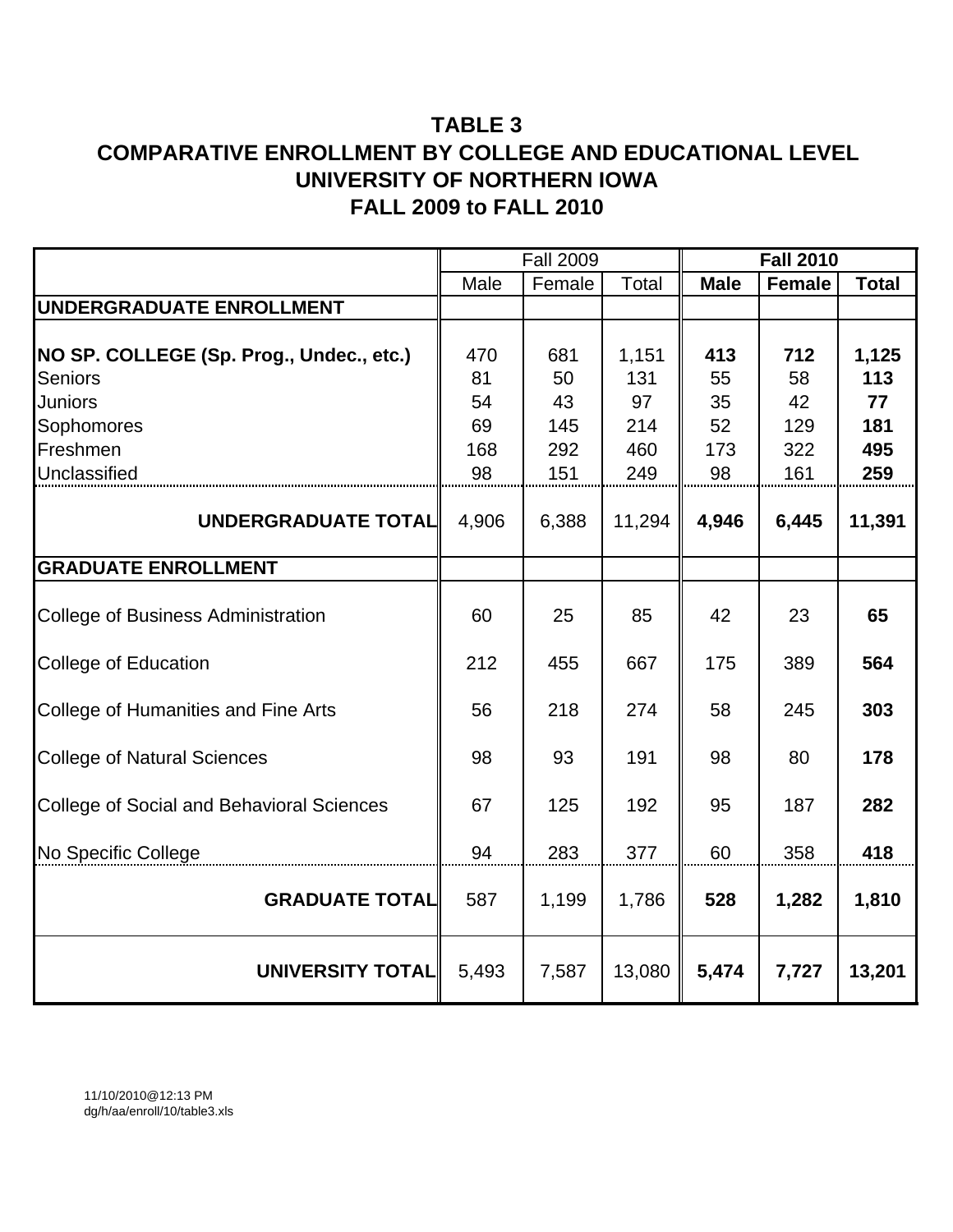|                                                  |          | <b>Fall 2009</b> |              | <b>Fall 2010</b> |               |              |  |  |
|--------------------------------------------------|----------|------------------|--------------|------------------|---------------|--------------|--|--|
|                                                  | Male     | Female           | <b>Total</b> | <b>Male</b>      | <b>Female</b> | <b>Total</b> |  |  |
| UNDERGRADUATE ENROLLMENT                         |          |                  |              |                  |               |              |  |  |
| NO SP. COLLEGE (Sp. Prog., Undec., etc.)         | 470      | 681              | 1,151        | 413              | 712           | 1,125        |  |  |
| <b>Seniors</b>                                   | 81       | 50               | 131          | 55               | 58            | 113          |  |  |
| <b>Juniors</b>                                   | 54<br>69 | 43               | 97           | 35<br>52         | 42            | 77           |  |  |
| Sophomores<br>Freshmen                           | 168      | 145<br>292       | 214<br>460   | 173              | 129<br>322    | 181<br>495   |  |  |
| Unclassified                                     | 98       | 151              | 249          | 98               | 161           | 259          |  |  |
|                                                  |          |                  |              |                  |               |              |  |  |
| UNDERGRADUATE TOTAL                              | 4,906    | 6,388            | 11,294       | 4,946            | 6,445         | 11,391       |  |  |
| <b>GRADUATE ENROLLMENT</b>                       |          |                  |              |                  |               |              |  |  |
| <b>College of Business Administration</b>        | 60       | 25               | 85           | 42               | 23            | 65           |  |  |
| <b>College of Education</b>                      | 212      | 455              | 667          | 175              | 389           | 564          |  |  |
| <b>College of Humanities and Fine Arts</b>       | 56       | 218              | 274          | 58               | 245           | 303          |  |  |
| <b>College of Natural Sciences</b>               | 98       | 93               | 191          | 98               | 80            | 178          |  |  |
| <b>College of Social and Behavioral Sciences</b> | 67       | 125              | 192          | 95               | 187           | 282          |  |  |
| No Specific College                              | 94       | 283              | 377          | 60               | 358           | 418          |  |  |
| <b>GRADUATE TOTAL</b>                            | 587      | 1,199            | 1,786        | 528              | 1,282         | 1,810        |  |  |
| <b>UNIVERSITY TOTAL</b>                          | 5,493    | 7,587            | 13,080       | 5,474            | 7,727         | 13,201       |  |  |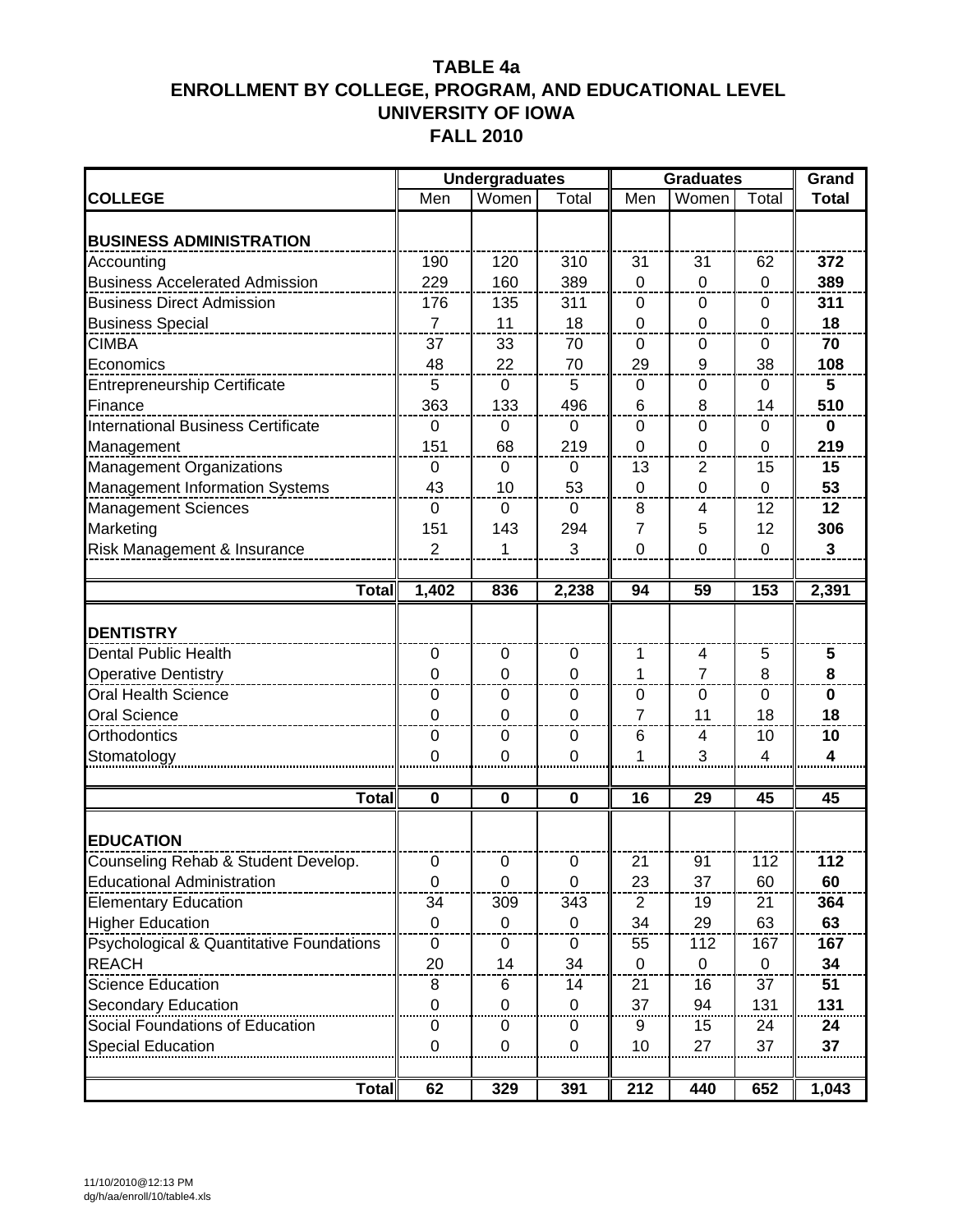|                                           |                  | <b>Undergraduates</b> |                |                | <b>Graduates</b> |                  | Grand        |
|-------------------------------------------|------------------|-----------------------|----------------|----------------|------------------|------------------|--------------|
| <b>COLLEGE</b>                            | Men              | Women                 | Total          | Men            | Women            | Total            | <b>Total</b> |
| <b>BUSINESS ADMINISTRATION</b>            |                  |                       |                |                |                  |                  |              |
| Accounting                                | 190              | 120                   | 310            | 31             | 31               | 62               | 372          |
| <b>Business Accelerated Admission</b>     | 229              | 160                   | 389            | $\overline{0}$ | $\mathbf 0$      | $\mathbf 0$      | 389          |
| <b>Business Direct Admission</b>          | 176              | 135                   | 311            | 0              | 0                | $\boldsymbol{0}$ | 311          |
| <b>Business Special</b>                   | $\overline{7}$   | 11                    | 18             | $\mathbf 0$    | 0                | 0                | 18           |
| <b>CIMBA</b>                              | 37               | 33                    | 70             | $\Omega$       | $\Omega$         | 0                | 70           |
| Economics                                 | 48               | 22                    | 70             | 29             | 9                | 38               | 108          |
| Entrepreneurship Certificate              | 5                | $\mathbf 0$           | 5              | 0              | 0                | 0                | 5            |
| Finance                                   | 363              | 133                   | 496            | 6              | 8                | 14               | 510          |
| <b>International Business Certificate</b> | $\mathbf 0$      | 0                     | 0              | 0              | 0                | 0                | $\mathbf 0$  |
| Management                                | 151              | 68                    | 219            | 0              | 0                | 0                | 219          |
| Management Organizations                  | $\mathbf 0$      | 0                     | $\mathbf 0$    | 13             | 2                | 15               | 15           |
| Management Information Systems            | 43               | 10                    | 53             | $\overline{0}$ | $\mathbf 0$      | $\mathbf 0$      | 53           |
| <b>Management Sciences</b>                | $\mathbf 0$      | $\mathbf 0$           | $\mathbf 0$    | 8              | 4                | 12               | 12           |
| Marketing                                 | 151              | 143                   | 294            | 7              | 5                | 12               | 306          |
| Risk Management & Insurance               | $\overline{2}$   | 1                     | 3              | 0              | $\mathbf 0$      | $\mathbf{0}$     | $\mathbf{3}$ |
|                                           |                  |                       |                |                |                  |                  |              |
| Total                                     | 1,402            | 836                   | 2,238          | 94             | 59               | 153              | 2,391        |
|                                           |                  |                       |                |                |                  |                  |              |
| <b>DENTISTRY</b>                          |                  |                       |                |                |                  |                  |              |
| Dental Public Health                      | $\mathbf 0$      | $\mathbf 0$           | 0              | 1              | 4                | 5                | 5            |
| <b>Operative Dentistry</b>                | 0                | 0                     | $\mathbf 0$    | 1              | $\overline{7}$   | 8                | 8            |
| <b>Oral Health Science</b>                | $\boldsymbol{0}$ | 0                     | $\mathbf 0$    | 0              | $\mathbf 0$      | $\mathbf 0$      | $\mathbf 0$  |
| <b>Oral Science</b><br>_______________    | $\mathbf 0$      | $\mathbf 0$           | $\Omega$       | 7              | 11               | 18               | 18           |
| Orthodontics                              | 0                | 0                     | 0              | 6              | 4                | 10               | 10           |
| Stomatology                               | $\overline{0}$   | 0                     | $\Omega$       | 1              | 3                | 4                | 4            |
|                                           |                  |                       |                |                |                  |                  |              |
| Total                                     | $\mathbf 0$      | 0                     | $\mathbf 0$    | 16             | 29               | 45               | 45           |
| <b>EDUCATION</b>                          |                  |                       |                |                |                  |                  |              |
| Counseling Rehab & Student Develop.       | $\mathbf 0$      | $\pmb{0}$             | $\pmb{0}$      | 21             | 91               | 112              | 112          |
| <b>Educational Administration</b>         | $\mathbf 0$      | 0                     | $\overline{0}$ | 23             | 37               | 60               | 60           |
| <b>Elementary Education</b>               | 34               | 309                   | 343            | 2              | 19               | 21               | 364          |
| <b>Higher Education</b>                   | $\mathbf 0$      | 0                     | 0              | 34             | 29               | 63               | 63           |
| Psychological & Quantitative Foundations  | 0                | 0                     | 0              | 55             | 112              | 167              | 167          |
| <b>REACH</b>                              | 20               | 14                    | 34             | $\Omega$       | $\mathbf{0}$     | $\Omega$         | 34           |
| Science Education                         | 8                | 6                     | 14             | 21             | 16               | 37               | 51           |
| Secondary Education                       | 0                | 0                     | 0              | 37             | 94               | 131              | 131          |
| Social Foundations of Education           | 0                | 0                     | 0              | 9              | 15               | 24               | 24           |
| <b>Special Education</b>                  | $\mathbf{0}$     | 0                     | 0              | 10             | 27               | 37               | 37           |
|                                           |                  |                       |                |                |                  |                  |              |
| <b>Total</b>                              | 62               | 329                   | 391            | 212            | 440              | 652              | 1,043        |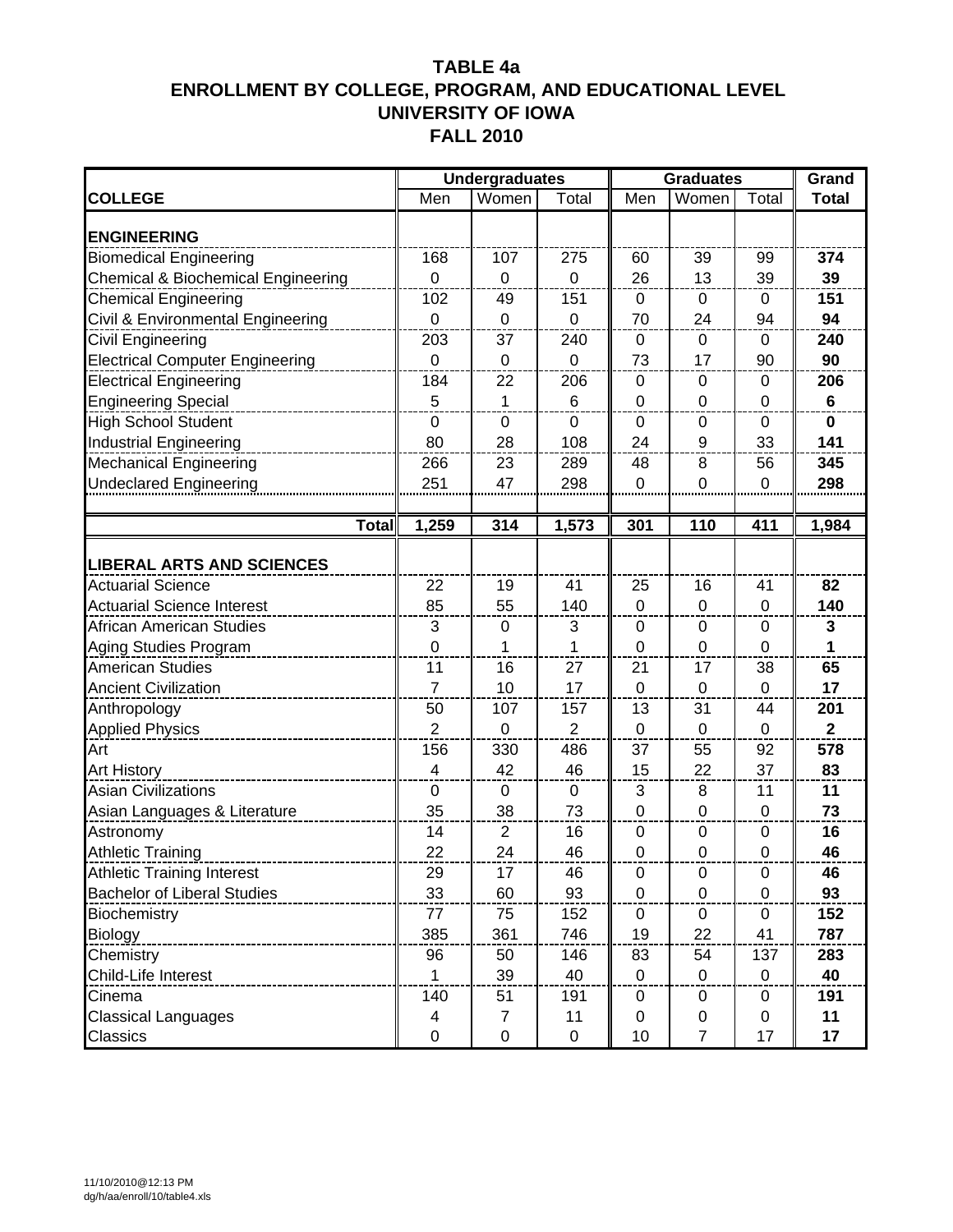|                                        | <b>Undergraduates</b> | <b>Graduates</b> | Grand          |                  |                |             |              |
|----------------------------------------|-----------------------|------------------|----------------|------------------|----------------|-------------|--------------|
| <b>COLLEGE</b>                         | Men                   | Women            | Total          | Men              | Women          | Total       | <b>Total</b> |
| <b>ENGINEERING</b>                     |                       |                  |                |                  |                |             |              |
| <b>Biomedical Engineering</b>          | 168                   | 107              | 275            | 60               | 39             | 99          | 374          |
| Chemical & Biochemical Engineering     | 0                     | $\mathbf 0$      | 0              | 26               | 13             | 39          | 39           |
| <b>Chemical Engineering</b>            | 102                   | 49               | 151            | 0                | 0              | 0           | 151          |
| Civil & Environmental Engineering      | $\mathbf 0$           | $\mathbf 0$      | $\mathbf 0$    | 70               | 24             | 94          | 94           |
| <b>Civil Engineering</b>               | 203                   | 37               | 240            | $\mathbf 0$      | $\mathbf 0$    | 0           | 240          |
| <b>Electrical Computer Engineering</b> | $\mathbf 0$           | 0                | 0              | 73               | 17             | 90          | 90           |
| <b>Electrical Engineering</b>          | 184                   | 22               | 206            | 0                | 0              | 0           | 206          |
| <b>Engineering Special</b>             | 5                     | 1                | 6              | $\mathbf 0$      | $\mathbf 0$    | 0           | $\bf 6$      |
| <b>High School Student</b>             | $\overline{0}$        | $\mathbf 0$      | $\mathbf 0$    | $\mathbf 0$      | $\mathbf 0$    | $\mathbf 0$ | $\bf{0}$     |
| <b>Industrial Engineering</b>          | 80                    | 28               | 108            | 24               | 9              | 33          | 141          |
| <b>Mechanical Engineering</b>          | 266                   | 23               | 289            | 48               | 8              | 56          | 345          |
| <b>Undeclared Engineering</b>          | 251                   | 47               | 298            | $\pmb{0}$        | 0              | 0           | 298          |
|                                        |                       |                  |                |                  |                |             |              |
| <b>Total</b>                           | 1,259                 | 314              | 1,573          | 301              | 110            | 411         | 1,984        |
| <b>LIBERAL ARTS AND SCIENCES</b>       |                       |                  |                |                  |                |             |              |
| <b>Actuarial Science</b>               | 22                    | 19               | 41             | 25               | 16             | 41          | 82           |
| <b>Actuarial Science Interest</b>      | 85                    | 55               | 140            | $\mathbf 0$      | $\pmb{0}$      | 0           | 140          |
| <b>African American Studies</b>        | 3                     | 0                | 3              | 0                | 0              | $\Omega$    | 3            |
| Aging Studies Program                  | 0                     | 1                | 1              | 0                | $\mathbf 0$    | $\mathbf 0$ | 1            |
| <b>American Studies</b>                | 11                    | 16               | 27             | 21               | 17             | 38          | 65           |
| <b>Ancient Civilization</b>            | $\overline{7}$        | 10               | 17             | $\mathbf 0$      | $\mathbf 0$    | $\mathbf 0$ | 17           |
| Anthropology                           | 50                    | 107              | 157            | 13               | 31             | 44          | 201          |
| <b>Applied Physics</b>                 | $\overline{2}$        | $\mathbf 0$      | $\overline{2}$ | $\mathbf 0$      | $\mathbf 0$    | $\mathbf 0$ | $\mathbf{2}$ |
| Art                                    | 156                   | 330              | 486            | 37               | 55             | 92          | 578          |
| <b>Art History</b>                     | 4                     | 42               | 46             | 15               | 22             | 37          | 83           |
| <b>Asian Civilizations</b>             | $\mathbf 0$           | 0                | 0              | 3                | 8              | 11          | 11           |
| Asian Languages & Literature           | 35                    | 38               | 73             | $\boldsymbol{0}$ | $\pmb{0}$      | 0           | 73           |
| Astronomy                              | 14                    | 2                | 16             | 0                | 0              | 0           | 16           |
| <b>Athletic Training</b>               | 22                    | 24               | 46             | 0                | $\mathbf 0$    | $\mathbf 0$ | 46           |
| <b>Athletic Training Interest</b>      | 29                    | 17               | 46             | $\pmb{0}$        | 0              | $\pmb{0}$   | 46           |
| <b>Bachelor of Liberal Studies</b>     | 33                    | 60               | 93             | $\mathbf 0$      | $\pmb{0}$      | $\mathbf 0$ | 93           |
| Biochemistry                           | 77                    | 75               | 152            | 0                | 0              | 0           | 152          |
| Biology                                | 385                   | 361              | 746            | 19               | 22             | 41          | 787          |
| Chemistry                              | 96                    | 50               | 146            | 83               | 54             | 137         | 283          |
| Child-Life Interest                    | 1                     | 39               | 40             | $\mathbf 0$      | $\mathbf 0$    | 0           | 40           |
| Cinema                                 | 140                   | 51               | 191            | 0                | 0              | 0           | 191          |
| <b>Classical Languages</b>             | 4                     | 7                | 11             | 0                | 0              | 0           | 11           |
| Classics                               | $\pmb{0}$             | $\pmb{0}$        | $\mathbf 0$    | 10               | $\overline{7}$ | 17          | 17           |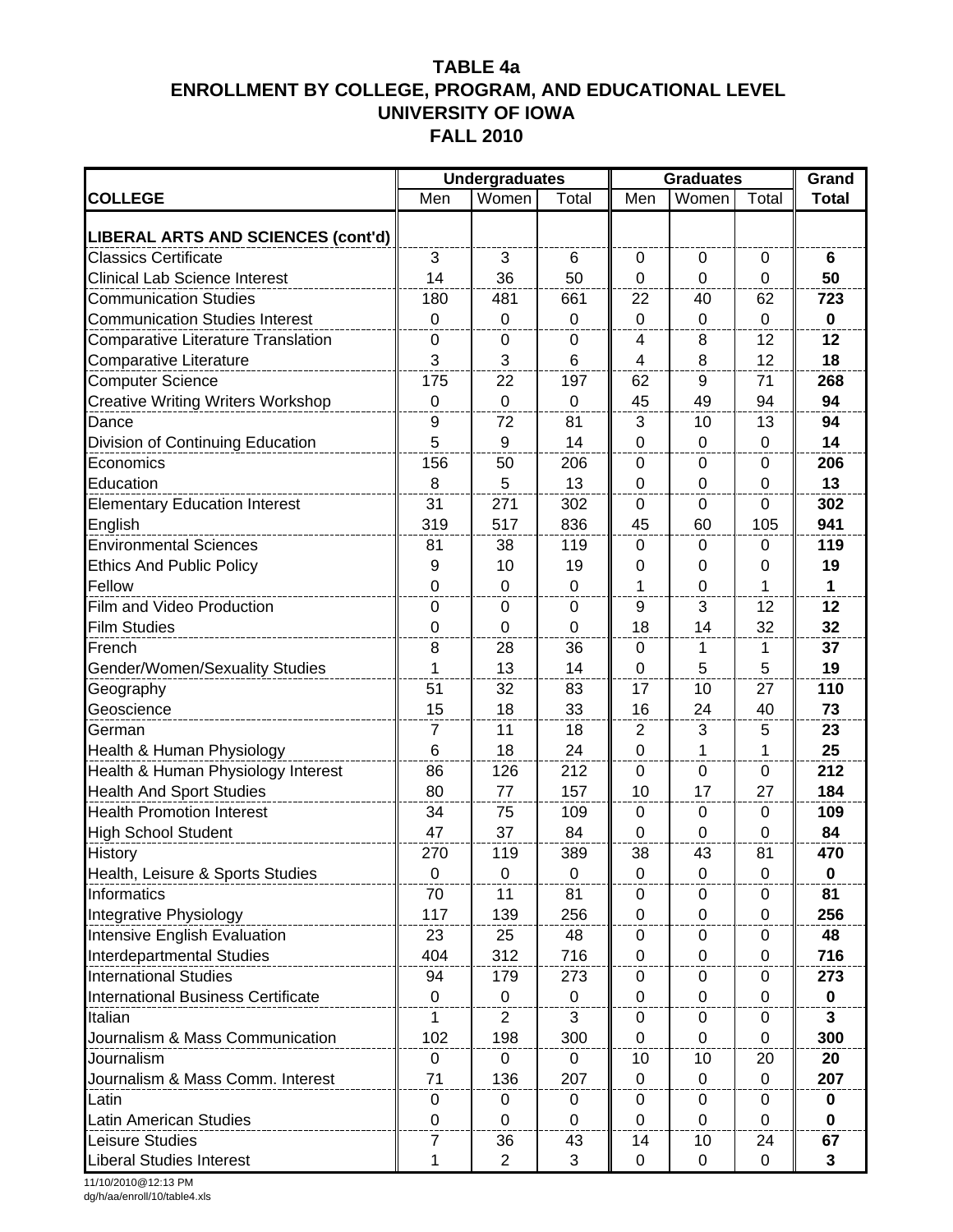|                                           |                | <b>Undergraduates</b> |                 |                | <b>Graduates</b> | Grand        |              |
|-------------------------------------------|----------------|-----------------------|-----------------|----------------|------------------|--------------|--------------|
| <b>COLLEGE</b>                            | Men            | Women                 | Total           | Men            | Women            | Total        | <b>Total</b> |
| LIBERAL ARTS AND SCIENCES (cont'd)        |                |                       |                 |                |                  |              |              |
| <b>Classics Certificate</b>               | 3              | 3                     | 6               | $\mathbf 0$    | $\mathbf 0$      | $\mathbf 0$  | 6            |
| <b>Clinical Lab Science Interest</b>      | 14             | 36                    | 50              | $\mathbf 0$    | $\mathbf 0$      | 0            | 50           |
| <b>Communication Studies</b>              | 180            | 481                   | 661             | 22             | 40               | 62           | 723          |
| <b>Communication Studies Interest</b>     | $\mathbf 0$    | $\mathbf 0$           | 0               | $\mathbf 0$    | 0                | 0            | $\mathbf 0$  |
| <b>Comparative Literature Translation</b> | $\mathbf 0$    | 0                     | 0               | 4              | 8                | 12           | 12           |
| Comparative Literature                    | 3              | 3                     | $6\phantom{1}6$ | 4              | 8                | 12           | 18           |
| <b>Computer Science</b>                   | 175            | 22                    | 197             | 62             | 9                | 71           | 268          |
| <b>Creative Writing Writers Workshop</b>  | $\mathbf 0$    | $\mathbf 0$           | 0               | 45             | 49               | 94           | 94           |
| Dance                                     | 9              | 72                    | 81              | 3              | 10               | 13           | 94           |
| Division of Continuing Education          | 5              | 9                     | 14              | $\mathbf 0$    | $\mathbf 0$      | $\mathbf 0$  | 14           |
| Economics                                 | 156            | 50                    | 206             | $\mathbf 0$    | $\mathbf 0$      | 0            | 206          |
| Education                                 | 8              | 5                     | 13              | $\mathbf 0$    | $\mathbf 0$      | 0            | 13           |
| <b>Elementary Education Interest</b>      | 31             | 271                   | 302             | 0              | 0                | 0            | 302          |
| English                                   | 319            | 517                   | 836             | 45             | 60               | 105          | 941          |
| <b>Environmental Sciences</b>             | 81             | 38                    | 119             | 0              | 0                | 0            | 119          |
| <b>Ethics And Public Policy</b>           | 9              | 10                    | 19              | 0              | 0                | 0            | 19           |
| Fellow                                    | $\overline{0}$ | 0                     | $\Omega$        | 1              | $\Omega$         | 1            | $\mathbf{1}$ |
| Film and Video Production                 | 0              | 0                     | 0               | 9              | 3                | 12           | 12           |
| <b>Film Studies</b>                       | 0              | $\mathbf 0$           | 0               | 18             | 14               | 32           | 32           |
| French                                    | 8              | 28                    | 36              | $\mathbf 0$    | 1                | 1            | 37           |
| Gender/Women/Sexuality Studies            | $\mathbf{1}$   | 13                    | 14              | $\mathbf 0$    | 5                | 5            | 19           |
| Geography                                 | 51             | 32                    | 83              | 17             | 10               | 27           | 110          |
| Geoscience                                | 15             | 18                    | 33              | 16             | 24               | 40           | 73           |
| German                                    | 7              | 11                    | 18              | $\overline{2}$ | 3                | 5            | 23           |
| Health & Human Physiology                 | 6              | 18                    | 24              | $\mathbf 0$    | 1                | 1            | 25           |
| Health & Human Physiology Interest        | 86             | 126                   | 212             | $\mathbf 0$    | $\mathbf 0$      | 0            | 212          |
| <b>Health And Sport Studies</b>           | 80             | 77                    | 157             | 10             | 17               | 27           | 184          |
| <b>Health Promotion Interest</b>          | 34             | 75                    | 109             | $\Omega$       | 0                | 0            | 109          |
| <b>High School Student</b>                | 47             | 37                    | 84              | $\mathbf 0$    | 0                | $\Omega$     | 84           |
| History                                   | 270            | 119                   | 389             | 38             | 43               | 81           | 470          |
| Health, Leisure & Sports Studies          | $\pmb{0}$      | $\mathbf 0$           | $\mathbf 0$     | $\mathbf 0$    | $\mathbf 0$      | 0            | $\bf{0}$     |
| Informatics                               | 70             | 11                    | 81              | 0              | 0                | 0            | 81           |
| Integrative Physiology                    | 117            | 139                   | 256             | 0              | 0                | 0            | 256          |
| <b>Intensive English Evaluation</b>       | 23             | 25                    | 48              | 0              | 0                | 0            | 48           |
| <b>Interdepartmental Studies</b>          | 404            | 312                   | 716             | $\mathbf 0$    | $\mathbf{0}$     | $\mathbf{0}$ | 716          |
| <b>International Studies</b>              | 94             | 179                   | 273             | $\mathbf 0$    | $\mathbf 0$      | 0            | 273          |
| <b>International Business Certificate</b> | $\mathbf 0$    | 0                     | 0               | $\mathbf 0$    | 0                | 0            | 0            |
| Italian                                   | 1              | 2                     | 3               | 0              | 0                | 0            | 3            |
| Journalism & Mass Communication           | 102            | 198                   | 300             | $\mathbf 0$    | $\pmb{0}$        | 0            | 300          |
| Journalism                                | $\pmb{0}$      | $\pmb{0}$             | 0               | 10             | 10               | 20           | 20           |
| Journalism & Mass Comm. Interest          | 71             | 136                   | 207             | $\mathbf 0$    | $\mathbf 0$      | 0            | 207          |
| Latin                                     | $\pmb{0}$      | 0                     | 0               | 0              | 0                | $\mathbf 0$  | 0            |
| Latin American Studies                    | $\pmb{0}$      | 0                     | 0               | 0              | 0                | 0            | 0            |
| Leisure Studies                           | $\overline{7}$ | 36                    | 43              | 14             | 10               | 24           | 67           |
| <b>Liberal Studies Interest</b>           | $\mathbf{1}$   | $\overline{2}$        | 3               | $\mathbf 0$    | $\mathbf 0$      | 0            | $\mathbf{3}$ |

11/10/2010@12:13 PM dg/h/aa/enroll/10/table4.xls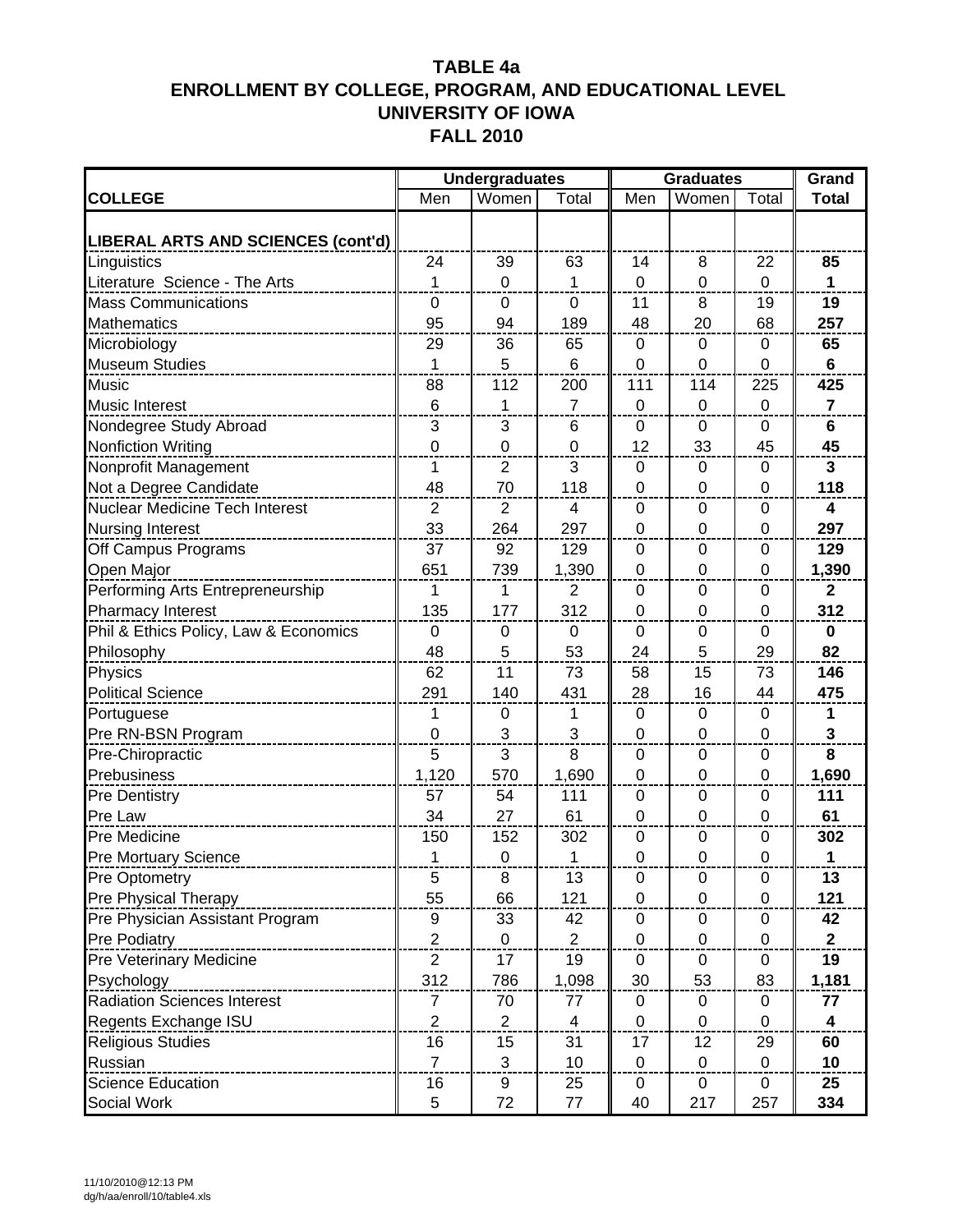|                                       |                | <b>Undergraduates</b> |                | <b>Graduates</b> | Grand            |                  |                         |
|---------------------------------------|----------------|-----------------------|----------------|------------------|------------------|------------------|-------------------------|
| <b>COLLEGE</b>                        | Men            | Women                 | Total          | Men              | Women            | Total            | <b>Total</b>            |
|                                       |                |                       |                |                  |                  |                  |                         |
| LIBERAL ARTS AND SCIENCES (cont'd)    |                |                       |                |                  |                  |                  |                         |
| Linguistics                           | 24             | 39                    | 63             | 14               | 8                | 22               | 85                      |
| Literature Science - The Arts         | 1              | $\mathbf 0$           | 1              | $\overline{0}$   | $\mathbf 0$      | $\mathbf 0$      | $\mathbf{1}$            |
| <b>Mass Communications</b>            | $\mathbf 0$    | $\mathbf 0$           | $\mathbf 0$    | 11               | 8                | 19               | 19                      |
| <b>Mathematics</b>                    | 95             | 94                    | 189            | 48               | 20               | 68               | 257                     |
| Microbiology                          | 29             | 36                    | 65             | 0                | $\Omega$         | 0                | 65                      |
| <b>Museum Studies</b>                 | 1              | 5                     | 6              | 0                | $\mathbf 0$      | $\mathbf{0}$     | $6\phantom{1}$          |
| <b>Music</b>                          | 88             | 112                   | 200            | 111              | 114              | 225              | 425                     |
| <b>Music Interest</b>                 | 6              | 1                     | $\overline{7}$ | $\mathbf 0$      | $\mathbf 0$      | $\mathbf 0$      | $\overline{7}$          |
| Nondegree Study Abroad                | 3              | 3                     | 6              | 0                | 0                | 0                | 6                       |
| <b>Nonfiction Writing</b>             | $\mathbf 0$    | $\mathbf 0$           | $\mathbf 0$    | 12               | 33               | 45               | 45                      |
| Nonprofit Management                  | 1              | $\overline{2}$        | 3              | 0                | 0                | 0                | 3                       |
| Not a Degree Candidate                | 48             | 70                    | 118            | $\overline{0}$   | $\mathbf 0$      | $\mathbf 0$      | 118                     |
| <b>Nuclear Medicine Tech Interest</b> | $\overline{2}$ | $\overline{2}$        | $\overline{4}$ | 0                | $\mathbf 0$      | $\mathbf 0$      | $\overline{\mathbf{4}}$ |
| <b>Nursing Interest</b>               | 33             | 264                   | 297            | $\mathbf 0$      | $\mathbf 0$      | $\mathbf{0}$     | 297                     |
| Off Campus Programs                   | 37             | 92                    | 129            | $\Omega$         | 0                | 0                | 129                     |
| Open Major                            | 651            | 739                   | 1,390          | $\mathbf 0$      | $\mathbf 0$      | 0                | 1,390                   |
| Performing Arts Entrepreneurship      | 1              | 1                     | $\overline{2}$ | 0                | 0                | 0                | $\mathbf{2}$            |
| Pharmacy Interest                     | 135            | 177                   | 312            | $\overline{0}$   | $\overline{0}$   | $\mathbf 0$      | 312                     |
| Phil & Ethics Policy, Law & Economics | $\mathbf 0$    | $\mathbf 0$           | 0              | $\Omega$         | 0                | 0                | $\bf{0}$                |
| Philosophy                            | 48             | 5                     | 53             | 24               | 5                | 29               | 82                      |
| Physics                               | 62             | 11                    | 73             | 58               | 15               | 73               | 146                     |
| <b>Political Science</b>              | 291            | 140                   | 431            | 28               | 16               | 44               | 475                     |
| Portuguese                            | 1              | $\boldsymbol{0}$      | 1              | $\mathsf 0$      | $\mathbf 0$      | $\boldsymbol{0}$ | 1                       |
| Pre RN-BSN Program                    | $\mathbf 0$    | 3                     | 3              | $\mathbf 0$      | $\mathbf 0$      | $\mathbf 0$      | $\mathbf 3$             |
| Pre-Chiropractic                      | 5              | 3                     | 8              | $\Omega$         | 0                | 0                | 8                       |
| Prebusiness                           | 1,120          | 570                   | 1,690          | $\mathbf 0$      | $\mathbf 0$      | 0                | 1,690                   |
| <b>Pre Dentistry</b>                  | 57             | 54                    | 111            | 0                | 0                | 0                | $111$                   |
| Pre Law                               | 34             | 27                    | 61             | $\overline{0}$   | $\mathbf 0$      | $\mathbf 0$      | 61                      |
| Pre Medicine                          | 150            | 152                   | 302            | 0                | 0                | 0                | 302                     |
| Pre Mortuary Science                  | 1              | 0                     | 1              | 0                | $\Omega$         | $\Omega$         | 1                       |
| Pre Optometry                         | 5              | 8                     | 13             | 0                | 0                | 0                | 13                      |
| Pre Physical Therapy                  | 55             | 66                    | 121            | 0                | $\mathbf 0$      | $\mathbf 0$      | 121                     |
| Pre Physician Assistant Program       | 9              | 33                    | 42             | $\boldsymbol{0}$ | $\pmb{0}$        | $\mathbf 0$      | 42                      |
| <b>Pre Podiatry</b>                   | $\overline{c}$ | 0                     | $\overline{2}$ | $\pmb{0}$        | 0                | $\pmb{0}$        | $\mathbf{2}$            |
| Pre Veterinary Medicine               | $\overline{2}$ | 17                    | 19             | 0                | $\mathbf 0$      | 0                | 19                      |
| Psychology                            | 312            | 786                   | 1,098          | 30               | 53               | 83               | 1,181                   |
| <b>Radiation Sciences Interest</b>    | 7              | 70                    | 77             | 0                | $\mathbf 0$      | 0                | 77                      |
| Regents Exchange ISU                  | $\overline{2}$ | $\overline{2}$        | $\overline{4}$ | $\mathbf 0$      | $\mathbf 0$      | $\mathbf 0$      | $\overline{\mathbf{4}}$ |
| <b>Religious Studies</b>              | 16             | 15                    | 31             | 17               | 12               | 29               | 60                      |
| Russian                               | $\overline{7}$ | 3                     | 10             | 0                | $\boldsymbol{0}$ | $\mathbf 0$      | 10                      |
| <b>Science Education</b>              | 16             | 9                     | 25             | 0                | 0                | 0                | 25                      |
| Social Work                           | 5              | 72                    | 77             | 40               | 217              | 257              | 334                     |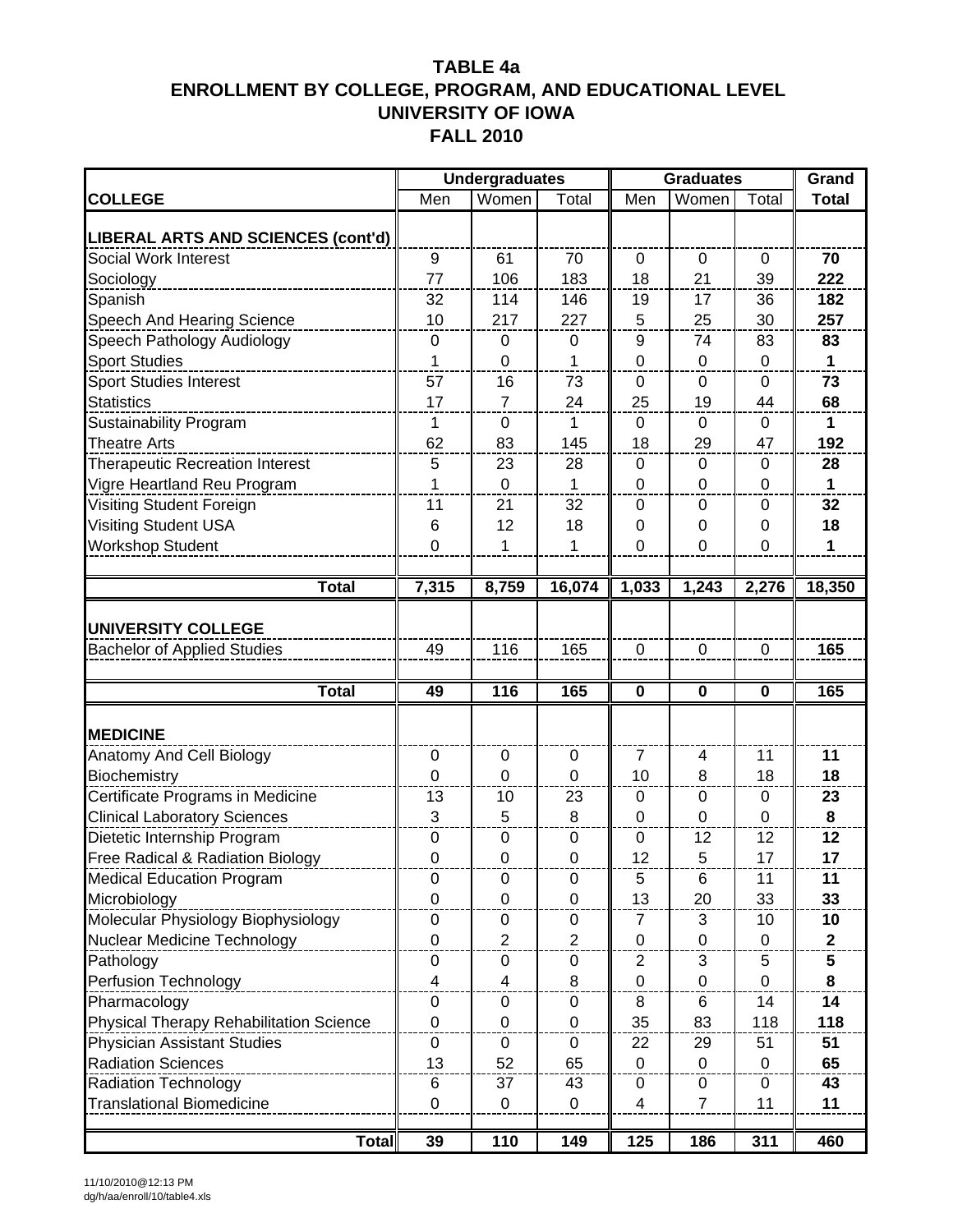|                                                            |                  | <b>Undergraduates</b> |                  |                | <b>Graduates</b> |             | Grand        |
|------------------------------------------------------------|------------------|-----------------------|------------------|----------------|------------------|-------------|--------------|
| <b>COLLEGE</b>                                             | Men              | Women                 | Total            | Men            | Women            | Total       | <b>Total</b> |
|                                                            |                  |                       |                  |                |                  |             |              |
| LIBERAL ARTS AND SCIENCES (cont'd)<br>Social Work Interest | 9                | 61                    | 70               | $\mathbf 0$    | $\mathbf 0$      | 0           | 70           |
| Sociology                                                  | 77               | 106                   | 183              | 18             | 21               | 39          | 222          |
| Spanish                                                    | 32               | 114                   | 146              | 19             | 17               | 36          | 182          |
| <b>Speech And Hearing Science</b>                          | 10               | 217                   | 227              | 5              | 25               | 30          | 257          |
| Speech Pathology Audiology                                 | $\mathbf 0$      | 0                     | 0                | 9              | 74               | 83          | 83           |
| <b>Sport Studies</b>                                       | 1                | 0                     |                  | 0              | $\mathbf 0$      | $\mathbf 0$ | 1            |
| Sport Studies Interest                                     | 57               | 16                    | 73               | 0              | $\mathbf{0}$     | 0           | 73           |
| <b>Statistics</b>                                          | 17               | $\overline{7}$        | 24               | 25             | 19               | 44          | 68           |
| <b>Sustainability Program</b>                              | 1                | $\pmb{0}$             | $\mathbf{1}$     | 0              | $\mathbf 0$      | 0           | $\mathbf{1}$ |
| <b>Theatre Arts</b>                                        | 62               | 83                    | 145              | 18             | 29               | 47          | 192          |
| <b>Therapeutic Recreation Interest</b>                     | 5                | 23                    | 28               | 0              | $\mathbf 0$      | 0           | 28           |
| Vigre Heartland Reu Program                                | 1                | 0                     | 1                | 0              | 0                | 0           | $\mathbf 1$  |
| Visiting Student Foreign                                   | 11               | 21                    | 32               | 0              | 0                | 0           | 32           |
| Visiting Student USA                                       | 6                | 12                    | 18               | 0              | 0                | 0           | 18           |
| <b>Workshop Student</b>                                    | $\mathbf 0$      | 1                     | 1                | 0              | $\mathbf 0$      | $\mathbf 0$ | $\mathbf{1}$ |
|                                                            |                  |                       |                  |                |                  |             |              |
| <b>Total</b>                                               | 7,315            | 8,759                 | 16,074           | 1,033          | 1,243            | 2,276       | 18,350       |
|                                                            |                  |                       |                  |                |                  |             |              |
| <b>UNIVERSITY COLLEGE</b>                                  |                  |                       |                  |                |                  |             |              |
| <b>Bachelor of Applied Studies</b>                         | 49               | 116                   | 165              | $\mathbf 0$    | $\mathbf 0$      | $\mathbf 0$ | 165          |
|                                                            |                  |                       |                  |                |                  |             |              |
| <b>Total</b>                                               | 49               | 116                   | 165              | $\mathbf 0$    | 0                | $\mathbf 0$ | 165          |
| <b>MEDICINE</b>                                            |                  |                       |                  |                |                  |             |              |
| Anatomy And Cell Biology                                   | 0                | 0                     | 0                | 7              | 4                | 11          | 11           |
| Biochemistry                                               | 0                | 0                     | 0                | 10             | 8                | 18          | 18           |
| Certificate Programs in Medicine                           | 13               | 10                    | 23               | 0              | 0                | 0           | 23           |
| <b>Clinical Laboratory Sciences</b>                        | 3                | 5                     | 8                | $\overline{0}$ | $\mathbf 0$      | $\mathbf 0$ | 8            |
| Dietetic Internship Program                                | $\boldsymbol{0}$ | 0                     | 0                | 0              | 12               | 12          | 12           |
| Free Radical & Radiation Biology                           | $\Omega$         | 0                     | 0                | 12             | 5                | 17          | 17           |
| <b>Medical Education Program</b>                           | $\mathbf 0$      | 0                     | 0                | 5              | 6                | 11          | 11           |
| Microbiology                                               | $\mathbf 0$      | $\mathbf 0$           | $\mathbf 0$      | 13             | 20               | 33          | 33           |
| Molecular Physiology Biophysiology                         | $\pmb{0}$        | $\pmb{0}$             | $\pmb{0}$        | $\overline{7}$ | 3                | 10          | 10           |
| Nuclear Medicine Technology                                | $\mathbf 0$      | $\overline{2}$        | $\boldsymbol{2}$ | $\pmb{0}$      | $\pmb{0}$        | 0           | $\mathbf 2$  |
| Pathology                                                  | 0                | 0                     | 0                | 2              | 3                | 5           | 5            |
| Perfusion Technology                                       | 4                | 4                     | 8                | $\pmb{0}$      | $\pmb{0}$        | $\mathbf 0$ | 8            |
| Pharmacology                                               | 0                | 0                     | 0                | 8              | 6                | 14          | 14           |
| <b>Physical Therapy Rehabilitation Science</b>             | 0                | $\mathbf 0$           | $\mathbf 0$      | 35             | 83               | 118         | 118          |
| <b>Physician Assistant Studies</b>                         | 0                | 0                     | 0                | 22             | 29               | 51          | 51           |
| <b>Radiation Sciences</b>                                  | 13               | 52                    | 65               | $\mathbf 0$    | $\mathbf 0$      | 0           | 65           |
| <b>Radiation Technology</b>                                | 6                | 37                    | 43               | 0              | 0                | 0           | 43           |
| <b>Translational Biomedicine</b>                           | $\mathbf 0$      | 0                     | 0                | 4              | $\overline{7}$   | 11          | 11           |
| <b>Total</b>                                               | 39               | 110                   | 149              | 125            | 186              | 311         | 460          |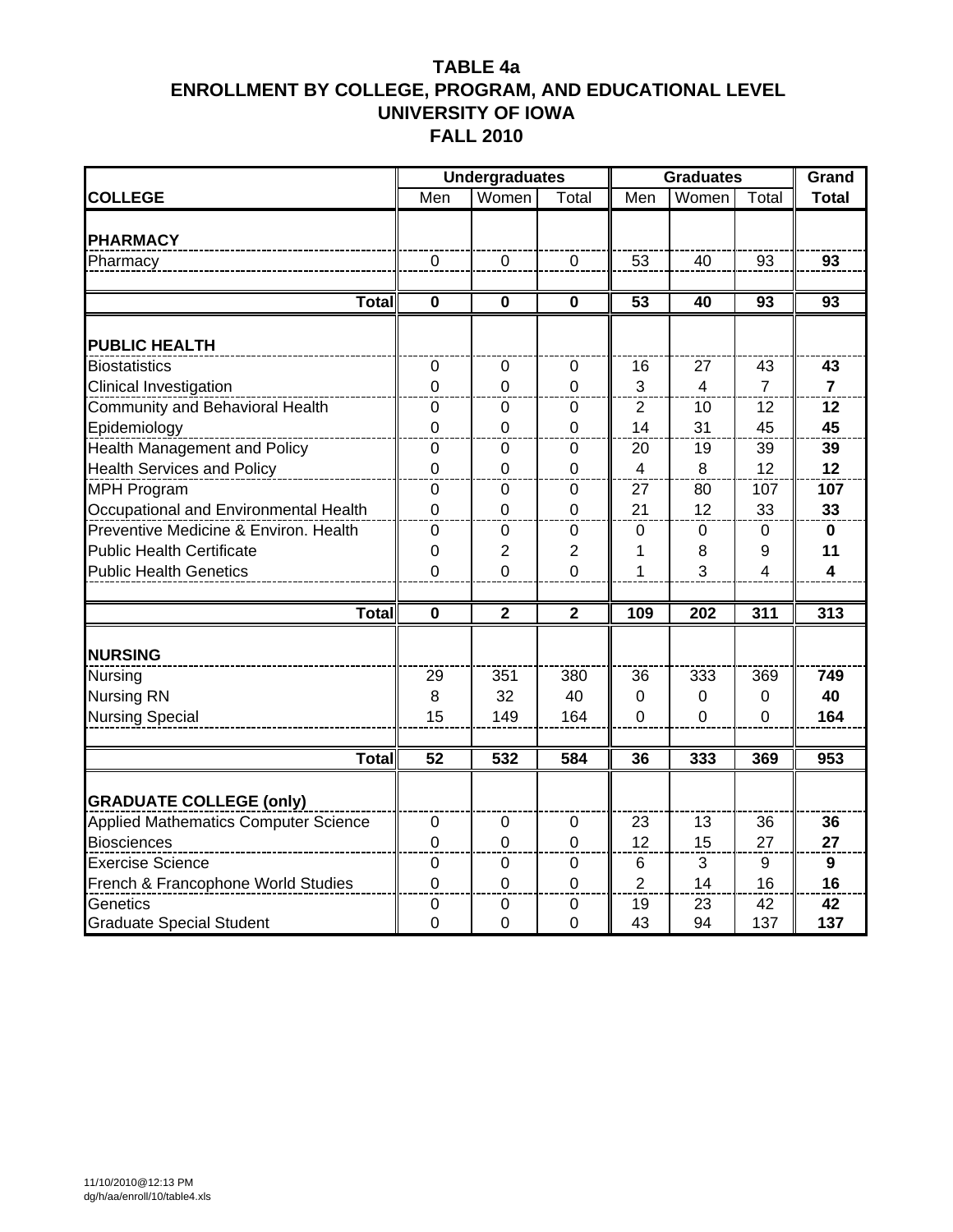|                                             |                 | <b>Undergraduates</b> |                |                         | <b>Graduates</b>        |                 | Grand                   |
|---------------------------------------------|-----------------|-----------------------|----------------|-------------------------|-------------------------|-----------------|-------------------------|
| <b>COLLEGE</b>                              | Men             | Women                 | Total          | Men                     | Women                   | Total           | <b>Total</b>            |
|                                             |                 |                       |                |                         |                         |                 |                         |
| <b>PHARMACY</b>                             |                 |                       |                |                         |                         |                 |                         |
| Pharmacy                                    | $\Omega$        | $\mathbf 0$           | $\mathbf 0$    | 53                      | 40                      | 93              | 93                      |
| <b>Total</b>                                | $\mathbf 0$     | $\mathbf{0}$          | $\mathbf 0$    | $\overline{53}$         | 40                      | $\overline{93}$ | $\overline{93}$         |
| <b>PUBLIC HEALTH</b>                        |                 |                       |                |                         |                         |                 |                         |
| <b>Biostatistics</b>                        | $\mathbf 0$     | 0                     | 0              | 16                      | 27                      | 43              | 43                      |
| Clinical Investigation                      | $\overline{0}$  | $\Omega$              | $\overline{0}$ | 3                       | $\overline{\mathbf{4}}$ | $\overline{7}$  | $\overline{7}$          |
| Community and Behavioral Health             | 0               | 0                     | 0              | $\overline{2}$          | 10                      | 12              | 12                      |
| Epidemiology                                | $\overline{0}$  | $\Omega$              | $\Omega$       | 14                      | 31                      | 45              | 45                      |
| Health Management and Policy                | 0               | 0                     | 0              | 20                      | 19                      | 39              | 39                      |
| <b>Health Services and Policy</b>           | $\overline{0}$  | $\Omega$              | $\overline{0}$ | $\overline{\mathbf{4}}$ | 8                       | 12              | 12                      |
| <b>MPH Program</b>                          | $\mathbf 0$     | 0                     | $\mathbf 0$    | 27                      | 80                      | 107             | 107                     |
| Occupational and Environmental Health       | $\overline{0}$  | $\Omega$              | $\overline{0}$ | 21                      | 12                      | 33              | 33                      |
| Preventive Medicine & Environ. Health       | $\mathbf 0$     | $\mathbf 0$           | $\mathbf 0$    | 0                       | 0                       | 0               | $\mathbf{0}$            |
| <b>Public Health Certificate</b>            | 0               | 2                     | $\overline{2}$ | 1                       | 8                       | 9               | 11                      |
| <b>Public Health Genetics</b>               | $\overline{0}$  | 0                     | $\overline{0}$ | 1                       | 3                       | 4               | $\overline{\mathbf{4}}$ |
|                                             |                 |                       |                |                         |                         |                 |                         |
| Total                                       | $\bf{0}$        | $\overline{2}$        | $\overline{2}$ | 109                     | 202                     | 311             | 313                     |
| <b>NURSING</b>                              |                 |                       |                |                         |                         |                 |                         |
| Nursing                                     | 29              | 351                   | 380            | 36                      | 333                     | 369             | 749                     |
| <b>Nursing RN</b>                           | 8               | 32                    | 40             | 0                       | 0                       | 0               | 40                      |
| <b>Nursing Special</b>                      | 15              | 149                   | 164            | $\overline{0}$          | $\overline{0}$          | $\Omega$        | 164                     |
|                                             |                 |                       |                |                         |                         |                 |                         |
| <b>Total</b>                                | $\overline{52}$ | 532                   | 584            | 36                      | 333                     | 369             | 953                     |
| <b>GRADUATE COLLEGE (only)</b>              |                 |                       |                |                         |                         |                 |                         |
| <b>Applied Mathematics Computer Science</b> | 0               | 0                     | 0              | 23                      | 13                      | 36              | 36                      |
| <b>Biosciences</b>                          | $\overline{0}$  | $\Omega$              | $\overline{0}$ | 12                      | 15                      | 27              | 27                      |
| <b>Exercise Science</b>                     | 0               | 0                     | 0              | 6                       | 3                       | 9               | $\mathbf{9}$            |
| French & Francophone World Studies          | $\overline{0}$  | $\Omega$              | $\overline{0}$ | $\overline{2}$          | 14                      | 16              | 16                      |
| Genetics                                    | 0               | 0                     | 0              | 19                      | 23                      | 42              | 42                      |
| <b>Graduate Special Student</b>             | $\overline{0}$  | 0                     | 0              | 43                      | 94                      | 137             | 137                     |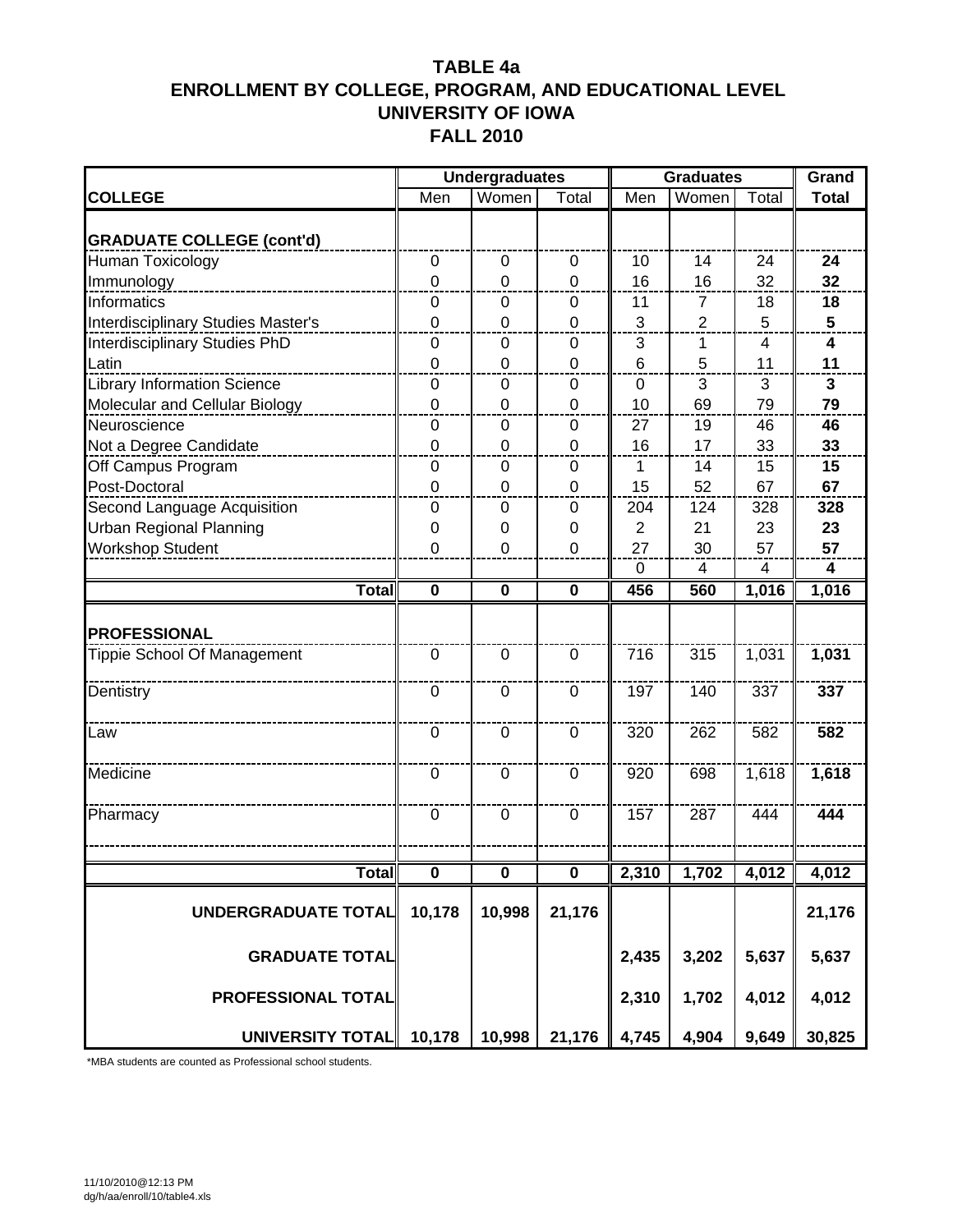|                                    |                  | <b>Undergraduates</b> |                  |              | <b>Graduates</b> |                | Grand        |
|------------------------------------|------------------|-----------------------|------------------|--------------|------------------|----------------|--------------|
| <b>COLLEGE</b>                     | Men              | Women                 | Total            | Men          | Women            | Total          | <b>Total</b> |
| <b>GRADUATE COLLEGE (cont'd)</b>   |                  |                       |                  |              |                  |                |              |
| <b>Human Toxicology</b>            | $\boldsymbol{0}$ | $\mathbf 0$           | $\mathbf 0$      | 10           | 14               | 24             | 24           |
| Immunology                         | $\overline{0}$   | $\Omega$              | $\overline{0}$   | 16           | 16               | 32             | 32           |
| Informatics                        | $\mathbf 0$      | 0                     | $\mathbf 0$      | 11           | $\overline{7}$   | 18             | 18           |
| Interdisciplinary Studies Master's | 0                | 0                     | 0                | $\mathbf{3}$ | $\overline{2}$   | 5              | 5            |
| Interdisciplinary Studies PhD      | 0                | 0                     | 0                | 3            | 1                | 4              | 4            |
| Latin                              | $\mathbf 0$      | $\Omega$              | $\mathbf 0$      | 6            | 5                | 11             | 11           |
| <b>Library Information Science</b> | 0                | 0                     | 0                | $\mathbf 0$  | 3                | 3              | $\mathbf{3}$ |
| Molecular and Cellular Biology     | $\overline{0}$   | 0                     | 0                | 10           | 69               | 79             | 79           |
| Neuroscience                       | 0                | 0                     | 0                | 27           | 19               | 46             | 46           |
| Not a Degree Candidate             | 0                | 0                     | $\mathbf 0$      | 16           | 17               | 33             | 33           |
| Off Campus Program                 | 0                | $\mathbf 0$           | $\mathbf 0$      | $\mathbf{1}$ | 14               | 15             | 15           |
| Post-Doctoral                      | 0                | $\Omega$              | $\overline{0}$   | 15           | 52               | 67             | 67           |
| Second Language Acquisition        | 0                | $\Omega$              | $\overline{0}$   | 204          | 124              | 328            | 328          |
| <b>Urban Regional Planning</b>     | 0                | 0                     | 0                | 2            | 21               | 23             | 23           |
| <b>Workshop Student</b>            | 0                | 0                     | 0                | 27           | 30               | 57             | 57           |
|                                    |                  |                       |                  | $\mathbf 0$  | $\overline{4}$   | $\overline{4}$ | 4            |
| <b>Total</b>                       | $\mathbf 0$      | $\mathbf 0$           | $\mathbf 0$      | 456          | 560              | 1,016          | 1,016        |
| <b>PROFESSIONAL</b>                |                  |                       |                  |              |                  |                |              |
| Tippie School Of Management        | $\mathbf 0$      | $\mathbf 0$           | $\mathbf 0$      | 716          | 315              | 1,031          | 1,031        |
| Dentistry                          | $\mathbf 0$      | $\mathbf 0$           | $\mathbf 0$      | 197          | 140              | 337            | 337          |
| Law                                | $\overline{0}$   | $\mathbf 0$           | $\mathbf 0$      | 320          | 262              | 582            | 582          |
| Medicine                           | $\mathbf 0$      | $\mathbf 0$           | $\overline{0}$   | 920          | 698              | 1,618          | 1,618        |
| Pharmacy                           | $\mathbf 0$      | $\mathbf 0$           | $\mathbf 0$      | 157          | 287              | 444            | 444          |
|                                    |                  |                       |                  |              |                  |                |              |
| <b>Total</b>                       | $\pmb{0}$        | 0                     | $\boldsymbol{0}$ | 2,310        | 1,702            | 4,012          | 4,012        |
| UNDERGRADUATE TOTAL                | 10,178           | 10,998                | 21,176           |              |                  |                | 21,176       |
| <b>GRADUATE TOTAL</b>              |                  |                       |                  | 2,435        | 3,202            | 5,637          | 5,637        |
| PROFESSIONAL TOTAL                 |                  |                       |                  | 2,310        | 1,702            | 4,012          | 4,012        |
| <b>UNIVERSITY TOTAL</b>            | 10,178           | 10,998                | 21,176           | 4,745        | 4,904            | 9,649          | 30,825       |

\*MBA students are counted as Professional school students.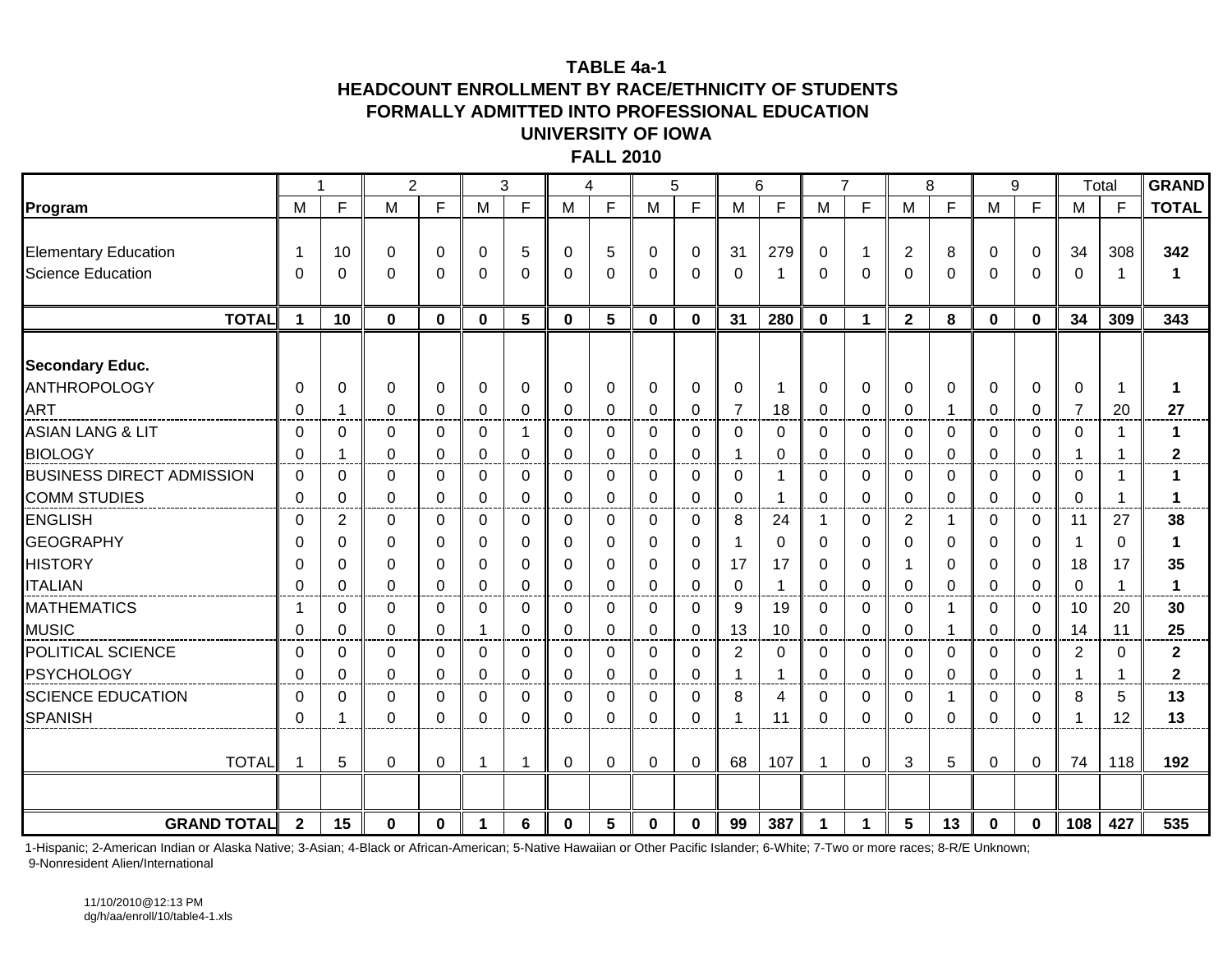#### **TABLE 4a-1**

#### **HEADCOUNT ENROLLMENT BY RACE/ETHNICITY OF STUDENTSFORMALLY ADMITTED INTO PROFESSIONAL EDUCATIONUNIVERSITY OF IOWA**

**FALL 2010**

|                                  |                |                | $\overline{2}$ |              |          | 3            | 4            |              |          | 5            |                | 6        | $\overline{7}$       |          |                | 8            | 9        |                | Total          |     | <b>GRAND</b> |
|----------------------------------|----------------|----------------|----------------|--------------|----------|--------------|--------------|--------------|----------|--------------|----------------|----------|----------------------|----------|----------------|--------------|----------|----------------|----------------|-----|--------------|
| Program                          | M              | F              | M              | F            | M        | F            | M            | F            | M        | F            | M              | F        | M                    | F        | M              | F            | M        | $\mathsf{F}$   | M              | F   | <b>TOTAL</b> |
|                                  |                |                |                |              |          |              |              |              |          |              |                |          |                      |          |                |              |          |                |                |     |              |
| <b>Elementary Education</b>      |                | 10             | 0              | $\mathbf 0$  | 0        | 5            | $\mathbf 0$  | 5            | $\Omega$ | $\mathbf 0$  | 31             | 279      | $\mathbf 0$          | 1        | $\overline{c}$ | 8            | 0        | $\Omega$       | 34             | 308 | 342          |
| Science Education                | 0              | 0              | 0              | $\mathbf 0$  | $\Omega$ | 0            | $\mathbf{0}$ | $\Omega$     | $\Omega$ | $\Omega$     | $\Omega$       | -1       | $\Omega$             | $\Omega$ | $\Omega$       | $\Omega$     | 0        | $\Omega$       | $\Omega$       | -1  | 1            |
|                                  |                |                |                |              |          |              |              |              |          |              |                |          |                      |          |                |              |          |                |                |     |              |
| <b>TOTAL</b>                     | 1              | 10             | $\mathbf{0}$   | $\bf{0}$     | 0        | 5            | $\mathbf 0$  | 5            | $\bf{0}$ | $\mathbf{0}$ | 31             | 280      | $\mathbf{0}$         | 1        | $\overline{2}$ | 8            | 0        | $\mathbf 0$    | 34             | 309 | 343          |
| <b>Secondary Educ.</b>           |                |                |                |              |          |              |              |              |          |              |                |          |                      |          |                |              |          |                |                |     |              |
| ANTHROPOLOGY                     | 0              | 0              | 0              | 0            | $\Omega$ | 0            | $\mathbf 0$  | 0            | 0        | $\mathbf 0$  | $\mathbf 0$    | -1       | $\mathbf 0$          | 0        | 0              | 0            | 0        | $\overline{0}$ | 0              |     | 1            |
| <b>ART</b>                       | $\Omega$       | 1              | $\Omega$       | $\Omega$     | $\Omega$ | $\Omega$     | $\Omega$     | $\Omega$     | $\Omega$ | $\Omega$     | $\overline{7}$ | 18       | $\mathbf{0}$         | $\Omega$ | $\Omega$       | $\mathbf{1}$ | $\Omega$ | $\Omega$       | $\overline{7}$ | 20  | 27           |
| <b>ASIAN LANG &amp; LIT</b>      | $\Omega$       | $\Omega$       | 0              | $\Omega$     | 0        | 1            | $\mathbf 0$  | 0            | 0        | $\Omega$     | 0              | 0        | $\Omega$             | $\Omega$ | $\Omega$       | $\Omega$     | 0        | $\Omega$       | $\mathbf{0}$   | 1   | $\mathbf 1$  |
| <b>BIOLOGY</b>                   | $\Omega$       | $\mathbf 1$    | $\Omega$       | $\Omega$     | $\Omega$ | $\mathbf{0}$ | $\Omega$     | $\Omega$     | $\Omega$ | $\Omega$     | 1              | $\Omega$ | $\Omega$             | $\Omega$ | $\Omega$       | $\mathbf{0}$ | $\Omega$ | $\Omega$       | $\mathbf 1$    | -1  | $\mathbf{2}$ |
| <b>BUSINESS DIRECT ADMISSION</b> | 0              | 0              | $\Omega$       | $\mathbf 0$  | $\Omega$ | 0            | $\mathbf 0$  | 0            | 0        | $\mathbf 0$  | 0              | -1       | $\mathbf 0$          | $\Omega$ | $\Omega$       | $\mathbf 0$  | 0        | $\overline{0}$ | 0              | -1  | $\mathbf 1$  |
| <b>COMM STUDIES</b>              | $\Omega$       | $\mathbf{0}$   | 0              | $\Omega$     | $\Omega$ | $\mathbf 0$  | 0            | $\Omega$     | $\Omega$ | $\Omega$     | $\mathbf 0$    | 1        | $\mathbf{0}$         | $\Omega$ | $\Omega$       | $\mathbf{0}$ | 0        | $\Omega$       | $\Omega$       | -1  | 1            |
| <b>ENGLISH</b>                   | 0              | $\overline{2}$ | $\Omega$       | $\mathbf 0$  | 0        | 0            | $\Omega$     | $\Omega$     | $\Omega$ | $\Omega$     | 8              | 24       | $\mathbf 1$          | $\Omega$ | 2              | $\mathbf 1$  | 0        | $\overline{0}$ | 11             | 27  | 38           |
| <b>GEOGRAPHY</b>                 | $\Omega$       | 0              | 0              | 0            | 0        | 0            | 0            | 0            | $\Omega$ | 0            |                | 0        | $\mathbf 0$          | 0        | 0              | 0            | 0        | $\overline{0}$ | $\mathbf 1$    | 0   | 1            |
| <b>HISTORY</b>                   | $\Omega$       | 0              | $\mathbf 0$    | $\Omega$     | $\Omega$ | $\Omega$     | $\Omega$     | $\Omega$     | $\Omega$ | $\Omega$     | 17             | 17       | $\mathbf{0}$         | $\Omega$ | -1             | $\Omega$     | $\Omega$ | $\Omega$       | 18             | 17  | 35           |
| <b>ITALIAN</b>                   | $\Omega$       | 0              | 0              | $\mathbf 0$  | 0        | 0            | $\mathbf 0$  | $\Omega$     | $\Omega$ | $\mathbf 0$  | $\Omega$       | -1       | $\Omega$             | $\Omega$ | $\Omega$       | $\Omega$     | 0        | $\Omega$       | $\mathbf{0}$   |     | $\mathbf{1}$ |
| <b>MATHEMATICS</b>               |                | 0              | $\Omega$       | $\Omega$     | $\Omega$ | 0            | $\Omega$     | $\Omega$     | $\Omega$ | $\Omega$     | 9              | 19       | $\mathbf{0}$         | $\Omega$ | $\Omega$       | $\mathbf{1}$ | $\Omega$ | $\Omega$       | 10             | 20  | 30           |
| <b>MUSIC</b>                     | $\Omega$       | $\Omega$       | $\Omega$       | $\mathbf 0$  |          | $\Omega$     | $\mathbf 0$  | 0            | 0        | $\mathbf 0$  | 13             | 10       | $\mathbf 0$          | 0        | $\Omega$       | $\mathbf 1$  | 0        | $\Omega$       | 14             | 11  | 25           |
| POLITICAL SCIENCE                | 0              | 0              | $\Omega$       | 0            | 0        | $\Omega$     | 0            | $\Omega$     | $\Omega$ | 0            | $\overline{c}$ | $\Omega$ | $\mathbf{0}$         | $\Omega$ | $\Omega$       | $\Omega$     | $\Omega$ | $\Omega$       | $\overline{2}$ | 0   | $\mathbf 2$  |
| <b>PSYCHOLOGY</b>                | $\Omega$       | $\Omega$       | $\Omega$       | $\mathbf 0$  | 0        | $\Omega$     | $\mathbf 0$  | $\Omega$     | $\Omega$ | $\mathbf 0$  | 1              | -1       | $\Omega$             | 0        | $\Omega$       | $\mathbf 0$  | 0        | $\Omega$       | -1             |     | 2            |
| <b>SCIENCE EDUCATION</b>         | $\Omega$       | 0              | 0              | 0            | $\Omega$ | 0            | 0            | $\mathbf{0}$ | $\Omega$ | 0            | 8              | 4        | $\mathbf{0}$         | 0        | 0              | $\mathbf{1}$ | $\Omega$ | $\mathbf 0$    | 8              | 5   | 13           |
| <b>SPANISH</b>                   | $\Omega$       | 1              | $\Omega$       | $\Omega$     | 0        | 0            | $\Omega$     | $\Omega$     | 0        | $\Omega$     |                | 11       | 0                    | 0        | $\Omega$       | $\Omega$     | 0        | $\Omega$       | 1              | 12  | 13           |
|                                  |                |                |                |              |          |              |              |              |          |              |                |          |                      |          |                |              |          |                |                |     |              |
| <b>TOTAL</b>                     |                | 5              | 0              | $\mathbf 0$  |          | 1            | $\mathbf 0$  | 0            | 0        | $\mathbf 0$  | 68             | 107      | $\overline{1}$       | 0        | 3              | 5            | 0        | $\mathbf 0$    | 74             | 118 | 192          |
|                                  |                |                |                |              |          |              |              |              |          |              |                |          |                      |          |                |              |          |                |                |     |              |
| <b>GRAND TOTAL</b>               | $\overline{2}$ | 15             | $\bf{0}$       | $\mathbf{0}$ | 1        | 6            | $\Omega$     | 5            | $\bf{0}$ | $\Omega$     | 99             | 387      | $\blacktriangleleft$ |          | 5              | 13           | $\bf{0}$ | $\mathbf{0}$   | 108            | 427 | 535          |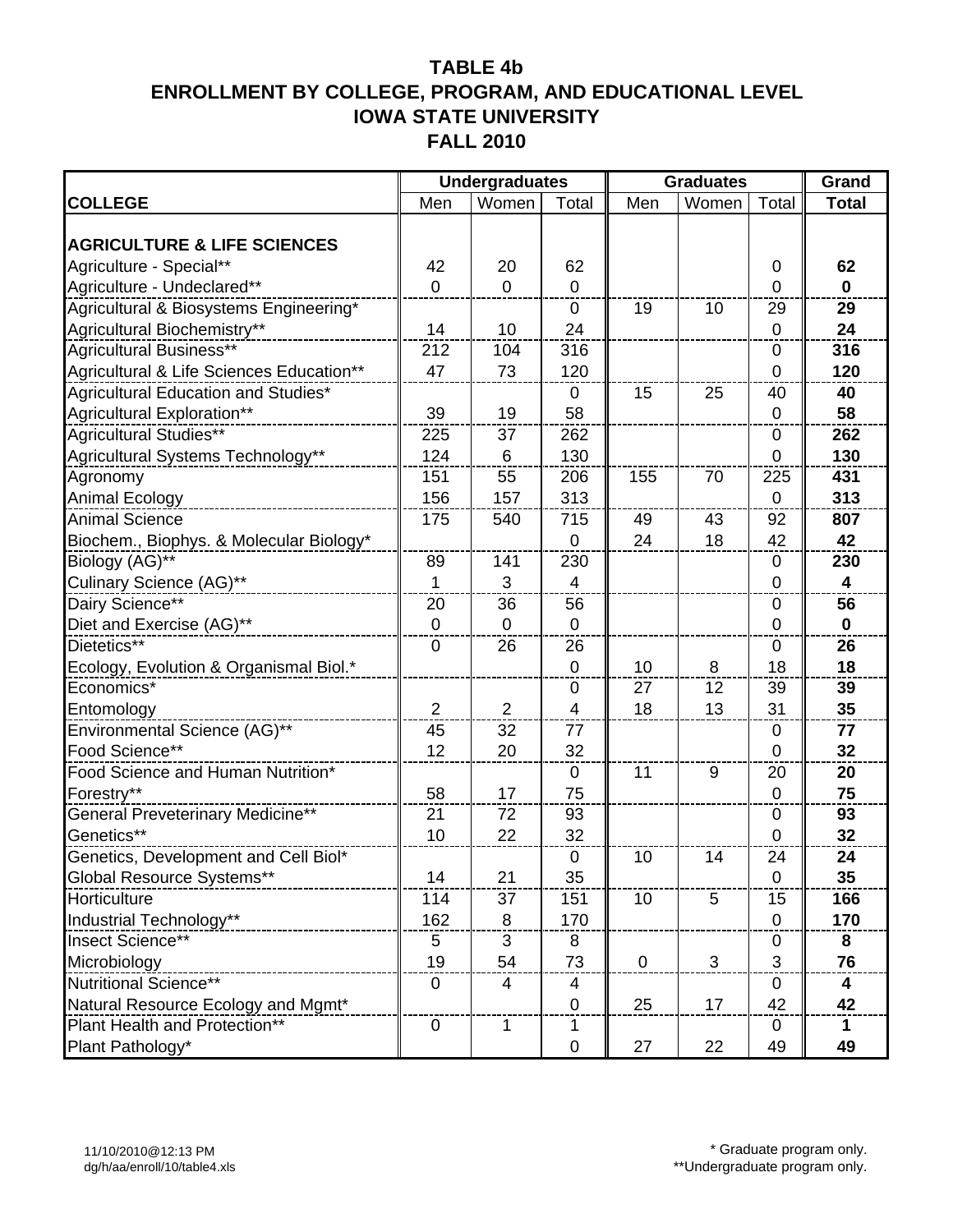|                                          |                         | <b>Undergraduates</b> |                | <b>Graduates</b> | Grand |                |                         |
|------------------------------------------|-------------------------|-----------------------|----------------|------------------|-------|----------------|-------------------------|
| <b>COLLEGE</b>                           | Men                     | Women                 | Total          | Men              | Women | Total          | <b>Total</b>            |
|                                          |                         |                       |                |                  |       |                |                         |
| <b>AGRICULTURE &amp; LIFE SCIENCES</b>   |                         |                       |                |                  |       |                |                         |
| Agriculture - Special**                  | 42                      | 20                    | 62             |                  |       | 0              | 62                      |
| Agriculture - Undeclared**               | $\overline{0}$          | $\overline{0}$        | $\mathbf 0$    |                  |       | 0              | $\mathbf{0}$            |
| Agricultural & Biosystems Engineering*   |                         |                       | $\mathbf{0}$   | 19               | 10    | 29             | 29                      |
| Agricultural Biochemistry**              | 14                      | 10                    | 24             |                  |       | $\mathbf 0$    | 24                      |
| Agricultural Business**                  | 212                     | 104                   | 316            |                  |       | $\mathbf 0$    | 316                     |
| Agricultural & Life Sciences Education** | 47                      | 73                    | 120            |                  |       | $\mathbf 0$    | 120                     |
| Agricultural Education and Studies*      |                         |                       | $\mathbf 0$    | 15               | 25    | 40             | 40                      |
| Agricultural Exploration**               | 39                      | 19                    | 58             |                  |       | $\pmb{0}$      | 58                      |
| Agricultural Studies**                   | 225                     | 37                    | 262            |                  |       | $\pmb{0}$      | 262                     |
| Agricultural Systems Technology**        | 124                     | 6                     | 130            |                  |       | $\overline{0}$ | 130                     |
| Agronomy                                 | 151                     | 55                    | 206            | 155              | 70    | 225            | 431                     |
| <b>Animal Ecology</b>                    | 156                     | 157                   | 313            |                  |       | $\mathbf 0$    | 313                     |
| <b>Animal Science</b>                    | 175                     | 540                   | 715            | 49               | 43    | 92             | 807                     |
| Biochem., Biophys. & Molecular Biology*  |                         |                       | 0              | 24               | 18    | 42             | 42                      |
| Biology (AG)**                           | 89                      | 141                   | 230            |                  |       | 0              | 230                     |
| Culinary Science (AG)**                  | $\mathbf 1$             | 3                     | $\overline{4}$ |                  |       | $\overline{0}$ | $\overline{\mathbf{4}}$ |
| Dairy Science**                          | 20                      | 36                    | 56             |                  |       | $\pmb{0}$      | 56                      |
| Diet and Exercise (AG)**                 | $\mathbf 0$             | 0                     | $\mathbf 0$    |                  |       | $\mathbf 0$    | $\mathbf 0$             |
| Dietetics**                              | $\mathbf 0$             | 26                    | 26             |                  |       | $\mathbf 0$    | 26                      |
| Ecology, Evolution & Organismal Biol.*   |                         |                       | $\pmb{0}$      | 10               | 8     | 18             | 18                      |
| Economics*                               |                         |                       | $\pmb{0}$      | 27               | 12    | 39             | 39                      |
| Entomology                               | $\overline{\mathbf{c}}$ | $\overline{2}$        | 4              | 18               | 13    | 31             | 35                      |
| Environmental Science (AG)**             | 45                      | 32                    | 77             |                  |       | $\mathbf 0$    | 77                      |
| Food Science**                           | 12                      | 20                    | 32             |                  |       | $\overline{0}$ | 32                      |
| Food Science and Human Nutrition*        |                         |                       | $\mathbf 0$    | 11               | 9     | 20             | 20                      |
| Forestry**                               | 58                      | 17                    | 75             |                  |       | $\pmb{0}$      | 75                      |
| General Preveterinary Medicine**         | 21                      | 72                    | 93             |                  |       | $\mathbf 0$    | 93                      |
| Genetics**                               | 10                      | 22                    | 32             |                  |       | $\mathbf 0$    | 32                      |
| Genetics, Development and Cell Biol*     |                         |                       | $\mathbf 0$    | 10               | 14    | 24             | 24                      |
| Global Resource Systems**                | 14                      | 21                    | 35             |                  |       | $\mathbf 0$    | 35                      |
| Horticulture                             | 114                     | 37                    | 151            | 10               | 5     | 15             | 166                     |
| Industrial Technology**                  | 162                     | 8                     | 170            |                  |       | $\mathbf 0$    | 170                     |
| Insect Science**                         | 5                       | 3                     | 8              |                  |       | $\mathbf 0$    | 8                       |
| Microbiology                             | 19                      | 54                    | 73             | $\mathbf 0$      | 3     | 3              | 76                      |
| Nutritional Science**                    | $\mathbf 0$             | 4                     | 4              |                  |       | $\mathbf 0$    | 4                       |
| Natural Resource Ecology and Mgmt*       |                         |                       | 0              | 25               | 17    | 42             | 42                      |
| Plant Health and Protection**            | $\pmb{0}$               | 1                     | 1              |                  |       | 0              | 1                       |
| Plant Pathology*                         |                         |                       | 0              | 27               | 22    | 49             | 49                      |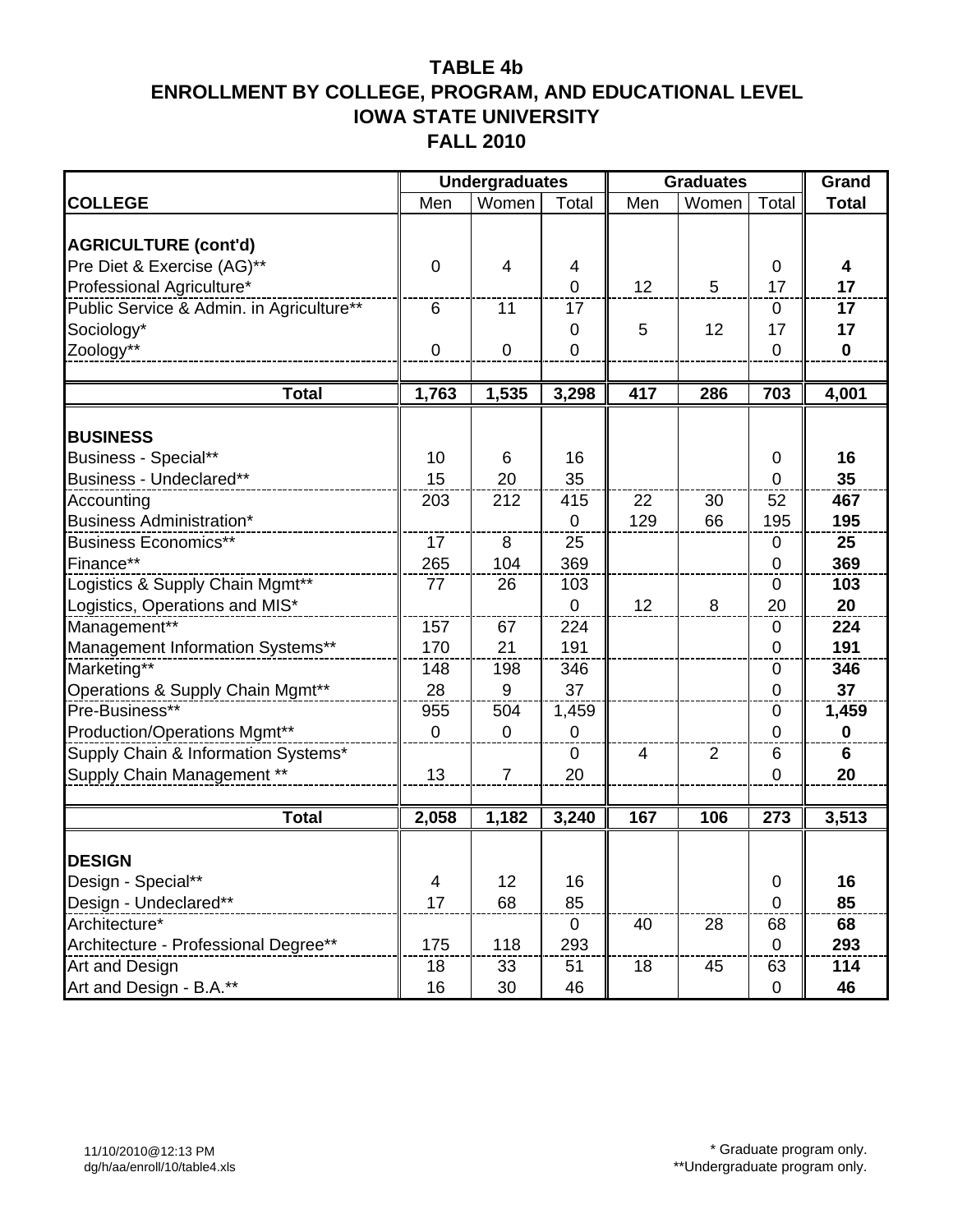|                                          |                         | <b>Undergraduates</b>    |                |                | <b>Graduates</b> |                  | Grand        |
|------------------------------------------|-------------------------|--------------------------|----------------|----------------|------------------|------------------|--------------|
| <b>COLLEGE</b>                           | Men                     | Women                    | Total          | Men            | Women            | Total            | <b>Total</b> |
|                                          |                         |                          |                |                |                  |                  |              |
| <b>AGRICULTURE (cont'd)</b>              |                         |                          |                |                |                  |                  |              |
| Pre Diet & Exercise (AG)**               | $\mathbf 0$             | $\overline{\mathcal{A}}$ | 4              |                |                  | 0                | 4            |
| Professional Agriculture*                |                         |                          | $\overline{0}$ | 12             | 5                | 17               | 17           |
| Public Service & Admin. in Agriculture** | 6                       | 11                       | 17             |                |                  | $\mathbf 0$      | 17           |
| Sociology*                               |                         |                          | 0              | 5              | 12               | 17               | 17           |
| Zoology**                                | $\mathbf 0$             | $\mathbf 0$              | $\mathbf 0$    |                |                  | $\mathbf 0$      | $\mathbf 0$  |
|                                          |                         |                          |                |                |                  |                  |              |
| <b>Total</b>                             | 1,763                   | 1,535                    | 3,298          | 417            | 286              | 703              | 4,001        |
| <b>BUSINESS</b>                          |                         |                          |                |                |                  |                  |              |
| Business - Special**                     | 10                      | 6                        | 16             |                |                  | $\mathbf 0$      | 16           |
| Business - Undeclared**                  | 15                      | 20                       | 35             |                |                  | $\mathbf 0$      | 35           |
| Accounting                               | 203                     | 212                      | 415            | 22             | 30               | 52               | 467          |
| Business Administration*                 |                         |                          | 0              | 129            | 66               | 195              | 195          |
| <b>Business Economics**</b>              | 17                      | 8                        | 25             |                |                  | 0                | 25           |
| Finance**                                | 265                     | 104                      | 369            |                |                  | $\mathbf 0$      | 369          |
| Logistics & Supply Chain Mgmt**          | 77                      | 26                       | 103            |                |                  | $\mathbf 0$      | 103          |
| Logistics, Operations and MIS*           |                         |                          | $\overline{0}$ | 12             | 8                | 20               | 20           |
| Management**                             | 157                     | 67                       | 224            |                |                  | 0                | 224          |
| Management Information Systems**         | 170                     | 21                       | 191            |                |                  | $\mathbf 0$      | 191          |
| Marketing**                              | 148                     | 198                      | 346            |                |                  | $\mathbf 0$      | 346          |
| Operations & Supply Chain Mgmt**         | 28                      | 9                        | 37             |                |                  | $\pmb{0}$        | 37           |
| Pre-Business**                           | 955                     | 504                      | 1,459          |                |                  | 0                | 1,459        |
| Production/Operations Mgmt**             | $\mathbf 0$             | $\mathbf 0$              | 0              |                |                  | $\mathbf 0$      | $\mathbf 0$  |
| Supply Chain & Information Systems*      |                         |                          | $\mathbf 0$    | $\overline{4}$ | $\overline{2}$   | 6                | 6            |
| Supply Chain Management **               | 13                      | $\overline{7}$           | 20             |                |                  | $\mathbf 0$      | 20           |
|                                          |                         |                          |                |                |                  |                  |              |
| <b>Total</b>                             | 2,058                   | 1,182                    | 3,240          | 167            | 106              | $\overline{273}$ | 3,513        |
| <b>DESIGN</b>                            |                         |                          |                |                |                  |                  |              |
| Design - Special**                       | $\overline{\mathbf{4}}$ | 12                       | 16             |                |                  | $\pmb{0}$        | 16           |
| Design - Undeclared**                    | 17                      | 68                       | 85             |                |                  | $\overline{0}$   | 85           |
| Architecture*                            |                         |                          | 0              | 40             | 28               | 68               | 68           |
| Architecture - Professional Degree**     | 175                     | 118                      | 293            |                |                  | $\mathbf 0$      | 293          |
| Art and Design                           | 18                      | 33                       | 51             | 18             | 45               | 63               | 114          |
| Art and Design - B.A.**                  | 16                      | 30                       | 46             |                |                  | 0                | 46           |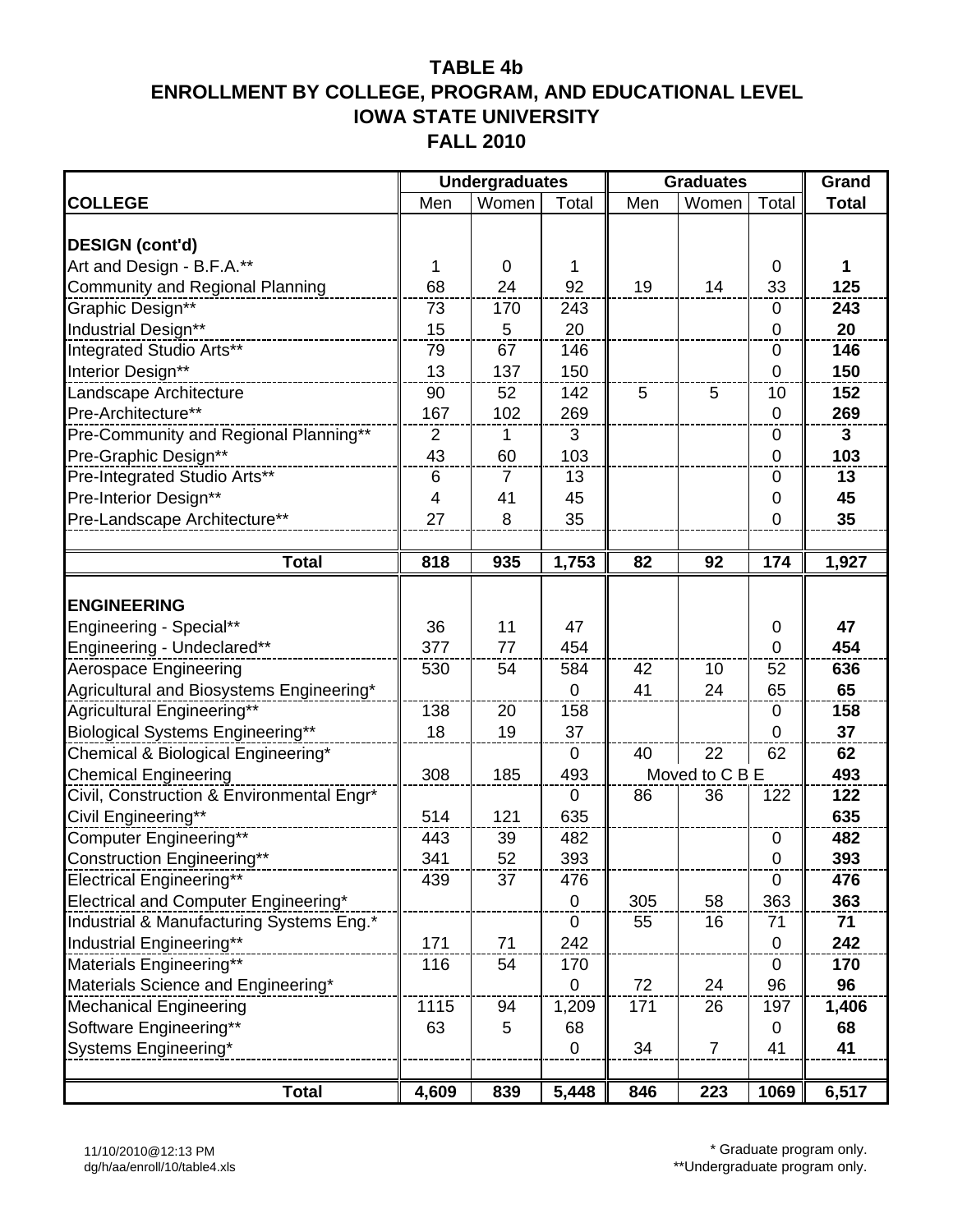|                                           |                | <b>Undergraduates</b> |                |     | <b>Graduates</b> |                  | Grand        |
|-------------------------------------------|----------------|-----------------------|----------------|-----|------------------|------------------|--------------|
| <b>COLLEGE</b>                            | Men            | Women                 | Total          | Men | Women            | Total            | <b>Total</b> |
|                                           |                |                       |                |     |                  |                  |              |
| <b>DESIGN (cont'd)</b>                    |                |                       |                |     |                  |                  |              |
| Art and Design - B.F.A.**                 | 1              | 0                     | 1              |     |                  | $\mathbf 0$      | 1            |
| <b>Community and Regional Planning</b>    | 68             | 24                    | 92             | 19  | 14               | 33               | 125          |
| Graphic Design**                          | 73             | 170                   | 243            |     |                  | 0                | 243          |
| Industrial Design**                       | 15             | 5                     | 20             |     |                  | $\mathbf 0$      | 20           |
| Integrated Studio Arts**                  | 79             | 67                    | 146            |     |                  | 0                | 146          |
| Interior Design**                         | 13             | 137                   | 150            |     |                  | $\mathbf 0$      | 150          |
| Landscape Architecture                    | 90             | 52                    | 142            | 5   | 5                | 10               | 152          |
| Pre-Architecture**                        | 167            | 102                   | 269            |     |                  | $\mathbf 0$      | 269          |
| Pre-Community and Regional Planning**     | $\overline{2}$ | 1                     | 3              |     |                  | $\pmb{0}$        | $\mathbf{3}$ |
| Pre-Graphic Design**                      | 43             | 60                    | 103            |     |                  | $\mathbf 0$      | 103          |
| Pre-Integrated Studio Arts**              | 6              | 7                     | 13             |     |                  | 0                | 13           |
| Pre-Interior Design**                     | 4              | 41                    | 45             |     |                  | 0                | 45           |
| Pre-Landscape Architecture**              | 27             | 8                     | 35             |     |                  | $\overline{0}$   | 35           |
|                                           |                |                       |                |     |                  |                  |              |
| <b>Total</b>                              | 818            | 935                   | 1,753          | 82  | 92               | 174              | 1,927        |
|                                           |                |                       |                |     |                  |                  |              |
| <b>ENGINEERING</b>                        |                |                       |                |     |                  |                  |              |
| Engineering - Special**                   | 36             | 11                    | 47             |     |                  | 0                | 47           |
| Engineering - Undeclared**                | 377            | 77                    | 454            |     |                  | $\overline{0}$   | 454          |
| Aerospace Engineering                     | 530            | 54                    | 584            | 42  | 10               | 52               | 636          |
| Agricultural and Biosystems Engineering*  |                |                       | 0              | 41  | 24               | 65               | 65           |
| Agricultural Engineering**                | 138            | 20                    | 158            |     |                  | 0                | 158          |
| Biological Systems Engineering**          | 18             | 19                    | 37             |     |                  | $\overline{0}$   | 37           |
| Chemical & Biological Engineering*        |                |                       | $\mathbf 0$    | 40  | 22               | 62               | 62           |
| <b>Chemical Engineering</b>               | 308            | 185                   | 493            |     | Moved to C B E   |                  | 493          |
| Civil, Construction & Environmental Engr* |                |                       | 0              | 86  | 36               | 122              | 122          |
| Civil Engineering**                       | 514            | 121                   | 635            |     |                  |                  | 635          |
| Computer Engineering**                    | 443            | 39                    | 482            |     |                  | $\pmb{0}$        | 482          |
| <b>Construction Engineering**</b>         | 341            | 52                    | 393            |     |                  | 0                | 393          |
| Electrical Engineering**                  | 439            | 37                    | 476            |     |                  | $\mathbf 0$      | 476          |
| Electrical and Computer Engineering*      |                |                       | $\mathbf 0$    | 305 | 58               | 363              | 363          |
| Industrial & Manufacturing Systems Eng.*  |                |                       | $\mathbf 0$    | 55  | 16               | 71               | 71           |
| Industrial Engineering**                  | 171            | 71                    | 242            |     |                  | $\boldsymbol{0}$ | 242          |
| Materials Engineering**                   | 116            | 54                    | 170            |     |                  | $\mathbf 0$      | 170          |
| Materials Science and Engineering*        |                |                       | $\overline{0}$ | 72  | 24               | 96               | 96           |
| <b>Mechanical Engineering</b>             | 1115           | 94                    | 1,209          | 171 | 26               | 197              | 1,406        |
| Software Engineering**                    | 63             | 5                     | 68             |     |                  | 0                | 68           |
| Systems Engineering*                      |                |                       | $\mathbf 0$    | 34  | $\overline{7}$   | 41               | 41           |
|                                           |                |                       |                |     |                  |                  |              |
| <b>Total</b>                              | 4,609          | 839                   | 5,448          | 846 | 223              | 1069             | 6,517        |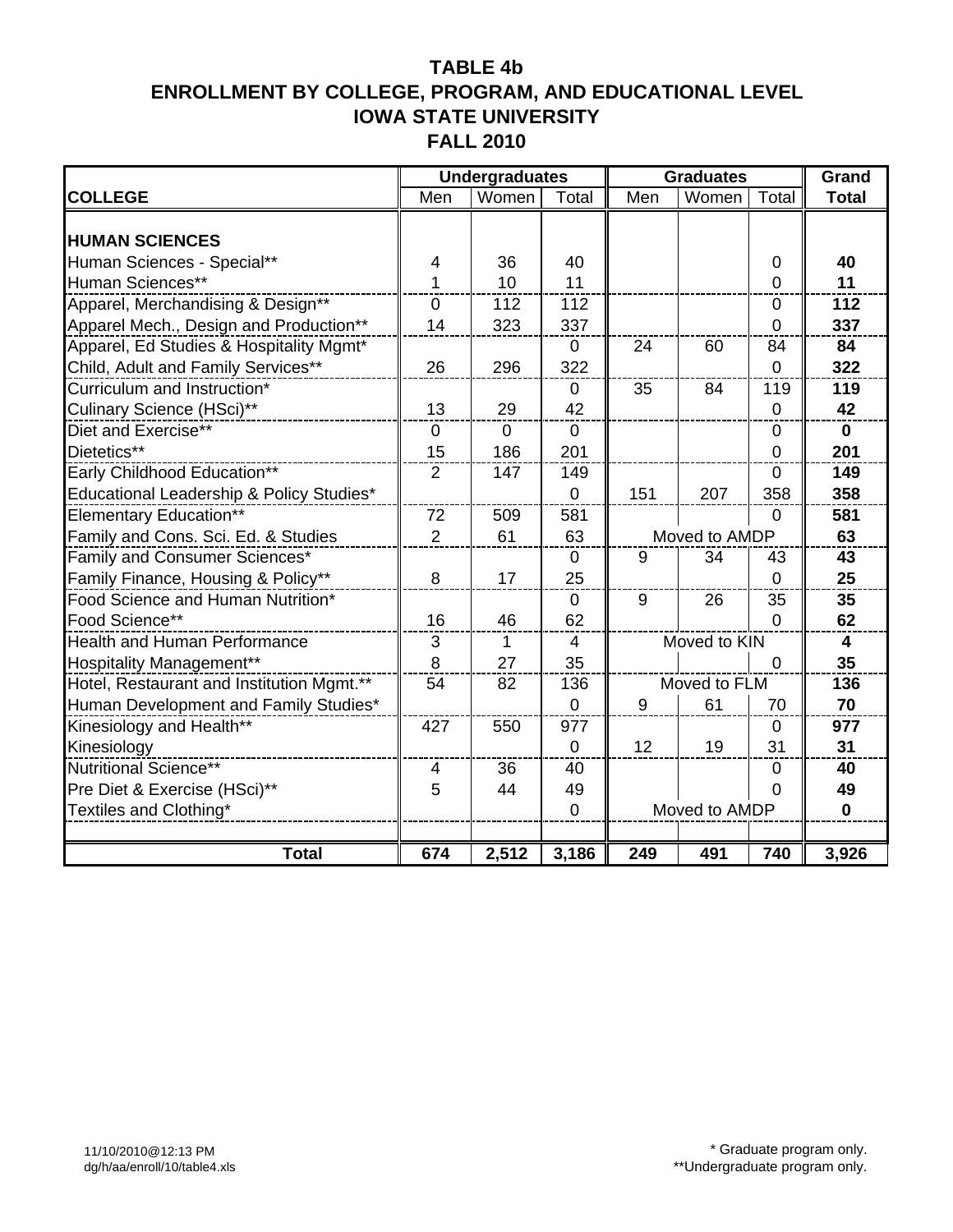|                                           |                | <b>Undergraduates</b> |                |               | <b>Graduates</b> |                | Grand                   |
|-------------------------------------------|----------------|-----------------------|----------------|---------------|------------------|----------------|-------------------------|
| <b>COLLEGE</b>                            | Men            | Women                 | Total          | Men           | Women            | Total          | <b>Total</b>            |
|                                           |                |                       |                |               |                  |                |                         |
| <b>HUMAN SCIENCES</b>                     |                |                       |                |               |                  |                |                         |
| Human Sciences - Special**                | 4              | 36                    | 40             |               |                  | 0              | 40                      |
| Human Sciences**                          | 1              | 10                    | 11             |               |                  | 0              | 11                      |
| Apparel, Merchandising & Design**         | $\overline{0}$ | 112                   | 112            |               |                  | $\overline{0}$ | 112                     |
| Apparel Mech., Design and Production**    | 14             | 323                   | 337            |               |                  | 0              | 337                     |
| Apparel, Ed Studies & Hospitality Mgmt*   |                |                       | $\mathbf 0$    | 24            | 60               | 84             | 84                      |
| Child, Adult and Family Services**        | 26             | 296                   | 322            |               |                  | $\overline{0}$ | 322                     |
| Curriculum and Instruction*               |                |                       | $\mathbf{0}$   | 35            | 84               | 119            | 119                     |
| Culinary Science (HSci)**                 | 13             | 29                    | 42             |               |                  | $\mathbf 0$    | 42                      |
| Diet and Exercise**                       | $\overline{0}$ | $\overline{0}$        | $\mathbf{0}$   |               |                  | $\mathbf 0$    | $\mathbf{0}$            |
| Dietetics**                               | 15             | 186                   | 201            |               |                  | $\mathbf 0$    | 201                     |
| Early Childhood Education**               | 2              | 147                   | 149            |               |                  | $\mathbf 0$    | 149                     |
| Educational Leadership & Policy Studies*  |                |                       | $\mathbf 0$    | 151           | 207              | 358            | 358                     |
| <b>Elementary Education**</b>             | 72             | 509                   | 581            |               |                  | $\mathbf 0$    | 581                     |
| Family and Cons. Sci. Ed. & Studies       | $\overline{2}$ | 61                    | 63             |               | Moved to AMDP    |                | 63                      |
| Family and Consumer Sciences*             |                |                       | $\mathbf 0$    | 9             | 34               | 43             | 43                      |
| Family Finance, Housing & Policy**        | 8              | 17                    | 25             |               |                  | $\overline{0}$ | 25                      |
| Food Science and Human Nutrition*         |                |                       | 0              | 9             | 26               | 35             | 35                      |
| Food Science**                            | 16             | 46                    | 62             |               |                  | $\Omega$       | 62                      |
| <b>Health and Human Performance</b>       | 3              | 1                     | $\overline{4}$ |               | Moved to KIN     |                | $\overline{\mathbf{4}}$ |
| <b>Hospitality Management**</b>           | 8              | 27                    | 35             |               |                  | $\mathbf 0$    | 35                      |
| Hotel, Restaurant and Institution Mgmt.** | 54             | 82                    | 136            |               | Moved to FLM     |                | 136                     |
| Human Development and Family Studies*     |                |                       | $\overline{0}$ | 9             | 61               | 70             | 70                      |
| Kinesiology and Health**                  | 427            | 550                   | 977            |               |                  | $\mathbf 0$    | 977                     |
| Kinesiology                               |                |                       | $\mathbf 0$    | 12            | 19               | 31             | 31                      |
| Nutritional Science**                     | 4              | 36                    | 40             | $\mathbf 0$   |                  |                | 40                      |
| Pre Diet & Exercise (HSci)**              | 5              | 44                    | 49             |               | 0                |                |                         |
| Textiles and Clothing*                    |                |                       | $\overline{0}$ | Moved to AMDP |                  |                | $\mathbf 0$             |
|                                           |                |                       |                |               |                  |                |                         |
| <b>Total</b>                              | 674            | 2,512                 | 3,186          | 249           | 491              | 740            | 3,926                   |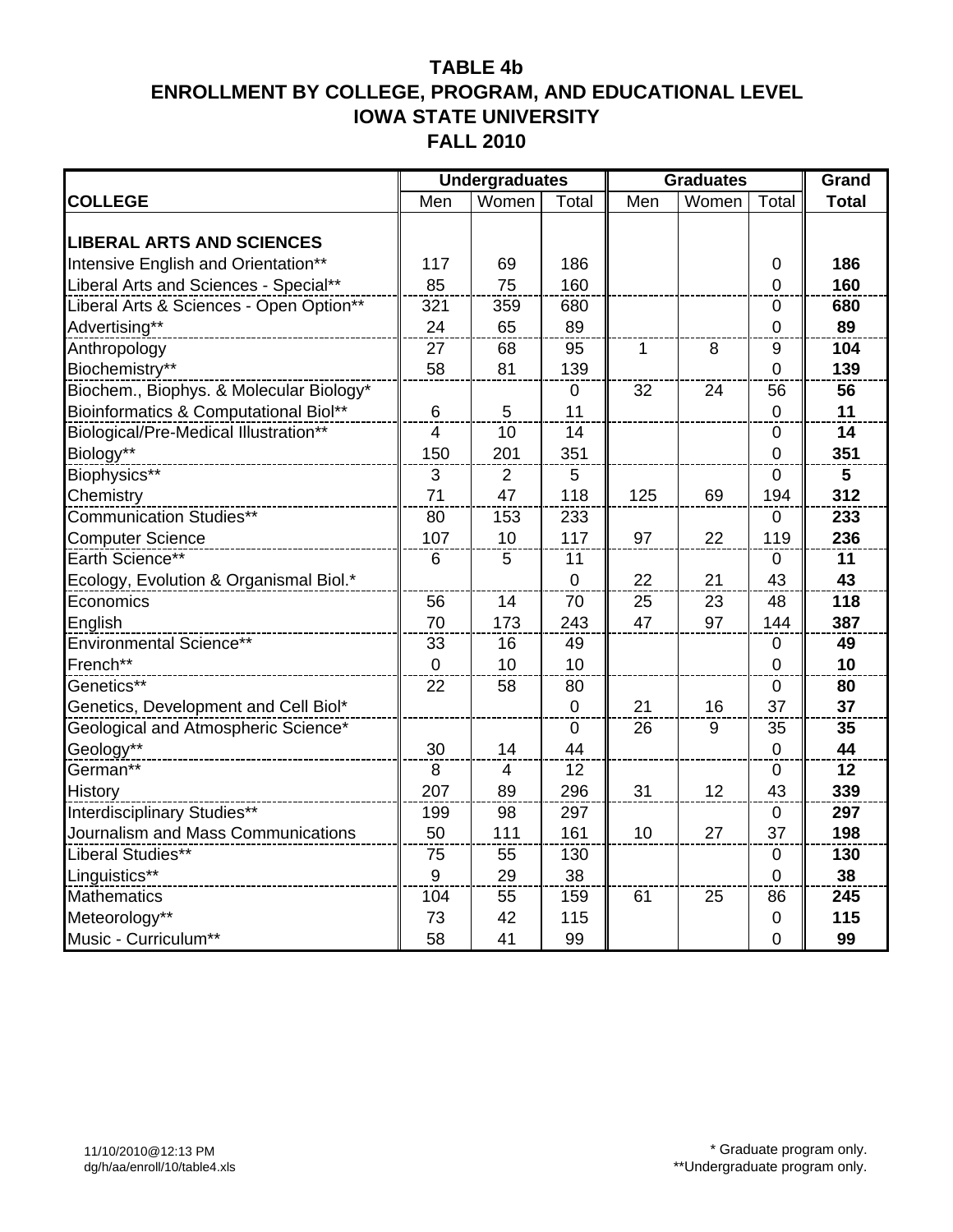|                                         |             | <b>Undergraduates</b> |           |     | <b>Graduates</b> | Grand            |                 |
|-----------------------------------------|-------------|-----------------------|-----------|-----|------------------|------------------|-----------------|
| <b>COLLEGE</b>                          | Men         | Women                 | Total     | Men | Women            | Total            | <b>Total</b>    |
|                                         |             |                       |           |     |                  |                  |                 |
| <b>LIBERAL ARTS AND SCIENCES</b>        |             |                       |           |     |                  |                  |                 |
| Intensive English and Orientation**     | 117         | 69                    | 186       |     |                  | $\mathbf 0$      | 186             |
| Liberal Arts and Sciences - Special**   | 85          | 75                    | 160       |     |                  | $\mathbf 0$      | 160             |
| Liberal Arts & Sciences - Open Option** | 321         | 359                   | 680       |     |                  | $\mathbf 0$      | 680             |
| Advertising**                           | 24          | 65                    | 89        |     |                  | $\mathbf 0$      | 89              |
| Anthropology                            | 27          | 68                    | 95        | 1   | 8                | 9                | 104             |
| Biochemistry**                          | 58          | 81                    | 139       |     |                  | $\mathbf 0$      | 139             |
| Biochem., Biophys. & Molecular Biology* |             |                       | 0         | 32  | 24               | 56               | 56              |
| Bioinformatics & Computational Biol**   | 6           | 5                     | 11        |     |                  | $\pmb{0}$        | 11              |
| Biological/Pre-Medical Illustration**   | 4           | 10                    | 14        |     |                  | $\mathbf 0$      | 14              |
| Biology**                               | 150         | 201                   | 351       |     |                  | $\mathbf 0$      | 351             |
| Biophysics**                            | 3           | $\overline{2}$        | 5         |     |                  | $\mathbf 0$      | 5               |
| Chemistry                               | 71          | 47                    | 118       | 125 | 69               | 194              | 312             |
| <b>Communication Studies**</b>          | 80          | 153                   | 233       |     |                  | $\mathbf 0$      | 233             |
| <b>Computer Science</b>                 | 107         | 10                    | 117       | 97  | 22               | 119              | 236             |
| Earth Science**                         | 6           | 5                     | 11        |     |                  | $\mathbf 0$      | 11              |
| Ecology, Evolution & Organismal Biol.*  |             |                       | $\pmb{0}$ | 22  | 21               | 43               | 43              |
| Economics                               | 56          | 14                    | 70        | 25  | 23               | 48               | 118             |
| English                                 | 70          | 173                   | 243       | 47  | 97               | 144              | 387             |
| Environmental Science**                 | 33          | 16                    | 49        |     |                  | $\mathbf 0$      | 49              |
| French**                                | $\mathbf 0$ | 10                    | 10        |     |                  | $\mathbf 0$      | 10              |
| Genetics**                              | 22          | 58                    | 80        |     |                  | $\mathbf 0$      | 80              |
| Genetics, Development and Cell Biol*    |             |                       | $\pmb{0}$ | 21  | 16               | 37               | 37              |
| Geological and Atmospheric Science*     |             |                       | $\pmb{0}$ | 26  | 9                | 35               | 35              |
| Geology**                               | 30          | 14                    | 44        |     |                  | $\boldsymbol{0}$ | 44              |
| German**                                | 8           | 4                     | 12        |     |                  | $\pmb{0}$        | $\overline{12}$ |
| History                                 | 207         | 89                    | 296       | 31  | 12               | 43               | 339             |
| Interdisciplinary Studies**             | 199         | 98                    | 297       |     |                  | $\pmb{0}$        | 297             |
| Journalism and Mass Communications      | 50          | 111                   | 161       | 10  | 27               | 37               | 198             |
| Liberal Studies**                       | 75          | 55                    | 130       |     |                  | $\pmb{0}$        | 130             |
| Linguistics**                           | $9$         | 29                    | 38        |     |                  | $\overline{0}$   | 38              |
| <b>Mathematics</b>                      | 104         | 55                    | 159       | 61  | 25               | 86               | 245             |
| Meteorology**                           | 73          | 42                    | 115       |     |                  | $\pmb{0}$        | 115             |
| Music - Curriculum**                    | 58          | 41                    | 99        |     |                  | $\overline{0}$   | 99              |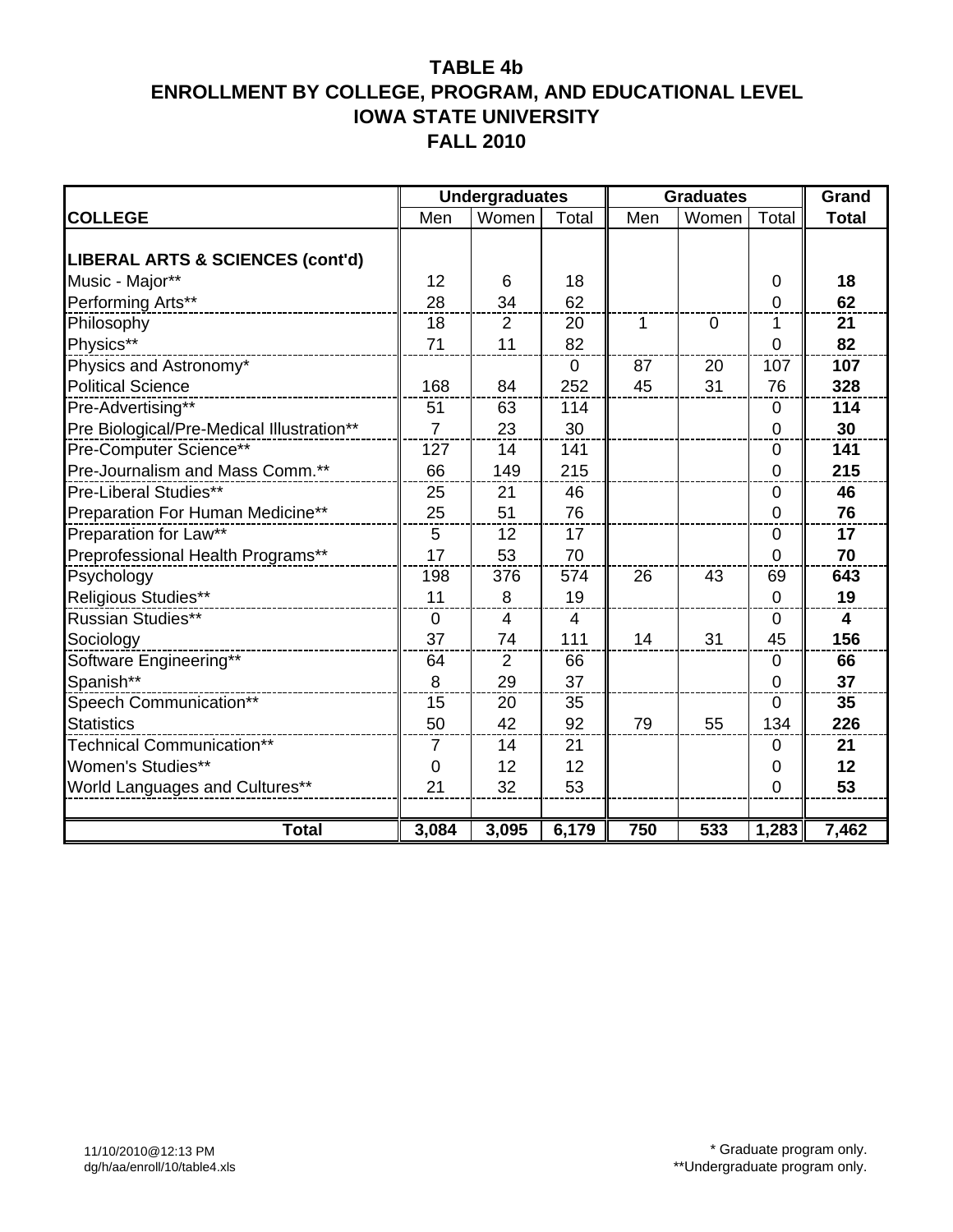|                                           |                | <b>Undergraduates</b> |                | <b>Graduates</b> |                | Grand          |                         |
|-------------------------------------------|----------------|-----------------------|----------------|------------------|----------------|----------------|-------------------------|
| <b>COLLEGE</b>                            | Men            | Women                 | Total          | Men              | Women          | Total          | <b>Total</b>            |
|                                           |                |                       |                |                  |                |                |                         |
| LIBERAL ARTS & SCIENCES (cont'd)          |                |                       |                |                  |                |                |                         |
| Music - Major**                           | 12             | 6                     | 18             |                  |                | $\mathbf 0$    | 18                      |
| Performing Arts**                         | 28             | 34                    | 62             |                  |                | 0              | 62                      |
| Philosophy                                | 18             | $\overline{2}$        | 20             | 1                | $\overline{0}$ | 1              | 21                      |
| Physics**                                 | 71             | 11                    | 82             |                  |                | 0              | 82                      |
| Physics and Astronomy*                    |                |                       | 0              | 87               | 20             | 107            | 107                     |
| <b>Political Science</b>                  | 168            | 84                    | 252            | 45               | 31             | 76             | 328                     |
| Pre-Advertising**                         | 51             | 63                    | 114            |                  |                | 0              | 114                     |
| Pre Biological/Pre-Medical Illustration** | $\overline{7}$ | 23                    | 30             |                  |                | $\overline{0}$ | 30                      |
| Pre-Computer Science**                    | 127            | 14                    | 141            |                  |                | $\mathbf 0$    | 141                     |
| Pre-Journalism and Mass Comm.**           | 66             | 149                   | 215            |                  |                | 0              | 215                     |
| Pre-Liberal Studies**                     | 25             | 21                    | 46             |                  |                | $\mathbf 0$    | 46                      |
| Preparation For Human Medicine**          | 25             | 51                    | 76             |                  |                | 0              | 76                      |
| Preparation for Law**                     | 5              | 12                    | 17             |                  |                | 0              | 17                      |
| Preprofessional Health Programs**         | 17             | 53                    | 70             |                  |                | 0              | 70                      |
| Psychology                                | 198            | 376                   | 574            | 26               | 43             | 69             | 643                     |
| Religious Studies**                       | 11             | 8                     | 19             |                  |                | $\overline{0}$ | 19                      |
| <b>Russian Studies**</b>                  | $\mathbf{0}$   | $\overline{4}$        | $\overline{4}$ |                  |                | $\overline{0}$ | $\overline{\mathbf{4}}$ |
| Sociology                                 | 37             | 74                    | 111            | 14               | 31             | 45             | 156                     |
| Software Engineering**                    | 64             | $\overline{2}$        | 66             |                  |                | $\mathbf 0$    | 66                      |
| Spanish**                                 | 8              | 29                    | 37             |                  |                | $\overline{0}$ | 37                      |
| Speech Communication**                    | 15             | 20                    | 35             |                  |                | $\mathbf 0$    | 35                      |
| <b>Statistics</b>                         | 50             | 42                    | 92             | 79               | 55             | 134            | 226                     |
| Technical Communication**                 | $\overline{7}$ | 14                    | 21             |                  |                | 0              | 21                      |
| <b>Women's Studies**</b>                  | 0              | 12                    | 12             |                  |                | 0              | 12                      |
| World Languages and Cultures**            | 21             | 32                    | 53             |                  |                | $\overline{0}$ | 53                      |
|                                           |                |                       |                |                  |                |                |                         |
| <b>Total</b>                              | 3,084          | 3,095                 | 6,179          | 750              | 533            | 1,283          | 7,462                   |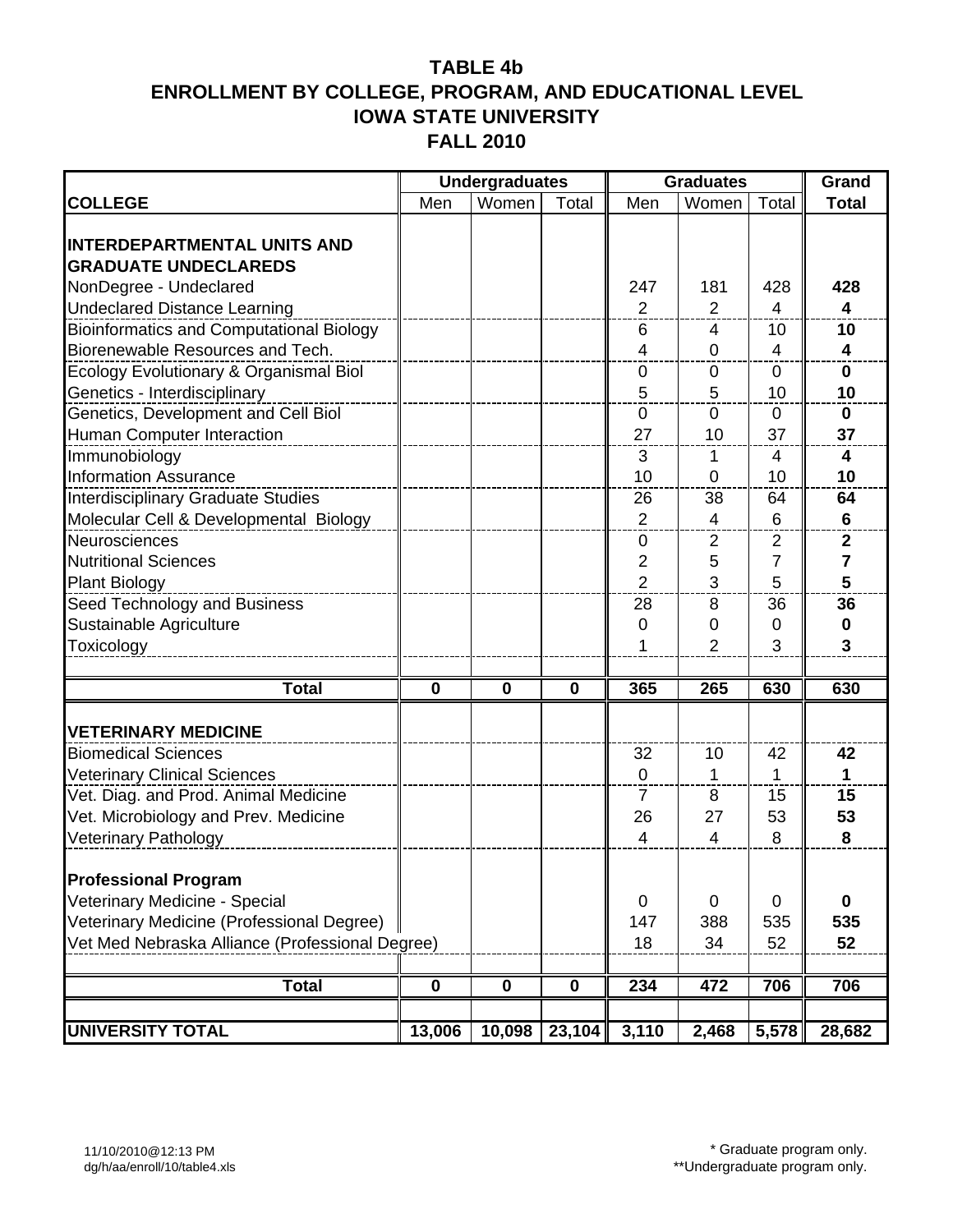|                                                 |             | <b>Undergraduates</b> |             |                  | <b>Graduates</b>         |                | Grand                   |
|-------------------------------------------------|-------------|-----------------------|-------------|------------------|--------------------------|----------------|-------------------------|
| <b>COLLEGE</b>                                  | Men         | Women                 | Total       | Men              | Women                    | Total          | <b>Total</b>            |
|                                                 |             |                       |             |                  |                          |                |                         |
| <b>INTERDEPARTMENTAL UNITS AND</b>              |             |                       |             |                  |                          |                |                         |
| <b>GRADUATE UNDECLAREDS</b>                     |             |                       |             |                  |                          |                |                         |
| NonDegree - Undeclared                          |             |                       |             | 247              | 181                      | 428            | 428                     |
| <b>Undeclared Distance Learning</b>             |             |                       |             | $\overline{2}$   | $\overline{2}$           | 4              | 4                       |
| <b>Bioinformatics and Computational Biology</b> |             |                       |             | 6                | 4                        | 10             | 10                      |
| Biorenewable Resources and Tech.                |             |                       |             | 4                | $\overline{0}$           | $\overline{4}$ | $\overline{\mathbf{4}}$ |
| Ecology Evolutionary & Organismal Biol          |             |                       |             | $\boldsymbol{0}$ | $\mathbf 0$              | $\mathbf 0$    | $\mathbf 0$             |
| Genetics - Interdisciplinary                    |             |                       |             | 5                | 5                        | 10             | 10                      |
| <b>Genetics, Development and Cell Biol</b>      |             |                       |             | $\mathbf 0$      | $\mathbf 0$              | $\mathbf 0$    | $\mathbf 0$             |
| Human Computer Interaction                      |             |                       |             | 27               | 10                       | 37             | 37                      |
| Immunobiology                                   |             |                       |             | 3                | 1                        | 4              | 4                       |
| <b>Information Assurance</b>                    |             |                       |             | 10               | $\mathbf 0$              | 10             | 10                      |
| Interdisciplinary Graduate Studies              |             |                       |             | 26               | 38                       | 64             | 64                      |
| Molecular Cell & Developmental Biology          |             |                       |             | $\overline{2}$   | $\overline{\mathbf{4}}$  | 6              | $6\phantom{1}$          |
| Neurosciences                                   |             |                       |             | 0                | $\overline{2}$           | $\overline{2}$ | $\mathbf{2}$            |
| <b>Nutritional Sciences</b>                     |             |                       |             | $\overline{2}$   | 5                        | 7              | $\overline{7}$          |
| <b>Plant Biology</b>                            |             |                       |             | $\overline{2}$   | 3                        | 5              | 5                       |
| Seed Technology and Business                    |             |                       |             | 28               | 8                        | 36             | 36                      |
| Sustainable Agriculture                         |             |                       |             | 0                | $\Omega$                 | 0              | 0                       |
| Toxicology                                      |             |                       |             | 1                | $\overline{2}$           | 3              | 3                       |
|                                                 |             |                       |             |                  |                          |                |                         |
| <b>Total</b>                                    | $\mathbf 0$ | $\mathbf 0$           | $\mathbf 0$ | 365              | 265                      | 630            | 630                     |
|                                                 |             |                       |             |                  |                          |                |                         |
| <b>VETERINARY MEDICINE</b>                      |             |                       |             |                  |                          |                |                         |
| <b>Biomedical Sciences</b>                      |             |                       |             | 32               | 10                       | 42             | 42                      |
| <b>Veterinary Clinical Sciences</b>             |             |                       |             | $\mathbf 0$      | $\mathbf 1$              | 1              | 1                       |
| Vet. Diag. and Prod. Animal Medicine            |             |                       |             | 7                | 8                        | 15             | 15                      |
| Vet. Microbiology and Prev. Medicine            |             |                       |             | 26               | 27                       | 53             | 53                      |
| Veterinary Pathology                            |             |                       |             | $\overline{4}$   | $\overline{\mathcal{A}}$ | 8              | 8                       |
| <b>Professional Program</b>                     |             |                       |             |                  |                          |                |                         |
| Veterinary Medicine - Special                   |             |                       |             | $\mathbf 0$      | $\Omega$                 | $\mathbf 0$    | $\mathbf 0$             |
| Veterinary Medicine (Professional Degree)       |             |                       |             | 147              | 388                      | 535            | 535                     |
| Vet Med Nebraska Alliance (Professional Degree) |             |                       |             | 18               | 34                       | 52             | 52                      |
|                                                 |             |                       |             |                  |                          |                |                         |
| <b>Total</b>                                    | $\mathbf 0$ | $\mathbf 0$           | $\mathbf 0$ | 234              | 472                      | 706            | 706                     |
|                                                 |             |                       |             |                  |                          |                |                         |
| <b>UNIVERSITY TOTAL</b>                         | 13,006      | 10,098                | 23,104      | 3,110            | 2,468                    | 5,578          | 28,682                  |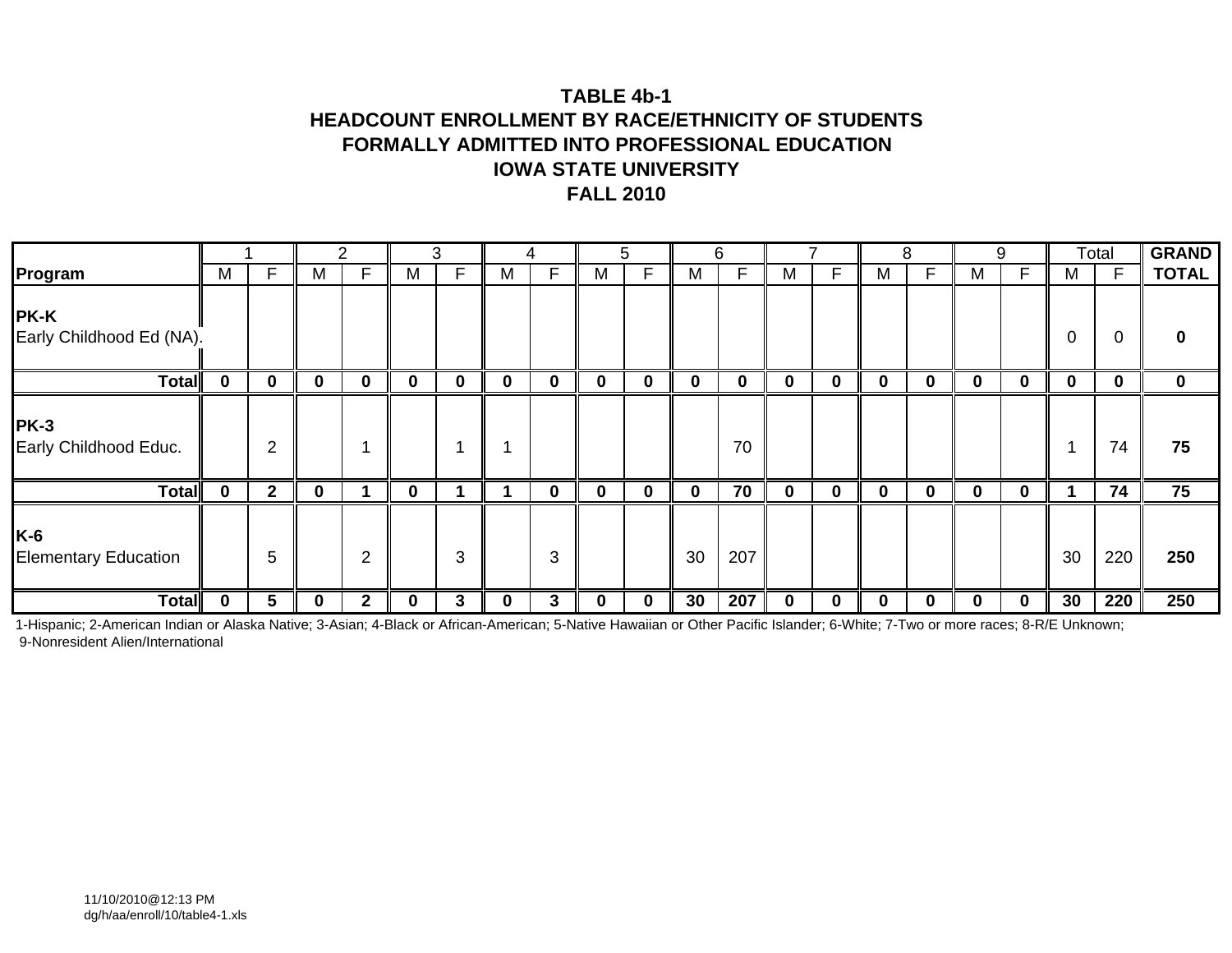### **TABLE 4b-1HEADCOUNT ENROLLMENT BY RACE/ETHNICITY OF STUDENTS FORMALLY ADMITTED INTO PROFESSIONAL EDUCATIONIOWA STATE UNIVERSITYFALL 2010**

|                                         |   |                |   | 2              |             | 3 |   | 4        |             | 5 |             | 6   |             |          |   | 8  |   | 9        |          | Total        | <b>GRAND</b> |
|-----------------------------------------|---|----------------|---|----------------|-------------|---|---|----------|-------------|---|-------------|-----|-------------|----------|---|----|---|----------|----------|--------------|--------------|
| Program                                 | M | F.             | м | F              | M           | F | M | F        | M           | F | M           | F   | М           | ⊏        | M | F. | M | F.       | м        | $\mathsf{F}$ | <b>TOTAL</b> |
| <b>PK-K</b><br>Early Childhood Ed (NA). |   |                |   |                |             |   |   |          |             |   |             |     |             |          |   |    |   |          | 0        | 0            | $\bf{0}$     |
| <b>Total</b>                            | 0 | 0              | 0 | $\bf{0}$       | $\mathbf 0$ | 0 | 0 | $\bf{0}$ | $\mathbf 0$ | 0 | $\bf{0}$    | 0   | $\mathbf 0$ | 0        | 0 | 0  |   | 0        | $\bf{0}$ | 0            | $\mathbf 0$  |
| <b>PK-3</b><br>Early Childhood Educ.    |   | $\overline{2}$ |   |                |             |   | ٠ |          |             |   |             | 70  |             |          |   |    |   |          |          | 74           | 75           |
| <b>Total</b>                            | 0 | $2^{\circ}$    | 0 |                | $\bf{0}$    |   |   | $\bf{0}$ | $\mathbf 0$ | 0 | $\mathbf 0$ | 70  | $\mathbf 0$ | $\bf{0}$ | 0 | 0  | 0 | 0        |          | 74           | 75           |
| K-6<br><b>Elementary Education</b>      |   | 5              |   | $\overline{2}$ |             | 3 |   | 3        |             |   | 30          | 207 |             |          |   |    |   |          | 30       | 220          | 250          |
| <b>Total</b>                            | 0 | 5              | U | $\mathbf{2}$   | $\bf{0}$    | 3 | 0 | 3        | $\mathbf 0$ | 0 | 30          | 207 | $\bf{0}$    | 0        | 0 | 0  | 0 | $\bf{0}$ | 30       | 220          | 250          |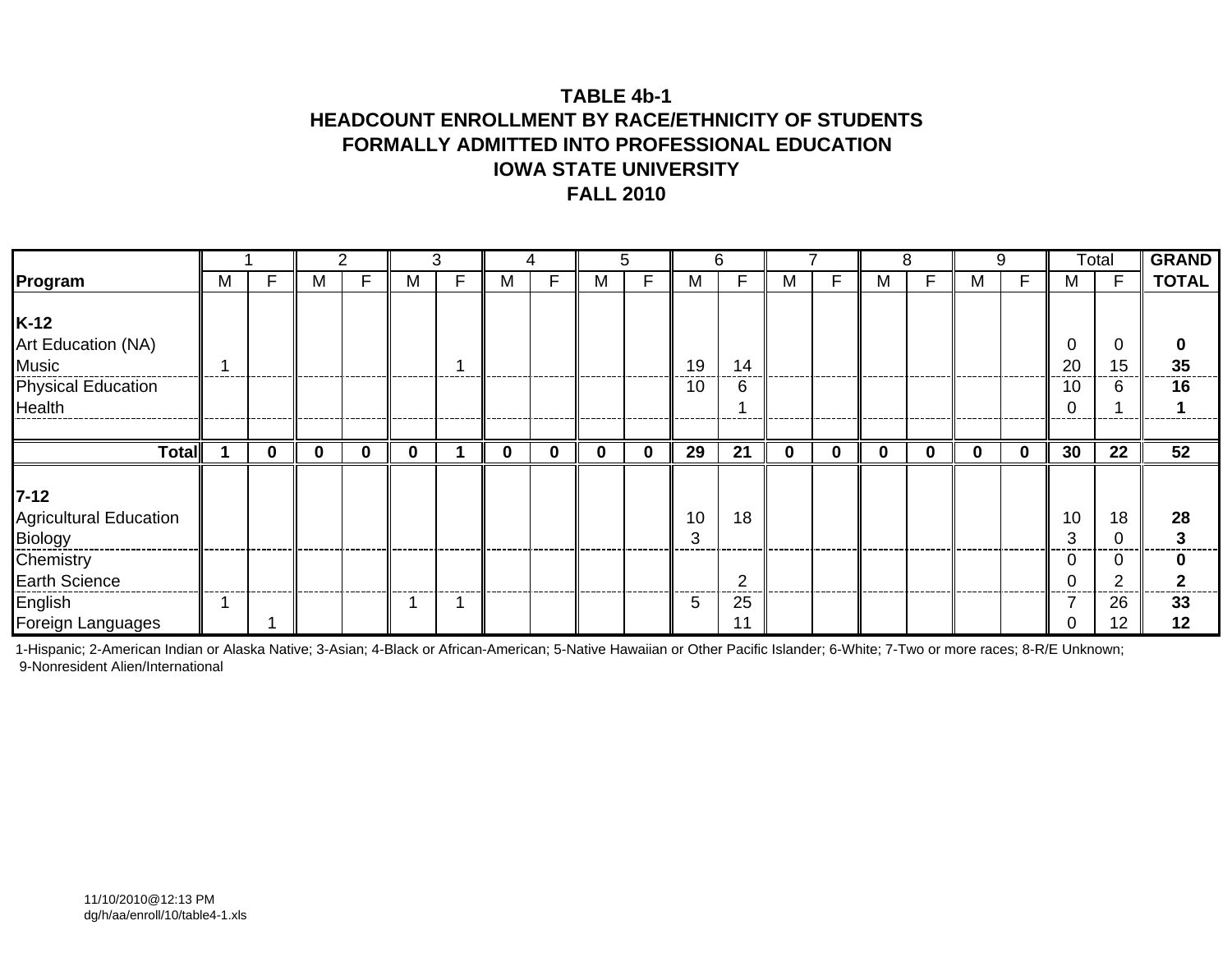### **TABLE 4b-1HEADCOUNT ENROLLMENT BY RACE/ETHNICITY OF STUDENTS FORMALLY ADMITTED INTO PROFESSIONAL EDUCATIONIOWA STATE UNIVERSITYFALL 2010**

|                                                                       |   |          |   |              |          | 3 |   | 4        |          | 5 |          | 6              |             |   |   | 8 |   | 9 |               | Total        | <b>GRAND</b> |
|-----------------------------------------------------------------------|---|----------|---|--------------|----------|---|---|----------|----------|---|----------|----------------|-------------|---|---|---|---|---|---------------|--------------|--------------|
| Program                                                               | M | F        | М |              | M        | F | м | F        | M        | F | M        | F              | М           | F | м | F | M | F | м             | F            | <b>TOTAL</b> |
| $K-12$<br>Art Education (NA)<br>Music<br>Physical Education<br>Health |   |          |   |              |          |   |   |          |          |   | 19<br>10 | 14<br>6        |             |   |   |   |   |   | 0<br>20<br>10 | C<br>15<br>6 | 35<br>16     |
| Total                                                                 |   | $\bf{0}$ | 0 | $\mathbf{0}$ | $\bf{0}$ |   | 0 | $\bf{0}$ | $\bf{0}$ | 0 | 29       | 21             | $\mathbf 0$ | 0 | 0 | 0 | 0 | 0 | 30            | 22           | 52           |
|                                                                       |   |          |   |              |          |   |   |          |          |   |          |                |             |   |   |   |   |   |               |              |              |
| $7 - 12$<br><b>Agricultural Education</b><br>Biology                  |   |          |   |              |          |   |   |          |          |   | 10<br>3  | 18             |             |   |   |   |   |   | 10<br>3       | 18           | 28           |
| Chemistry<br>Earth Science                                            |   |          |   |              |          |   |   |          |          |   |          | $\overline{2}$ |             |   |   |   |   |   |               | $\sqrt{2}$   | n            |
| English<br>Foreign Languages                                          |   |          |   |              |          |   |   |          |          |   | 5        | 25             |             |   |   |   |   |   |               | 26<br>12     | 33<br>12     |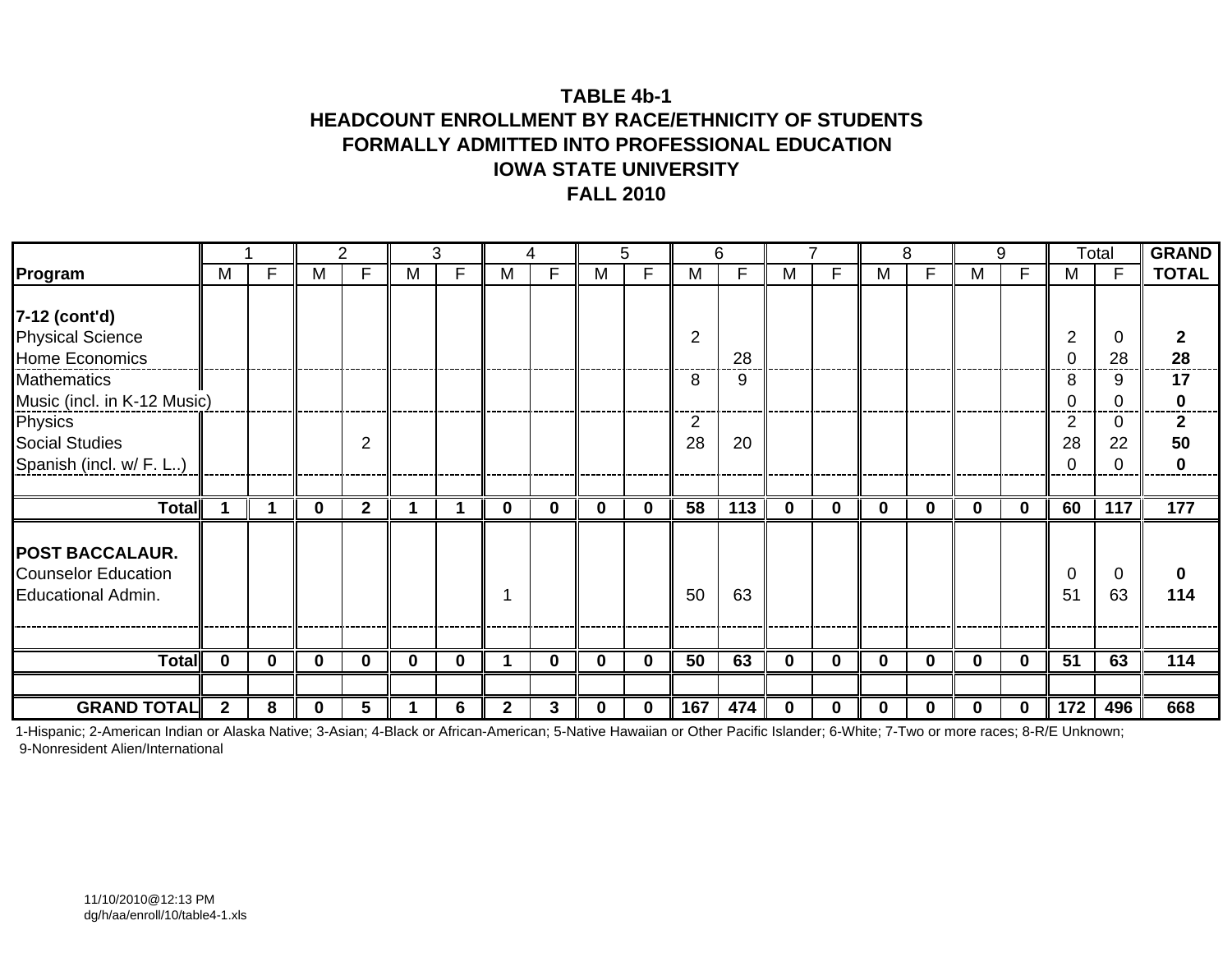### **TABLE 4b-1HEADCOUNT ENROLLMENT BY RACE/ETHNICITY OF STUDENTS FORMALLY ADMITTED INTO PROFESSIONAL EDUCATIONIOWA STATE UNIVERSITYFALL 2010**

|                             |              |             |          | 2              |          | 3        |          | 4        |          | 5        |                | 6   |             |          |          | 8           |          | 9           |                 | Total        | <b>GRAND</b>    |
|-----------------------------|--------------|-------------|----------|----------------|----------|----------|----------|----------|----------|----------|----------------|-----|-------------|----------|----------|-------------|----------|-------------|-----------------|--------------|-----------------|
| Program                     | М            | F           | M        | F              | м        | F        | M        | F        | M        | F        | м              | F   | М           | F        | M        | F           | M        | F           | M               | $\mathsf{F}$ | <b>TOTAL</b>    |
|                             |              |             |          |                |          |          |          |          |          |          |                |     |             |          |          |             |          |             |                 |              |                 |
| 7-12 (cont'd)               |              |             |          |                |          |          |          |          |          |          |                |     |             |          |          |             |          |             |                 |              |                 |
| <b>Physical Science</b>     |              |             |          |                |          |          |          |          |          |          | $\overline{2}$ |     |             |          |          |             |          |             | $\overline{2}$  | 0            | 2               |
| Home Economics              |              |             |          |                |          |          |          |          |          |          |                | 28  |             |          |          |             |          |             |                 | 28           | 28              |
| <b>Mathematics</b>          |              |             |          |                |          |          |          |          |          |          | 8              | 9   |             |          |          |             |          |             | 8               | 9            | 17              |
| Music (incl. in K-12 Music) |              |             |          |                |          |          |          |          |          |          |                |     |             |          |          |             |          |             |                 | C            | 0               |
| Physics                     |              |             |          |                |          |          |          |          |          |          | 2              |     |             |          |          |             |          |             | 2               | 0            | $\mathbf{2}$    |
| <b>Social Studies</b>       |              |             |          | $\overline{2}$ |          |          |          |          |          |          | 28             | 20  |             |          |          |             |          |             | 28              | 22           | 50              |
| Spanish (incl. w/ F. L)     |              |             |          |                |          |          |          |          |          |          |                |     |             |          |          |             |          |             |                 | 0            | 0               |
|                             |              |             |          |                |          |          |          |          |          |          |                |     |             |          |          |             |          |             |                 |              |                 |
| Total                       |              |             | $\bf{0}$ | $\mathbf{2}$   |          |          | $\bf{0}$ | $\bf{0}$ | $\bf{0}$ | $\bf{0}$ | 58             | 113 | $\mathbf 0$ | $\bf{0}$ | $\bf{0}$ | $\mathbf 0$ | 0        | $\mathbf 0$ | 60              | 117          | $\frac{1}{177}$ |
|                             |              |             |          |                |          |          |          |          |          |          |                |     |             |          |          |             |          |             |                 |              |                 |
| <b>POST BACCALAUR.</b>      |              |             |          |                |          |          |          |          |          |          |                |     |             |          |          |             |          |             |                 |              |                 |
| <b>Counselor Education</b>  |              |             |          |                |          |          |          |          |          |          |                |     |             |          |          |             |          |             | 0               | 0            | 0               |
| <b>Educational Admin.</b>   |              |             |          |                |          |          |          |          |          |          | 50             | 63  |             |          |          |             |          |             | 51              | 63           | 114             |
|                             |              |             |          |                |          |          |          |          |          |          |                |     |             |          |          |             |          |             |                 |              |                 |
|                             |              |             |          |                |          |          |          |          |          |          |                |     |             |          |          |             |          |             |                 |              |                 |
| <b>Total</b>                | $\mathbf 0$  | $\mathbf 0$ | 0        | $\bf{0}$       | $\bf{0}$ | $\bf{0}$ |          | $\bf{0}$ | $\bf{0}$ | $\bf{0}$ | 50             | 63  | $\mathbf 0$ | 0        | $\bf{0}$ | 0           | $\bf{0}$ | $\bf{0}$    | $\overline{51}$ | 63           | 114             |
|                             |              |             |          |                |          |          |          |          |          |          |                |     |             |          |          |             |          |             |                 |              |                 |
| <b>GRAND TOTAL</b>          | $\mathbf{2}$ | 8           |          |                |          | 6        | 2        | 3        | $\bf{0}$ | 0        | 167            | 474 | $\bf{0}$    | U        | 0        | 0           |          | 0           | 172             | 496          | 668             |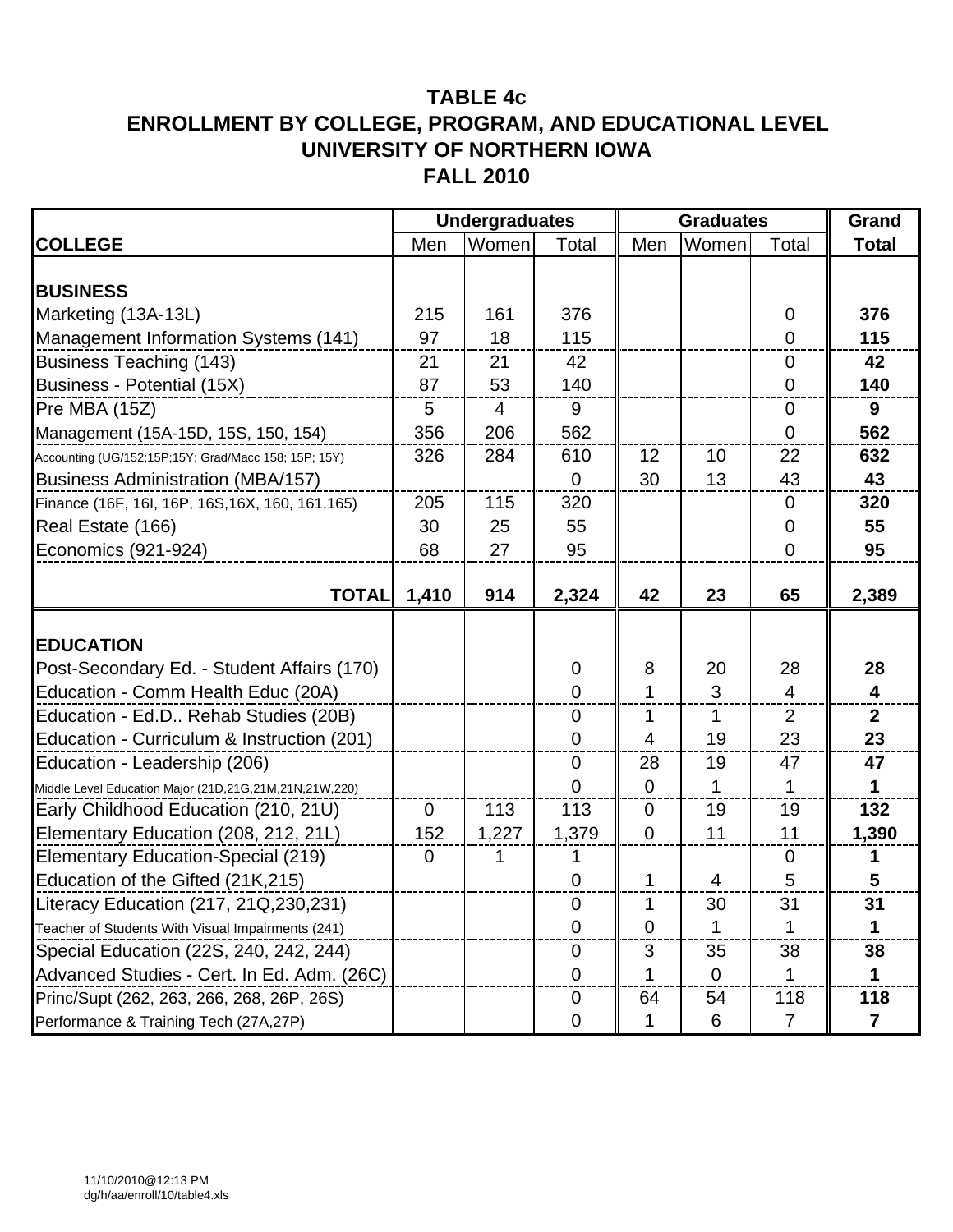|                                                        |             | <b>Undergraduates</b> |                  |             | <b>Graduates</b> |                | Grand                   |
|--------------------------------------------------------|-------------|-----------------------|------------------|-------------|------------------|----------------|-------------------------|
| <b>COLLEGE</b>                                         | Men         | Women                 | Total            | Men         | Women            | Total          | <b>Total</b>            |
|                                                        |             |                       |                  |             |                  |                |                         |
| <b>BUSINESS</b>                                        |             |                       |                  |             |                  |                |                         |
| Marketing (13A-13L)                                    | 215         | 161                   | 376              |             |                  | $\mathbf 0$    | 376                     |
| Management Information Systems (141)                   | 97          | 18                    | 115              |             |                  | 0              | 115                     |
| <b>Business Teaching (143)</b>                         | 21          | 21                    | 42               |             |                  | $\overline{0}$ | 42                      |
| Business - Potential (15X)                             | 87          | 53                    | 140              |             |                  | 0              | 140                     |
| Pre MBA (15Z)                                          | 5           | $\overline{4}$        | 9                |             |                  | $\overline{0}$ | 9                       |
| Management (15A-15D, 15S, 150, 154)                    | 356         | 206                   | 562              |             |                  | 0              | 562                     |
| Accounting (UG/152;15P;15Y; Grad/Macc 158; 15P; 15Y)   | 326         | 284                   | 610              | 12          | 10               | 22             | 632                     |
| <b>Business Administration (MBA/157)</b>               |             |                       | $\Omega$         | 30          | 13               | 43             | 43                      |
| Finance (16F, 16I, 16P, 16S, 16X, 160, 161, 165)       | 205         | 115                   | 320              |             |                  | $\mathbf 0$    | 320                     |
| Real Estate (166)                                      | 30          | 25                    | 55               |             |                  | 0              | 55                      |
| Economics (921-924)                                    | 68          | 27                    | 95               |             |                  | 0              | 95                      |
|                                                        |             |                       |                  |             |                  |                |                         |
| <b>TOTAL</b>                                           | 1,410       | 914                   | 2,324            | 42          | 23               | 65             | 2,389                   |
|                                                        |             |                       |                  |             |                  |                |                         |
| <b>EDUCATION</b>                                       |             |                       |                  |             |                  |                |                         |
| Post-Secondary Ed. - Student Affairs (170)             |             |                       | 0                | 8           | 20               | 28             | 28                      |
| Education - Comm Health Educ (20A)                     |             |                       | $\overline{0}$   | 1           | 3                | 4              | $\overline{\mathbf{4}}$ |
| Education - Ed.D Rehab Studies (20B)                   |             |                       | $\mathbf 0$      | 1           | 1                | $\overline{2}$ | $\mathbf{2}$            |
| Education - Curriculum & Instruction (201)             |             |                       | $\mathbf 0$      | 4           | 19               | 23             | 23                      |
| Education - Leadership (206)                           |             |                       | $\mathbf 0$      | 28          | 19               | 47             | 47                      |
| Middle Level Education Major (21D,21G,21M,21N,21W,220) |             |                       | 0                | $\mathbf 0$ | 1                | 1              | 1                       |
| Early Childhood Education (210, 21U)                   | $\mathbf 0$ | 113                   | 113              | $\mathbf 0$ | 19               | 19             | 132                     |
| Elementary Education (208, 212, 21L)                   | 152         | 1,227                 | 1,379            | $\mathbf 0$ | 11               | 11             | 1,390                   |
| Elementary Education-Special (219)                     | $\mathbf 0$ | 1                     | 1                |             |                  | $\mathbf 0$    |                         |
| Education of the Gifted (21K,215)                      |             |                       | $\mathbf 0$      | 1           | 4                | 5              | 5                       |
| Literacy Education (217, 21Q, 230, 231)                |             |                       | $\boldsymbol{0}$ | 1           | 30               | 31             | 31                      |
| Teacher of Students With Visual Impairments (241)      |             |                       | $\overline{0}$   | $\Omega$    | 1                | 1              |                         |
| Special Education (22S, 240, 242, 244)                 |             |                       | $\mathbf 0$      | 3           | 35               | 38             | 38                      |
| Advanced Studies - Cert. In Ed. Adm. (26C)             |             |                       | $\overline{0}$   |             | $\overline{0}$   |                |                         |
| Princ/Supt (262, 263, 266, 268, 26P, 26S)              |             |                       | 0                | 64          | 54               | 118            | 118                     |
| Performance & Training Tech (27A,27P)                  |             |                       | 0                |             | 6                | $\overline{7}$ | $\overline{\mathbf{r}}$ |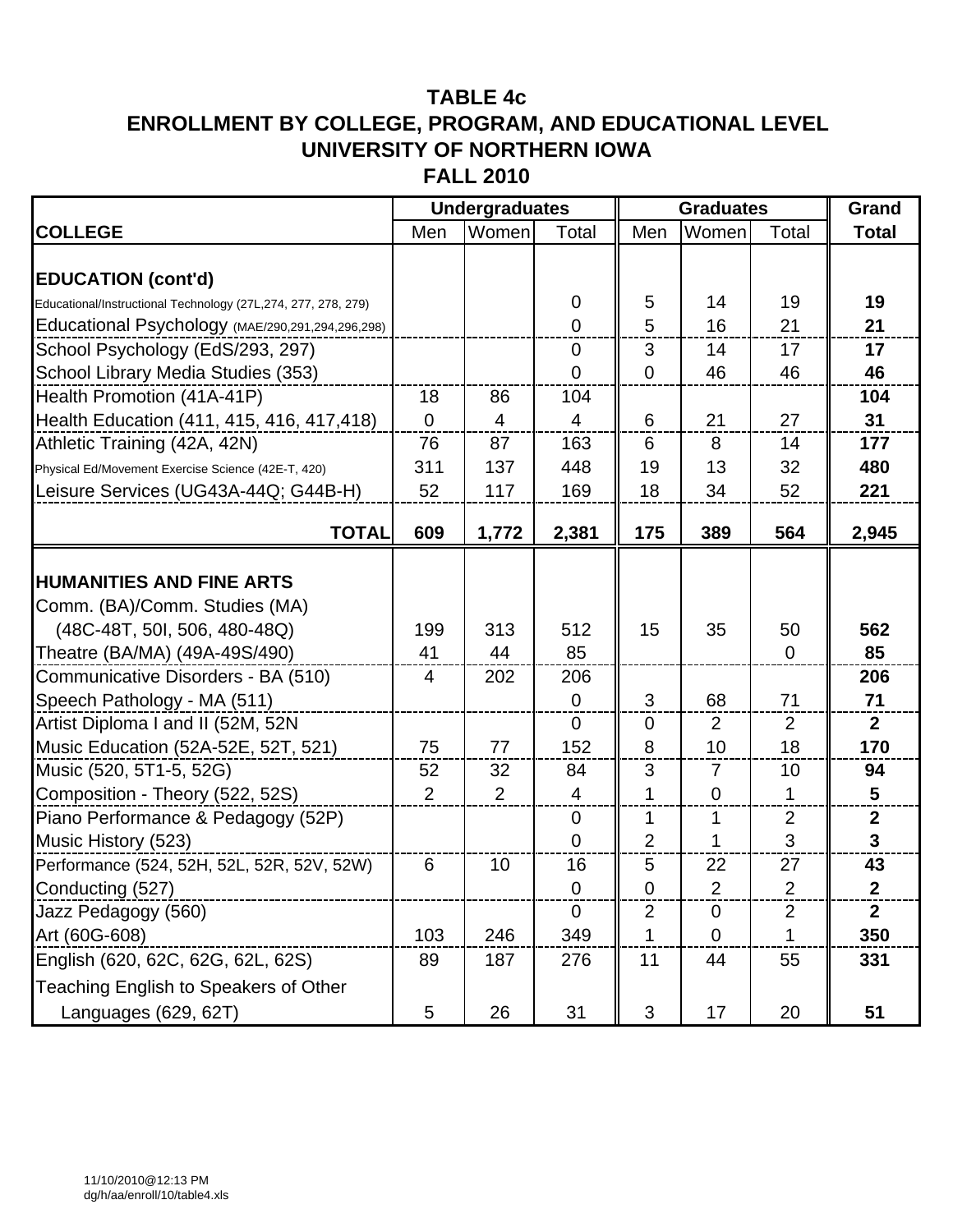### **TABLE 4c**

# **ENROLLMENT BY COLLEGE, PROGRAM, AND EDUCATIONAL LEVEL UNIVERSITY OF NORTHERN IOWA**

**FALL 2010**

|                                                               |                | <b>Undergraduates</b> |                |                | <b>Graduates</b> |                | Grand            |
|---------------------------------------------------------------|----------------|-----------------------|----------------|----------------|------------------|----------------|------------------|
| <b>COLLEGE</b>                                                | Men            | Women                 | Total          | Men            | Women            | Total          | <b>Total</b>     |
|                                                               |                |                       |                |                |                  |                |                  |
| <b>EDUCATION (cont'd)</b>                                     |                |                       |                |                |                  |                |                  |
| Educational/Instructional Technology (27L,274, 277, 278, 279) |                |                       | 0              | 5              | 14               | 19             | 19               |
| Educational Psychology (MAE/290,291,294,296,298)              |                |                       | $\overline{0}$ | 5              | 16               | 21             | 21               |
| School Psychology (EdS/293, 297)                              |                |                       | $\overline{0}$ | 3              | 14               | 17             | 17               |
| School Library Media Studies (353)                            |                |                       | 0              | $\overline{0}$ | 46               | 46             | 46               |
| Health Promotion (41A-41P)                                    | 18             | 86                    | 104            |                |                  |                | 104              |
| Health Education (411, 415, 416, 417, 418)                    | $\mathbf 0$    | 4                     | $\overline{4}$ | 6              | 21               | 27             | 31               |
| Athletic Training (42A, 42N)                                  | 76             | 87                    | 163            | 6              | 8                | 14             | 177              |
| Physical Ed/Movement Exercise Science (42E-T, 420)            | 311            | 137                   | 448            | 19             | 13               | 32             | 480              |
| Leisure Services (UG43A-44Q; G44B-H)                          | 52             | 117                   | 169            | 18             | 34               | 52             | 221              |
| <b>TOTAL</b>                                                  | 609            | 1,772                 | 2,381          | 175            | 389              | 564            | 2,945            |
|                                                               |                |                       |                |                |                  |                |                  |
| <b>HUMANITIES AND FINE ARTS</b>                               |                |                       |                |                |                  |                |                  |
| Comm. (BA)/Comm. Studies (MA)                                 |                |                       |                |                |                  |                |                  |
| (48C-48T, 50I, 506, 480-48Q)                                  | 199            | 313                   | 512            | 15             | 35               | 50             | 562              |
| Theatre (BA/MA) (49A-49S/490)                                 | 41             | 44                    | 85             |                |                  | $\mathbf 0$    | 85               |
| Communicative Disorders - BA (510)                            | $\overline{4}$ | 202                   | 206            |                |                  |                | 206              |
| Speech Pathology - MA (511)                                   |                |                       | $\overline{0}$ | 3              | 68               | 71             | 71               |
| Artist Diploma I and II (52M, 52N                             |                |                       | $\overline{0}$ | $\overline{0}$ | 2                | $\overline{2}$ | $\mathbf{2}$     |
| Music Education (52A-52E, 52T, 521)                           | 75             | 77                    | 152            | 8              | 10               | 18             | 170              |
| Music (520, 5T1-5, 52G)                                       | 52             | 32                    | 84             | 3              | $\overline{7}$   | 10             | 94               |
| Composition - Theory (522, 52S)                               | 2              | 2                     | 4              | 1              | $\overline{0}$   | 1              | 5                |
| Piano Performance & Pedagogy (52P)                            |                |                       | $\overline{0}$ | 1              | $\mathbf{1}$     | $\overline{2}$ | $\boldsymbol{2}$ |
| Music History (523)                                           |                |                       | $\overline{0}$ | 2              | $\mathbf 1$      | 3              | $\mathbf{3}$     |
| Performance (524, 52H, 52L, 52R, 52V, 52W)                    | 6              | 10                    | 16             | 5              | 22               | 27             | 43               |
| Conducting (527)                                              |                |                       | 0              | 0              | 2                | 2              | $\overline{2}$   |
| Jazz Pedagogy (560)                                           |                |                       | $\overline{0}$ | $\overline{2}$ | $\mathbf 0$      | $\mathbf 2$    | $\overline{2}$   |
| Art (60G-608)                                                 | 103            | 246                   | 349            | 1              | $\mathbf 0$      | 1              | 350              |
| English (620, 62C, 62G, 62L, 62S)                             | 89             | 187                   | 276            | 11             | 44               | 55             | 331              |
| Teaching English to Speakers of Other                         |                |                       |                |                |                  |                |                  |
| Languages (629, 62T)                                          | 5              | 26                    | 31             | 3              | 17               | 20             | 51               |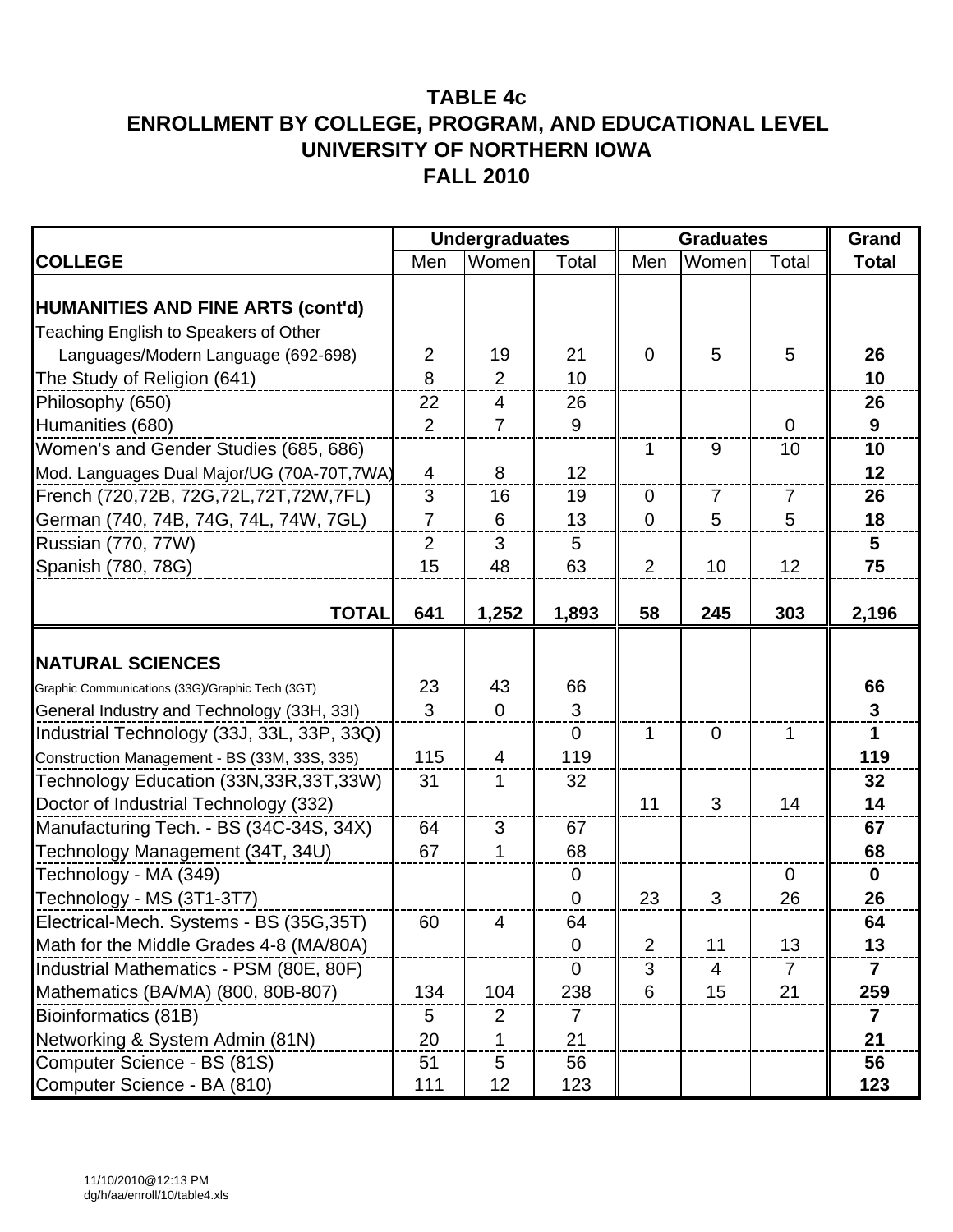|                                                 |                | <b>Undergraduates</b> |                |                | <b>Graduates</b> |                | Grand                   |
|-------------------------------------------------|----------------|-----------------------|----------------|----------------|------------------|----------------|-------------------------|
| <b>COLLEGE</b>                                  | Men            | Women                 | Total          | Men            | Women            | Total          | <b>Total</b>            |
| <b>HUMANITIES AND FINE ARTS (cont'd)</b>        |                |                       |                |                |                  |                |                         |
| Teaching English to Speakers of Other           |                |                       |                |                |                  |                |                         |
| Languages/Modern Language (692-698)             | $\overline{2}$ | 19                    | 21             | $\overline{0}$ | 5                | 5              | 26                      |
| The Study of Religion (641)                     | 8              | $\overline{2}$        | 10             |                |                  |                | 10                      |
| Philosophy (650)                                | 22             | $\overline{4}$        | 26             |                |                  |                | 26                      |
| Humanities (680)                                | 2              | $\overline{7}$        | 9              |                |                  | $\Omega$       | 9                       |
| Women's and Gender Studies (685, 686)           |                |                       |                | 1              | $9\,$            | 10             | 10                      |
| Mod. Languages Dual Major/UG (70A-70T,7WA)      | $\overline{4}$ | 8                     | 12             |                |                  |                | 12                      |
| French (720,72B, 72G,72L,72T,72W,7FL)           | 3              | 16                    | 19             | $\overline{0}$ | $\overline{7}$   | $\overline{7}$ | 26                      |
| German (740, 74B, 74G, 74L, 74W, 7GL)           | $\overline{7}$ | 6                     | 13             | $\overline{0}$ | 5                | 5              | 18                      |
| Russian (770, 77W)                              | $\overline{2}$ | 3                     | 5              |                |                  |                | 5                       |
| Spanish (780, 78G)                              | 15             | 48                    | 63             | 2              | 10               | 12             | 75                      |
|                                                 |                |                       |                |                |                  |                |                         |
| <b>TOTAL</b>                                    | 641            | 1,252                 | 1,893          | 58             | 245              | 303            | 2,196                   |
|                                                 |                |                       |                |                |                  |                |                         |
| <b>NATURAL SCIENCES</b>                         |                |                       |                |                |                  |                |                         |
| Graphic Communications (33G)/Graphic Tech (3GT) | 23             | 43                    | 66             |                |                  |                | 66                      |
| General Industry and Technology (33H, 33I)      | 3              | $\mathbf 0$           | 3              |                |                  |                | $\mathbf{3}$            |
| Industrial Technology (33J, 33L, 33P, 33Q)      |                |                       | $\overline{0}$ | 1              | $\overline{0}$   | $\mathbf 1$    | $\mathbf 1$             |
| Construction Management - BS (33M, 33S, 335)    | 115            | $\overline{4}$        | 119            |                |                  |                | 119                     |
| Technology Education (33N, 33R, 33T, 33W)       | 31             | 1                     | 32             |                |                  |                | 32                      |
| Doctor of Industrial Technology (332)           |                |                       |                | 11             | 3                | 14             | 14                      |
| Manufacturing Tech. - BS (34C-34S, 34X)         | 64             | 3                     | 67             |                |                  |                | 67                      |
| Technology Management (34T, 34U)                | 67             | 1                     | 68             |                |                  |                | 68                      |
| Technology - MA (349)                           |                |                       | $\mathbf 0$    |                |                  | $\mathbf 0$    | $\mathbf 0$             |
| Technology - MS (3T1-3T7)                       |                |                       | 0              | 23             | 3                | 26             | 26                      |
| Electrical-Mech. Systems - BS (35G,35T)         | 60             | $\Lambda$             | 64             |                |                  |                | 64                      |
| Math for the Middle Grades 4-8 (MA/80A)         |                |                       | $\mathbf 0$    | $\overline{2}$ | 11               | 13             | 13                      |
| Industrial Mathematics - PSM (80E, 80F)         |                |                       | 0              | 3              | 4                | $\overline{7}$ | $\overline{\mathbf{7}}$ |
| Mathematics (BA/MA) (800, 80B-807)              | 134            | 104                   | 238            | 6              | 15               | 21             | 259                     |
| Bioinformatics (81B)                            | 5              | $\overline{2}$        | 7              |                |                  |                | $\overline{7}$          |
| Networking & System Admin (81N)                 | 20             | 1                     | 21             |                |                  |                | 21                      |
| Computer Science - BS (81S)                     | 51             | 5                     | 56             |                |                  |                | 56                      |
| Computer Science - BA (810)                     | 111            | 12                    | 123            |                |                  |                | 123                     |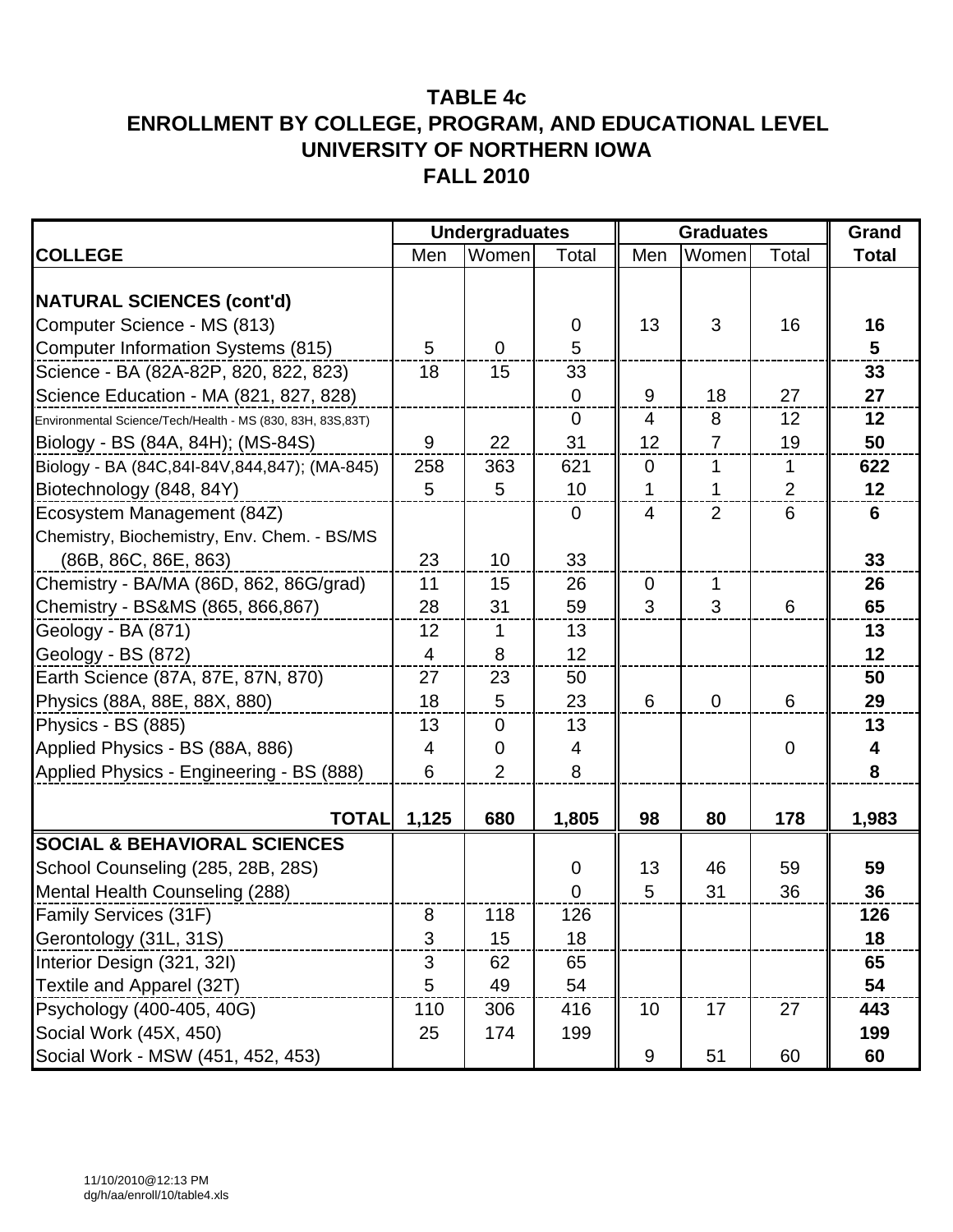|                                                             | <b>Undergraduates</b> |                |                | <b>Graduates</b> |                |             | Grand        |
|-------------------------------------------------------------|-----------------------|----------------|----------------|------------------|----------------|-------------|--------------|
| <b>COLLEGE</b>                                              | Men                   | Women          | Total          | Men              | Women          | Total       | <b>Total</b> |
|                                                             |                       |                |                |                  |                |             |              |
| <b>NATURAL SCIENCES (cont'd)</b>                            |                       |                |                |                  |                |             |              |
| Computer Science - MS (813)                                 |                       |                | 0              | 13               | 3              | 16          | 16           |
| <b>Computer Information Systems (815)</b>                   | 5                     | $\overline{0}$ | 5              |                  |                |             | 5            |
| Science - BA (82A-82P, 820, 822, 823)                       | 18                    | 15             | 33             |                  |                |             | 33           |
| Science Education - MA (821, 827, 828)                      |                       |                | 0              | 9                | 18             | 27          | 27           |
| Environmental Science/Tech/Health - MS (830, 83H, 83S, 83T) |                       |                | $\overline{0}$ | $\overline{4}$   | 8              | 12          | 12           |
| Biology - BS (84A, 84H); (MS-84S)                           | $\boldsymbol{9}$      | 22             | 31             | 12               | $\overline{7}$ | 19          | 50           |
| Biology - BA (84C,84I-84V,844,847); (MA-845)                | 258                   | 363            | 621            | $\mathbf 0$      | 1              | 1           | 622          |
| Biotechnology (848, 84Y)                                    | 5                     | 5              | 10             | 1                | 1              | 2           | 12           |
| Ecosystem Management (84Z)                                  |                       |                | $\overline{0}$ | $\overline{4}$   | 2              | 6           | 6            |
| Chemistry, Biochemistry, Env. Chem. - BS/MS                 |                       |                |                |                  |                |             |              |
| (86B, 86C, 86E, 863)                                        | 23                    | 10             | 33             |                  |                |             | 33           |
| Chemistry - BA/MA (86D, 862, 86G/grad)                      | 11                    | 15             | 26             | $\mathbf 0$      | 1              |             | 26           |
| Chemistry - BS&MS (865, 866, 867)                           | 28                    | 31             | 59             | 3                | 3              | 6           | 65           |
| Geology - BA (871)                                          | 12                    | 1              | 13             |                  |                |             | 13           |
| Geology - BS (872)                                          | $\overline{4}$        | 8              | 12             |                  |                |             | 12           |
| Earth Science (87A, 87E, 87N, 870)                          | 27                    | 23             | 50             |                  |                |             | 50           |
| Physics (88A, 88E, 88X, 880)                                | 18                    | 5              | 23             | 6                | $\mathbf 0$    | 6           | 29           |
| Physics - BS (885)                                          | 13                    | 0              | 13             |                  |                |             | 13           |
| Applied Physics - BS (88A, 886)                             | 4                     | $\overline{0}$ | 4              |                  |                | $\mathbf 0$ | 4            |
| Applied Physics - Engineering - BS (888)                    | 6                     | $\overline{2}$ | 8              |                  |                |             | 8            |
|                                                             |                       |                |                |                  |                |             |              |
| <b>TOTAL</b>                                                | 1,125                 | 680            | 1,805          | 98               | 80             | 178         | 1,983        |
| <b>SOCIAL &amp; BEHAVIORAL SCIENCES</b>                     |                       |                |                |                  |                |             |              |
| School Counseling (285, 28B, 28S)                           |                       |                | 0              | 13               | 46             | 59          | 59           |
| Mental Health Counseling (288)                              |                       |                | $\overline{0}$ | 5                | 31             | 36          | 36           |
| Family Services (31F)                                       | 8                     | 118            | 126            |                  |                |             | 126          |
| Gerontology (31L, 31S)                                      | 3                     | 15             | 18             |                  |                |             | 18           |
| Interior Design (321, 32I)                                  | 3                     | 62             | 65             |                  |                |             | 65           |
| Textile and Apparel (32T)                                   | 5                     | 49             | 54             |                  |                |             | 54           |
| Psychology (400-405, 40G)                                   | 110                   | 306            | 416            | 10               | 17             | 27          | 443          |
| Social Work (45X, 450)                                      | 25                    | 174            | 199            |                  |                |             | 199          |
| Social Work - MSW (451, 452, 453)                           |                       |                |                | 9                | 51             | 60          | 60           |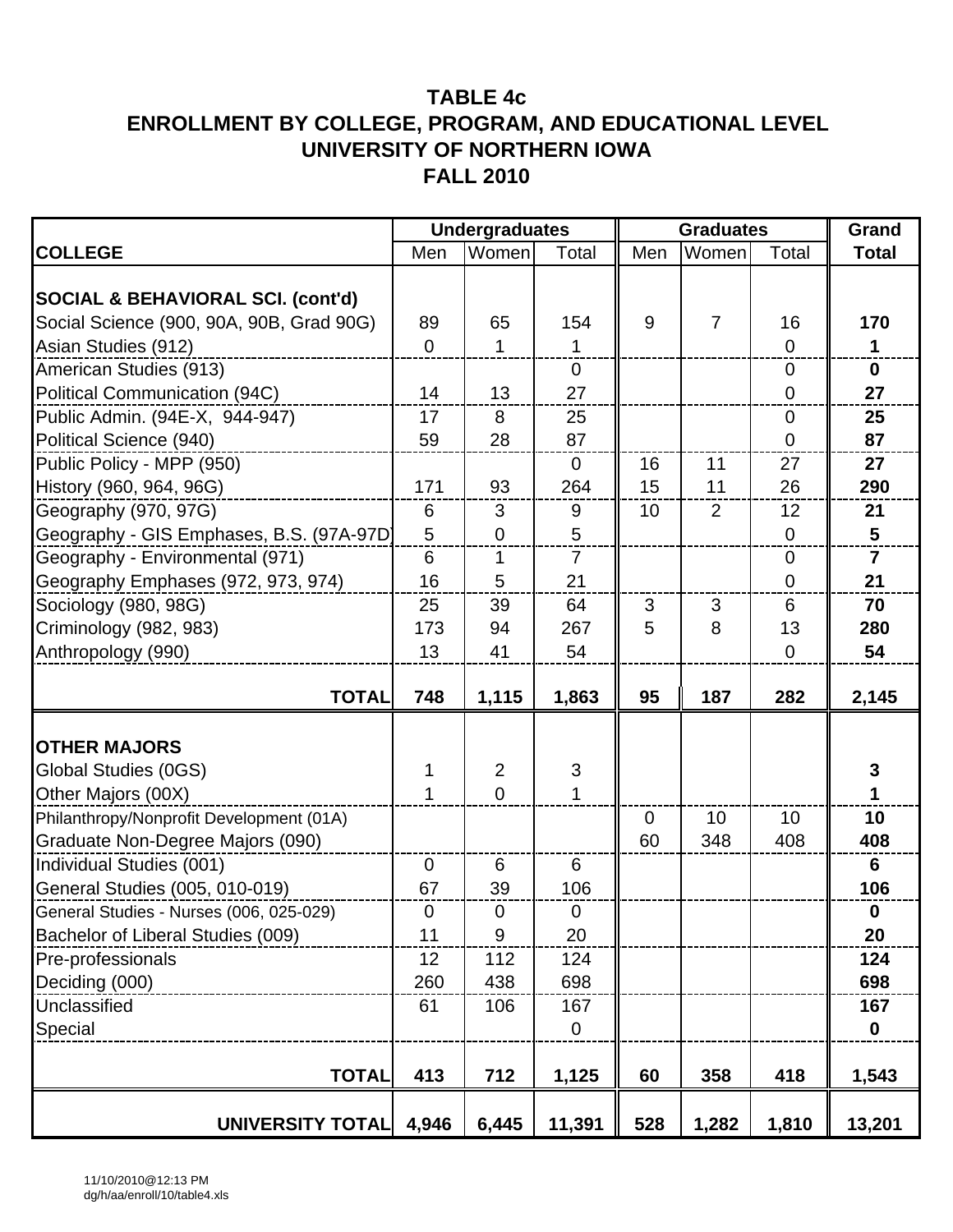|                                              | <b>Undergraduates</b> |                  |                           | <b>Graduates</b> |                |                 | Grand          |
|----------------------------------------------|-----------------------|------------------|---------------------------|------------------|----------------|-----------------|----------------|
| <b>COLLEGE</b>                               | Men                   | Women            | Total                     | Men              | Women          | Total           | <b>Total</b>   |
|                                              |                       |                  |                           |                  |                |                 |                |
| <b>SOCIAL &amp; BEHAVIORAL SCI. (cont'd)</b> |                       |                  |                           |                  |                |                 |                |
| Social Science (900, 90A, 90B, Grad 90G)     | 89                    | 65               | 154                       | 9                | $\overline{7}$ | 16              | 170            |
| Asian Studies (912)                          | $\overline{0}$        | $\mathbf{1}$     | 1                         |                  |                | $\mathbf 0$     | $\mathbf 1$    |
| American Studies (913)                       |                       |                  | $\mathbf 0$               |                  |                | $\overline{0}$  | $\mathbf 0$    |
| Political Communication (94C)                | 14                    | 13               | 27                        |                  |                | $\mathbf 0$     | 27             |
| Public Admin. (94E-X, 944-947)               | 17                    | 8                | 25                        |                  |                | $\mathbf 0$     | 25             |
| Political Science (940)                      | 59                    | 28               | 87                        |                  |                | 0               | 87             |
| Public Policy - MPP (950)                    |                       |                  | $\mathbf 0$               | 16               | 11             | 27              | 27             |
| History (960, 964, 96G)                      | 171                   | 93               | 264                       | 15               | 11             | 26              | 290            |
| Geography (970, 97G)                         | 6                     | 3                | 9                         | 10               | $\overline{2}$ | 12              | 21             |
| Geography - GIS Emphases, B.S. (97A-97D)     | 5                     | $\overline{0}$   | 5                         |                  |                | $\mathbf 0$     | $5\phantom{1}$ |
| Geography - Environmental (971)              | 6                     | 1                | $\overline{7}$            |                  |                | $\overline{0}$  | $\overline{7}$ |
| Geography Emphases (972, 973, 974)           | 16                    | 5                | 21                        |                  |                | $\mathbf 0$     | 21             |
| Sociology (980, 98G)                         | 25                    | 39               | 64                        | 3                | 3              | $6\phantom{1}6$ | 70             |
| Criminology (982, 983)                       | 173                   | 94               | 267                       | 5                | 8              | 13              | 280            |
| Anthropology (990)                           | 13                    | 41               | 54                        |                  |                | $\mathbf 0$     | 54             |
|                                              |                       |                  |                           |                  |                |                 |                |
| <b>TOTAL</b>                                 | 748                   | 1,115            | 1,863                     | 95               | 187            | 282             | 2,145          |
|                                              |                       |                  |                           |                  |                |                 |                |
| <b>OTHER MAJORS</b>                          |                       |                  |                           |                  |                |                 |                |
| Global Studies (0GS)                         | 1                     | $\overline{2}$   | $\ensuremath{\mathsf{3}}$ |                  |                |                 | $\mathbf 3$    |
| Other Majors (00X)                           | 1                     | $\overline{0}$   | 1                         |                  |                |                 | 1              |
| Philanthropy/Nonprofit Development (01A)     |                       |                  |                           | $\mathbf 0$      | 10             | 10              | 10             |
| Graduate Non-Degree Majors (090)             |                       |                  |                           | 60               | 348            | 408             | 408            |
| Individual Studies (001)                     | $\mathbf 0$           | 6                | 6                         |                  |                |                 | 6              |
| General Studies (005, 010-019)               | 67                    | 39               | 106                       |                  |                |                 | 106            |
| General Studies - Nurses (006, 025-029)      | $\overline{0}$        | $\pmb{0}$        | $\mathbf 0$               |                  |                |                 | $\mathbf 0$    |
| Bachelor of Liberal Studies (009)            | 11                    | $\boldsymbol{9}$ | 20                        |                  |                |                 | 20             |
| Pre-professionals                            | 12                    | 112              | 124                       |                  |                |                 | 124            |
| Deciding (000)                               | 260                   | 438              | 698                       |                  |                |                 | 698            |
| Unclassified                                 | 61                    | 106              | 167                       |                  |                |                 | 167            |
| Special                                      |                       |                  | $\mathbf 0$               |                  |                |                 | $\mathbf 0$    |
|                                              |                       |                  |                           |                  |                |                 |                |
| <b>TOTAL</b>                                 | 413                   | 712              | 1,125                     | 60               | 358            | 418             | 1,543          |
| <b>UNIVERSITY TOTAL</b>                      | 4,946                 | 6,445            | 11,391                    | 528              | 1,282          | 1,810           | 13,201         |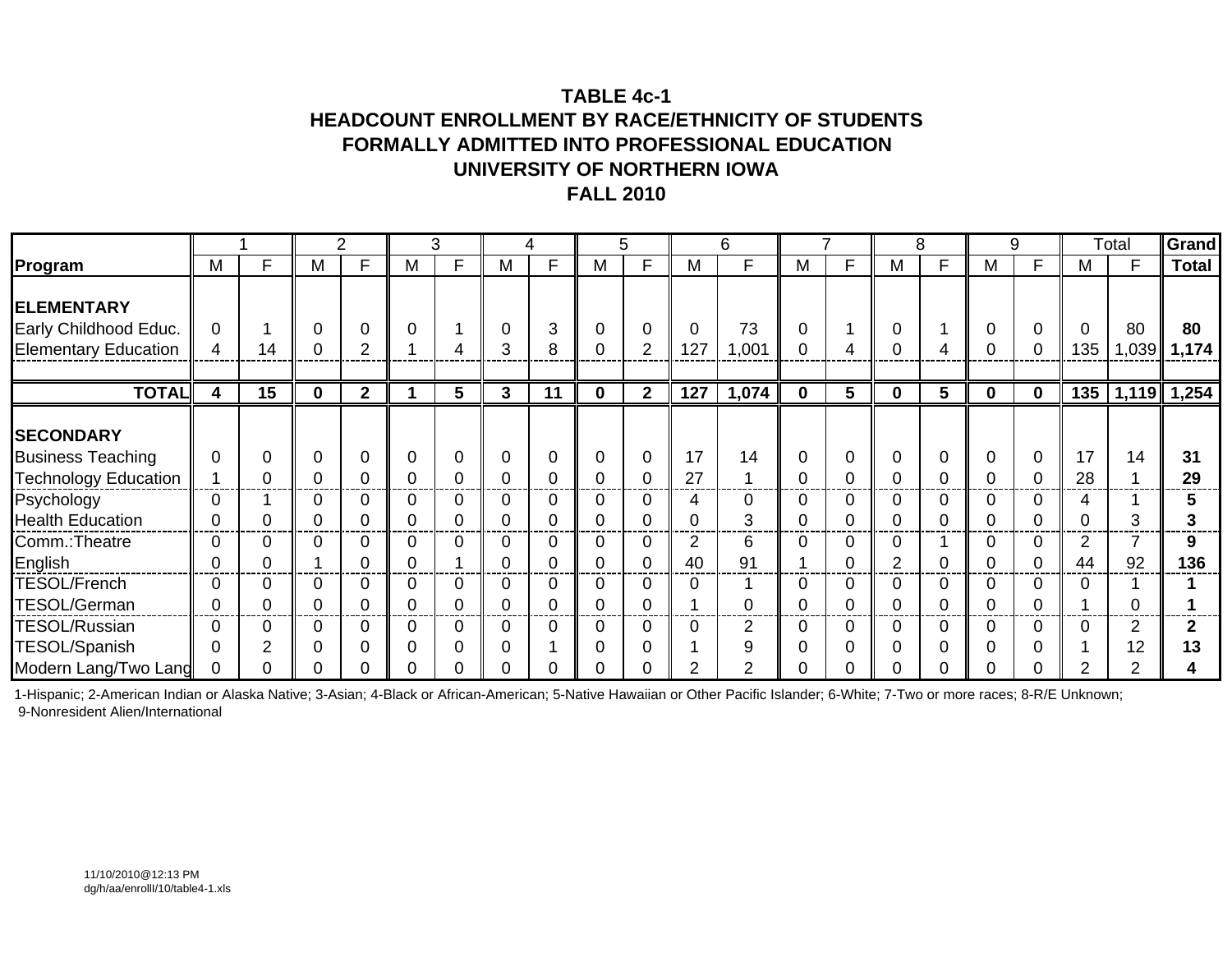# **TABLE 4c-1HEADCOUNT ENROLLMENT BY RACE/ETHNICITY OF STUDENTS FORMALLY ADMITTED INTO PROFESSIONAL EDUCATIONUNIVERSITY OF NORTHERN IOWAFALL 2010**

|                                              |               |    |              | ∠            |   | 3      |                            | 4      |                     | 5              |                      | 6       |   |    |          | 8 |          | 9           |          | Total   | Grand                |
|----------------------------------------------|---------------|----|--------------|--------------|---|--------|----------------------------|--------|---------------------|----------------|----------------------|---------|---|----|----------|---|----------|-------------|----------|---------|----------------------|
| Program                                      | M             | E  | М            | F            | M | F      | M                          | F      | M                   | F              | M                    | F       | M | F. | м        | F | M        | F           | M        | E       | <b>Total</b>         |
| <b>ELEMENTARY</b><br>Early Childhood Educ.   | $\Omega$      |    |              |              | 0 |        | 0                          | 3      | 0                   | $\Omega$       | 0                    | 73      |   |    |          |   | 0        | $\Omega$    | $\Omega$ | 80      | 80                   |
| <b>Elementary Education</b>                  | 4             | 14 |              | ∩            |   |        | 3                          | 8      | 0                   | $\overline{2}$ | 127                  | 1,001   |   |    |          |   |          | 0           | 135      | 1,039   | 1,174                |
| <b>TOTAL</b>                                 | 4             | 15 | $\mathbf{0}$ | $\mathbf{2}$ |   | 5      | $\mathbf{3}$               | 11     | $\mathbf 0$         | $\mathbf{2}$   | 127                  | 1,074   | 0 | 5  | $\bf{0}$ | 5 | $\bf{0}$ | $\mathbf 0$ | 135      |         | $\sqrt{1,119}$ 1,254 |
| <b>SECONDARY</b><br><b>Business Teaching</b> | $\Omega$      | 0  |              |              | 0 | 0      | $\mathbf 0$                | 0      | 0                   | 0              | 17                   | 14      |   |    |          | 0 | 0        | 0           | 17       | 14      | 31                   |
| <b>Technology Education</b>                  |               |    |              |              | C |        | $\Omega$                   |        | $\Omega$            | 0              | 27                   |         |   |    |          |   |          | 0           | 28       |         | 29                   |
| Psychology<br><b>Health Education</b>        | 0<br>0        |    |              |              | 0 | 0<br>C | $\Omega$<br>$\overline{0}$ | 0<br>0 | 0<br>0              | 0              | 4<br>0               | 0<br>3  |   |    |          |   | 0        | 0<br>0      | 4        | 3       |                      |
| Comm.: Theatre<br>English                    | $\Omega$<br>0 |    |              |              |   |        | 0<br>0                     | 0      | 0<br>0              |                | $\overline{2}$<br>40 | 6<br>91 |   |    | 2        | C |          | 0           | 2<br>44  | 92      | 136                  |
| <b>TESOL/French</b><br>TESOL/German          | $\Omega$<br>0 |    |              |              | 0 | 0      | $\Omega$<br>0              | 0<br>0 | 0<br>0              | 0              | 0                    |         |   |    |          |   | 0        | 0           | C        |         |                      |
| <b>TESOL/Russian</b><br>TESOL/Spanish        | $\Omega$<br>0 | ◠  |              |              | 0 | 0<br>C | $\Omega$<br>$\overline{0}$ | 0      | $\overline{0}$<br>0 |                | 0                    | 2<br>9  |   |    |          |   | 0<br>0   | 0<br>0      |          | 2<br>12 |                      |
| Modern Lang/Two Lang                         | $\Omega$      |    |              |              |   |        | $\Omega$                   |        |                     |                | ◠                    | ◠       |   |    |          |   |          | ი           | 2        | 2       |                      |

1-Hispanic; 2-American Indian or Alaska Native; 3-Asian; 4-Black or African-American; 5-Native Hawaiian or Other Pacific Islander; 6-White; 7-Two or more races; 8-R/E Unknown; 9-Nonresident Alien/International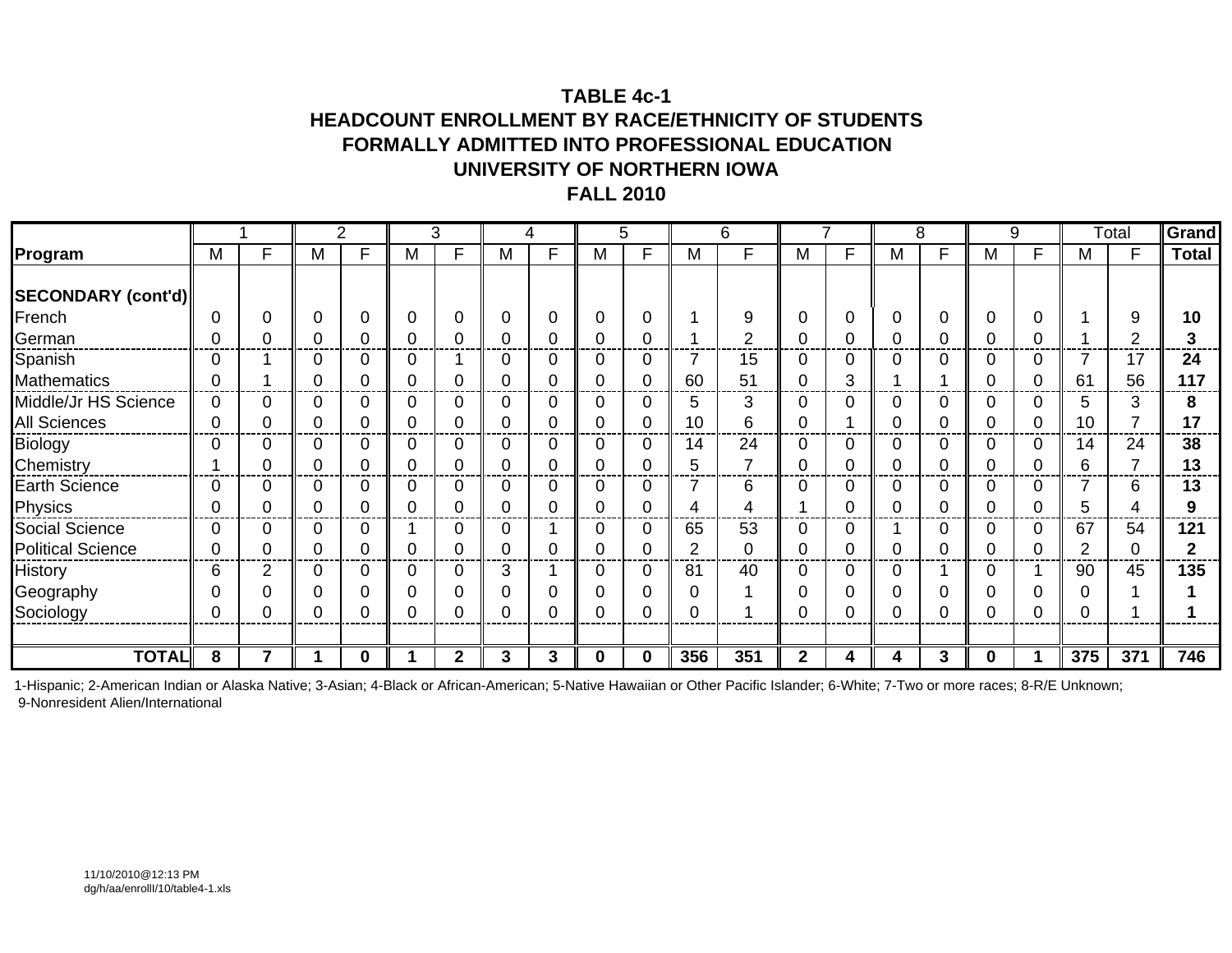## **TABLE 4c-1HEADCOUNT ENROLLMENT BY RACE/ETHNICITY OF STUDENTS FORMALLY ADMITTED INTO PROFESSIONAL EDUCATIONUNIVERSITY OF NORTHERN IOWAFALL 2010**

|                          |                |   |   | 2 |             | 3            |   | 4            |             | 5            |                | 6   |              |    |   | 8 |   | 9 |                | Total | Grand        |
|--------------------------|----------------|---|---|---|-------------|--------------|---|--------------|-------------|--------------|----------------|-----|--------------|----|---|---|---|---|----------------|-------|--------------|
| Program                  | M              | F | M | F | M           | Е            | M | F            | M           | F            | M              | F   | м            | F. | M | F | M | F | M              |       | <b>Total</b> |
|                          |                |   |   |   |             |              |   |              |             |              |                |     |              |    |   |   |   |   |                |       |              |
| SECONDARY (cont'd)       |                |   |   |   |             |              |   |              |             |              |                |     |              |    |   |   |   |   |                |       |              |
| French                   | $\Omega$       | 0 |   | 0 | $\mathbf 0$ | 0            | 0 | 0            | $\mathbf 0$ |              |                | 9   |              |    |   | 0 | 0 |   |                | 9     | 10           |
| German                   | 0              | 0 |   |   | 0           |              | 0 | 0            | 0           |              |                | ⌒   |              |    |   |   |   |   |                | ◠     |              |
| Spanish                  | 0              |   |   |   | 0           |              | 0 | 0            | 0           |              |                | 15  |              |    |   |   |   |   |                | 17    | 24           |
| <b>Mathematics</b>       | 0              |   |   | 0 | 0           |              | 0 | 0            | 0           | $\Omega$     | 60             | 51  |              | 3  |   |   |   | Ω | 61             | 56    | 117          |
| Middle/Jr HS Science     | $\overline{0}$ | 0 |   | 0 | $\Omega$    | 0            | 0 | 0            | $\Omega$    | 0            | 5              | 3   | 0            |    |   | 0 | O | 0 | 5              | 3     |              |
| <b>All Sciences</b>      | 0              | 0 |   | 0 | 0           |              | 0 | 0            | 0           | 0            | 10             | 6   |              |    |   |   |   | O | 10             |       | 17           |
| Biology                  | $\mathbf 0$    | 0 |   | 0 | 0           | C            | 0 | 0            | 0           |              | 14             | 24  |              |    |   | 0 |   |   | 14             | 24    | 38           |
| Chemistry                |                | 0 |   | 0 | $\mathbf 0$ |              | 0 | 0            | 0           |              | 5              | ⇁   | 0            |    |   | 0 |   |   | 6              | ⇁     | 13           |
| <b>Earth Science</b>     | $\overline{0}$ | 0 |   | 0 | 0           | 0            | 0 | 0            | 0           | 0            | 7              | 6   | U.           |    |   | 0 | O | 0 |                | 6     | 13           |
| Physics                  | 0              | 0 |   | 0 | 0           |              | 0 | 0            | 0           | 0            | 4              | 4   |              |    |   | 0 |   | 0 | 5              |       |              |
| Social Science           | 0              | 0 |   | 0 |             | C            | 0 |              | 0           | 0            | 65             | 53  |              |    |   | C |   |   | 67             | 54    | 121          |
| <b>Political Science</b> | 0              | 0 |   | 0 | 0           |              | 0 | 0            | 0           |              | $\overline{2}$ | 0   |              |    |   | 0 |   |   | $\overline{2}$ | 0     |              |
| History                  | 6              | 2 |   | 0 | 0           | 0            | 3 |              | 0           | $\Omega$     | 81             | 40  | 0            |    |   |   |   |   | 90             | 45    | 135          |
| Geography                | 0              |   |   | 0 | 0           | 0            | 0 | 0            | 0           |              | 0              |     |              |    |   | 0 |   |   |                |       |              |
| Sociology                | 0              |   |   | ი | 0           |              | 0 | U            | $\Omega$    |              | 0              |     |              |    |   | ſ |   |   | C              |       |              |
|                          |                |   |   |   |             |              |   |              |             |              |                |     |              |    |   |   |   |   |                |       |              |
| <b>TOTAL</b>             | 8              |   |   | 0 |             | $\mathbf{c}$ | 3 | $\mathbf{3}$ | $\Omega$    | $\mathbf{0}$ | 356            | 351 | $\mathbf{p}$ | 4  | 4 | 3 | O |   | 375            | 371   | 746          |

1-Hispanic; 2-American Indian or Alaska Native; 3-Asian; 4-Black or African-American; 5-Native Hawaiian or Other Pacific Islander; 6-White; 7-Two or more races; 8-R/E Unknown; 9-Nonresident Alien/International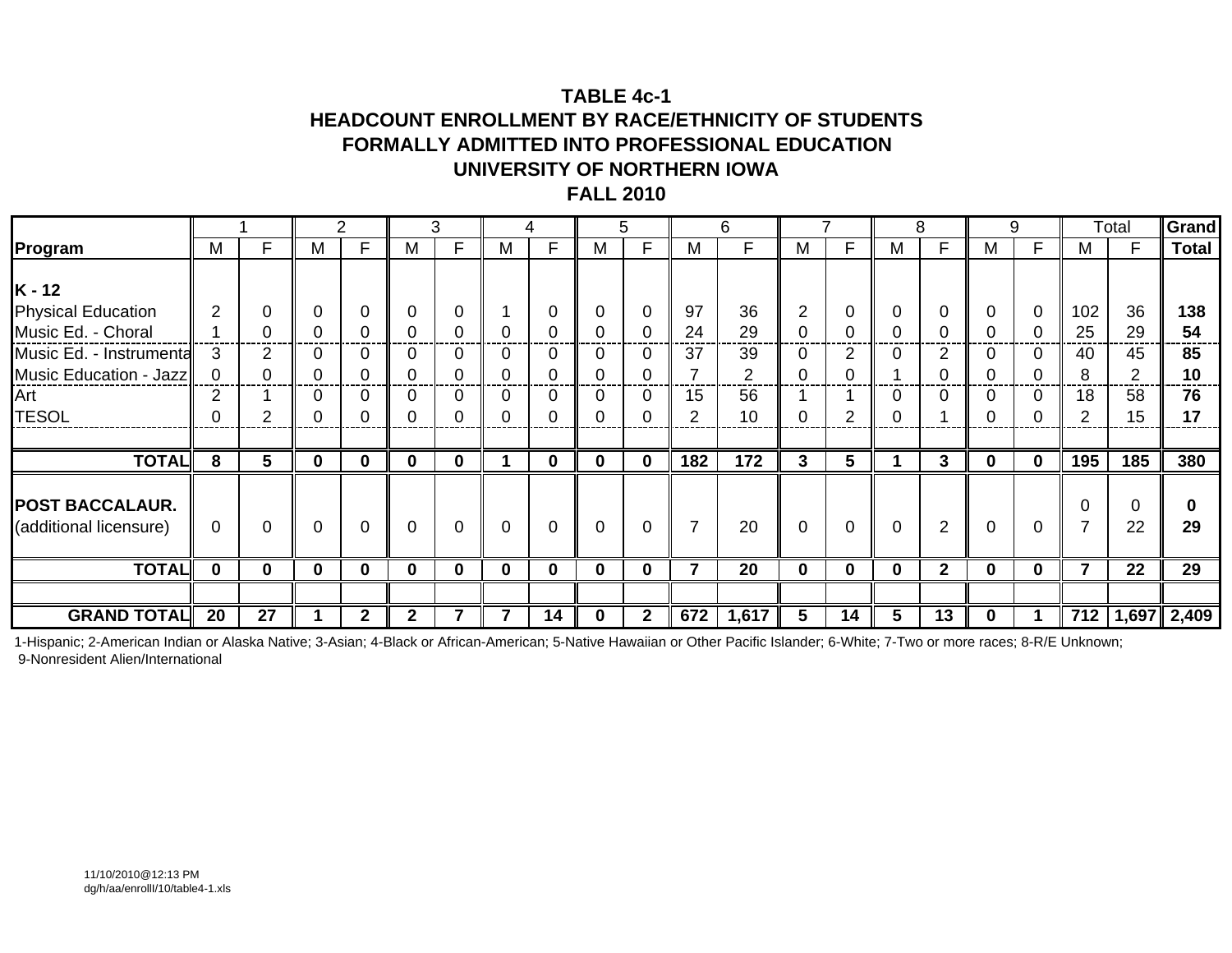## **TABLE 4c-1HEADCOUNT ENROLLMENT BY RACE/ETHNICITY OF STUDENTS FORMALLY ADMITTED INTO PROFESSIONAL EDUCATIONUNIVERSITY OF NORTHERN IOWAFALL 2010**

|                                                                                                                         |                      |          |          | 2              |              | 3           |             | 4                         |                         | 5                  |                         | 6                         |              |                  |          | 8              |          | 9                  |                            | Total                                  | Grand                       |
|-------------------------------------------------------------------------------------------------------------------------|----------------------|----------|----------|----------------|--------------|-------------|-------------|---------------------------|-------------------------|--------------------|-------------------------|---------------------------|--------------|------------------|----------|----------------|----------|--------------------|----------------------------|----------------------------------------|-----------------------------|
| Program                                                                                                                 | M                    | F        | М        | F.             | M            | F           | М           | Е                         | M                       | F                  | M                       | F.                        | М            | F.               | М        |                | M        | F                  | M                          | Е                                      | <b>Total</b>                |
| $K - 12$<br><b>Physical Education</b><br>Music Ed. - Choral<br>Music Ed. - Instrumenta<br>Music Education - Jazz<br>Art | $\overline{2}$<br>-3 | ◠        |          | 0              |              | $\Omega$    | 0<br>0      | $\Omega$<br>$\Omega$<br>0 | $\Omega$<br>0<br>0<br>0 | $\Omega$<br>0<br>0 | 97<br>24<br>37<br>15    | 36<br>29<br>39<br>2<br>56 | 2            | 0<br>0<br>2<br>0 |          |                | $\Omega$ | 0<br>0<br>$\Omega$ | 102<br>25<br>40<br>8<br>18 | 36<br>29<br>45<br>$\overline{2}$<br>58 | 138<br>54<br>85<br>10<br>76 |
| <b>TESOL</b>                                                                                                            |                      |          |          |                |              |             |             |                           | 0                       |                    | $\overline{2}$          | 10                        |              | $\overline{2}$   |          |                |          |                    |                            | 15                                     | 17                          |
|                                                                                                                         |                      |          |          |                |              |             |             |                           |                         |                    |                         |                           |              |                  |          |                |          |                    |                            |                                        |                             |
| <b>TOTAL</b>                                                                                                            | 8                    | 5        | $\bf{0}$ | $\mathbf{0}$   | $\bf{0}$     | $\mathbf 0$ |             | 0                         | $\bf{0}$                | $\mathbf 0$        | 182                     | 172                       | 3            | 5                |          | $\mathbf{3}$   | $\bf{0}$ | $\bf{0}$           | 195                        | 185                                    | 380                         |
| <b>POST BACCALAUR.</b><br>(additional licensure)                                                                        | $\Omega$             | $\Omega$ |          |                |              | $\Omega$    | $\Omega$    | $\Omega$                  | $\mathbf 0$             | $\Omega$           | $\overline{7}$          | 20                        | 0            | $\mathbf 0$      | $\Omega$ | $\overline{2}$ | $\Omega$ | $\Omega$           | <sup>0</sup>               | $\Omega$<br>22                         | 0<br>29                     |
| <b>TOTAL</b>                                                                                                            | $\mathbf 0$          | $\bf{0}$ | $\bf{0}$ | $\mathbf{0}$   | $\Omega$     | $\bf{0}$    | $\mathbf 0$ | $\bf{0}$                  | $\mathbf 0$             | 0                  | $\overline{\mathbf{z}}$ | 20                        | $\mathbf{0}$ | $\bf{0}$         | 0        | $\mathbf{2}$   | $\Omega$ | $\mathbf 0$        | $\overline{7}$             | 22                                     | $\overline{29}$             |
|                                                                                                                         |                      |          |          |                |              |             |             |                           |                         |                    |                         |                           |              |                  |          |                |          |                    |                            |                                        |                             |
| <b>GRAND TOTAL</b>                                                                                                      | 20                   | 27       |          | $\overline{2}$ | $\mathbf{2}$ |             |             | 14                        | 0                       | $\mathbf 2$        | 672                     | 1,617                     | 5            | 14               | 5        | 13             | 0        |                    | 712                        |                                        | $1,697$ 2,409               |

1-Hispanic; 2-American Indian or Alaska Native; 3-Asian; 4-Black or African-American; 5-Native Hawaiian or Other Pacific Islander; 6-White; 7-Two or more races; 8-R/E Unknown; 9-Nonresident Alien/International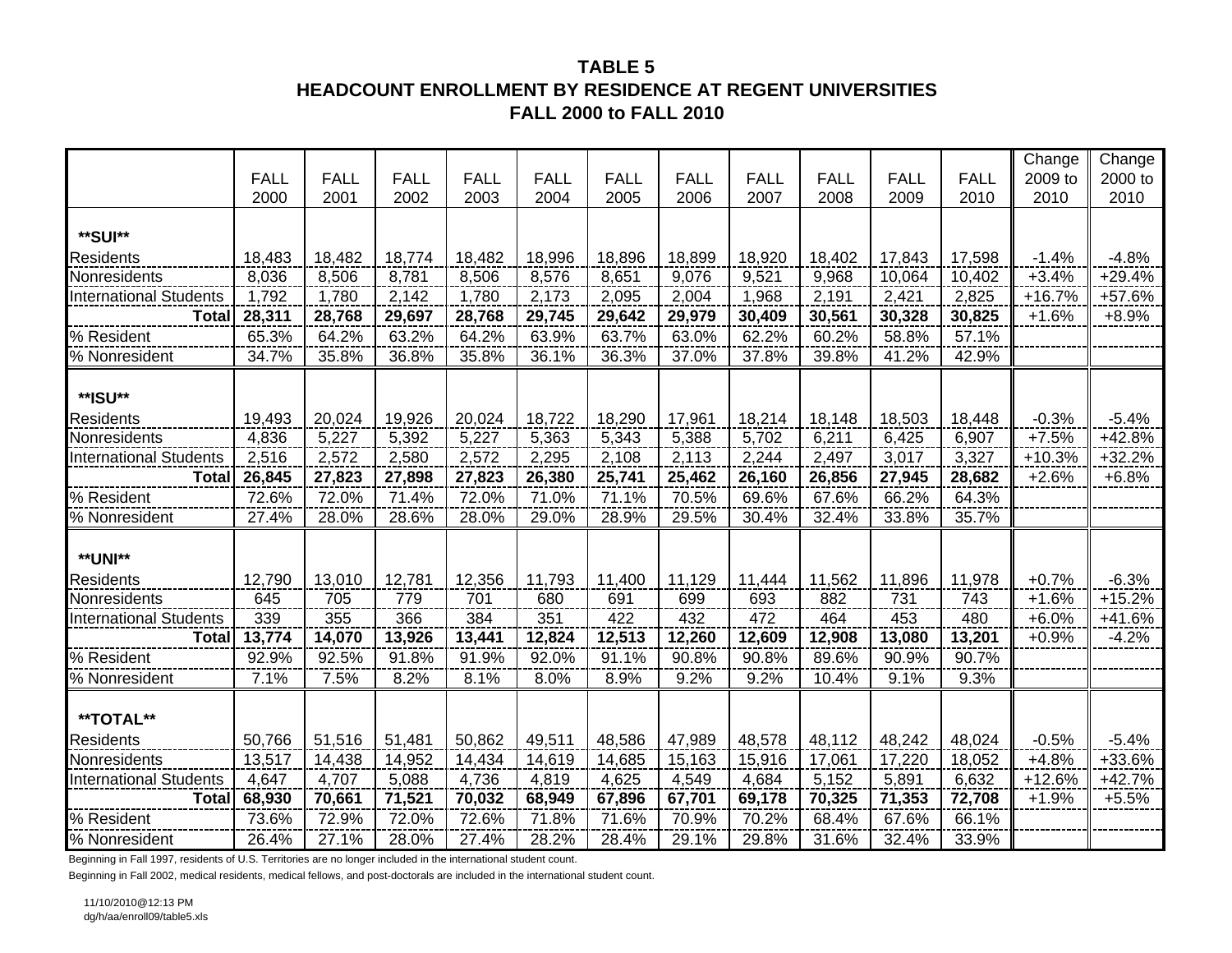# **TABLE 5HEADCOUNT ENROLLMENT BY RESIDENCE AT REGENT UNIVERSITIES FALL 2000 to FALL 2010**

|                               |             |             |             |             |             |             |             |             |             |             |             | Change   | Change   |
|-------------------------------|-------------|-------------|-------------|-------------|-------------|-------------|-------------|-------------|-------------|-------------|-------------|----------|----------|
|                               | <b>FALL</b> | <b>FALL</b> | <b>FALL</b> | <b>FALL</b> | <b>FALL</b> | <b>FALL</b> | <b>FALL</b> | <b>FALL</b> | <b>FALL</b> | <b>FALL</b> | <b>FALL</b> | 2009 to  | 2000 to  |
|                               | 2000        | 2001        | 2002        | 2003        | 2004        | 2005        | 2006        | 2007        | 2008        | 2009        | 2010        | 2010     | 2010     |
|                               |             |             |             |             |             |             |             |             |             |             |             |          |          |
| **SUI**                       |             |             |             |             |             |             |             |             |             |             |             |          |          |
| <b>Residents</b>              | 18,483      | 18,482      | 18,774      | 18,482      | 18,996      | 18,896      | 18,899      | 18,920      | 18,402      | 17,843      | 17,598      | $-1.4%$  | $-4.8%$  |
| Nonresidents                  | 8,036       | 8,506       | 8,781       | 8,506       | 8,576       | 8,651       | 9,076       | 9,521       | 9,968       | 10,064      | 10,402      | $+3.4%$  | $+29.4%$ |
| <b>International Students</b> | 1,792       | 1,780       | 2,142       | 1,780       | 2,173       | 2,095       | 2,004       | 1,968       | 2,191       | 2,421       | 2,825       | $+16.7%$ | +57.6%   |
| <b>Total</b>                  | 28,311      | 28,768      | 29,697      | 28,768      | 29,745      | 29,642      | 29,979      | 30,409      | 30,561      | 30,328      | 30,825      | $+1.6%$  | $+8.9%$  |
| % Resident                    | 65.3%       | 64.2%       | 63.2%       | 64.2%       | 63.9%       | 63.7%       | 63.0%       | 62.2%       | 60.2%       | 58.8%       | 57.1%       |          |          |
| % Nonresident                 | 34.7%       | 35.8%       | 36.8%       | 35.8%       | 36.1%       | 36.3%       | 37.0%       | 37.8%       | 39.8%       | 41.2%       | 42.9%       |          |          |
|                               |             |             |             |             |             |             |             |             |             |             |             |          |          |
| **ISU**                       |             |             |             |             |             |             |             |             |             |             |             |          |          |
| Residents                     | 19,493      | 20,024      | 19,926      | 20,024      | 18,722      | 18,290      | 17,961      | 18,214      | 18,148      | 18,503      | 18,448      | $-0.3%$  | $-5.4%$  |
| Nonresidents                  | 4,836       | 5,227       | 5,392       | 5,227       | 5,363       | 5,343       | 5,388       | 5,702       | 6,211       | 6,425       | 6,907       | $+7.5%$  | +42.8%   |
| <b>International Students</b> | 2,516       | 2,572       | 2,580       | 2,572       | 2,295       | 2,108       | 2,113       | 2,244       | 2,497       | 3,017       | 3,327       | $+10.3%$ | $+32.2%$ |
| <b>Total</b>                  | 26,845      | 27,823      | 27,898      | 27,823      | 26,380      | 25,741      | 25,462      | 26,160      | 26,856      | 27,945      | 28,682      | $+2.6%$  | $+6.8%$  |
| % Resident                    | 72.6%       | 72.0%       | 71.4%       | 72.0%       | 71.0%       | 71.1%       | 70.5%       | 69.6%       | 67.6%       | 66.2%       | 64.3%       |          |          |
| % Nonresident                 | 27.4%       | 28.0%       | 28.6%       | 28.0%       | 29.0%       | 28.9%       | 29.5%       | 30.4%       | 32.4%       | 33.8%       | 35.7%       |          |          |
|                               |             |             |             |             |             |             |             |             |             |             |             |          |          |
| **UNI**                       |             |             |             |             |             |             |             |             |             |             |             |          |          |
| <b>Residents</b>              | 12,790      | 13,010      | 12,781      | 12,356      | 11,793      | 11,400      | 11,129      | 11,444      | 11,562      | 11,896      | 11,978      | $+0.7%$  | $-6.3%$  |
| Nonresidents                  | 645         | 705         | 779         | 701         | 680         | 691         | 699         | 693         | 882         | 731         | 743         | $+1.6%$  | $+15.2%$ |
| <b>International Students</b> | 339         | 355         | 366         | 384         | 351         | 422         | 432         | 472         | 464         | 453         | 480         | $+6.0%$  | $+41.6%$ |
| <b>Total</b>                  | 13,774      | 14,070      | 13,926      | 13,441      | 12,824      | 12,513      | 12,260      | 12,609      | 12,908      | 13,080      | 13,201      | $+0.9%$  | $-4.2%$  |
| % Resident                    | 92.9%       | 92.5%       | 91.8%       | 91.9%       | 92.0%       | 91.1%       | 90.8%       | 90.8%       | 89.6%       | 90.9%       | 90.7%       |          |          |
| % Nonresident                 | 7.1%        | 7.5%        | 8.2%        | 8.1%        | 8.0%        | 8.9%        | 9.2%        | 9.2%        | 10.4%       | 9.1%        | 9.3%        |          |          |
|                               |             |             |             |             |             |             |             |             |             |             |             |          |          |
| **TOTAL**                     |             |             |             |             |             |             |             |             |             |             |             |          |          |
| <b>Residents</b>              | 50,766      | 51,516      | 51,481      | 50,862      | 49,511      | 48,586      | 47,989      | 48,578      | 48,112      | 48,242      | 48,024      | $-0.5%$  | $-5.4%$  |
| Nonresidents                  | 13,517      | 14,438      | 14,952      | 14,434      | 14,619      | 14,685      | 15,163      | 15,916      | 17,061      | 17,220      | 18,052      | $+4.8%$  | +33.6%   |
| <b>International Students</b> | 4,647       | 4,707       | 5,088       | 4,736       | 4,819       | 4,625       | 4,549       | 4,684       | 5,152       | 5,891       | 6,632       | $+12.6%$ | $+42.7%$ |
| <b>Total</b>                  | 68,930      | 70,661      | 71,521      | 70,032      | 68,949      | 67,896      | 67,701      | 69,178      | 70,325      | 71,353      | 72,708      | $+1.9%$  | $+5.5%$  |
| % Resident                    | 73.6%       | 72.9%       | 72.0%       | 72.6%       | 71.8%       | 71.6%       | 70.9%       | 70.2%       | 68.4%       | 67.6%       | 66.1%       |          |          |
| % Nonresident                 | 26.4%       | 27.1%       | 28.0%       | 27.4%       | 28.2%       | 28.4%       | 29.1%       | 29.8%       | 31.6%       | 32.4%       | 33.9%       |          |          |

Beginning in Fall 1997, residents of U.S. Territories are no longer included in the international student count.

Beginning in Fall 2002, medical residents, medical fellows, and post-doctorals are included in the international student count.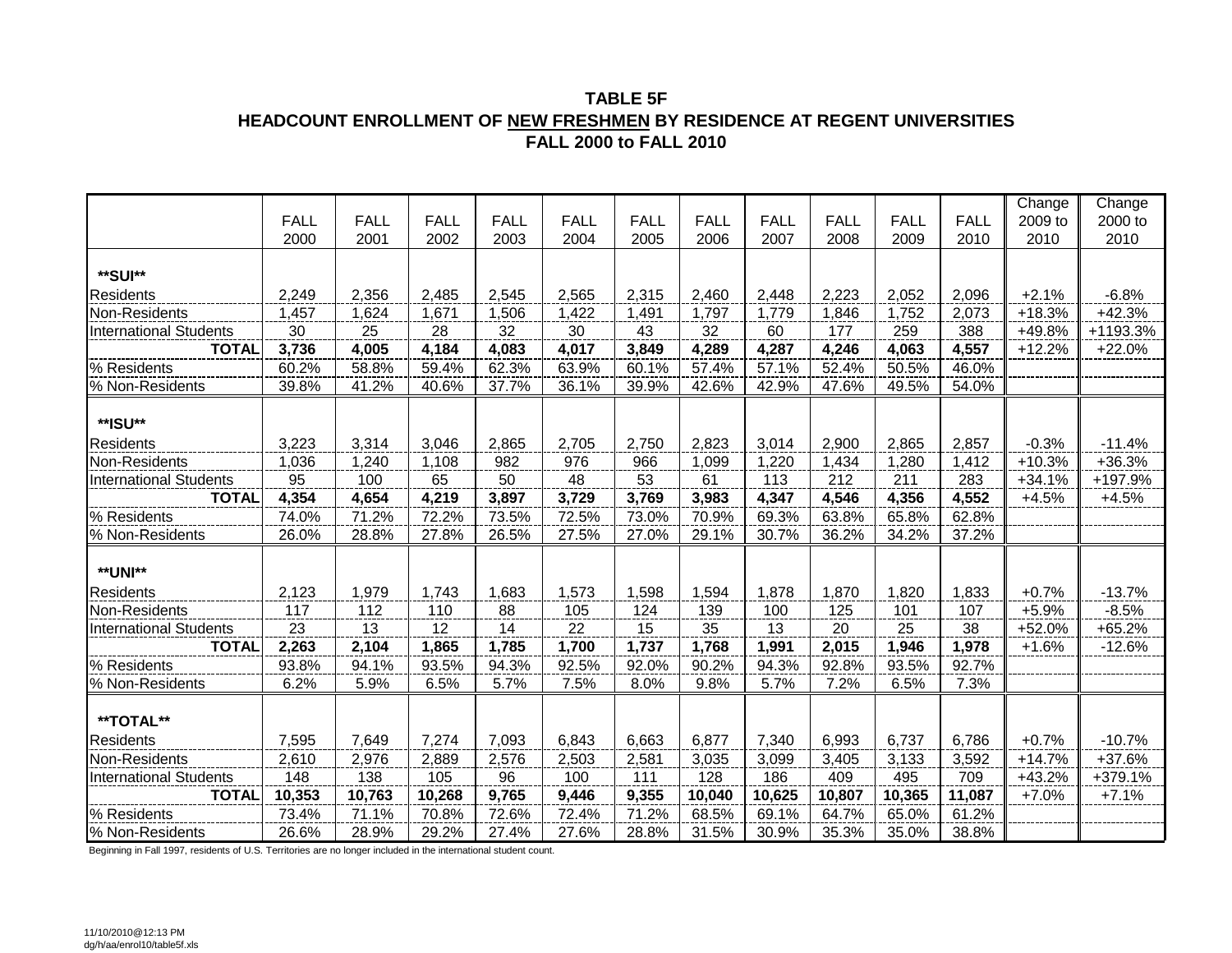#### **TABLE 5F HEADCOUNT ENROLLMENT OF NEW FRESHMEN BY RESIDENCE AT REGENT UNIVERSITIES FALL 2000 to FALL 2010**

|                               |             |             |             |             |             |             |             |             |             |             |             | Change   | Change   |
|-------------------------------|-------------|-------------|-------------|-------------|-------------|-------------|-------------|-------------|-------------|-------------|-------------|----------|----------|
|                               | <b>FALL</b> | <b>FALL</b> | <b>FALL</b> | <b>FALL</b> | <b>FALL</b> | <b>FALL</b> | <b>FALL</b> | <b>FALL</b> | <b>FALL</b> | <b>FALL</b> | <b>FALL</b> | 2009 to  | 2000 to  |
|                               | 2000        | 2001        | 2002        | 2003        | 2004        | 2005        | 2006        | 2007        | 2008        | 2009        | 2010        | 2010     | 2010     |
|                               |             |             |             |             |             |             |             |             |             |             |             |          |          |
| **SUI**                       |             |             |             |             |             |             |             |             |             |             |             |          |          |
| <b>Residents</b>              | 2,249       | 2,356       | 2,485       | 2,545       | 2,565       | 2,315       | 2,460       | 2,448       | 2,223       | 2,052       | 2,096       | $+2.1%$  | $-6.8%$  |
| Non-Residents                 | 1,457       | 1,624       | 1,671       | 1,506       | 1,422       | 1,491       | 1,797       | 1,779       | 1,846       | 1,752       | 2,073       | $+18.3%$ | $+42.3%$ |
| <b>International Students</b> | 30          | 25          | 28          | 32          | $30\,$      | 43          | 32          | 60          | 177         | 259         | 388         | +49.8%   | +1193.3% |
| <b>TOTAL</b>                  | 3,736       | 4,005       | 4,184       | 4,083       | 4,017       | 3,849       | 4,289       | 4,287       | 4,246       | 4,063       | 4,557       | $+12.2%$ | $+22.0%$ |
| % Residents                   | 60.2%       | 58.8%       | 59.4%       | 62.3%       | 63.9%       | 60.1%       | 57.4%       | 57.1%       | 52.4%       | 50.5%       | 46.0%       |          |          |
| % Non-Residents               | 39.8%       | 41.2%       | 40.6%       | 37.7%       | 36.1%       | 39.9%       | 42.6%       | 42.9%       | 47.6%       | 49.5%       | 54.0%       |          |          |
|                               |             |             |             |             |             |             |             |             |             |             |             |          |          |
| **ISU**                       |             |             |             |             |             |             |             |             |             |             |             |          |          |
| Residents                     | 3,223       | 3,314       | 3,046       | 2,865       | 2,705       | 2,750       | 2,823       | 3,014       | 2,900       | 2,865       | 2,857       | $-0.3%$  | $-11.4%$ |
| Non-Residents                 | 1,036       | 1,240       | 1,108       | 982         | 976         | 966         | 1,099       | 1,220       | 1,434       | 1,280       | 1,412       | $+10.3%$ | +36.3%   |
| <b>International Students</b> | 95          | 100         | 65          | 50          | 48          | 53          | 61          | 113         | 212         | 211         | 283         | $+34.1%$ | +197.9%  |
| <b>TOTAL</b>                  | 4,354       | 4,654       | 4,219       | 3,897       | 3,729       | 3,769       | 3,983       | 4,347       | 4,546       | 4,356       | 4,552       | $+4.5%$  | $+4.5%$  |
| % Residents                   | 74.0%       | 71.2%       | 72.2%       | 73.5%       | 72.5%       | 73.0%       | 70.9%       | 69.3%       | 63.8%       | 65.8%       | 62.8%       |          |          |
| % Non-Residents               | 26.0%       | 28.8%       | 27.8%       | 26.5%       | 27.5%       | 27.0%       | 29.1%       | 30.7%       | 36.2%       | 34.2%       | 37.2%       |          |          |
|                               |             |             |             |             |             |             |             |             |             |             |             |          |          |
| **UNI**                       |             |             |             |             |             |             |             |             |             |             |             |          |          |
| Residents                     | 2,123       | 1,979       | 1,743       | 1,683       | 1,573       | 1,598       | 1,594       | 1,878       | 1,870       | 1,820       | 1,833       | $+0.7%$  | $-13.7%$ |
| Non-Residents                 | 117         | 112         | 110         | 88          | 105         | 124         | 139         | 100         | 125         | 101         | 107         | $+5.9%$  | $-8.5%$  |
| <b>International Students</b> | 23          | 13          | 12          | 14          | 22          | 15          | 35          | 13          | 20          | 25          | 38          | +52.0%   | $+65.2%$ |
| <b>TOTAL</b>                  | 2,263       | 2,104       | 1,865       | 1,785       | 1,700       | 1,737       | 1,768       | 1,991       | 2,015       | 1,946       | 1,978       | $+1.6%$  | $-12.6%$ |
| % Residents                   | 93.8%       | 94.1%       | 93.5%       | 94.3%       | 92.5%       | 92.0%       | 90.2%       | 94.3%       | 92.8%       | 93.5%       | 92.7%       |          |          |
| % Non-Residents               | 6.2%        | 5.9%        | 6.5%        | 5.7%        | 7.5%        | 8.0%        | 9.8%        | 5.7%        | 7.2%        | 6.5%        | 7.3%        |          |          |
|                               |             |             |             |             |             |             |             |             |             |             |             |          |          |
| **TOTAL**                     |             |             |             |             |             |             |             |             |             |             |             |          |          |
| Residents                     | 7,595       | 7,649       | 7,274       | 7,093       | 6,843       | 6,663       | 6,877       | 7,340       | 6,993       | 6,737       | 6,786       | $+0.7%$  | $-10.7%$ |
| Non-Residents                 | 2,610       | 2,976       | 2,889       | 2,576       | 2,503       | 2,581       | 3,035       | 3,099       | 3,405       | 3,133       | 3,592       | $+14.7%$ | +37.6%   |
| <b>International Students</b> | 148         | 138         | 105         | 96          | 100         | 111         | 128         | 186         | 409         | 495         | 709         | $+43.2%$ | +379.1%  |
| <b>TOTAL</b>                  | 10,353      | 10,763      | 10,268      | 9,765       | 9,446       | 9,355       | 10,040      | 10,625      | 10,807      | 10,365      | 11,087      | $+7.0%$  | $+7.1%$  |
| % Residents                   | 73.4%       | 71.1%       | 70.8%       | 72.6%       | 72.4%       | 71.2%       | 68.5%       | 69.1%       | 64.7%       | 65.0%       | 61.2%       |          |          |
| % Non-Residents               | 26.6%       | 28.9%       | 29.2%       | 27.4%       | 27.6%       | 28.8%       | 31.5%       | 30.9%       | 35.3%       | 35.0%       | 38.8%       |          |          |

Beginning in Fall 1997, residents of U.S. Territories are no longer included in the international student count.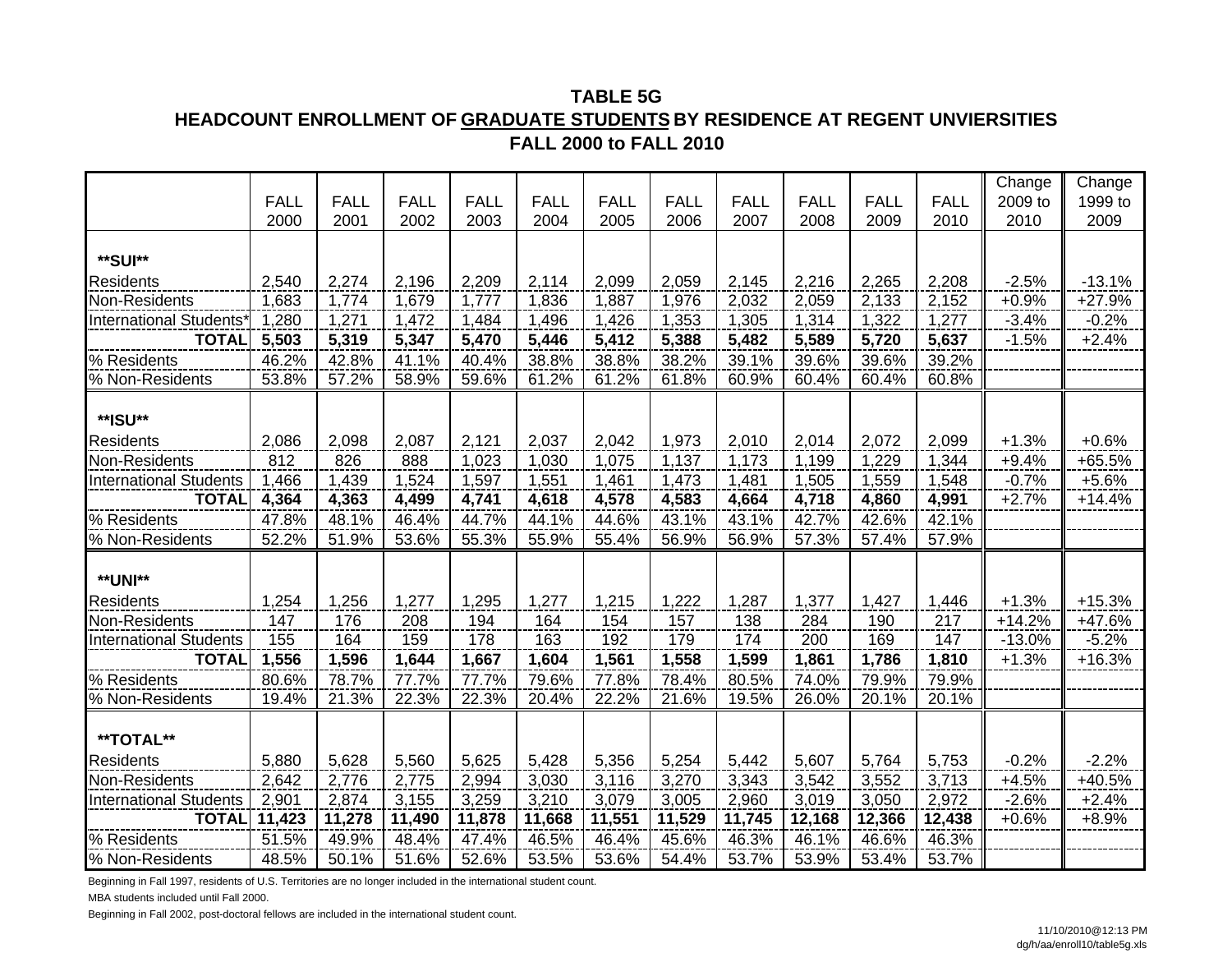# **FALL 2000 to FALL 2010HEADCOUNT ENROLLMENT OF GRADUATE STUDENTS BY RESIDENCE AT REGENT UNVIERSITIES TABLE 5G**

|                               |             |             |             |             |             |             |             |             |             |             |             | Change   | Change   |
|-------------------------------|-------------|-------------|-------------|-------------|-------------|-------------|-------------|-------------|-------------|-------------|-------------|----------|----------|
|                               | <b>FALL</b> | <b>FALL</b> | <b>FALL</b> | <b>FALL</b> | <b>FALL</b> | <b>FALL</b> | <b>FALL</b> | <b>FALL</b> | <b>FALL</b> | <b>FALL</b> | <b>FALL</b> | 2009 to  | 1999 to  |
|                               | 2000        | 2001        | 2002        | 2003        | 2004        | 2005        | 2006        | 2007        | 2008        | 2009        | 2010        | 2010     | 2009     |
|                               |             |             |             |             |             |             |             |             |             |             |             |          |          |
| **SUI**                       |             |             |             |             |             |             |             |             |             |             |             |          |          |
| <b>Residents</b>              | 2,540       | 2,274       | 2,196       | 2,209       | 2,114       | 2,099       | 2,059       | 2,145       | 2,216       | 2,265       | 2,208       | $-2.5%$  | $-13.1%$ |
| Non-Residents                 | 1,683       | 1,774       | 1,679       | 1,777       | 1,836       | 1,887       | 1,976       | 2,032       | 2,059       | 2,133       | 2,152       | $+0.9%$  | $+27.9%$ |
| International Students        | 1,280       | 1,271       | 1,472       | 1,484       | 1,496       | 1,426       | 1,353       | 1,305       | 1,314       | 1,322       | 1,277       | $-3.4%$  | $-0.2%$  |
| <b>TOTAL</b>                  | 5,503       | 5,319       | 5,347       | 5,470       | 5,446       | 5,412       | 5,388       | 5,482       | 5,589       | 5,720       | 5,637       | $-1.5%$  | $+2.4%$  |
| % Residents                   | 46.2%       | 42.8%       | 41.1%       | 40.4%       | 38.8%       | 38.8%       | 38.2%       | 39.1%       | 39.6%       | 39.6%       | 39.2%       |          |          |
| % Non-Residents               | 53.8%       | 57.2%       | 58.9%       | 59.6%       | 61.2%       | 61.2%       | 61.8%       | 60.9%       | 60.4%       | 60.4%       | 60.8%       |          |          |
|                               |             |             |             |             |             |             |             |             |             |             |             |          |          |
| **ISU**                       |             |             |             |             |             |             |             |             |             |             |             |          |          |
| <b>Residents</b>              | 2,086       | 2,098       | 2,087       | 2,121       | 2,037       | 2,042       | 1,973       | 2,010       | 2,014       | 2,072       | 2,099       | $+1.3%$  | $+0.6%$  |
| Non-Residents                 | 812         | 826         | 888         | 1,023       | 1,030       | 1,075       | 1,137       | 1,173       | 1,199       | 1,229       | 1,344       | $+9.4%$  | $+65.5%$ |
| <b>International Students</b> | 1,466       | 1,439       | 1,524       | 1,597       | 1,551       | 1,461       | 1,473       | 1,481       | 1,505       | 1,559       | 1,548       | $-0.7%$  | $+5.6%$  |
| <b>TOTAL</b>                  | 4,364       | 4,363       | 4,499       | 4,741       | 4,618       | 4,578       | 4,583       | 4,664       | 4,718       | 4,860       | 4,991       | $+2.7%$  | $+14.4%$ |
| % Residents                   | 47.8%       | 48.1%       | 46.4%       | 44.7%       | 44.1%       | 44.6%       | 43.1%       | 43.1%       | 42.7%       | 42.6%       | 42.1%       |          |          |
| % Non-Residents               | 52.2%       | 51.9%       | 53.6%       | 55.3%       | 55.9%       | 55.4%       | 56.9%       | 56.9%       | 57.3%       | 57.4%       | 57.9%       |          |          |
|                               |             |             |             |             |             |             |             |             |             |             |             |          |          |
| <b>**UNI**</b>                |             |             |             |             |             |             |             |             |             |             |             |          |          |
| <b>Residents</b>              | 1,254       | 1,256       | 1,277       | 1,295       | 1,277       | 1,215       | 1,222       | 1,287       | 1,377       | 1,427       | 1,446       | $+1.3%$  | $+15.3%$ |
| Non-Residents                 | 147         | 176         | 208         | 194         | 164         | 154         | 157         | 138         | 284         | 190         | 217         | $+14.2%$ | +47.6%   |
| <b>International Students</b> | 155         | 164         | 159         | 178         | 163         | 192         | 179         | 174         | 200         | 169         | 147         | $-13.0%$ | $-5.2%$  |
| <b>TOTAL</b>                  | 1,556       | 1,596       | 1,644       | 1,667       | 1,604       | 1,561       | 1,558       | 1,599       | 1,861       | 1,786       | 1,810       | $+1.3%$  | $+16.3%$ |
| % Residents                   | 80.6%       | 78.7%       | 77.7%       | 77.7%       | 79.6%       | 77.8%       | 78.4%       | 80.5%       | 74.0%       | 79.9%       | 79.9%       |          |          |
| % Non-Residents               | 19.4%       | 21.3%       | 22.3%       | 22.3%       | 20.4%       | 22.2%       | 21.6%       | 19.5%       | 26.0%       | 20.1%       | 20.1%       |          |          |
|                               |             |             |             |             |             |             |             |             |             |             |             |          |          |
| **TOTAL**                     |             |             |             |             |             |             |             |             |             |             |             |          |          |
| <b>Residents</b>              | 5,880       | 5,628       | 5,560       | 5,625       | 5,428       | 5,356       | 5,254       | 5,442       | 5,607       | 5,764       | 5,753       | $-0.2%$  | $-2.2%$  |
| Non-Residents                 | 2,642       | 2,776       | 2,775       | 2,994       | 3,030       | 3,116       | 3,270       | 3,343       | 3,542       | 3,552       | 3,713       | $+4.5%$  | +40.5%   |
| <b>International Students</b> | 2,901       | 2,874       | 3,155       | 3,259       | 3,210       | 3,079       | 3,005       | 2,960       | 3,019       | 3,050       | 2,972       | $-2.6%$  | $+2.4%$  |
| <b>TOTAL</b>                  | 11,423      | 11,278      | 11,490      | 11,878      | 11,668      | 11,551      | 11,529      | 11,745      | 12,168      | 12,366      | 12,438      | $+0.6%$  | $+8.9%$  |
| % Residents                   | 51.5%       | 49.9%       | 48.4%       | 47.4%       | 46.5%       | 46.4%       | 45.6%       | 46.3%       | 46.1%       | 46.6%       | 46.3%       |          |          |
| % Non-Residents               | 48.5%       | 50.1%       | 51.6%       | 52.6%       | 53.5%       | 53.6%       | 54.4%       | 53.7%       | 53.9%       | 53.4%       | 53.7%       |          |          |

Beginning in Fall 1997, residents of U.S. Territories are no longer included in the international student count.

MBA students included until Fall 2000.

Beginning in Fall 2002, post-doctoral fellows are included in the international student count.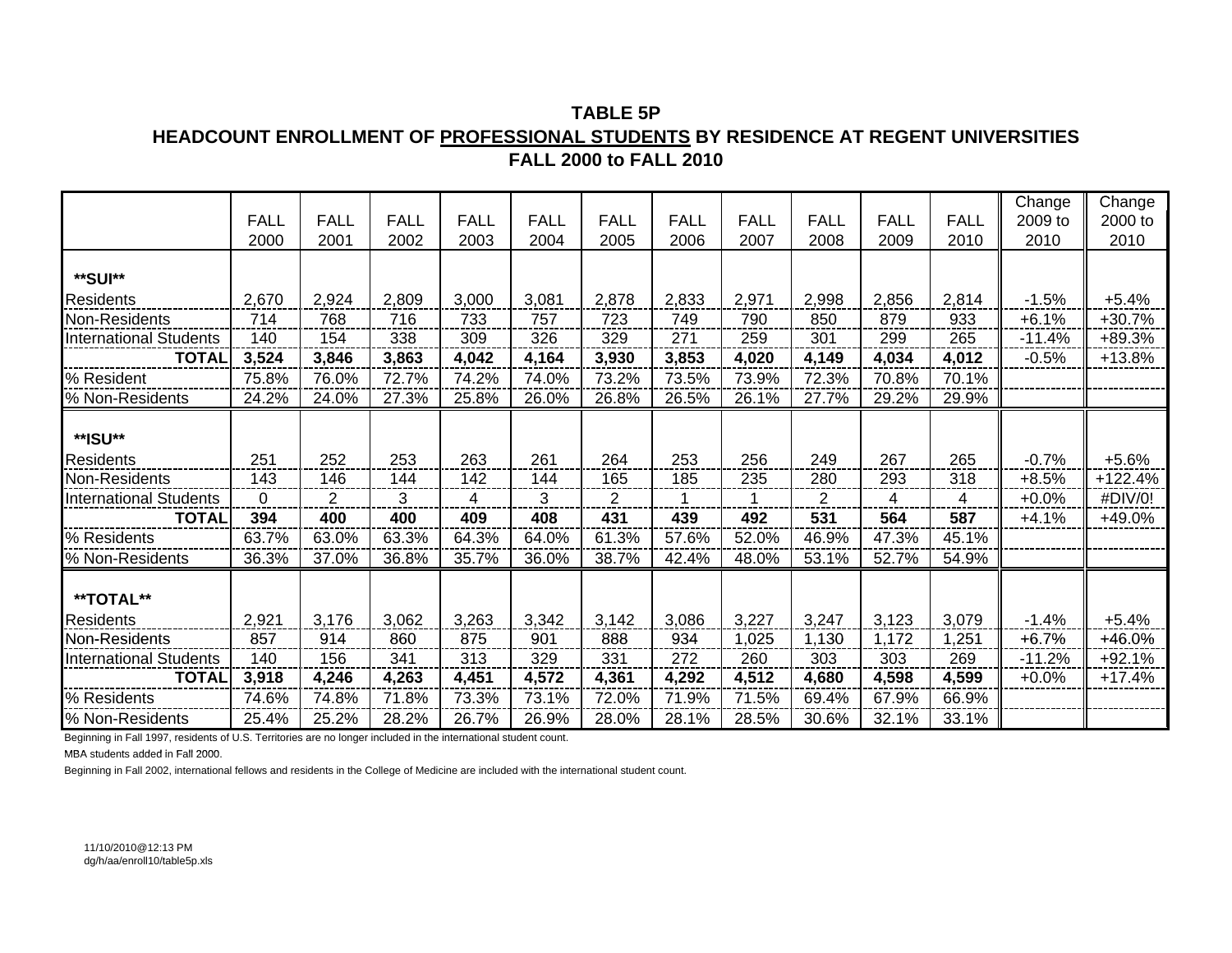**TABLE 5PHEADCOUNT ENROLLMENT OF PROFESSIONAL STUDENTS BY RESIDENCE AT REGENT UNIVERSITIES FALL 2000 to FALL 2010**

|                               |                |                |             |             |                |                |             |             |                |             |             | Change   | Change   |
|-------------------------------|----------------|----------------|-------------|-------------|----------------|----------------|-------------|-------------|----------------|-------------|-------------|----------|----------|
|                               | <b>FALL</b>    | <b>FALL</b>    | <b>FALL</b> | <b>FALL</b> | <b>FALL</b>    | <b>FALL</b>    | <b>FALL</b> | <b>FALL</b> | <b>FALL</b>    | <b>FALL</b> | <b>FALL</b> | 2009 to  | 2000 to  |
|                               | 2000           | 2001           | 2002        | 2003        | 2004           | 2005           | 2006        | 2007        | 2008           | 2009        | 2010        | 2010     | 2010     |
|                               |                |                |             |             |                |                |             |             |                |             |             |          |          |
| **SUI**                       |                |                |             |             |                |                |             |             |                |             |             |          |          |
| Residents                     | 2,670          | 2,924          | 2,809       | 3,000       | 3,081          | 2,878          | 2,833       | 2,971       | 2,998          | 2,856       | 2,814       | $-1.5%$  | $+5.4%$  |
| Non-Residents                 | 714            | 768            | 716         | 733         | 757            | 723            | 749         | 790         | 850            | 879         | 933         | $+6.1%$  | $+30.7%$ |
| <b>International Students</b> | 140            | 154            | 338         | 309         | 326            | 329            | 271         | 259         | 301            | 299         | 265         | $-11.4%$ | $+89.3%$ |
| <b>TOTAL</b>                  | 3,524          | 3,846          | 3,863       | 4,042       | 4,164          | 3,930          | 3,853       | 4,020       | 4,149          | 4,034       | 4,012       | $-0.5%$  | +13.8%   |
| % Resident                    | 75.8%          | 76.0%          | 72.7%       | 74.2%       | 74.0%          | 73.2%          | 73.5%       | 73.9%       | 72.3%          | 70.8%       | 70.1%       |          |          |
| % Non-Residents               | 24.2%          | 24.0%          | 27.3%       | 25.8%       | 26.0%          | 26.8%          | 26.5%       | 26.1%       | 27.7%          | 29.2%       | 29.9%       |          |          |
|                               |                |                |             |             |                |                |             |             |                |             |             |          |          |
| **ISU**                       |                |                |             |             |                |                |             |             |                |             |             |          |          |
| <b>Residents</b>              | 251            | 252            | 253         | 263         | 261            | 264            | 253         | 256         | 249            | 267         | 265         | $-0.7%$  | $+5.6%$  |
| Non-Residents                 | 143            | 146            | 144         | 142         | 144            | 165            | 185         | 235         | 280            | 293         | 318         | $+8.5%$  | +122.4%  |
| <b>International Students</b> | $\overline{0}$ | $\overline{2}$ | 3           | 4           | $\overline{3}$ | $\overline{2}$ |             |             | $\overline{2}$ | 4           | 4           | $+0.0%$  | #DIV/0!  |
| <b>TOTAL</b>                  | 394            | 400            | 400         | 409         | 408            | 431            | 439         | 492         | 531            | 564         | 587         | $+4.1%$  | +49.0%   |
| % Residents                   | 63.7%          | 63.0%          | 63.3%       | 64.3%       | 64.0%          | 61.3%          | 57.6%       | 52.0%       | 46.9%          | 47.3%       | 45.1%       |          |          |
| % Non-Residents               | 36.3%          | 37.0%          | 36.8%       | 35.7%       | 36.0%          | 38.7%          | 42.4%       | 48.0%       | 53.1%          | 52.7%       | 54.9%       |          |          |
|                               |                |                |             |             |                |                |             |             |                |             |             |          |          |
| **TOTAL**                     |                |                |             |             |                |                |             |             |                |             |             |          |          |
| Residents                     | 2,921          | 3,176          | 3,062       | 3,263       | 3,342          | 3,142          | 3,086       | 3,227       | 3,247          | 3,123       | 3,079       | $-1.4%$  | $+5.4%$  |
| Non-Residents                 | 857            | 914            | 860         | 875         | 901            | 888            | 934         | 1,025       | 1,130          | 1,172       | 1,251       | $+6.7%$  | +46.0%   |
| <b>International Students</b> | 140            | 156            | 341         | 313         | 329            | 331            | 272         | 260         | 303            | 303         | 269         | $-11.2%$ | $+92.1%$ |
| <b>TOTAL</b>                  | 3,918          | 4,246          | 4,263       | 4,451       | 4,572          | 4,361          | 4,292       | 4,512       | 4,680          | 4,598       | 4,599       | $+0.0%$  | $+17.4%$ |
| % Residents                   | 74.6%          | 74.8%          | 71.8%       | 73.3%       | 73.1%          | 72.0%          | 71.9%       | 71.5%       | 69.4%          | 67.9%       | 66.9%       |          |          |
| % Non-Residents               | 25.4%          | 25.2%          | 28.2%       | 26.7%       | 26.9%          | 28.0%          | 28.1%       | 28.5%       | 30.6%          | 32.1%       | 33.1%       |          |          |

Beginning in Fall 1997, residents of U.S. Territories are no longer included in the international student count.

MBA students added in Fall 2000.

Beginning in Fall 2002, international fellows and residents in the College of Medicine are included with the international student count.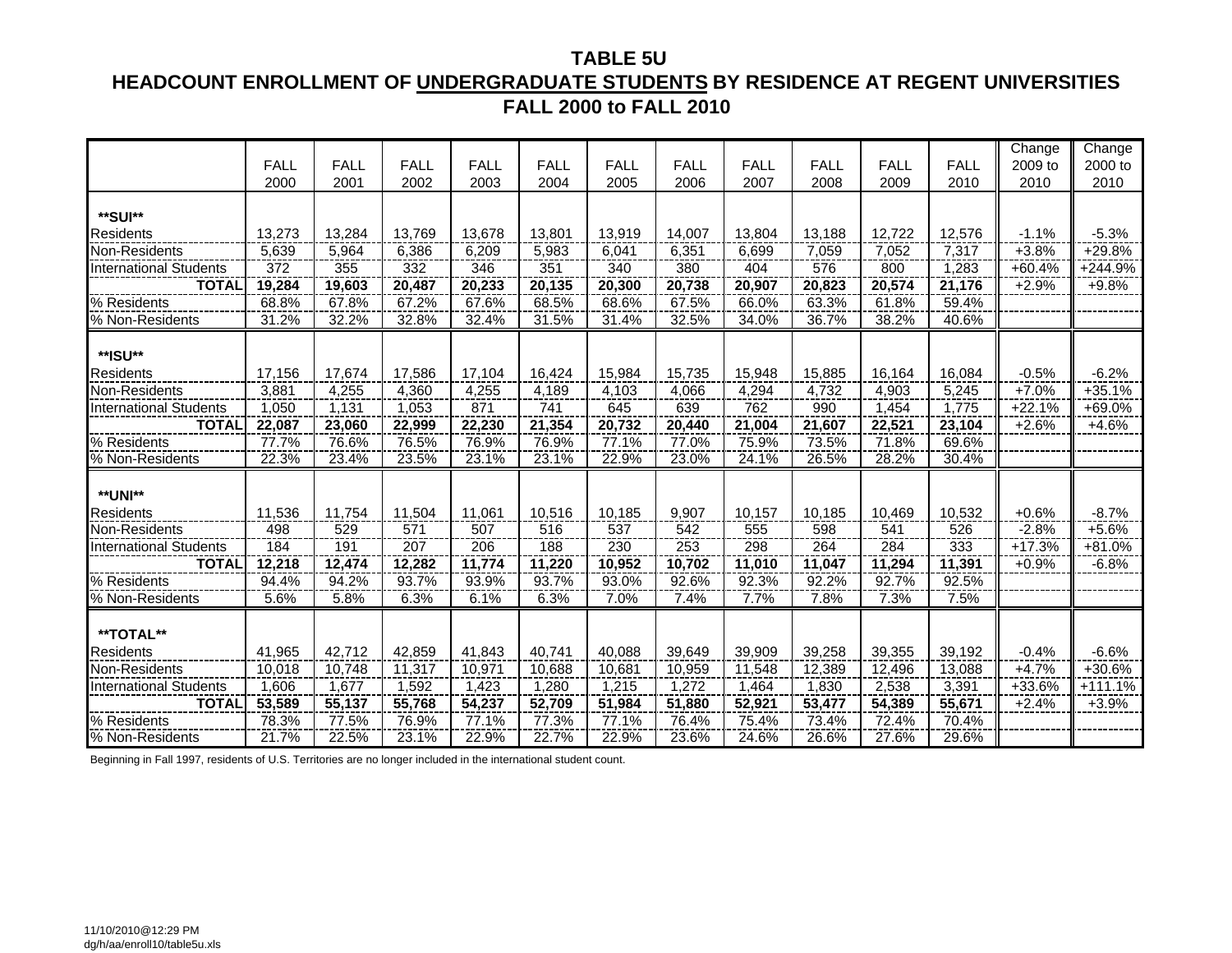#### **TABLE 5U HEADCOUNT ENROLLMENT OF UNDERGRADUATE STUDENTS BY RESIDENCE AT REGENT UNIVERSITIES FALL 2000 to FALL 2010**

|                               |             |             |             |             |             |             |             |             |             |             |             | Change    | Change    |
|-------------------------------|-------------|-------------|-------------|-------------|-------------|-------------|-------------|-------------|-------------|-------------|-------------|-----------|-----------|
|                               | <b>FALL</b> | <b>FALL</b> | <b>FALL</b> | <b>FALL</b> | <b>FALL</b> | <b>FALL</b> | <b>FALL</b> | <b>FALL</b> | <b>FALL</b> | <b>FALL</b> | <b>FALL</b> | 2009 to   | 2000 to   |
|                               | 2000        | 2001        | 2002        | 2003        | 2004        | 2005        | 2006        | 2007        | 2008        | 2009        | 2010        | 2010      | 2010      |
|                               |             |             |             |             |             |             |             |             |             |             |             |           |           |
| **SUI**                       |             |             |             |             |             |             |             |             |             |             |             |           |           |
| <b>Residents</b>              | 13,273      | 13,284      | 13,769      | 13,678      | 13,801      | 13,919      | 14,007      | 13,804      | 13,188      | 12,722      | 12,576      | $-1.1%$   | $-5.3%$   |
| Non-Residents                 | 5,639       | 5,964       | 6,386       | 6,209       | 5,983       | 6,041       | 6,351       | 6,699       | 7,059       | 7,052       | 7,317       | $+3.8%$   | $+29.8%$  |
| International Students        | 372         | 355         | 332         | 346         | 351         | 340         | 380         | 404         | 576         | 800         | 1,283       | $+60.4%$  | $+244.9%$ |
| <b>TOTAL</b>                  | 19,284      | 19,603      | 20,487      | 20,233      | 20,135      | 20,300      | 20,738      | 20,907      | 20,823      | 20,574      | 21,176      | $+2.9%$   | $+9.8%$   |
| % Residents                   | 68.8%       | 67.8%       | 67.2%       | 67.6%       | 68.5%       | 68.6%       | 67.5%       | 66.0%       | 63.3%       | 61.8%       | 59.4%       |           |           |
| % Non-Residents               | 31.2%       | 32.2%       | 32.8%       | 32.4%       | 31.5%       | 31.4%       | 32.5%       | 34.0%       | 36.7%       | 38.2%       | 40.6%       |           |           |
|                               |             |             |             |             |             |             |             |             |             |             |             |           |           |
| **ISU**                       |             |             |             |             |             |             |             |             |             |             |             |           |           |
| Residents                     | 17,156      | 17,674      | 17,586      | 17,104      | 16,424      | 15,984      | 15,735      | 15,948      | 15,885      | 16,164      | 16,084      | $-0.5%$   | $-6.2%$   |
| Non-Residents                 | 3,881       | 4,255       | 4,360       | 4,255       | 4,189       | 4,103       | 4,066       | 4,294       | 4,732       | 4,903       | 5,245       | $+7.0%$   | $+35.1%$  |
| <b>International Students</b> | 1,050       | 1,131       | 1,053       | 871         | 741         | 645         | 639         | 762         | 990         | 1,454       | 1,775       | $+22.1\%$ | $+69.0%$  |
| <b>TOTAL</b>                  | 22,087      | 23,060      | 22,999      | 22,230      | 21,354      | 20,732      | 20,440      | 21,004      | 21,607      | 22,521      | 23,104      | $+2.6%$   | $+4.6%$   |
| % Residents                   | 77.7%       | 76.6%       | 76.5%       | 76.9%       | 76.9%       | 77.1%       | 77.0%       | 75.9%       | 73.5%       | 71.8%       | 69.6%       |           |           |
| % Non-Residents               | 22.3%       | 23.4%       | 23.5%       | 23.1%       | 23.1%       | 22.9%       | 23.0%       | 24.1%       | 26.5%       | 28.2%       | 30.4%       |           |           |
|                               |             |             |             |             |             |             |             |             |             |             |             |           |           |
| **UNI**                       |             |             |             |             |             |             |             |             |             |             |             |           |           |
| <b>Residents</b>              | 11,536      | 11,754      | 11,504      | 11,061      | 10,516      | 10,185      | 9,907       | 10,157      | 10,185      | 10,469      | 10,532      | $+0.6%$   | $-8.7%$   |
| Non-Residents                 | 498         | 529         | 571         | 507         | 516         | 537         | 542         | 555         | 598         | 541         | 526         | $-2.8%$   | $+5.6%$   |
| <b>International Students</b> | 184         | 191         | 207         | 206         | 188         | 230         | 253         | 298         | 264         | 284         | 333         | $+17.3%$  | $+81.0%$  |
| <b>TOTAL</b>                  | 12,218      | 12,474      | 12,282      | 11,774      | 11,220      | 10,952      | 10,702      | 11,010      | 11,047      | 11,294      | 11,391      | $+0.9%$   | $-6.8%$   |
| % Residents                   | 94.4%       | 94.2%       | 93.7%       | 93.9%       | 93.7%       | 93.0%       | 92.6%       | 92.3%       | 92.2%       | 92.7%       | 92.5%       |           |           |
| % Non-Residents               | 5.6%        | 5.8%        | 6.3%        | 6.1%        | 6.3%        | 7.0%        | 7.4%        | 7.7%        | 7.8%        | 7.3%        | 7.5%        |           |           |
|                               |             |             |             |             |             |             |             |             |             |             |             |           |           |
| **TOTAL**                     |             |             |             |             |             |             |             |             |             |             |             |           |           |
| <b>Residents</b>              | 41,965      | 42,712      | 42,859      | 41,843      | 40,741      | 40,088      | 39,649      | 39,909      | 39,258      | 39,355      | 39,192      | $-0.4%$   | $-6.6%$   |
| Non-Residents                 | 10,018      | 10,748      | 11,317      | 10,971      | 10,688      | 10,681      | 10,959      | 11,548      | 12,389      | 12,496      | 13,088      | $+4.7%$   | $+30.6%$  |
| <b>International Students</b> | 1.606       | 1,677       | 1.592       | 1,423       | 1,280       | 1,215       | 1,272       | 1,464       | 1,830       | 2,538       | 3,391       | +33.6%    | +111.1%   |
| <b>TOTAL</b>                  | 53,589      | 55,137      | 55,768      | 54,237      | 52,709      | 51,984      | 51,880      | 52,921      | 53,477      | 54,389      | 55,671      | $+2.4%$   | $+3.9%$   |
| % Residents                   | 78.3%       | 77.5%       | 76.9%       | 77.1%       | 77.3%       | 77.1%       | 76.4%       | 75.4%       | 73.4%       | 72.4%       | 70.4%       |           |           |
| % Non-Residents               | 21.7%       | 22.5%       | 23.1%       | 22.9%       | 22.7%       | 22.9%       | 23.6%       | 24.6%       | 26.6%       | 27.6%       | 29.6%       |           |           |

Beginning in Fall 1997, residents of U.S. Territories are no longer included in the international student count.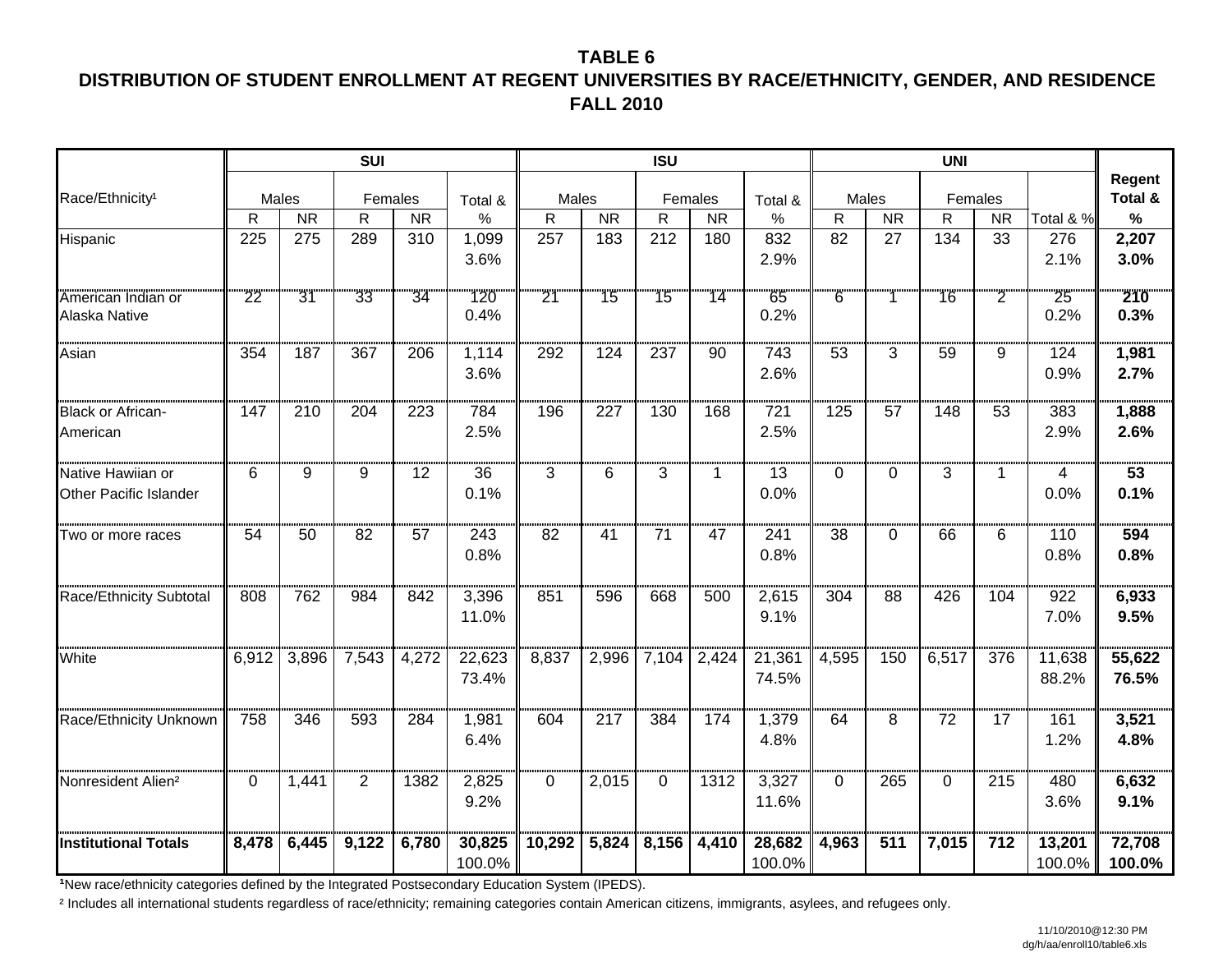## **TABLE 6DISTRIBUTION OF STUDENT ENROLLMENT AT REGENT UNIVERSITIES BY RACE/ETHNICITY, GENDER, AND RESIDENCE FALL 2010**

|                                             |          |                                     | <b>SUI</b>     |                        |                  |        |                        | <b>ISU</b> |                        |                  |                |                        | <b>UNI</b>      |                                     |                  |                   |
|---------------------------------------------|----------|-------------------------------------|----------------|------------------------|------------------|--------|------------------------|------------|------------------------|------------------|----------------|------------------------|-----------------|-------------------------------------|------------------|-------------------|
| Race/Ethnicity <sup>1</sup>                 |          | Males                               | Females        |                        | Total &          | Males  |                        |            | Females                | Total &          | Males          |                        |                 | Females                             |                  | Regent<br>Total & |
|                                             | R        | $\overline{\overline{\mathsf{NR}}}$ | R              | $\overline{\text{NR}}$ | $\%$             | R      | $\overline{\text{NR}}$ | R          | $\overline{\text{NR}}$ | $\%$             | $\mathsf{R}$   | $\overline{\text{NR}}$ | $\mathsf{R}$    | $\overline{\overline{\mathsf{NR}}}$ | Total & %        | $\%$              |
| Hispanic                                    | 225      | 275                                 | 289            | 310                    | 1,099            | 257    | 183                    | 212        | 180                    | 832              | 82             | 27                     | 134             | 33                                  | 276              | 2,207             |
|                                             |          |                                     |                |                        | 3.6%             |        |                        |            |                        | 2.9%             |                |                        |                 |                                     | 2.1%             | 3.0%              |
| American Indian or<br>Alaska Native         | 22       | 31                                  | 33             | 34                     | 120<br>0.4%      | 21     | 15                     | 15         | 14                     | 65<br>0.2%       | $\overline{6}$ |                        | 16              | $\overline{2}$                      | 25<br>0.2%       | 210<br>0.3%       |
| Asian                                       | 354      | 187                                 | 367            | 206                    | 1,114<br>3.6%    | 292    | 124                    | 237        | 90                     | 743<br>2.6%      | 53             | 3                      | 59              | 9                                   | 124<br>0.9%      | 1,981<br>2.7%     |
| <b>Black or African-</b><br>American        | 147      | 210                                 | 204            | 223                    | 784<br>2.5%      | 196    | 227                    | 130        | 168                    | 721<br>2.5%      | 125            | 57                     | 148             | 53                                  | 383<br>2.9%      | 1,888<br>2.6%     |
| Native Hawiian or<br>Other Pacific Islander | 6        | 9                                   | 9              | 12                     | 36<br>0.1%       | 3      | 6                      | 3          | $\mathbf{1}$           | 13<br>0.0%       | 0              | $\Omega$               | 3               | 1.                                  | 4<br>0.0%        | 53<br>0.1%        |
| Two or more races                           | 54       | 50                                  | 82             | 57                     | 243<br>0.8%      | 82     | 41                     | 71         | 47                     | 241<br>0.8%      | 38             | 0                      | 66              | 6                                   | 110<br>0.8%      | 594<br>0.8%       |
| Race/Ethnicity Subtotal                     | 808      | 762                                 | 984            | 842                    | 3,396<br>11.0%   | 851    | 596                    | 668        | 500                    | 2,615<br>9.1%    | 304            | 88                     | 426             | 104                                 | 922<br>7.0%      | 6,933<br>9.5%     |
| White                                       | 6,912    | 3,896                               | 7,543          | 4,272                  | 22,623<br>73.4%  | 8,837  | 2,996                  | 7,104      | 2,424                  | 21,361<br>74.5%  | 4,595          | 150                    | 6,517           | 376                                 | 11,638<br>88.2%  | 55,622<br>76.5%   |
| Race/Ethnicity Unknown                      | 758      | 346                                 | 593            | 284                    | 1,981<br>6.4%    | 604    | 217                    | 384        | 174                    | 1,379<br>4.8%    | 64             | 8                      | $\overline{72}$ | 17                                  | 161<br>1.2%      | 3,521<br>4.8%     |
| Nonresident Alien <sup>2</sup>              | $\Omega$ | 1,441                               | $\overline{2}$ | 1382                   | 2,825<br>9.2%    | 0      | 2,015                  | $\Omega$   | 1312                   | 3,327<br>11.6%   | $\Omega$       | 265                    | $\Omega$        | 215                                 | 480<br>3.6%      | 6,632<br>9.1%     |
| <b>Institutional Totals</b>                 | 8,478    | 6,445                               | 9,122          | 6,780                  | 30,825<br>100.0% | 10,292 | 5,824                  | 8,156      | 4,410                  | 28,682<br>100.0% | 4,963          | 511                    | 7,015           | 712                                 | 13,201<br>100.0% | 72,708<br>100.0%  |

**1New race/ethnicity categories defined by the Integrated Postsecondary Education System (IPEDS).** 

² Includes all international students regardless of race/ethnicity; remaining categories contain American citizens, immigrants, asylees, and refugees only.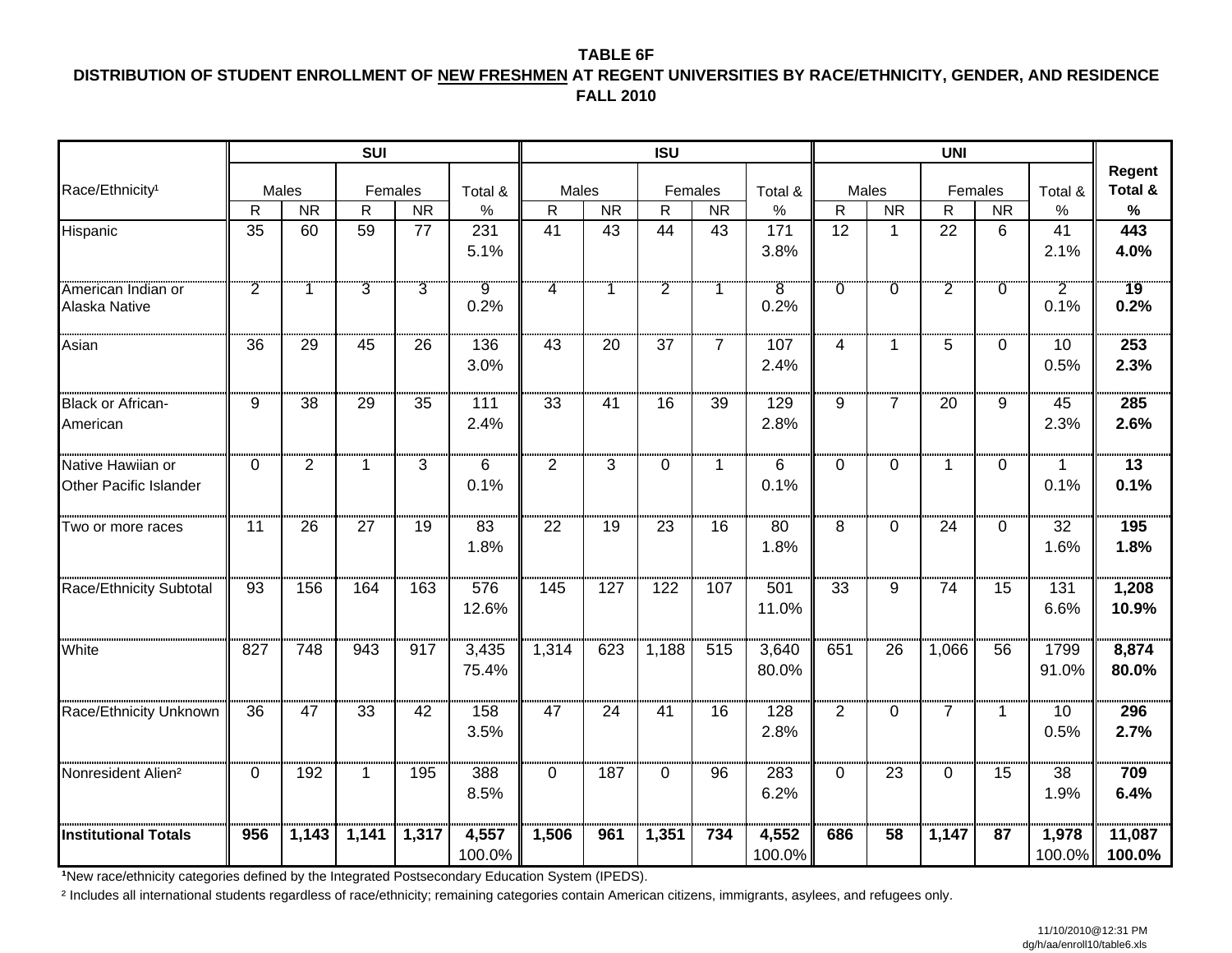#### **TABLE 6F DISTRIBUTION OF STUDENT ENROLLMENT OF NEW FRESHMEN AT REGENT UNIVERSITIES BY RACE/ETHNICITY, GENDER, AND RESIDENCE FALL 2010**

|                                             |                 |                | <b>SUI</b>      |                        |                 |                 |           | <b>ISU</b>     |                |                         |                |                | <b>UNI</b>     |                |                        |                         |
|---------------------------------------------|-----------------|----------------|-----------------|------------------------|-----------------|-----------------|-----------|----------------|----------------|-------------------------|----------------|----------------|----------------|----------------|------------------------|-------------------------|
| Race/Ethnicity <sup>1</sup>                 |                 | Males          | Females         |                        | Total &         | Males           |           | Females        |                | Total &                 | Males          |                |                | Females        | Total &                | Regent<br>Total &       |
|                                             | R               | <b>NR</b>      | R               | $\overline{\text{NR}}$ | %               | $\mathsf{R}$    | <b>NR</b> | R              | <b>NR</b>      | $\%$                    | $\mathsf{R}$   | <b>NR</b>      | R              | <b>NR</b>      | $\%$                   | $\%$                    |
| Hispanic                                    | $\overline{35}$ | 60             | 59              | 77                     | 231             | 41              | 43        | 44             | 43             | 171                     | 12             | $\mathbf{1}$   | 22             | 6              | 41                     | 443                     |
|                                             |                 |                |                 |                        | 5.1%            |                 |           |                |                | 3.8%                    |                |                |                |                | 2.1%                   | 4.0%                    |
| American Indian or<br>Alaska Native         | $\overline{2}$  |                | $\overline{3}$  | $\overline{3}$         | .<br>9<br>0.2%  | 4               |           | $\overline{2}$ | 1              | $\overline{8}$<br>0.2%  | $\overline{0}$ | Ö              | $\overline{2}$ | $\overline{0}$ | $\overline{2}$<br>0.1% | 19<br>0.2%              |
| Asian                                       | 36              | 29             | 45              | 26                     | 136<br>3.0%     | 43              | 20        | 37             | $\overline{7}$ | 107<br>2.4%             | 4              | $\mathbf{1}$   | 5              | $\Omega$       | 10<br>0.5%             | 253<br>2.3%             |
| <b>Black or African-</b><br>American        | 9               | 38             | 29              | 35                     | 111<br>2.4%     | 33              | 41        | 16             | 39             | 129<br>2.8%             | 9              | $\overline{7}$ | 20             | 9              | 45<br>2.3%             | 285<br>2.6%             |
| Native Hawiian or<br>Other Pacific Islander | $\Omega$        | $\overline{2}$ | $\mathbf 1$     | 3                      | 6<br>0.1%       | $\overline{2}$  | 3         | $\Omega$       | 1              | 6<br>0.1%               | $\Omega$       | 0              | $\mathbf 1$    | $\Omega$       | 1<br>0.1%              | $\overline{13}$<br>0.1% |
| Two or more races                           | 11              | 26             | 27              | 19                     | 83<br>1.8%      | 22              | 19        | 23             | 16             | 80<br>1.8%              | 8              | $\Omega$       | 24             | $\Omega$       | 32<br>1.6%             | 195<br>1.8%             |
| Race/Ethnicity Subtotal                     | 93              | 156            | 164             | 163                    | 576<br>12.6%    | 145             | 127       | 122            | 107            | 501<br>11.0%            | 33             | 9              | 74             | 15             | 131<br>6.6%            | 1,208<br>10.9%          |
| White                                       | 827             | 748            | 943             | 917                    | 3,435<br>75.4%  | 1,314           | 623       | 1,188          | 515            | 3,640<br>80.0%          | 651            | 26             | 1,066          | 56             | 1799<br>91.0%          | 8,874<br>80.0%          |
| Race/Ethnicity Unknown                      | 36              | 47             | $\overline{33}$ | 42                     | 158<br>3.5%     | $\overline{47}$ | 24        | 41             | 16             | $\frac{1}{128}$<br>2.8% | $\overline{2}$ | 0              | $\overline{7}$ | $\mathbf 1$    | 10<br>0.5%             | 296<br>2.7%             |
| Nonresident Alien <sup>2</sup>              | $\mathbf{0}$    | 192            | $\mathbf 1$     | 195                    | 388<br>8.5%     | $\Omega$        | 187       | $\Omega$       | 96             | 283<br>6.2%             | $\Omega$       | 23             | $\Omega$       | 15             | 38<br>1.9%             | 709<br>6.4%             |
| <b>Institutional Totals</b>                 | 956             | 1,143          | 1,141           | 1,317                  | 4,557<br>100.0% | 1,506           | 961       | 1,351          | 734            | 4,552<br>100.0%         | 686            | 58             | 1,147          | 87             | 1,978<br>100.0%        | 11,087<br>100.0%        |

**<sup>¹</sup>**New race/ethnicity categories defined by the Integrated Postsecondary Education System (IPEDS).

² Includes all international students regardless of race/ethnicity; remaining categories contain American citizens, immigrants, asylees, and refugees only.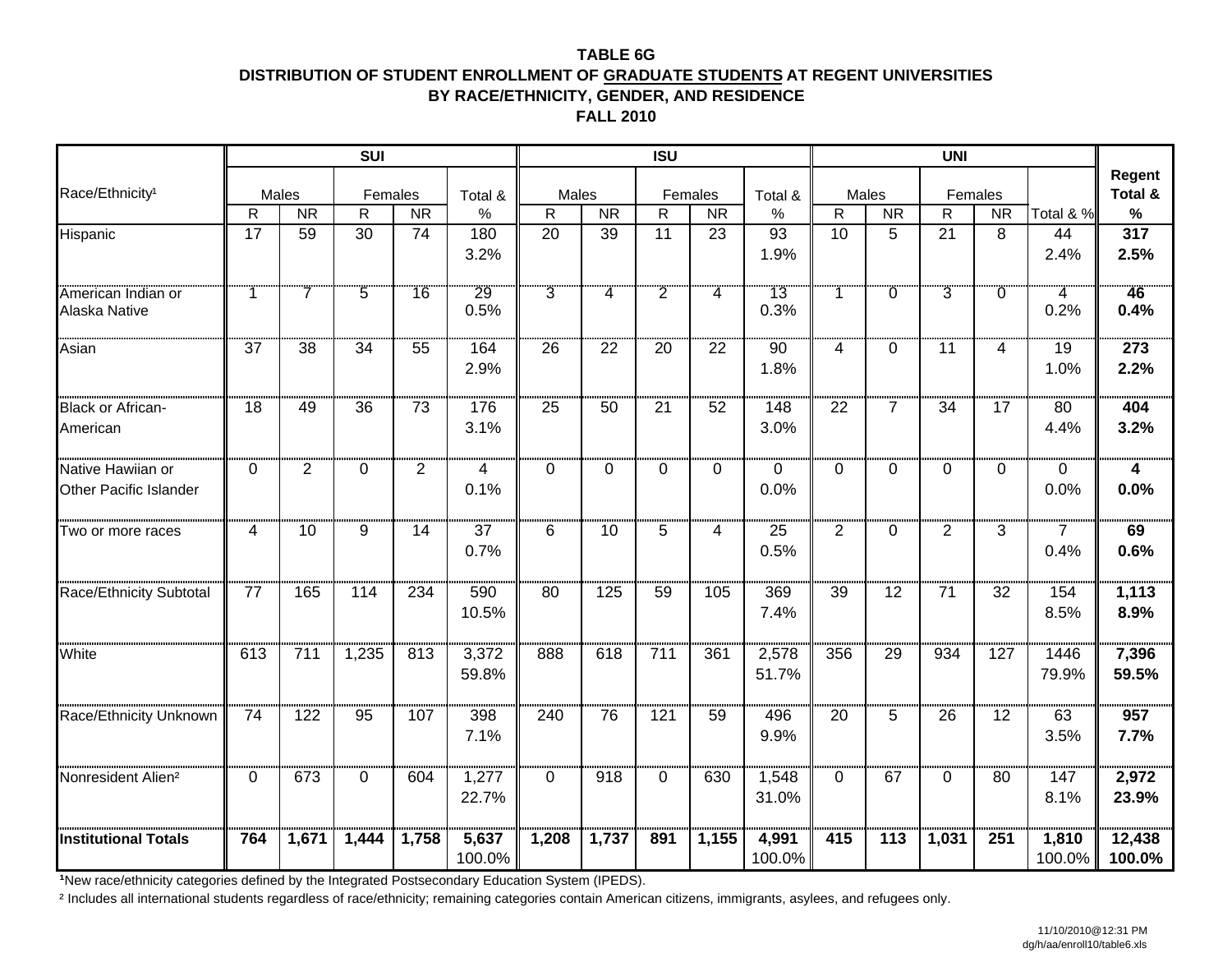#### **TABLE 6GDISTRIBUTION OF STUDENT ENROLLMENT OF GRADUATE STUDENTS AT REGENT UNIVERSITIES BY RACE/ETHNICITY, GENDER, AND RESIDENCE**

**FALL 2010**

|                                             |              |                | <b>SUI</b>      |                 |                 |                 |           | <b>ISU</b>     |           |                 |                |                | UNI            |                |                        |                   |
|---------------------------------------------|--------------|----------------|-----------------|-----------------|-----------------|-----------------|-----------|----------------|-----------|-----------------|----------------|----------------|----------------|----------------|------------------------|-------------------|
| Race/Ethnicity <sup>1</sup>                 |              | Males          | Females         |                 | Total &         | Males           |           |                | Females   | Total &         | Males          |                | Females        |                |                        | Regent<br>Total & |
|                                             | $\mathsf{R}$ | <b>NR</b>      | ${\sf R}$       | <b>NR</b>       | %               | $\mathsf{R}$    | <b>NR</b> | $\mathsf{R}$   | <b>NR</b> | $\%$            | $\mathsf R$    | <b>NR</b>      | $\mathsf R$    | <b>NR</b>      | Total & %              | $\%$              |
| Hispanic                                    | 17           | 59             | $\overline{30}$ | 74              | 180             | 20              | 39        | 11             | 23        | 93              | 10             | 5              | 21             | 8              | 44                     | 317               |
|                                             |              |                |                 |                 | 3.2%            |                 |           |                |           | 1.9%            |                |                |                |                | 2.4%                   | 2.5%              |
| American Indian or<br>Alaska Native         |              | $\overline{7}$ | $\overline{5}$  | 16              | 29<br>0.5%      | $\overline{3}$  | 4         | $\overline{2}$ | 4         | 13<br>0.3%      |                | $\overline{0}$ | $\overline{3}$ | $\overline{0}$ | 4<br>0.2%              | 46<br>0.4%        |
| Asian                                       | 37           | 38             | 34              | .<br>55         | 164<br>2.9%     | 26              | 22        | 20             | 22        | .<br>90<br>1.8% | 4              | 0              | 11             | 4              | 19<br>1.0%             | 273<br>2.2%       |
| <b>Black or African-</b><br>American        | 18           | 49             | $\overline{36}$ | $\overline{73}$ | 176<br>3.1%     | $\overline{25}$ | 50        | 21             | 52        | 148<br>3.0%     | 22             | $\overline{7}$ | 34             | 17             | 80<br>4.4%             | 404<br>3.2%       |
| Native Hawiian or<br>Other Pacific Islander | $\Omega$     | $\overline{2}$ | $\Omega$        | 2               | 4<br>0.1%       | $\Omega$        | $\Omega$  | $\Omega$       | $\Omega$  | 0<br>0.0%       | $\Omega$       | 0              | $\Omega$       | 0              | 0<br>0.0%              | 4<br>0.0%         |
| Two or more races                           | 4            | 10             | 9               | 14              | 37<br>0.7%      | 6               | 10        | 5              | 4         | 25<br>0.5%      | $\overline{2}$ | $\Omega$       | $\overline{2}$ | 3              | $\overline{7}$<br>0.4% | 69<br>0.6%        |
| Race/Ethnicity Subtotal                     | 77           | 165            | 114             | 234             | 590<br>10.5%    | 80              | 125       | 59             | 105       | 369<br>7.4%     | 39             | 12             | 71             | 32             | 154<br>8.5%            | 1,113<br>8.9%     |
| White                                       | 613          | 711            | 1,235           | 813             | 3,372<br>59.8%  | 888             | 618       | 711            | 361       | 2,578<br>51.7%  | 356            | 29             | 934            | 127            | 1446<br>79.9%          | 7,396<br>59.5%    |
| Race/Ethnicity Unknown                      | 74           | 122            | 95              | 107             | 398<br>7.1%     | 240             | 76        | 121            | 59        | 496<br>9.9%     | 20             | 5              | 26             | 12             | 63<br>3.5%             | 957<br>7.7%       |
| Nonresident Alien <sup>2</sup>              | 0            | 673            | 0               | 604             | 1,277<br>22.7%  | 0               | 918       | $\Omega$       | 630       | 1,548<br>31.0%  | $\Omega$       | 67             | 0              | 80             | 147<br>8.1%            | 2,972<br>23.9%    |
| <b>Institutional Totals</b>                 | 764          | 1,671          | 1,444           | 1,758           | 5,637<br>100.0% | 1,208           | 1,737     | 891            | 1,155     | 4,991<br>100.0% | 415            | 113            | 1,031          | 251            | 1,810<br>100.0%        | 12,438<br>100.0%  |

**<sup>¹</sup>**New race/ethnicity categories defined by the Integrated Postsecondary Education System (IPEDS).

<sup>2</sup> Includes all international students regardless of race/ethnicity; remaining categories contain American citizens, immigrants, asylees, and refugees only.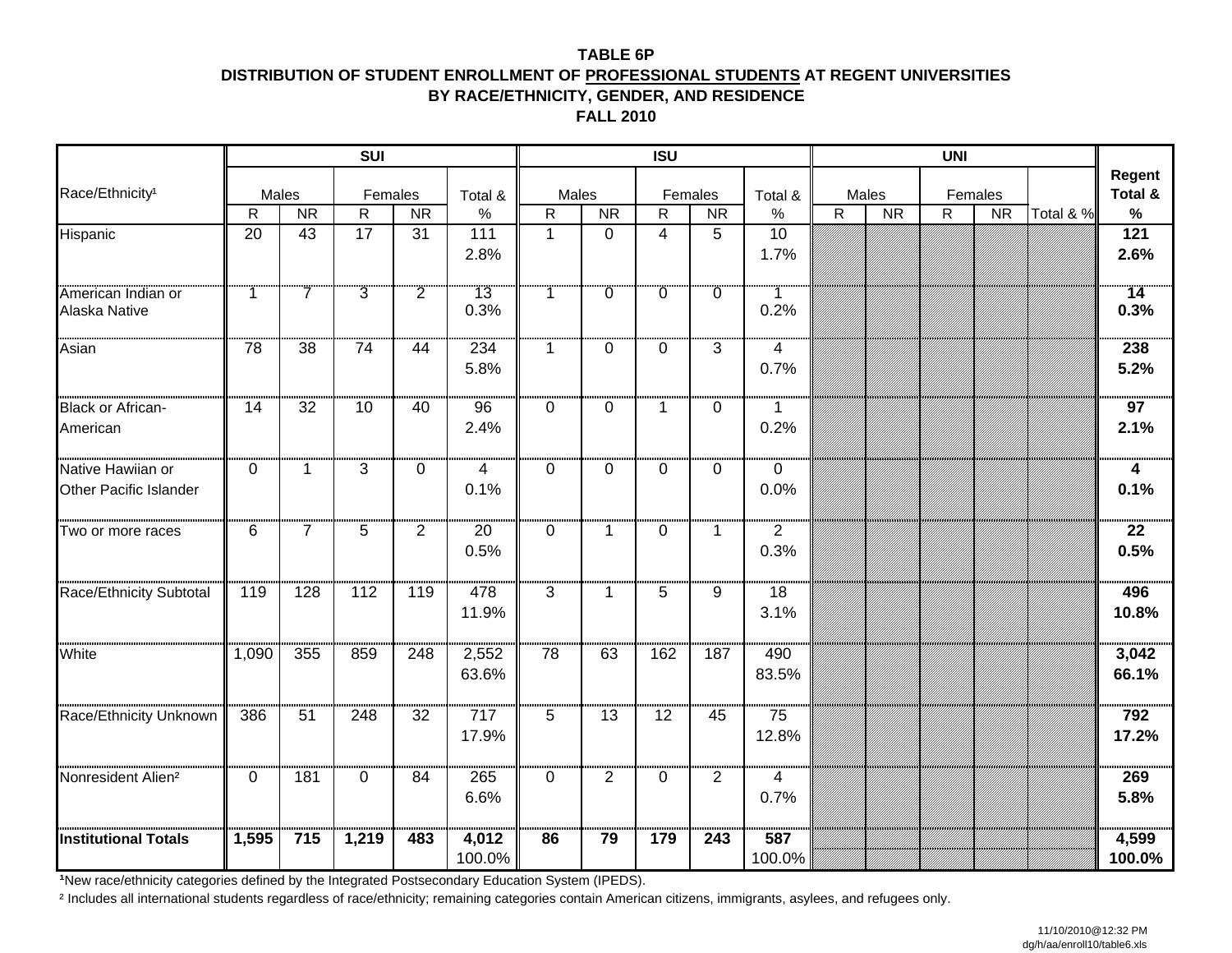#### **TABLE 6PDISTRIBUTION OF STUDENT ENROLLMENT OF PROFESSIONAL STUDENTS AT REGENT UNIVERSITIES BY RACE/ETHNICITY, GENDER, AND RESIDENCE**

**FALL 2010**

|                                                    |              |                | SUI            |                |                 |              |           | <b>ISU</b>     |                |                        |              |           | <b>UNI</b>   |           |           |                   |
|----------------------------------------------------|--------------|----------------|----------------|----------------|-----------------|--------------|-----------|----------------|----------------|------------------------|--------------|-----------|--------------|-----------|-----------|-------------------|
| Race/Ethnicity <sup>1</sup>                        |              | Males          | Females        |                | Total &         | Males        |           |                | Females        | Total &                |              | Males     |              | Females   |           | Regent<br>Total & |
|                                                    | $\mathsf{R}$ | <b>NR</b>      | $\mathsf{R}$   | <b>NR</b>      | $\%$            | R            | <b>NR</b> | $\mathsf{R}$   | <b>NR</b>      | $\%$                   | $\mathsf{R}$ | <b>NR</b> | $\mathsf{R}$ | <b>NR</b> | Total & % | $\%$              |
| Hispanic                                           | 20           | 43             | 17             | 31             | 111<br>2.8%     | $\mathbf{1}$ | $\Omega$  | $\overline{4}$ | 5              | $10$<br>1.7%           |              |           |              |           |           | 121<br>2.6%       |
| American Indian or<br>Alaska Native                | 1            | $\overline{7}$ | $\overline{3}$ | $\overline{2}$ | 13<br>0.3%      | 1            |           | -0             | $\overline{0}$ | T<br>0.2%              |              |           |              |           |           | $14$<br>0.3%      |
| Asian                                              | 78           | 38             | 74             | 44             | 234<br>5.8%     | 1            | 0         | $\Omega$       | 3              | $\overline{4}$<br>0.7% |              |           |              |           |           | 238<br>5.2%       |
| <b>Black or African-</b><br>American               | 14           | 32             | 10             | 40             | 96<br>2.4%      | $\Omega$     | $\Omega$  | $\mathbf{1}$   | 0              | $\mathbf{1}$<br>0.2%   |              |           |              |           |           | 97<br>2.1%        |
| Native Hawiian or<br><b>Other Pacific Islander</b> | $\Omega$     | $\mathbf 1$    | 3              | 0              | 4<br>0.1%       | $\Omega$     | $\Omega$  | $\Omega$       | 0              | $\mathbf 0$<br>0.0%    |              |           |              |           |           | 4<br>0.1%         |
| Two or more races                                  | 6            | $\overline{7}$ | 5              | $\overline{2}$ | 20<br>0.5%      | $\Omega$     | 1.        | $\mathbf 0$    | $\mathbf{1}$   | $\overline{2}$<br>0.3% |              |           |              |           |           | 22<br>0.5%        |
| Race/Ethnicity Subtotal                            | 119          | 128            | 112            | 119            | 478<br>11.9%    | 3            | 1.        | 5              | 9              | 18<br>3.1%             |              |           |              |           |           | 496<br>10.8%      |
| White                                              | 1,090        | 355            | 859            | 248            | 2,552<br>63.6%  | 78           | 63        | 162            | 187            | 490<br>83.5%           |              |           |              |           |           | 3,042<br>66.1%    |
| Race/Ethnicity Unknown                             | 386          | 51             | 248            | 32             | 717<br>17.9%    | 5            | 13        | 12             | 45             | 75<br>12.8%            |              |           |              |           |           | 792<br>17.2%      |
| Nonresident Alien <sup>2</sup>                     | $\mathbf{0}$ | 181            | 0              | 84             | 265<br>6.6%     | 0            | <br>2     | 0              | $\overline{2}$ | 4<br>0.7%              |              |           |              |           |           | 269<br>5.8%       |
| <b>Institutional Totals</b>                        | 1,595        | 715            | 1,219          | 483            | 4,012<br>100.0% | 86           | 79        | 179            | 243            | 587<br>100.0%          |              |           |              |           |           | 4,599<br>100.0%   |

**<sup>¹</sup>**New race/ethnicity categories defined by the Integrated Postsecondary Education System (IPEDS).

<sup>2</sup> Includes all international students regardless of race/ethnicity; remaining categories contain American citizens, immigrants, asylees, and refugees only.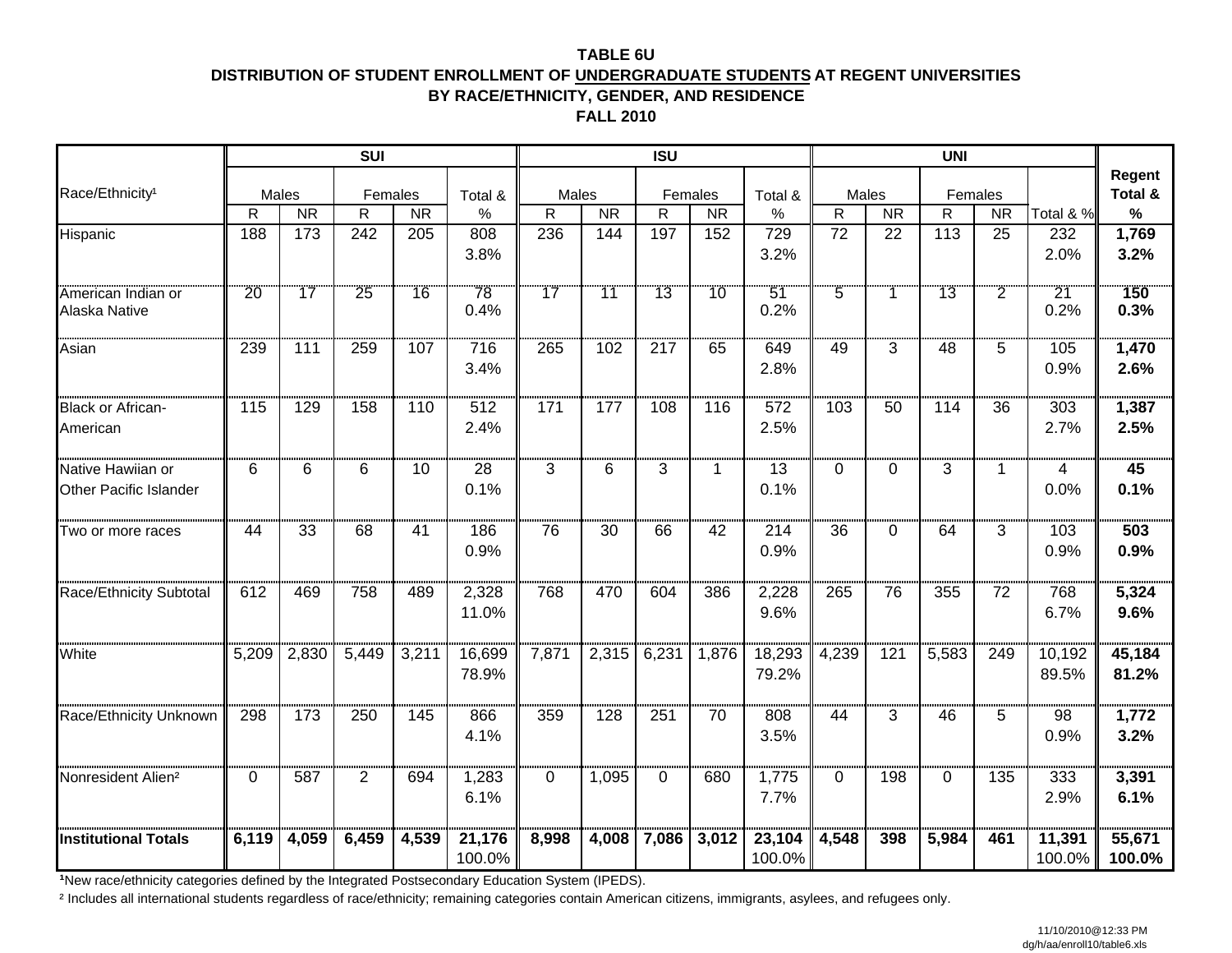#### **TABLE 6UDISTRIBUTION OF STUDENT ENROLLMENT OF UNDERGRADUATE STUDENTS AT REGENT UNIVERSITIES BY RACE/ETHNICITY, GENDER, AND RESIDENCE**

**FALL 2010**

|                                             |                 |           | <b>SUI</b> |           |                  |           |           | <b>ISU</b>  |             |                  |                 |           | <b>UNI</b> |                |                  |                   |
|---------------------------------------------|-----------------|-----------|------------|-----------|------------------|-----------|-----------|-------------|-------------|------------------|-----------------|-----------|------------|----------------|------------------|-------------------|
| Race/Ethnicity <sup>1</sup>                 |                 | Males     | Females    |           | Total &          | Males     |           |             | Females     | Total &          | Males           |           |            | Females        |                  | Regent<br>Total & |
|                                             | $\mathsf{R}$    | <b>NR</b> | R          | <b>NR</b> | $\%$             | ${\sf R}$ | <b>NR</b> | $\mathsf R$ | <b>NR</b>   | $\%$             | $\mathsf{R}$    | <b>NR</b> | ${\sf R}$  | <b>NR</b>      | Total & %        | $\%$              |
| Hispanic                                    | 188             | 173       | 242        | 205       | 808              | 236       | 144       | 197         | 152         | 729              | $\overline{72}$ | 22        | 113        | 25             | 232              | 1,769             |
|                                             |                 |           |            |           | 3.8%             |           |           |             |             | 3.2%             |                 |           |            |                | 2.0%             | 3.2%              |
| American Indian or<br>Alaska Native         | $\overline{20}$ | 17        | 25         | 16        | 78<br>0.4%       | 17        | ้11       | 13          | 10          | 51<br>0.2%       | $\overline{5}$  |           | 13         | $\overline{2}$ | 21<br>0.2%       | 150<br>0.3%       |
| Asian                                       | 239             | 111       | 259        | 107       | 716<br>3.4%      | 265       | 102       | 217         | 65          | 649<br>2.8%      | .<br>49         | 3         | 48         | 5.             | 105<br>0.9%      | 1,470<br>2.6%     |
| <b>Black or African-</b><br>American        | 115             | 129       | 158        | 110       | 512<br>2.4%      | 171       | 177       | 108         | 116         | 572<br>2.5%      | 103             | 50        | 114        | 36             | 303<br>2.7%      | 1,387<br>2.5%     |
| Native Hawiian or<br>Other Pacific Islander | 6               | 6         | 6          | 10        | 28<br>0.1%       | 3         | 6         | 3           | $\mathbf 1$ | 13<br>0.1%       | $\Omega$        | 0         | 3          | 1.             | 4<br>0.0%        | 45<br>0.1%        |
| Two or more races                           | 44              | 33        | 68         | 41        | 186<br>0.9%      | 76        | 30        | 66          | 42          | 214<br>0.9%      | 36              | $\Omega$  | 64         | 3              | 103<br>0.9%      | 503<br>0.9%       |
| Race/Ethnicity Subtotal                     | 612             | 469       | 758        | 489       | 2,328<br>11.0%   | 768       | 470       | 604         | 386         | 2,228<br>9.6%    | 265             | 76        | 355        | 72             | 768<br>6.7%      | 5,324<br>9.6%     |
| White                                       | 5,209           | 2,830     | 5,449      | 3,211     | 16,699<br>78.9%  | 7,871     | 2,315     | 6,231       | 1,876       | 18,293<br>79.2%  | 4,239           | 121       | 5,583      | 249            | 10,192<br>89.5%  | 45,184<br>81.2%   |
| Race/Ethnicity Unknown                      | 298             | 173       | 250        | 145       | 866<br>4.1%      | 359       | 128       | 251         | 70          | 808<br>3.5%      | 44              | 3         | 46         | 5              | 98<br>0.9%       | 1,772<br>3.2%     |
| Nonresident Alien <sup>2</sup>              | 0               | 587       | 2          | 694       | 1,283<br>6.1%    | 0         | 1,095     | $\Omega$    | 680         | 1,775<br>7.7%    | 0               | 198       | 0          | 135            | 333<br>2.9%      | 3,391<br>6.1%     |
| <b>Institutional Totals</b>                 | 6,119           | 4,059     | 6,459      | 4,539     | 21,176<br>100.0% | 8,998     | 4,008     | 7,086       | 3,012       | 23,104<br>100.0% | 4,548           | 398       | 5,984      | 461            | 11,391<br>100.0% | 55,671<br>100.0%  |

**<sup>¹</sup>**New race/ethnicity categories defined by the Integrated Postsecondary Education System (IPEDS).

<sup>2</sup> Includes all international students regardless of race/ethnicity; remaining categories contain American citizens, immigrants, asylees, and refugees only.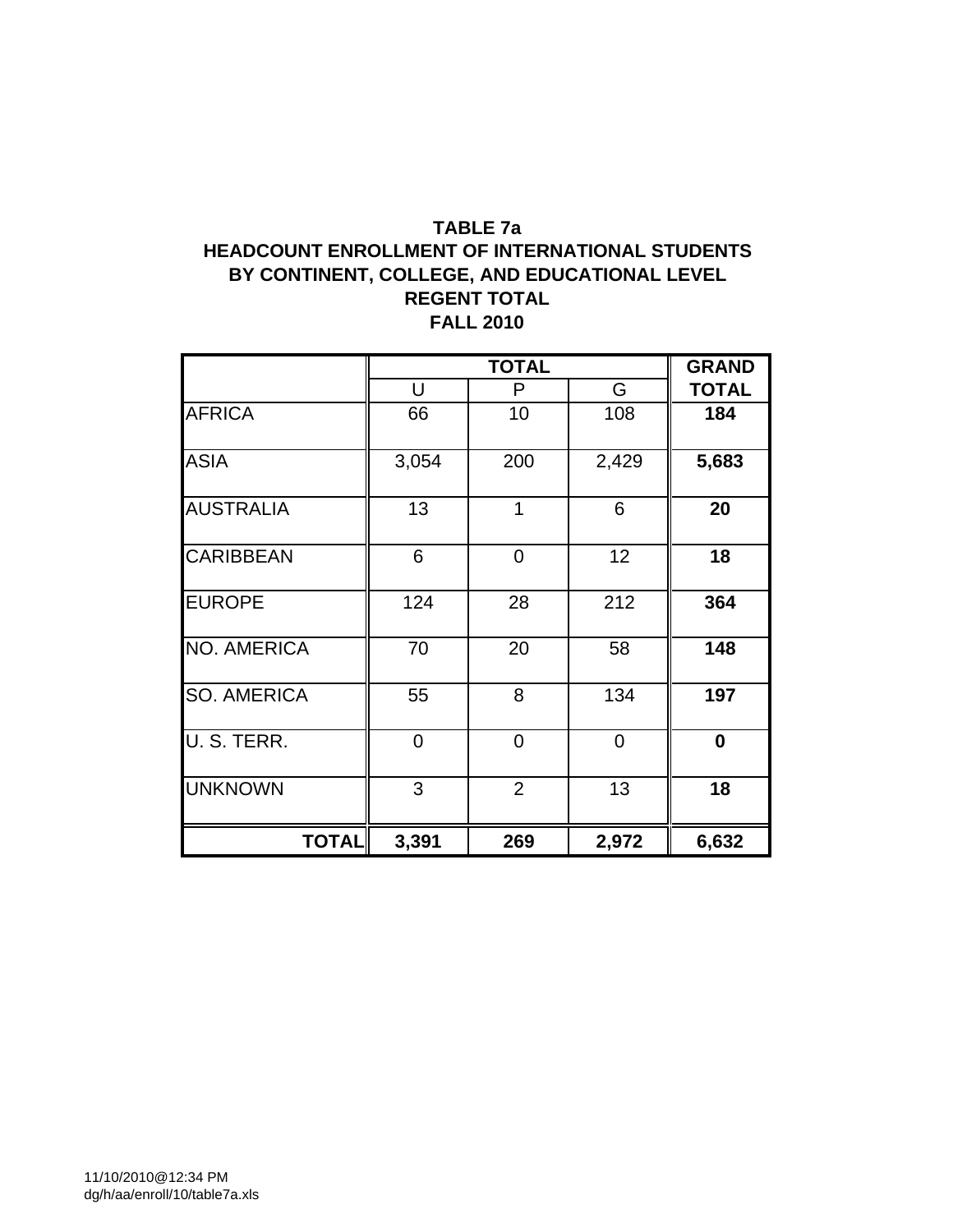## **TABLE 7a HEADCOUNT ENROLLMENT OF INTERNATIONAL STUDENTS BY CONTINENT, COLLEGE, AND EDUCATIONAL LEVEL REGENT TOTAL FALL 2010**

|                    |       | <b>TOTAL</b>   |       | <b>GRAND</b> |
|--------------------|-------|----------------|-------|--------------|
|                    | U     | P              | G     | <b>TOTAL</b> |
| <b>AFRICA</b>      | 66    | 10             | 108   | 184          |
| <b>ASIA</b>        | 3,054 | 200            | 2,429 | 5,683        |
| <b>AUSTRALIA</b>   | 13    | $\overline{1}$ | 6     | 20           |
| <b>CARIBBEAN</b>   | 6     | $\overline{0}$ | 12    | 18           |
| <b>EUROPE</b>      | 124   | 28             | 212   | 364          |
| <b>NO. AMERICA</b> | 70    | 20             | 58    | 148          |
| <b>SO. AMERICA</b> | 55    | 8              | 134   | 197          |
| U.S. TERR.         | 0     | 0              | 0     | 0            |
| <b>UNKNOWN</b>     | 3     | $\overline{2}$ | 13    | 18           |
| <b>TOTAL</b>       | 3,391 | 269            | 2,972 | 6,632        |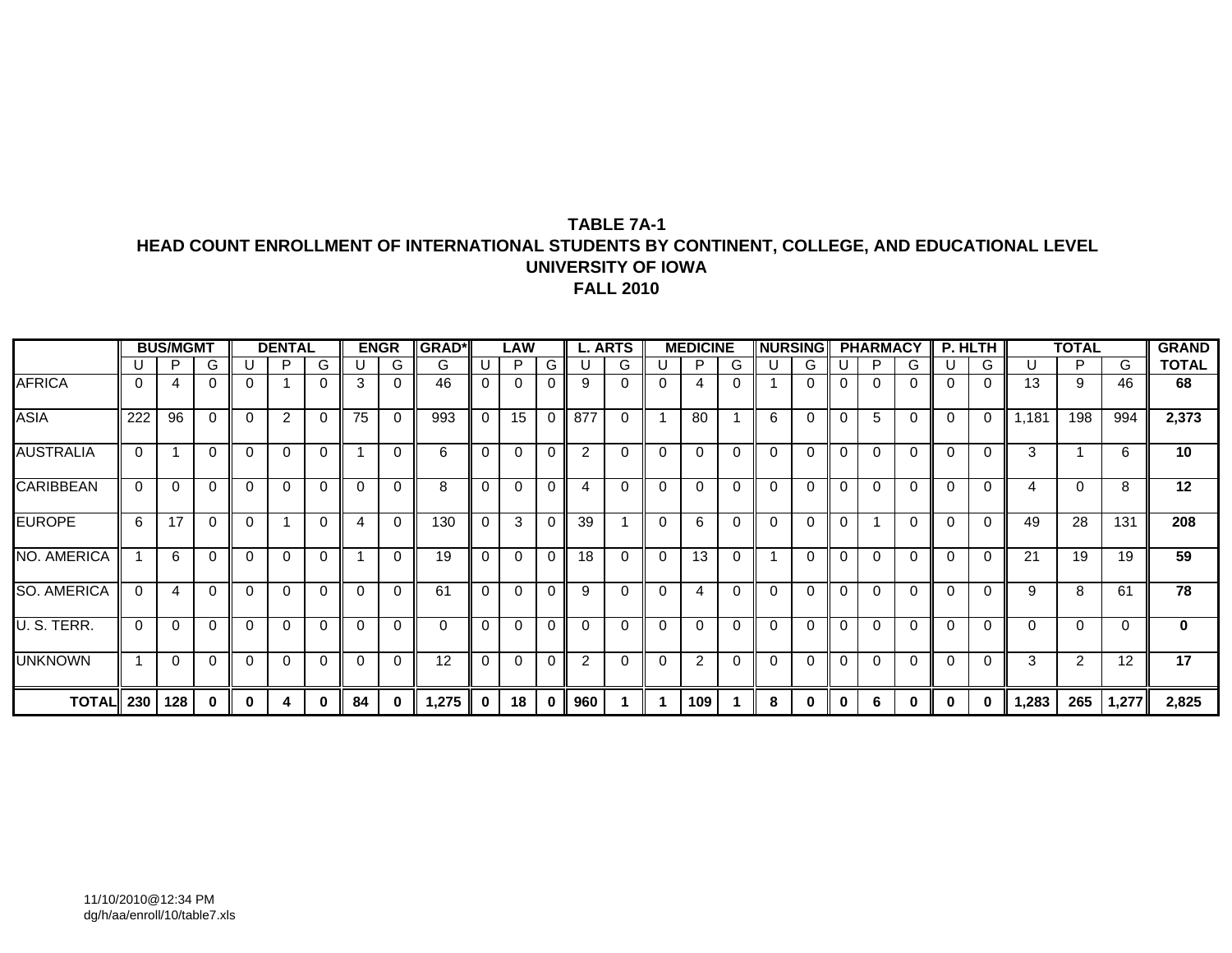#### **TABLE 7A-1HEAD COUNT ENROLLMENT OF INTERNATIONAL STUDENTS BY CONTINENT, COLLEGE, AND EDUCATIONAL LEVEL UNIVERSITY OF IOWAFALL 2010**

|                    |          | <b>BUS/MGMT</b> |              |          | <b>DENTAL</b>  |             |              | <b>ENGR</b> | <b>GRAD*</b> |             | LAW      |              |                | <b>L. ARTS</b> |          | <b>MEDICINE</b> |          | <b>NURSING</b> |          |          | <b>PHARMACY</b> |          |          | P. HLTH      |       | <b>TOTAL</b>   |          | <b>GRAND</b> |
|--------------------|----------|-----------------|--------------|----------|----------------|-------------|--------------|-------------|--------------|-------------|----------|--------------|----------------|----------------|----------|-----------------|----------|----------------|----------|----------|-----------------|----------|----------|--------------|-------|----------------|----------|--------------|
|                    |          | P               | G            |          | P              | G           |              | G           | G            |             | P        | G            |                | G              |          | P               | G        |                | G        |          | P               | G        |          | G            |       | P              | G        | <b>TOTAL</b> |
| <b>AFRICA</b>      | $\Omega$ |                 | $\Omega$     |          |                | $\Omega$    | 3            |             | 46           | $\Omega$    | 0        | $\Omega$     | 9              |                | 0        | 4               |          |                | $\Omega$ |          |                 | 0        |          | $\mathbf 0$  | 13    | 9              | 46       | 68           |
| <b>ASIA</b>        | 222      | 96              | $\Omega$     | 0        | $\overline{2}$ | $\mathbf 0$ | 75           | $\Omega$    | 993          | $\mathbf 0$ | 15       | $\mathbf 0$  | 877            | $\Omega$       |          | 80              |          | 6              | $\Omega$ | $\Omega$ | 5               | 0        | $\Omega$ | $\mathbf 0$  | 1,181 | 198            | 994      | 2,373        |
| <b>AUSTRALIA</b>   | $\Omega$ |                 | $\Omega$     |          | 0              | $\Omega$    |              | $\Omega$    | 6            | $\Omega$    | $\Omega$ | $\Omega$     | $\overline{2}$ |                | 0        | 0               | 0        | $\Omega$       | $\Omega$ | 0        | $\mathsf{C}$    | 0        | 0        | $\Omega$     | 3     |                | 6        | 10           |
| <b>CARIBBEAN</b>   | $\Omega$ | 0               | $\Omega$     | 0        | 0              | $\mathbf 0$ | 0            | $\Omega$    | 8            | $\Omega$    | $\Omega$ | 0            | 4              |                | 0        | $\Omega$        | 0        | $\Omega$       | $\Omega$ | 0        | $\Omega$        | 0        | 0        | 0            | 4     | 0              | 8        | 12           |
| <b>EUROPE</b>      | 6        | 17              | $\mathbf{0}$ | 0        |                | $\Omega$    | 4            | $\Omega$    | 130          | $\Omega$    | 3        | $\Omega$     | 39             |                | $\Omega$ | 6               | 0        | 0              | $\Omega$ | 0        |                 | 0        | 0        | 0            | 49    | 28             | 131      | 208          |
| <b>NO. AMERICA</b> |          | 6               | $\Omega$     | $\Omega$ | 0              | $\Omega$    |              | $\Omega$    | 19           | $\Omega$    | 0        | $\Omega$     | 18             | $\Omega$       | $\Omega$ | 13              | $\Omega$ |                | $\Omega$ | $\Omega$ | $\Omega$        | $\Omega$ | 0        | $\mathbf 0$  | 21    | 19             | 19       | 59           |
| <b>SO. AMERICA</b> | $\Omega$ | 4               | $\Omega$     | 0        | 0              | $\Omega$    | $\mathbf{0}$ | $\Omega$    | 61           | $\Omega$    | $\Omega$ | $\Omega$     | 9              |                | $\Omega$ | 4               | 0        | $\Omega$       | $\Omega$ | $\Omega$ | $\Omega$        | 0        | 0        | $\Omega$     | 9     | 8              | 61       | 78           |
| U. S. TERR.        | $\Omega$ | $\Omega$        | $\Omega$     |          | 0              | 0           | $\Omega$     | $\Omega$    | 0            | $\Omega$    | 0        | 0            | $\Omega$       |                | 0        | $\Omega$        | 0        | $\Omega$       | $\Omega$ | $\Omega$ | $\Omega$        | 0        |          | 0            | 0     | 0              | $\Omega$ | $\mathbf 0$  |
| <b>UNKNOWN</b>     |          | $\Omega$        | $\Omega$     | $\Omega$ | 0              | $\Omega$    | $\Omega$     | $\Omega$    | 12           | $\Omega$    | 0        | $\Omega$     | $\overline{2}$ |                | $\Omega$ | $\overline{2}$  | 0        | $\Omega$       | $\Omega$ | $\Omega$ | $\Omega$        | 0        | 0        | $\mathbf{0}$ | 3     | $\overline{2}$ | 12       | 17           |
| <b>TOTAL</b> 230   |          | 128             | 0            | $\bf{0}$ | 4              | 0           | 84           | 0           | 1,275        | $\bf{0}$    | 18       | $\mathbf{0}$ | 960            |                |          | 109             |          | 8              | $\bf{0}$ | 0        | 6               | $\bf{0}$ | 0        | $\bf{0}$     | 1,283 | 265            | 1,277    | 2,825        |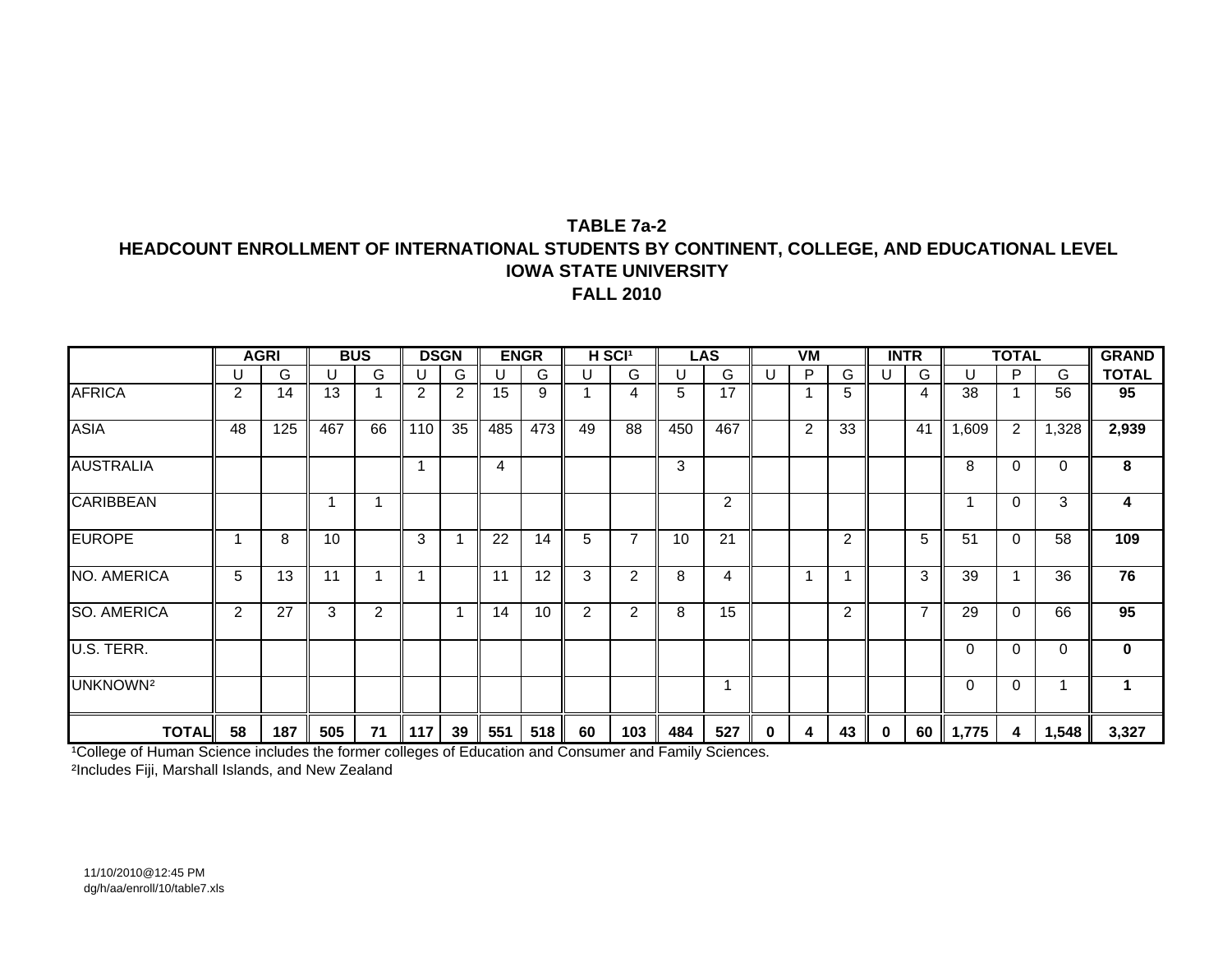### **TABLE 7a-2HEADCOUNT ENROLLMENT OF INTERNATIONAL STUDENTS BY CONTINENT, COLLEGE, AND EDUCATIONAL LEVEL IOWA STATE UNIVERSITYFALL 2010**

|                      |                | <b>AGRI</b> |     | <b>BUS</b> |     | <b>DSGN</b>    |     | <b>ENGR</b> | H SCI <sup>1</sup> |                       |     | <b>LAS</b> |   | <b>VM</b> |                |          | <b>INTR</b>    |          | <b>TOTAL</b> |          | <b>GRAND</b> |
|----------------------|----------------|-------------|-----|------------|-----|----------------|-----|-------------|--------------------|-----------------------|-----|------------|---|-----------|----------------|----------|----------------|----------|--------------|----------|--------------|
|                      |                | G           | U   | G          | U   | G              | U   | G           | U                  | G                     | U   | G          | U | P         | G              | U        | G              | U        | P            | G        | <b>TOTAL</b> |
| <b>AFRICA</b>        | $\overline{2}$ | 14          | 13  |            | 2   | $\overline{2}$ | 15  | 9           |                    | 4                     | 5   | 17         |   |           | 5              |          | 4              | 38       |              | 56       | 95           |
| <b>ASIA</b>          | 48             | 125         | 467 | 66         | 110 | 35             | 485 | 473         | 49                 | 88                    | 450 | 467        |   | 2         | 33             |          | 41             | 1,609    | 2            | 1,328    | 2,939        |
| <b>AUSTRALIA</b>     |                |             |     |            |     |                | 4   |             |                    |                       | 3   |            |   |           |                |          |                | 8        | $\Omega$     | $\Omega$ | 8            |
| <b>CARIBBEAN</b>     |                |             |     |            |     |                |     |             |                    |                       |     | 2          |   |           |                |          |                |          | $\Omega$     | 3        | 4            |
| <b>EUROPE</b>        |                | 8           | 10  |            | 3   |                | 22  | 14          | 5                  | $\overline{7}$        | 10  | 21         |   |           | $\overline{2}$ |          | 5              | 51       | $\Omega$     | 58       | 109          |
| NO. AMERICA          | 5              | 13          | 11  |            |     |                | 11  | 12          | 3                  | 2                     | 8   | 4          |   |           |                |          | 3              | 39       |              | 36       | 76           |
| <b>SO. AMERICA</b>   | $\mathcal{P}$  | 27          | 3   | 2          |     |                | 14  | 10          | 2                  | 2                     | 8   | 15         |   |           | 2              |          | $\overline{7}$ | 29       | $\Omega$     | 66       | 95           |
| U.S. TERR.           |                |             |     |            |     |                |     |             |                    |                       |     |            |   |           |                |          |                | $\Omega$ | $\Omega$     | $\Omega$ | $\mathbf 0$  |
| UNKNOWN <sup>2</sup> |                |             |     |            |     |                |     |             |                    |                       |     |            |   |           |                |          |                | 0        | $\Omega$     |          |              |
| <b>TOTAL</b>         | 58             | 187         | 505 | 71         | 117 | 39             | 551 | 518         | 60                 | 103<br>$\blacksquare$ | 484 | 527        |   | 4         | 43             | $\bf{0}$ | 60             | 1,775    | 4            | 1,548    | 3,327        |

'College of Human Science includes the former colleges of Education and Consumer and Family Sciences. ²Includes Fiji, Marshall Islands, and New Zealand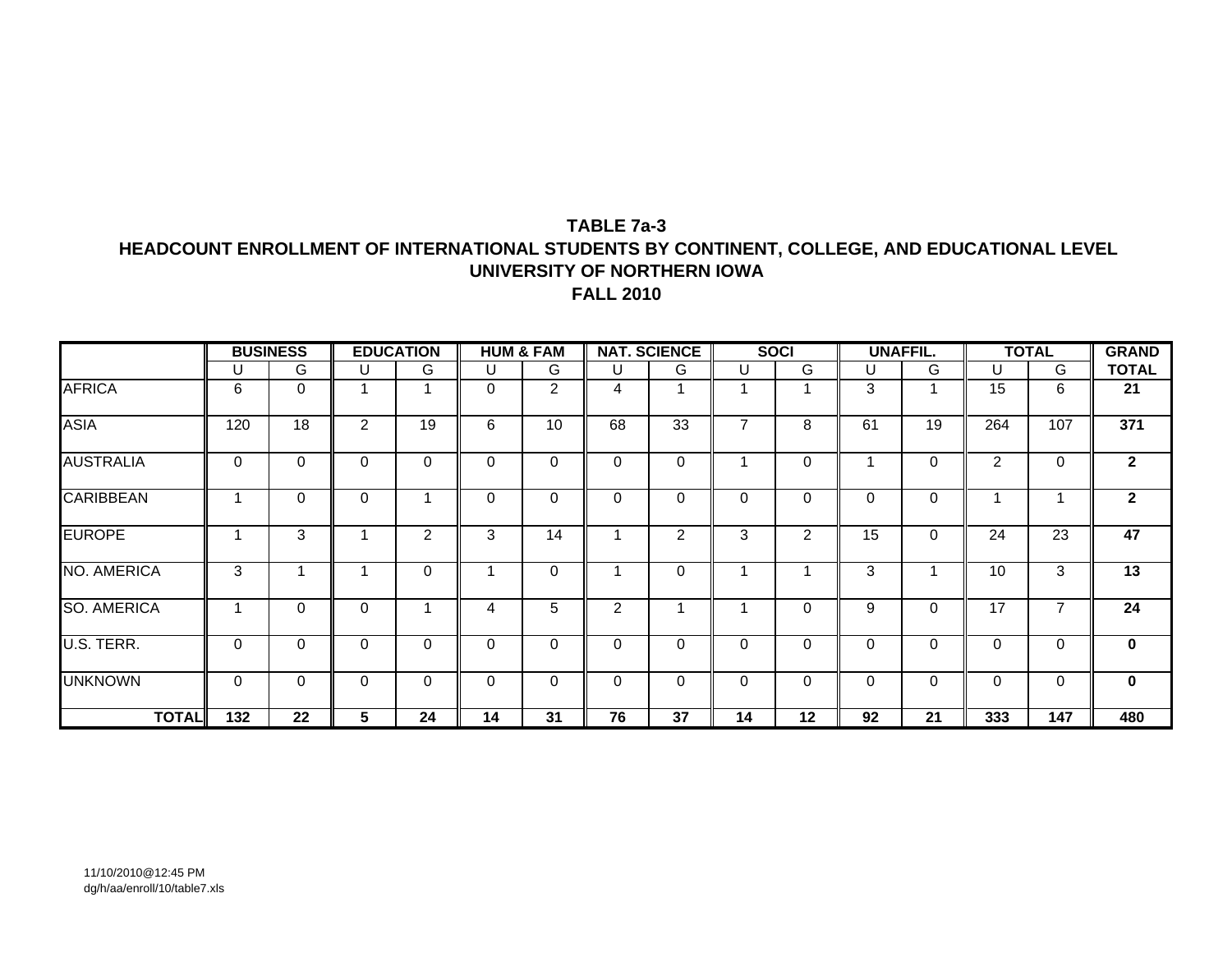#### **TABLE 7a-3HEADCOUNT ENROLLMENT OF INTERNATIONAL STUDENTS BY CONTINENT, COLLEGE, AND EDUCATIONAL LEVEL UNIVERSITY OF NORTHERN IOWA FALL 2010**

|                    |     | <b>BUSINESS</b> |                | <b>EDUCATION</b> |          | <b>HUM &amp; FAM</b> |          | <b>NAT. SCIENCE</b> |                | <b>SOCI</b> |             | <b>UNAFFIL.</b> |          | <b>TOTAL</b> | <b>GRAND</b> |
|--------------------|-----|-----------------|----------------|------------------|----------|----------------------|----------|---------------------|----------------|-------------|-------------|-----------------|----------|--------------|--------------|
|                    | U   | G               | U              | G                | U        | G                    | U        | G                   | $\cup$         | G           | U           | G               | U        | G            | <b>TOTAL</b> |
| <b>AFRICA</b>      | 6   | $\mathbf 0$     |                |                  | $\Omega$ | $\overline{2}$       | 4        |                     |                |             | 3           |                 | 15       | 6            | 21           |
| <b>ASIA</b>        | 120 | 18              | $\overline{2}$ | 19               | 6        | 10                   | 68       | 33                  | $\overline{7}$ | 8           | 61          | 19              | 264      | 107          | 371          |
| <b>AUSTRALIA</b>   | 0   | $\mathbf 0$     | 0              | 0                | 0        | $\Omega$             | $\Omega$ | 0                   |                | 0           |             | $\mathbf 0$     | 2        | 0            | $\mathbf{2}$ |
| <b>CARIBBEAN</b>   |     | $\mathbf 0$     | 0              |                  | 0        | $\Omega$             | $\Omega$ | $\mathbf 0$         | $\mathbf 0$    | 0           | $\mathbf 0$ | $\mathbf 0$     |          |              | $\mathbf{2}$ |
| <b>EUROPE</b>      |     | 3               |                | 2                | 3        | 14                   |          | $\overline{2}$      | 3              | 2           | 15          | $\mathbf 0$     | 24       | 23           | 47           |
| NO. AMERICA        | 3   |                 |                | 0                |          | 0                    |          | $\Omega$            |                |             | 3           |                 | 10       | 3            | 13           |
| <b>SO. AMERICA</b> |     | $\mathbf 0$     | 0              |                  | 4        | 5                    | 2        |                     |                | 0           | 9           | $\mathbf 0$     | 17       |              | 24           |
| U.S. TERR.         | 0   | $\mathbf 0$     | 0              | $\Omega$         | $\Omega$ | $\Omega$             | $\Omega$ | 0                   | $\Omega$       | 0           | $\Omega$    | $\mathbf 0$     | $\Omega$ |              | $\mathbf{0}$ |
| <b>UNKNOWN</b>     | 0   | $\mathbf 0$     | 0              | $\mathbf 0$      | 0        | 0                    | $\Omega$ | 0                   | $\Omega$       | 0           | $\mathbf 0$ | 0               | 0        | 0            | $\mathbf 0$  |
| <b>TOTAL</b>       | 132 | 22              | 5              | 24               | 14       | 31                   | 76       | 37                  | 14             | $12 \,$     | 92          | 21              | 333      | 147          | 480          |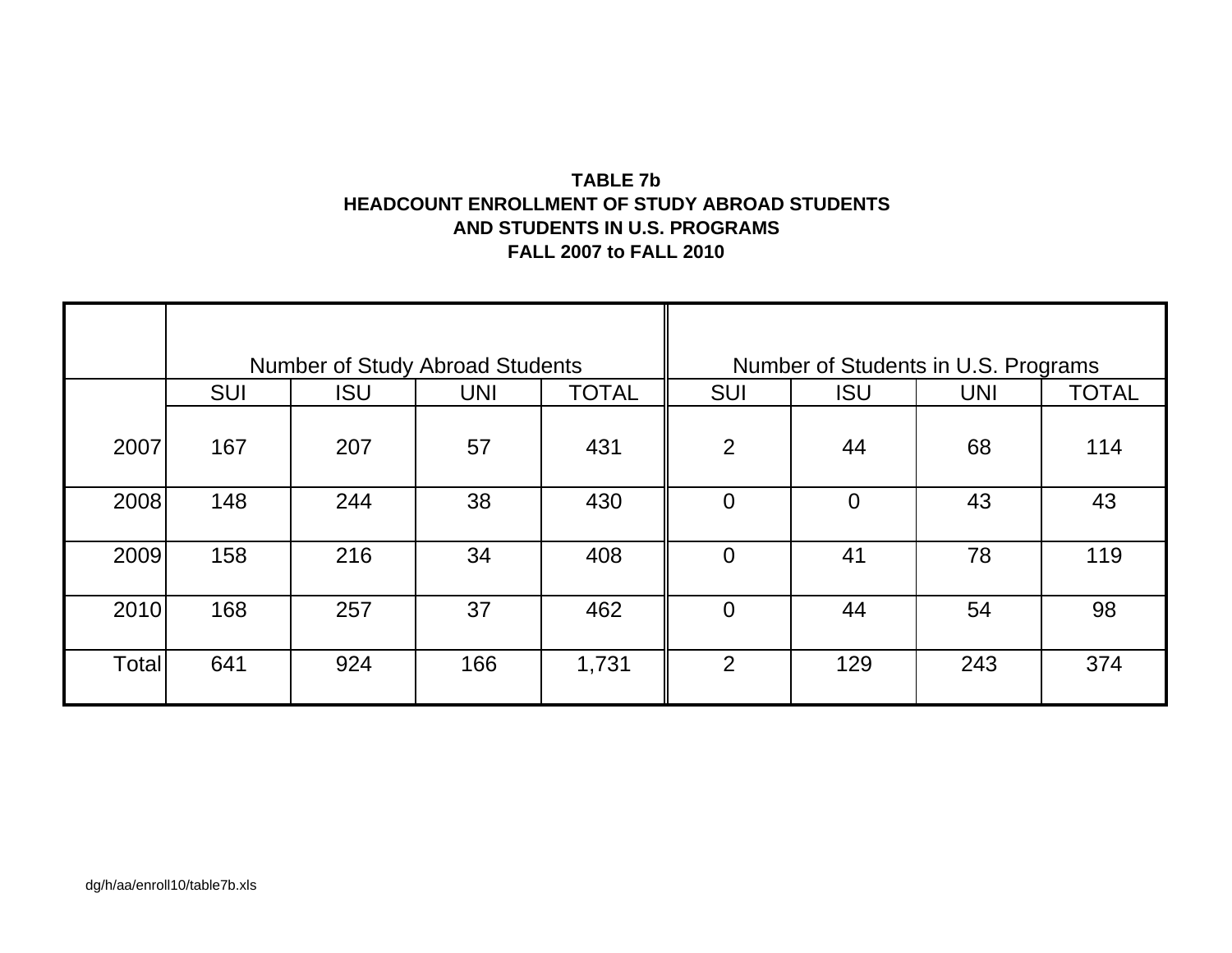# **TABLE 7bHEADCOUNT ENROLLMENT OF STUDY ABROAD STUDENTSAND STUDENTS IN U.S. PROGRAMS FALL 2007 to FALL 2010**

|       |            | <b>Number of Study Abroad Students</b> |            |              |                | Number of Students in U.S. Programs |            |              |
|-------|------------|----------------------------------------|------------|--------------|----------------|-------------------------------------|------------|--------------|
|       | <b>SUI</b> | <b>ISU</b>                             | <b>UNI</b> | <b>TOTAL</b> | <b>SUI</b>     | <b>ISU</b>                          | <b>UNI</b> | <b>TOTAL</b> |
| 2007  | 167        | 207                                    | 57         | 431          | 2              | 44                                  | 68         | 114          |
| 2008  | 148        | 244                                    | 38         | 430          | $\overline{0}$ | $\Omega$                            | 43         | 43           |
| 2009  | 158        | 216                                    | 34         | 408          | $\overline{0}$ | 41                                  | 78         | 119          |
| 2010  | 168        | 257                                    | 37         | 462          | $\Omega$       | 44                                  | 54         | 98           |
| Total | 641        | 924                                    | 166        | 1,731        | 2              | 129                                 | 243        | 374          |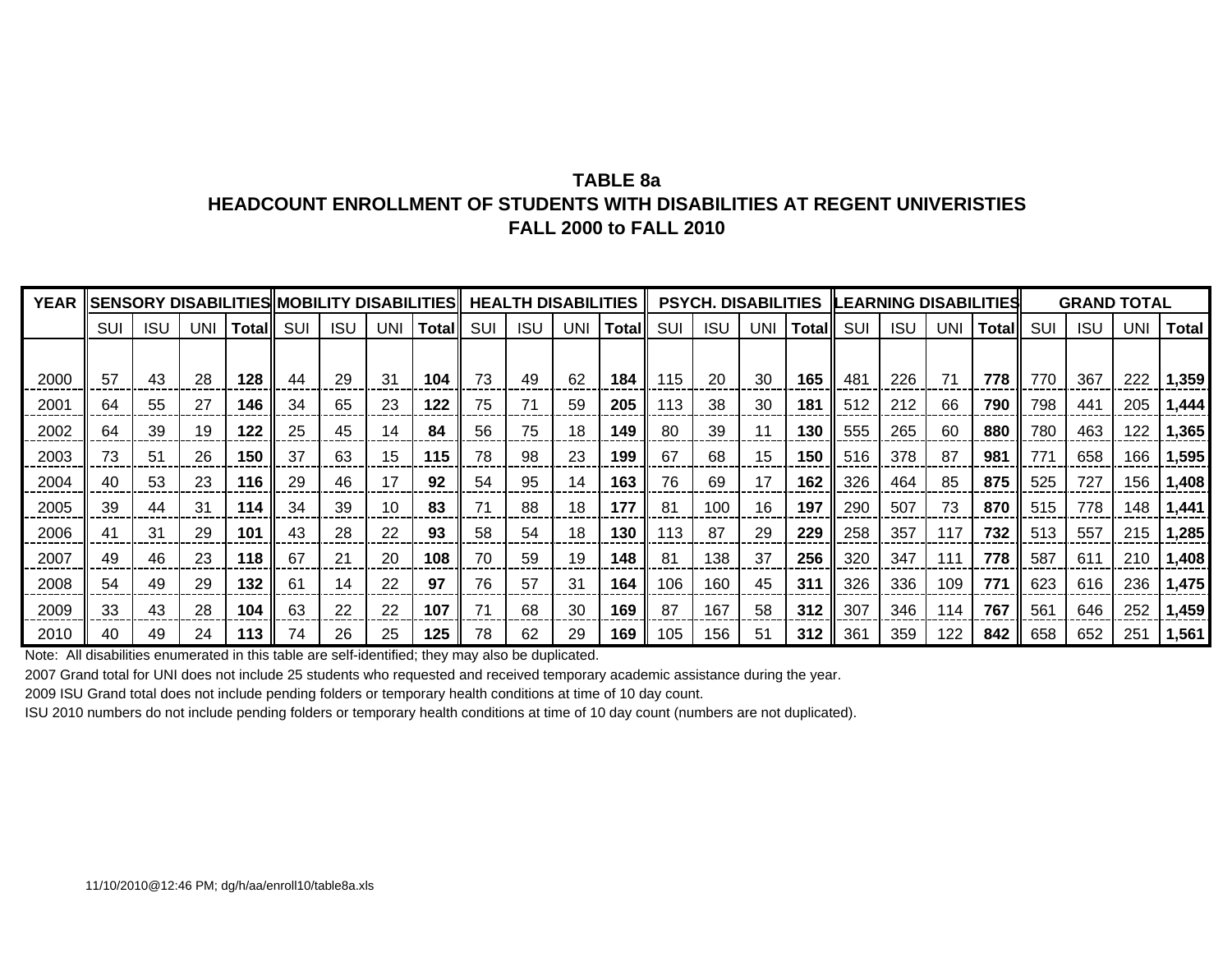## **TABLE 8aHEADCOUNT ENROLLMENT OF STUDENTS WITH DISABILITIES AT REGENT UNIVERISTIESFALL 2000 to FALL 2010**

| <b>YEAR</b> |     |            |     |         |            |            |                 | lisensory disabilitiesiimobility disabilitiesii health disabilities |     |            |     |              |     | <b>PSYCH. DISABILITIES</b> |            |        |     |            |            | <b>ILEARNING DISABILITIESI</b> |     | <b>GRAND TOTAL</b> |            |              |
|-------------|-----|------------|-----|---------|------------|------------|-----------------|---------------------------------------------------------------------|-----|------------|-----|--------------|-----|----------------------------|------------|--------|-----|------------|------------|--------------------------------|-----|--------------------|------------|--------------|
|             | SUI | <b>ISU</b> | UNI | Totalll | <b>SUI</b> | <b>ISU</b> | UNI             | Total                                                               | SUI | <b>ISU</b> | UNI | <b>Total</b> | SUI | <b>ISU</b>                 | <b>UNI</b> | Totall | SUI | <b>ISL</b> | <b>UNI</b> | Total                          | SUI | <b>ISU</b>         | <b>UNI</b> | <b>Total</b> |
|             |     |            |     |         |            |            |                 |                                                                     |     |            |     |              |     |                            |            |        |     |            |            |                                |     |                    |            |              |
| 2000        | 57  | 43         | 28  | 128     | 44         | 29         | 31              | 104                                                                 | 73  | 49         | 62  | 184          | 115 | 20                         | 30         | 165    | 481 | 226        | 71         | 778                            | 770 | 367                | 222        | 1,359        |
| 2001        | 64  | 55         | 27  | 146     | 34         | 65         | 23              | 122                                                                 | 75  | 71         | 59  | 205          | 113 | 38                         | 30         | 181    | 512 | 212        | 66         | 790                            | 798 | 441                | 205        | .444         |
| 2002        | 64  | 39         | 19  | 122     | 25         | 45         | 14              | 84                                                                  | 56  | 75         | 18  | 149          | 80  | 39                         | 11         | 130    | 555 | 265        | 60         | 880                            | 780 | 463                | 122        | 1,365        |
| 2003        | 73  | 51         | 26  | 150     | 37         | 63         | 15              | 115                                                                 | 78  | 98         | 23  | 199          | 67  | 68                         | 15         | 150    | 516 | 378        | 87         | 981                            | 77' | 658                | 166        | 1,595        |
| 2004        | 40  | 53         | 23  | 116     | 29         | 46         | 17              | 92                                                                  | 54  | 95         | 14  | 163          | 76  | 69                         | 17         | 162    | 326 | 464        | 85         | 875                            | 525 | 727                | 156        | 1,408        |
| 2005        | 39  | 44         | 31  | 114     | 34         | 39         | 10 <sup>°</sup> | 83                                                                  |     | 88         | 18  | 177          | 81  | 100                        | 16         | 197    | 290 | 507        | 73         | 870                            | 515 | 778                | 148        | 1,441        |
| 2006        | 41  | 31         | 29  | 101     | 43         | 28         | 22              | 93                                                                  | 58  | 54         | 18  | 130          | 113 | 87                         | 29         | 229    | 258 | 357        | 117        | 732                            | 513 | 557                | 215        | 1,285        |
| 2007        | 49  | 46         | 23  | 118     | 67         | 21         | 20              | 108                                                                 | 70  | 59         | 19  | 148          | 81  | 138                        | 37         | 256    | 320 | 347        | 111        | 778                            | 587 | 611                | 210        | 1.408        |
| 2008        | 54  | 49         | 29  | 132     | 61         | 14         | 22              | 97                                                                  | 76  | 57         | 31  | 164          | 106 | 160                        | 45         | 311    | 326 | 336        | 109        | 771                            | 623 | 616                | 236        | 1,475        |
| 2009        | 33  | 43         | 28  | 104     | 63         | 22         | 22              | 107                                                                 | 71  | 68         | 30  | 169          | 87  | 167                        | 58         | 312    | 307 | 346        | 114        | 767                            | 561 | 646                | 252        | 1,459        |
| 2010        | 40  | 49         | 24  | 113     | 74         | 26         | 25              | 125                                                                 | 78  | 62         | 29  | 169          | 105 | 156                        | 51         | 312    | 361 | 359        | 122        | 842                            | 658 | 652                | 251        | 1,561        |

Note: All disabilities enumerated in this table are self-identified; they may also be duplicated.

2007 Grand total for UNI does not include 25 students who requested and received temporary academic assistance during the year.

2009 ISU Grand total does not include pending folders or temporary health conditions at time of 10 day count.

ISU 2010 numbers do not include pending folders or temporary health conditions at time of 10 day count (numbers are not duplicated).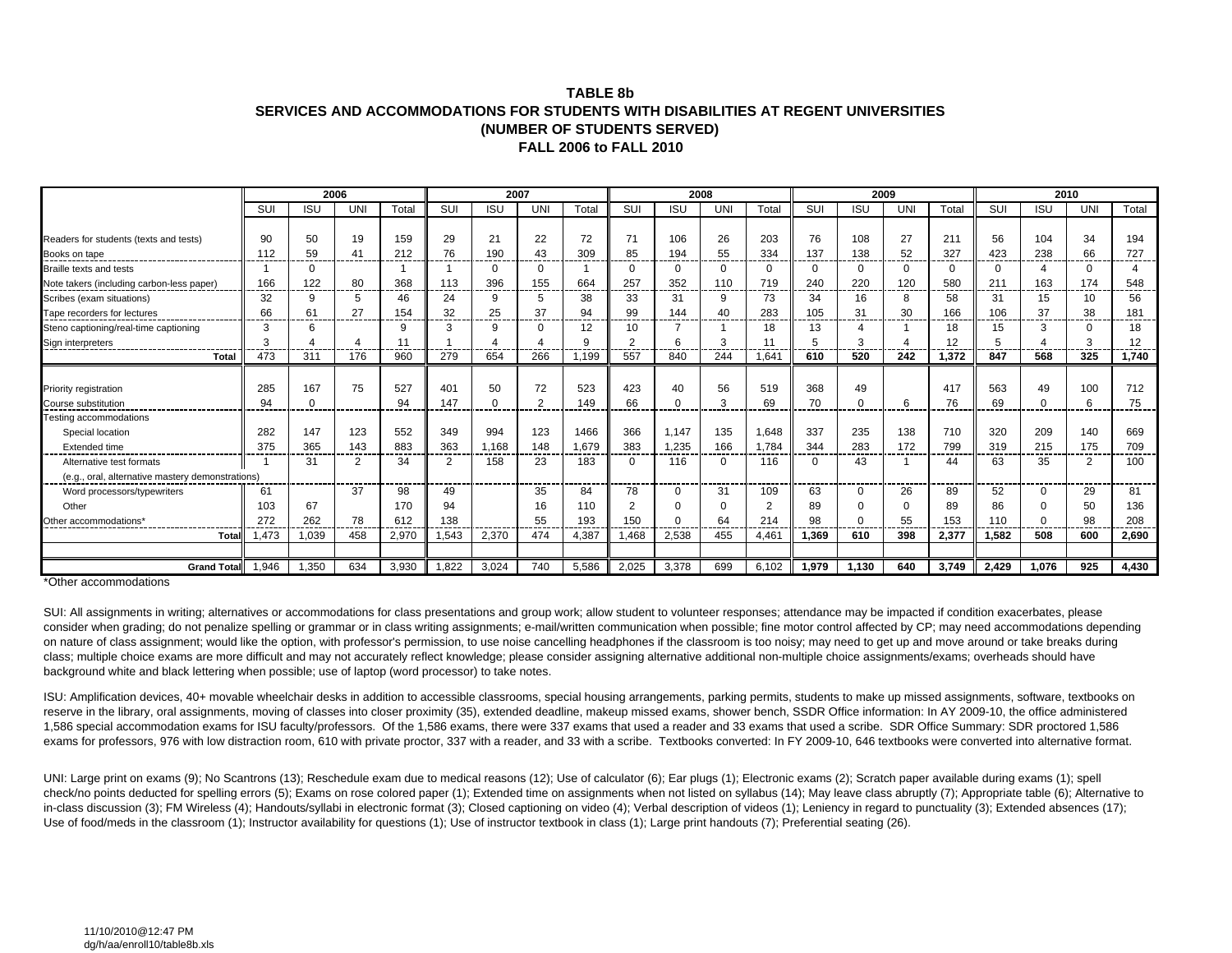#### **TABLE 8bSERVICES AND ACCOMMODATIONS FOR STUDENTS WITH DISABILITIES AT REGENT UNIVERSITIES(NUMBER OF STUDENTS SERVED) FALL 2006 to FALL 2010**

|                                                  |             |            | 2006       |       |       | 2007       |           |              |       |             | 2008       |          |       |            | 2009 |          |             | 2010       |                |                   |
|--------------------------------------------------|-------------|------------|------------|-------|-------|------------|-----------|--------------|-------|-------------|------------|----------|-------|------------|------|----------|-------------|------------|----------------|-------------------|
|                                                  | SUI         | <b>ISU</b> | <b>UNI</b> | Total | SUI   | <b>ISU</b> | <b>UN</b> | Total        | SUI   | <b>ISU</b>  | <b>UNI</b> | Total    | SUI   | <b>ISU</b> | UNI  | Total    | SUI         | <b>ISU</b> | <b>UNI</b>     | Total             |
|                                                  |             |            |            |       |       |            |           |              |       |             |            |          |       |            |      |          |             |            |                |                   |
| Readers for students (texts and tests)           | 90          | 50         | 19         | 159   | 29    | 21         | 22        | 72           | 71    | 106         | 26         | 203      | 76    | 108        | 27   | 21       | 56          | 104        | 34             | 194               |
| Books on tape<br>-----------                     | 112<br>---- | 59<br>---- | 41         | 212   | 76    | 190        | 43        | 309          | 85    | 194         | 55         | 334      | 137   | 138        | 52   | 327      | 423         | 238        | 66             | 727<br>------     |
| Braille texts and tests                          |             | 0          |            |       |       | $\Omega$   | 0         |              |       | $\mathbf 0$ |            | $\Omega$ |       |            | 0    | $\Omega$ | $\Omega$    |            | 0              | Δ                 |
| Note takers (including carbon-less paper)        | 166         | 122        | 80         | 368   | 113   | 396        | 155       | 664          | 257   | 352         | 110        | 719      | 240   | 220        | 120  | 580      | 211         | 163        | 174            | 548               |
| Scribes (exam situations)                        | 32          | 9          | 5          | 46    | 24    | 9          |           | 38           | 33    | 31          | 9          | 73       | 34    | 16         | 8    | 58       | 31          | 15         | 10             | 56                |
| Tape recorders for lectures                      | 66          | 61<br>---- | 27<br>---- | 154   | 32    | 25<br>---  | 37        | 94<br>ومسترد | 99    | 144         | 40         | 283      | 105   | 31         | 30   | 166      | 106<br>---- | 37<br>.    | 38             | 181<br>.          |
| Steno captioning/real-time captioning            | 3           | 6          |            | 9     | ີ     | 9          |           | 12           | 10    |             |            | 18       | 13    |            |      | 18       | 15          | з          | <sup>0</sup>   | 18                |
| Sign interpreters                                |             |            |            |       |       |            |           | 9            |       | 6           |            |          |       |            |      | 12       | 5           |            | 3              | $12 \overline{ }$ |
| Total                                            | 473         | 311        | 176        | 960   | 279   | 654        | 266       | 1.199        | 557   | 840         | 244        | 1.641    | 610   | 520        | 242  | 1.372    | 847         | 568        | 325            | 1,740             |
|                                                  |             |            |            |       |       |            |           |              |       |             |            |          |       |            |      |          |             |            |                |                   |
| Priority registration                            | 285         | 167        | 75         | 527   | 401   | 50         | 72        | 523          | 423   | 40          | 56         | 519      | 368   | 49         |      | 417      | 563         | 49         | 100            | 712               |
| Course substitution                              | 94          | 0<br>----  |            | 94    | 147   | $\Omega$   |           | 149          | 66    | $\Omega$    |            | 69       | 70    |            | 6    | 76       | 69          | $\Omega$   | 6              | 75<br>------      |
| Testing accommodations                           |             |            |            |       |       |            |           |              |       |             |            |          |       |            |      |          |             |            |                |                   |
| Special location                                 | 282         | 147        | 123        | 552   | 349   | 994        | 123       | 1466         | 366   | 1,147       | 135        | 1,648    | 337   | 235        | 138  | 710      | 320         | 209        | 140            | 669               |
| Extended time                                    | 375         | 365        | 143        | 883   | 363   | 1,168      | 148       | 1,679        | 383   | 1,235       | 166        | 1,784    | 344   | 283        | 172  | 799      | 319         | 215        | 175            | 709               |
| Alternative test formats                         |             | 31         | 2          | 34    | 2     | 158        | 23        | 183          |       | 116         |            | 116      |       | 43         |      | 44       | 63          | 35         | $\overline{2}$ | 100               |
| (e.g., oral, alternative mastery demonstrations) |             |            |            |       |       |            |           |              |       |             |            |          |       |            |      |          |             |            |                |                   |
| Word processors/typewriters                      | 61          |            | 37         | 98    | 49    |            | 35        | 84           | 78    | $\Omega$    | 31         | 109      | 63    |            | 26   | 89       | 52          | $\Omega$   | 29             | 81                |
| Other                                            | 103         | 67         |            | 170   | 94    |            | 16        | 110          |       |             |            |          | 89    |            |      | 89       | 86          |            | 50             | 136               |
| Other accommodations'                            | 272         | 262        | 78         | 612   | 138   |            | 55        | 193          | 150   |             | 64         | 214      | 98    |            | 55   | 153      | 110         | $\Omega$   | 98             | 208               |
| Tota                                             | 1,473       | 1,039      | 458        | 2,970 | 1,543 | 2,370      | 474       | 4,387        | 1,468 | 2,538       | 455        | 4,461    | 1,369 | 610        | 398  | 2,377    | 1,582       | 508        | 600            | 2,690             |
|                                                  |             |            |            |       |       |            |           |              |       |             |            |          |       |            |      |          |             |            |                |                   |
| <b>Grand Total</b>                               | 1.946       | 1.350      | 634        | 3.930 | 1.822 | 3.024      | 740       | 5,586        | 2,025 | 3.378       | 699        | 6.102    | 1.979 | 1.130      | 640  | 3.749    | 2.429       | 1.076      | 925            | 4.430             |

\*Other accommodations

SUI: All assignments in writing; alternatives or accommodations for class presentations and group work; allow student to volunteer responses; attendance may be impacted if condition exacerbates, please consider when grading; do not penalize spelling or grammar or in class writing assignments; e-mail/written communication when possible; fine motor control affected by CP; may need accommodations depending on nature of class assignment; would like the option, with professor's permission, to use noise cancelling headphones if the classroom is too noisy; may need to get up and move around or take breaks during class; multiple choice exams are more difficult and may not accurately reflect knowledge; please consider assigning alternative additional non-multiple choice assignments/exams; overheads should have background white and black lettering when possible; use of laptop (word processor) to take notes.

ISU: Amplification devices, 40+ movable wheelchair desks in addition to accessible classrooms, special housing arrangements, parking permits, students to make up missed assignments, software, textbooks on reserve in the library, oral assignments, moving of classes into closer proximity (35), extended deadline, makeup missed exams, shower bench, SSDR Office information: In AY 2009-10, the office administered 1,586 special accommodation exams for ISU faculty/professors. Of the 1,586 exams, there were 337 exams that used a reader and 33 exams that used a scribe. SDR Office Summary: SDR proctored 1,586 exams for professors, 976 with low distraction room, 610 with private proctor, 337 with a reader, and 33 with a scribe. Textbooks converted: In FY 2009-10, 646 textbooks were converted into alternative format.

UNI: Large print on exams (9); No Scantrons (13); Reschedule exam due to medical reasons (12); Use of calculator (6); Ear plugs (1); Electronic exams (2); Scratch paper available during exams (1); spell check/no points deducted for spelling errors (5); Exams on rose colored paper (1); Extended time on assignments when not listed on syllabus (14); May leave class abruptly (7); Appropriate table (6); Alternative to in-class discussion (3); FM Wireless (4); Handouts/syllabi in electronic format (3); Closed captioning on video (4); Verbal description of videos (1); Leniency in regard to punctuality (3); Extended absences (17); Use of food/meds in the classroom (1); Instructor availability for questions (1); Use of instructor textbook in class (1); Large print handouts (7); Preferential seating (26).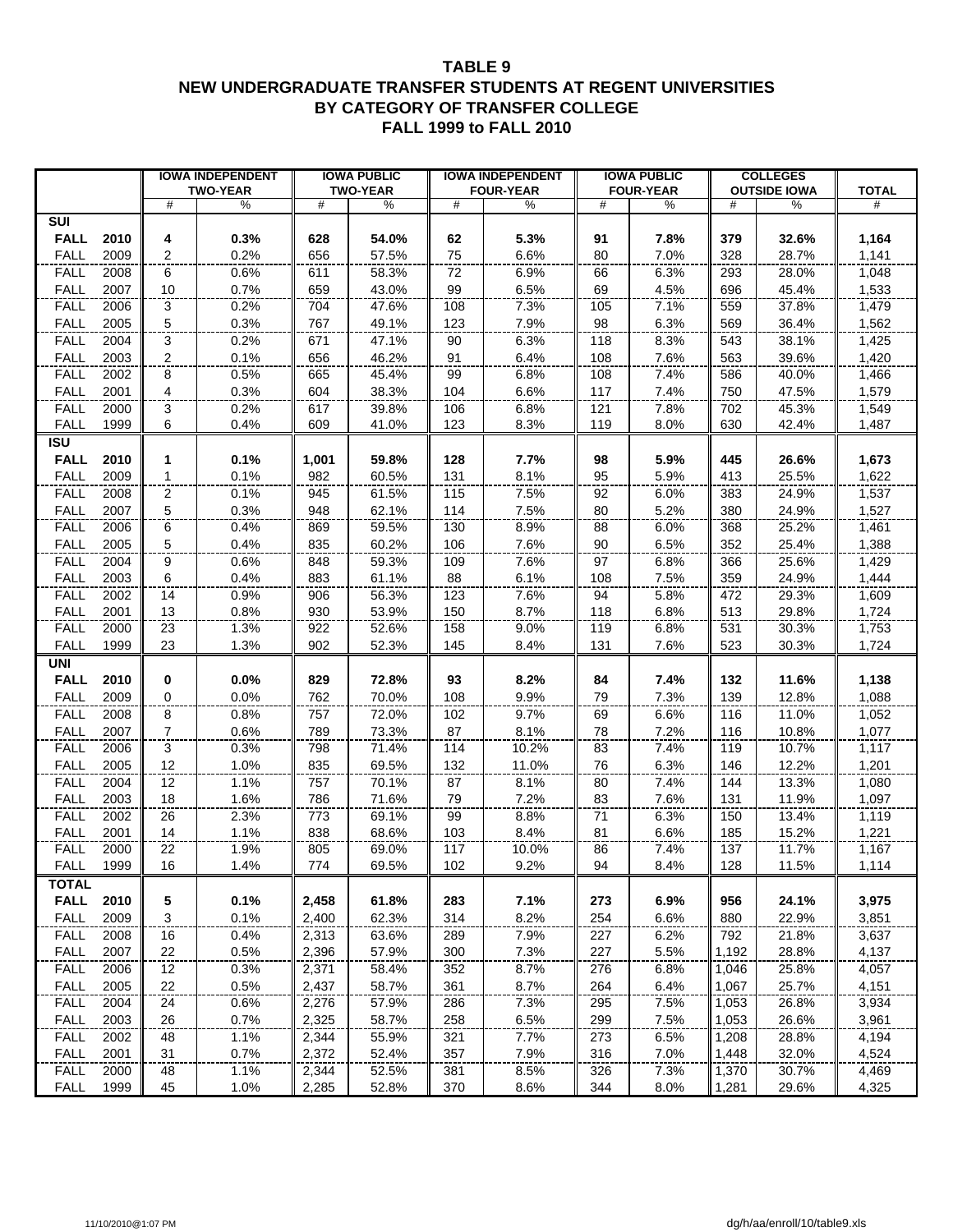#### **TABLE 9 NEW UNDERGRADUATE TRANSFER STUDENTS AT REGENT UNIVERSITIES BY CATEGORY OF TRANSFER COLLEGE FALL 1999 to FALL 2010**

|                                    |                       | <b>IOWA INDEPENDENT</b><br><b>TWO-YEAR</b> |                | <b>IOWA PUBLIC</b><br><b>TWO-YEAR</b> |            | <b>IOWA INDEPENDENT</b><br><b>FOUR-YEAR</b> |              | <b>IOWA PUBLIC</b><br><b>FOUR-YEAR</b> |                | <b>COLLEGES</b><br><b>OUTSIDE IOWA</b> | <b>TOTAL</b>   |
|------------------------------------|-----------------------|--------------------------------------------|----------------|---------------------------------------|------------|---------------------------------------------|--------------|----------------------------------------|----------------|----------------------------------------|----------------|
|                                    | #                     | $\%$                                       | #              | $\%$                                  | #          | $\%$                                        | #            | $\%$                                   | #              | $\%$                                   | #              |
| <b>SUI</b>                         |                       |                                            |                |                                       |            |                                             |              |                                        |                |                                        |                |
| <b>FALL</b><br>2010                | 4                     | 0.3%                                       | 628            | 54.0%                                 | 62         | 5.3%                                        | 91           | 7.8%                                   | 379            | 32.6%                                  | 1,164          |
| 2009<br><b>FALL</b>                | 2                     | 0.2%                                       | 656            | 57.5%                                 | 75         | 6.6%                                        | 80           | 7.0%                                   | 328            | 28.7%                                  | 1,141          |
| <b>FALL</b><br>2008                | 6                     | 0.6%                                       | 611            | 58.3%                                 | 72         | 6.9%                                        | 66           | 6.3%                                   | 293            | 28.0%                                  | 1,048          |
| <b>FALL</b><br>2007                | 10                    | 0.7%                                       | 659            | 43.0%                                 | 99         | 6.5%                                        | 69           | 4.5%                                   | 696            | 45.4%                                  | 1,533          |
| <b>FALL</b><br>2006                | 3                     | 0.2%                                       | 704            | 47.6%                                 | 108        | 7.3%                                        | 105          | 7.1%                                   | 559            | 37.8%                                  | 1,479          |
| 2005<br><b>FALL</b>                | 5                     | 0.3%                                       | 767            | 49.1%                                 | 123        | 7.9%                                        | 98           | 6.3%                                   | 569            | 36.4%                                  | 1,562          |
| 2004<br><b>FALL</b>                | 3                     | 0.2%                                       | 671            | 47.1%                                 | 90         | 6.3%                                        | 118          | 8.3%                                   | 543            | 38.1%                                  | 1,425          |
| <b>FALL</b><br>2003                | 2                     | 0.1%                                       | 656            | 46.2%                                 | 91         | 6.4%                                        | 108          | 7.6%                                   | 563            | 39.6%                                  | 1,420          |
| <b>FALL</b><br>2002                | 8                     | 0.5%                                       | 665            | 45.4%                                 | 99         | 6.8%                                        | 108          | 7.4%                                   | 586            | 40.0%                                  | 1,466          |
| 2001<br><b>FALL</b>                | 4                     | 0.3%                                       | 604            | 38.3%                                 | 104        | 6.6%                                        | 117          | 7.4%                                   | 750            | 47.5%                                  | 1,579          |
| <b>FALL</b><br>2000                | 3                     | 0.2%                                       | 617            | 39.8%                                 | 106        | 6.8%                                        | 121          | 7.8%                                   | 702            | 45.3%                                  | 1,549          |
| <b>FALL</b><br>1999                | 6                     | 0.4%                                       | 609            | 41.0%                                 | 123        | 8.3%                                        | 119          | 8.0%                                   | 630            | 42.4%                                  | 1,487          |
| <b>ISU</b>                         |                       |                                            |                |                                       |            |                                             |              |                                        |                |                                        |                |
| <b>FALL</b><br>2010                | 1                     | 0.1%                                       | 1,001          | 59.8%                                 | 128        | 7.7%                                        | 98           | 5.9%                                   | 445            | 26.6%                                  | 1,673          |
| <b>FALL</b><br>2009                | 1                     | 0.1%                                       | 982            | 60.5%                                 | 131        | 8.1%                                        | 95           | 5.9%                                   | 413            | 25.5%                                  | 1,622          |
| <b>FALL</b><br>2008<br>2007        | 2                     | 0.1%                                       | 945            | 61.5%                                 | 115        | 7.5%                                        | 92           | 6.0%                                   | 383            | 24.9%                                  | 1,537          |
| <b>FALL</b><br>2006<br><b>FALL</b> | $\overline{5}$<br>6   | 0.3%<br>0.4%                               | 948<br>869     | 62.1%<br>59.5%                        | 114<br>130 | 7.5%<br>8.9%                                | $80\,$<br>88 | 5.2%<br>6.0%                           | 380<br>368     | 24.9%<br>25.2%                         | 1,527<br>1,461 |
| <b>FALL</b><br>2005                | 5                     | 0.4%                                       | 835            | 60.2%                                 | 106        | 7.6%                                        | 90           | 6.5%                                   | 352            | 25.4%                                  | 1,388          |
| <b>FALL</b><br>2004                | 9                     | 0.6%                                       | 848            | 59.3%                                 | 109        | 7.6%                                        | 97           | 6.8%                                   | 366            | 25.6%                                  | 1,429          |
| <b>FALL</b><br>2003                | 6                     | 0.4%                                       | 883            | 61.1%                                 | 88         | 6.1%                                        | 108          | 7.5%                                   | 359            | 24.9%                                  | 1,444          |
| 2002<br><b>FALL</b>                | 14                    | 0.9%                                       | 906            | 56.3%                                 | 123        | 7.6%                                        | 94           | 5.8%                                   | 472            | 29.3%                                  | 1,609          |
| 2001<br><b>FALL</b>                | 13                    | 0.8%                                       | 930            | 53.9%                                 | 150        | 8.7%                                        | 118          | 6.8%                                   | 513            | 29.8%                                  | 1,724          |
| <b>FALL</b><br>2000                | 23                    | 1.3%                                       | 922            | 52.6%                                 | 158        | 9.0%                                        | 119          | 6.8%                                   | 531            | 30.3%                                  | 1,753          |
| <b>FALL</b><br>1999                | 23                    | 1.3%                                       | 902            | 52.3%                                 | 145        | 8.4%                                        | 131          | 7.6%                                   | 523            | 30.3%                                  | 1,724          |
| <b>UNI</b>                         |                       |                                            |                |                                       |            |                                             |              |                                        |                |                                        |                |
| <b>FALL</b><br>2010                | 0                     | 0.0%                                       | 829            | 72.8%                                 | 93         | 8.2%                                        | 84           | 7.4%                                   | 132            | 11.6%                                  | 1,138          |
| <b>FALL</b><br>2009                | 0                     | 0.0%                                       | 762            | 70.0%                                 | 108        | 9.9%                                        | 79           | 7.3%                                   | 139            | 12.8%                                  | 1,088          |
| <b>FALL</b><br>2008                | $\overline{8}$        | 0.8%                                       | 757            | 72.0%                                 | 102        | 9.7%                                        | 69           | 6.6%                                   | 116            | 11.0%                                  | 1,052          |
| <b>FALL</b><br>2007                | $\overline{7}$        | 0.6%                                       | 789            | 73.3%                                 | 87         | 8.1%                                        | 78           | 7.2%                                   | 116            | 10.8%                                  | 1,077          |
| <b>FALL</b><br>2006                | 3                     | 0.3%                                       | 798            | 71.4%                                 | 114        | 10.2%                                       | 83           | 7.4%                                   | 119            | 10.7%                                  | 1,117          |
| 2005<br><b>FALL</b>                | 12                    | 1.0%                                       | 835            | 69.5%                                 | 132        | 11.0%                                       | 76           | 6.3%                                   | 146            | 12.2%                                  | 1,201          |
| 2004<br><b>FALL</b>                | 12                    | 1.1%                                       | 757            | 70.1%                                 | 87         | 8.1%                                        | 80           | 7.4%                                   | 144            | 13.3%                                  | 1,080          |
| <b>FALL</b><br>2003                | 18                    | 1.6%                                       | 786            | 71.6%                                 | 79         | 7.2%                                        | 83           | 7.6%                                   | 131            | 11.9%                                  | 1,097          |
| <b>FALL</b><br>2002                | 26                    | 2.3%                                       | 773            | 69.1%                                 | 99         | 8.8%                                        | 71           | 6.3%                                   | 150            | 13.4%                                  | 1,119          |
| <b>FALL</b><br>2001                | 14                    | 1.1%                                       | 838            | 68.6%                                 | 103        | 8.4%                                        | 81           | 6.6%                                   | 185            | 15.2%                                  | 1,221          |
| <b>FALL</b><br>2000                | $\overline{22}$       | 1.9%                                       | 805            | 69.0%                                 | 117        | 10.0%                                       | 86           | 7.4%                                   | 137            | 11.7%                                  | 1,167          |
| FALL<br>1999                       | 16                    | 1.4%                                       | 774            | 69.5%                                 | 102        | $9.2\%$                                     | 94           | $8.4\%$                                | 128            | 11.5%                                  | 1,114          |
| <b>TOTAL</b>                       |                       |                                            |                |                                       |            |                                             |              |                                        |                |                                        |                |
| <b>FALL</b><br>2010                | 5                     | 0.1%                                       | 2,458          | 61.8%                                 | 283        | 7.1%                                        | 273          | 6.9%                                   | 956            | 24.1%                                  | 3,975          |
| <b>FALL</b><br>2009                | 3                     | 0.1%                                       | 2,400          | 62.3%                                 | 314        | 8.2%                                        | 254          | 6.6%                                   | 880            | 22.9%                                  | 3,851          |
| <b>FALL</b><br>2008                | 16                    | 0.4%                                       | 2,313          | 63.6%                                 | 289        | 7.9%                                        | 227          | 6.2%                                   | 792            | 21.8%                                  | 3,637          |
| <b>FALL</b><br>2007                | 22                    | 0.5%                                       | 2,396          | 57.9%                                 | 300        | 7.3%                                        | 227          | 5.5%                                   | 1,192          | 28.8%                                  | 4,137          |
| 2006<br><b>FALL</b><br>2005        | 12                    | 0.3%                                       | 2,371          | 58.4%                                 | 352        | 8.7%                                        | 276          | 6.8%                                   | 1,046          | 25.8%<br>25.7%                         | 4,057          |
| <b>FALL</b><br>2004<br><b>FALL</b> | 22<br>$\overline{24}$ | 0.5%<br>0.6%                               | 2,437<br>2,276 | 58.7%<br>57.9%                        | 361<br>286 | 8.7%<br>7.3%                                | 264<br>295   | 6.4%<br>7.5%                           | 1,067<br>1,053 | 26.8%                                  | 4,151<br>3,934 |
| <b>FALL</b><br>2003                | 26                    | 0.7%                                       | 2,325          | 58.7%                                 | 258        | 6.5%                                        | 299          | 7.5%                                   | 1,053          | 26.6%                                  | 3,961          |
| <b>FALL</b><br>2002                | 48                    | 1.1%                                       | 2,344          | 55.9%                                 | 321        | 7.7%                                        | 273          | 6.5%                                   | 1,208          | 28.8%                                  | 4,194          |
| <b>FALL</b><br>2001                | 31                    | 0.7%                                       | 2,372          | 52.4%                                 | 357        | 7.9%                                        | 316          | 7.0%                                   | 1,448          | 32.0%                                  | 4,524          |
| <b>FALL</b><br>2000                | 48                    | 1.1%                                       | 2,344          | 52.5%                                 | 381        | 8.5%                                        | 326          | 7.3%                                   | 1,370          | 30.7%                                  | 4,469          |
| <b>FALL</b><br>1999                | 45                    | 1.0%                                       | 2,285          | 52.8%                                 | 370        | 8.6%                                        | 344          | 8.0%                                   | 1,281          | 29.6%                                  | 4,325          |
|                                    |                       |                                            |                |                                       |            |                                             |              |                                        |                |                                        |                |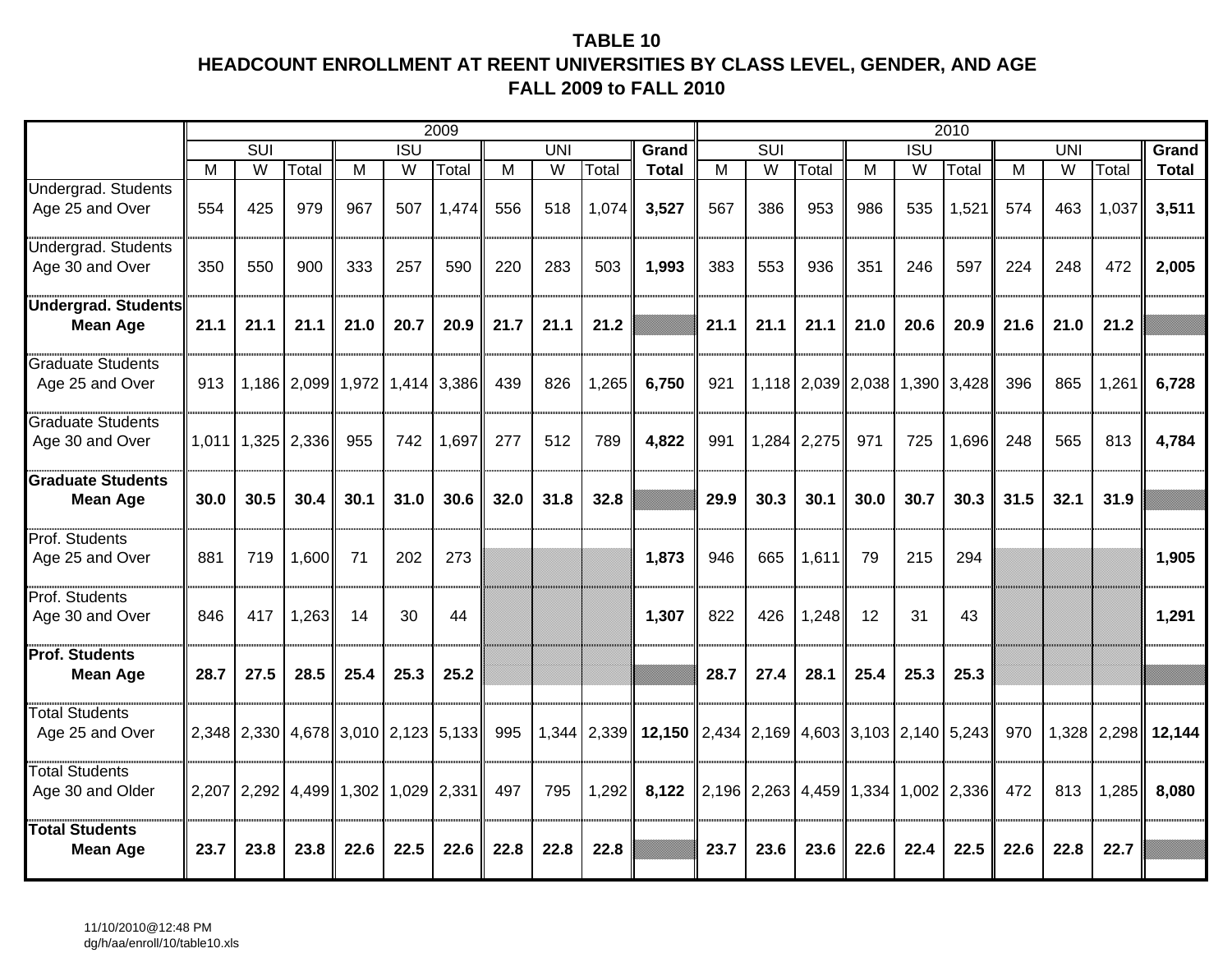## **TABLE 10HEADCOUNT ENROLLMENT AT REENT UNIVERSITIES BY CLASS LEVEL, GENDER, AND AGE FALL 2009 to FALL 2010**

|                                               |       |                                               |                   |       |            | 2009          |      |                |             |                                                                                 |      |                                 |                   |      |                  | 2010        |      |                         |       |                |
|-----------------------------------------------|-------|-----------------------------------------------|-------------------|-------|------------|---------------|------|----------------|-------------|---------------------------------------------------------------------------------|------|---------------------------------|-------------------|------|------------------|-------------|------|-------------------------|-------|----------------|
|                                               |       | SUI                                           |                   |       | <b>ISU</b> |               |      | <b>UNI</b>     |             | <b>Grand</b>                                                                    |      | <b>SUI</b>                      |                   |      | $\overline{ISU}$ |             |      | UNI                     |       | Grand          |
|                                               | м     | W                                             | Total             | M     | W          | Total         | M    | $\overline{W}$ | Total       | <b>Total</b>                                                                    | M    | W                               | Total             | M    | W                | Total       | M    | $\overline{\mathsf{W}}$ | Total | <b>Total</b>   |
| Undergrad. Students<br>Age 25 and Over        | 554   | 425                                           | 979               | 967   | 507        | 1,474         | 556  | 518            | 1,074       | 3,527                                                                           | 567  | 386                             | 953               | 986  | 535              | 1,521       | 574  | 463                     | 1,037 | 3,511          |
| <b>Jndergrad. Students</b><br>Age 30 and Over | 350   | 550                                           | 900               | 333   | 257        | 590           | 220  | 283            | 503         | 1,993                                                                           | 383  | 553                             | 936               | 351  | 246              | 597         | 224  | 248                     | 472   | 2,005          |
| <b>Undergrad. Students</b><br><b>Mean Age</b> | 21.1  | 21.1                                          | 21.1              | 21.0  | 20.7       | 20.9          | 21.7 | 21.1           | 21.2        |                                                                                 | 21.1 | 21.1                            | 21.1              | 21.0 | 20.6             | 20.9        | 21.6 | 21.0                    | 21.2  |                |
| <b>Graduate Students</b><br>Age 25 and Over   | 913   |                                               | 1,186 2,099 1,972 |       | 1,414      | 3,386         | 439  | 826            | 1,265       | 6,750                                                                           | 921  |                                 | 1,118 2,039 2,038 |      |                  | 1,390 3,428 | 396  | 865                     | 1,261 | 6,728          |
| <b>Graduate Students</b><br>Age 30 and Over   | 1,011 |                                               | 1,325 2,336       | 955   | 742        | 1,697         | 277  | 512            | 789         | 4,822                                                                           | 991  |                                 | 1,284 2,275       | 971  | 725              | 1,696       | 248  | 565                     | 813   | 4,784          |
| <b>Graduate Students</b>                      |       |                                               |                   |       |            |               |      |                |             |                                                                                 |      |                                 |                   |      |                  |             |      |                         |       |                |
| <b>Mean Age</b>                               | 30.0  | 30.5                                          | 30.4              | 30.1  | 31.0       | 30.6          | 32.0 | 31.8           | 32.8        |                                                                                 | 29.9 | 30.3                            | 30.1              | 30.0 | 30.7             | 30.3        | 31.5 | 32.1                    | 31.9  |                |
| Prof. Students<br>Age 25 and Over             | 881   | 719                                           | 1,600             | 71    | 202        | 273           |      |                |             | 1,873                                                                           | 946  | 665                             | 1,611             | 79   | 215              | 294         |      |                         |       | 1,905          |
| <b>Prof. Students</b><br>Age 30 and Over      | 846   | 417                                           | 1,263             | 14    | 30         | 44            |      |                |             | 1,307                                                                           | 822  | 426                             | 1,248             | 12   | 31               | 43          |      |                         |       | 1,291          |
| <b>Prof. Students</b><br><b>Mean Age</b>      | 28.7  | 27.5                                          | 28.5              | 25.4  | 25.3       | 25.2          |      |                |             |                                                                                 | 28.7 | 27.4                            | 28.1              | 25.4 | 25.3             | 25.3        |      |                         |       |                |
| <b>Total Students</b><br>Age 25 and Over      |       | 2,348   2,330   4,678   3,010   2,123   5,133 |                   |       |            |               | 995  |                | 1,344 2,339 | <b>12,150</b> $\ $ 2,434 $\ $ 2,169 $\ $ 4,603 $\ $ 3,103 $\ $ 2,140 $\ $ 5,243 |      |                                 |                   |      |                  |             | 970  | 1,328                   |       | $2,298$ 12,144 |
| <b>Total Students</b><br>Age 30 and Older     |       | $2,207$ $2,292$ $4,499$                       |                   | 1,302 |            | $1,029$ 2,331 | 497  | 795            | 1,292       | 8,122                                                                           |      | $2,196$   2,263   4,459   1,334 |                   |      |                  | 1,002 2,336 | 472  | 813                     | 1,285 | 8,080          |
| <b>Total Students</b><br><b>Mean Age</b>      | 23.7  | 23.8                                          | 23.8              | 22.6  | 22.5       | 22.6          | 22.8 | 22.8           | 22.8        |                                                                                 | 23.7 | 23.6                            | 23.6              | 22.6 | 22.4             | 22.5        | 22.6 | 22.8                    | 22.7  |                |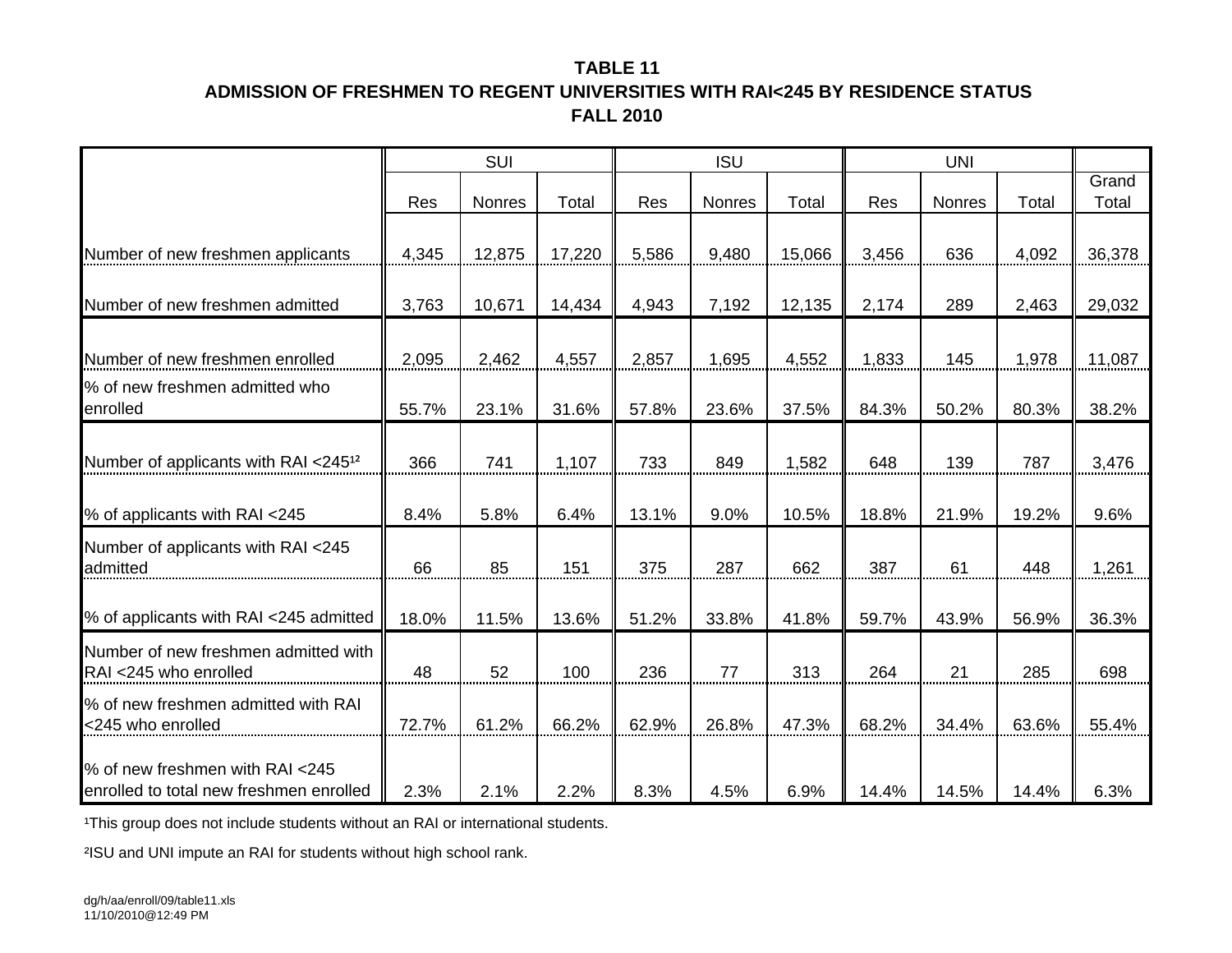# **TABLE 11ADMISSION OF FRESHMEN TO REGENT UNIVERSITIES WITH RAI<245 BY RESIDENCE STATUSFALL 2010**

|                                                                            |       | SUI    |        |       | <b>ISU</b>    |        |       | <b>UNI</b>    |       |                |
|----------------------------------------------------------------------------|-------|--------|--------|-------|---------------|--------|-------|---------------|-------|----------------|
|                                                                            | Res   | Nonres | Total  | Res   | <b>Nonres</b> | Total  | Res   | <b>Nonres</b> | Total | Grand<br>Total |
| Number of new freshmen applicants                                          | 4,345 | 12,875 | 17,220 | 5,586 | 9,480         | 15,066 | 3,456 | 636           | 4,092 | 36,378         |
| Number of new freshmen admitted                                            | 3,763 | 10,671 | 14,434 | 4,943 | 7,192         | 12,135 | 2,174 | 289           | 2,463 | 29,032         |
| Number of new freshmen enrolled<br>% of new freshmen admitted who          | 2,095 | 2,462  | 4,557  | 2,857 | 1,695         | 4,552  | 1,833 | 145           | 1,978 | 11,087         |
| enrolled                                                                   | 55.7% | 23.1%  | 31.6%  | 57.8% | 23.6%         | 37.5%  | 84.3% | 50.2%         | 80.3% | 38.2%          |
| Number of applicants with RAI <245 <sup>12</sup>                           | 366   | 741    | 1,107  | 733   | 849           | 1,582  | 648   | 139           | 787   | 3,476          |
| % of applicants with RAI <245                                              | 8.4%  | 5.8%   | 6.4%   | 13.1% | 9.0%          | 10.5%  | 18.8% | 21.9%         | 19.2% | 9.6%           |
| Number of applicants with RAI <245<br>admitted                             | 66    | 85     | 151    | 375   | 287           | 662    | 387   | 61            | 448   | 1,261          |
| % of applicants with RAI <245 admitted                                     | 18.0% | 11.5%  | 13.6%  | 51.2% | 33.8%         | 41.8%  | 59.7% | 43.9%         | 56.9% | 36.3%          |
| Number of new freshmen admitted with<br>RAI <245 who enrolled              | 48    | 52     | 100    | 236   | 77            | 313    | 264   | 21            | 285   | 698            |
| % of new freshmen admitted with RAI<br><245 who enrolled                   | 72.7% | 61.2%  | 66.2%  | 62.9% | 26.8%         | 47.3%  | 68.2% | 34.4%         | 63.6% | 55.4%          |
| % of new freshmen with RAI <245<br>enrolled to total new freshmen enrolled | 2.3%  | 2.1%   | 2.2%   | 8.3%  | 4.5%          | 6.9%   | 14.4% | 14.5%         | 14.4% | 6.3%           |

<sup>1</sup>This group does not include students without an RAI or international students.

²ISU and UNI impute an RAI for students without high school rank.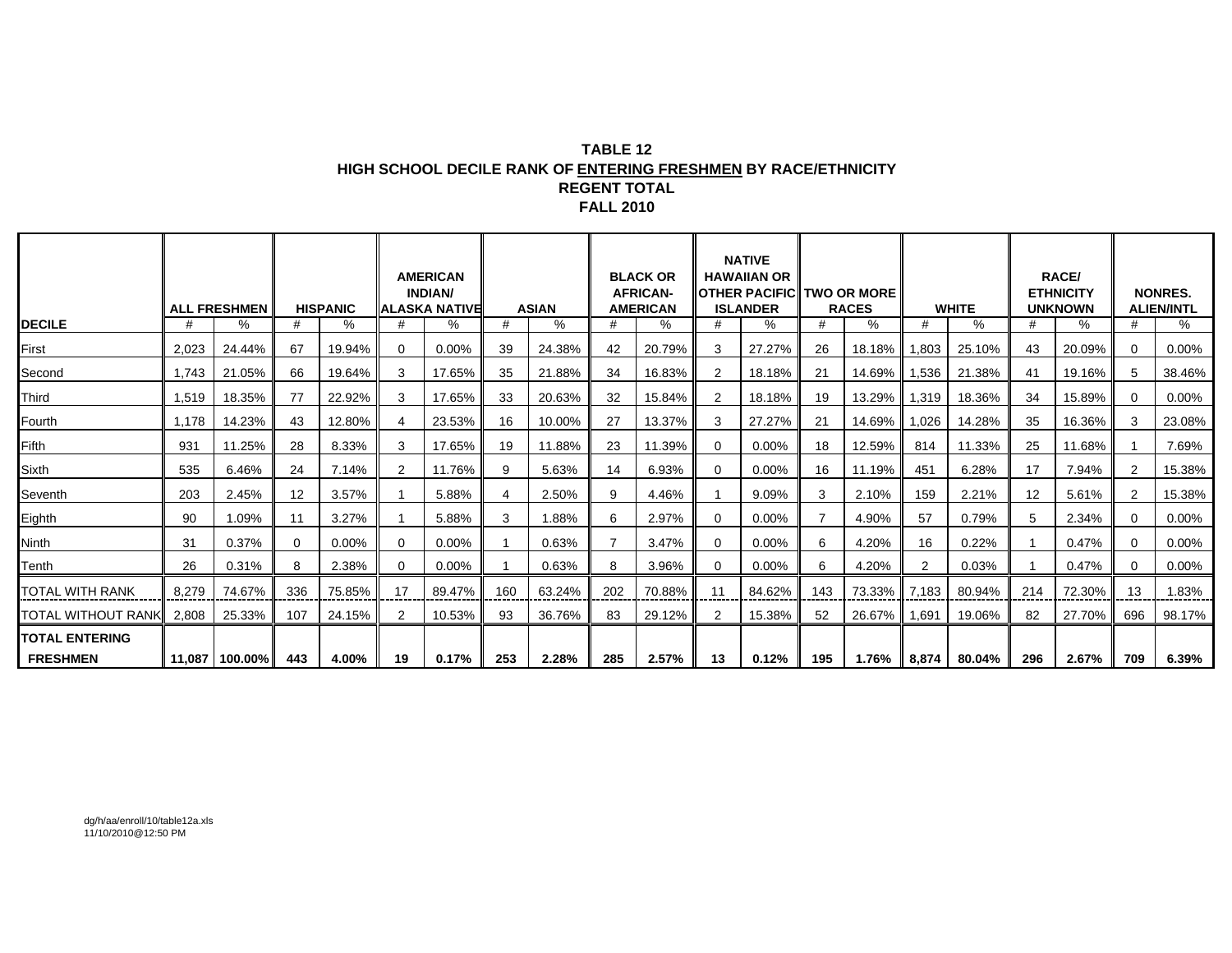#### **TABLE 12 HIGH SCHOOL DECILE RANK OF ENTERING FRESHMEN BY RACE/ETHNICITY REGENT TOTAL FALL 2010**

|                       |        | <b>ALL FRESHMEN</b> |     | <b>HISPANIC</b> |          | <b>AMERICAN</b><br><b>INDIAN/</b><br><b>ALASKA NATIVE</b> |                | <b>ASIAN</b> |     | <b>BLACK OR</b><br><b>AFRICAN-</b><br><b>AMERICAN</b> |                | <b>NATIVE</b><br><b>HAWAIIAN OR</b><br><b>OTHER PACIFIC TWO OR MORE</b><br><b>ISLANDER</b> |                | <b>RACES</b>   |                | <b>WHITE</b> |     | <b>RACE/</b><br><b>ETHNICITY</b><br><b>UNKNOWN</b> |     | <b>NONRES.</b><br><b>ALIEN/INTL</b> |
|-----------------------|--------|---------------------|-----|-----------------|----------|-----------------------------------------------------------|----------------|--------------|-----|-------------------------------------------------------|----------------|--------------------------------------------------------------------------------------------|----------------|----------------|----------------|--------------|-----|----------------------------------------------------|-----|-------------------------------------|
| <b>DECILE</b>         | #      | %                   | #   | %               |          | ℅                                                         | #              | %            | #   | %                                                     | #              | %                                                                                          | #              | %              | #              | %            | #   | %                                                  |     | %                                   |
| First                 | 2,023  | 24.44%              | 67  | 19.94%          |          | 0.00%                                                     | 39             | 24.38%       | 42  | 20.79%                                                | 3              | 27.27%                                                                                     | 26             | 18.18%         | 1,803          | 25.10%       | 43  | 20.09%                                             | 0   | 0.00%                               |
| Second                | 1.743  | 21.05%              | 66  | 19.64%          | 3        | 17.65%                                                    | 35             | 21.88%       | 34  | 16.83%                                                | 2              | 18.18%                                                                                     | 21             | 14.69%   1,536 |                | 21.38%       | 41  | 19.16%                                             | 5   | 38.46%                              |
| Third                 | 1,519  | 18.35%              | 77  | 22.92%          | 3        | 17.65%                                                    | 33             | 20.63%       | 32  | 15.84%                                                | $\overline{2}$ | 18.18%                                                                                     | 19             | 13.29%         | 1,319          | 18.36%       | 34  | 15.89%                                             |     | $0.00\%$                            |
| Fourth                | 1,178  | 14.23%              | 43  | 12.80%          |          | 23.53%                                                    | 16             | 10.00%       | 27  | 13.37%                                                | 3              | 27.27%                                                                                     | 21             | 14.69%         | 1,026          | 14.28%       | 35  | 16.36%                                             |     | 23.08%                              |
| <b>Fifth</b>          | 931    | 11.25%              | 28  | 8.33%           | 3        | 17.65%                                                    | 19             | 11.88%       | 23  | 11.39%                                                | 0              | $0.00\%$                                                                                   | 18             | 12.59%         | 814            | 11.33%       | 25  | 11.68%                                             |     | 7.69%                               |
| <b>Sixth</b>          | 535    | 6.46%               | 24  | 7.14%           | 2        | 11.76%                                                    | 9              | 5.63%        | 14  | 6.93%                                                 | 0              | 0.00%                                                                                      | 16             | 11.19%         | 451            | 6.28%        | 17  | 7.94%                                              | 2   | 15.38%                              |
| Seventh               | 203    | 2.45%               | 12  | 3.57%           |          | 5.88%                                                     | $\overline{4}$ | 2.50%        | 9   | 4.46%                                                 |                | 9.09%                                                                                      | 3              | 2.10%          | 159            | 2.21%        | 12  | 5.61%                                              |     | 15.38%                              |
| Eighth                | 90     | 1.09%               | 11  | 3.27%           |          | 5.88%                                                     | 3              | 1.88%        | 6   | 2.97%                                                 |                | $0.00\%$                                                                                   | $\overline{7}$ | 4.90%          | 57             | 0.79%        | 5   | 2.34%                                              |     | $0.00\%$                            |
| Ninth                 | 31     | 0.37%               | 0   | $0.00\%$        | $\Omega$ | $0.00\%$                                                  |                | 0.63%        |     | 3.47%                                                 |                | $0.00\%$                                                                                   | 6              | 4.20%          | 16             | 0.22%        |     | 0.47%                                              |     | $0.00\%$                            |
| Tenth                 | 26     | 0.31%               | 8   | 2.38%           | $\Omega$ | $0.00\%$                                                  |                | 0.63%        | 8   | 3.96%                                                 |                | 0.00%                                                                                      | 6              | 4.20%          | $\overline{2}$ | 0.03%        |     | 0.47%                                              |     | $0.00\%$                            |
| TOTAL WITH RANK       | 8.279  | 74.67%              | 336 | 75.85%          | 17       | 89.47%                                                    | 160            | 63.24%       | 202 | 70.88%                                                | 11             | 84.62%                                                                                     | 143            | 73.33%         | 7.183          | 80.94%       | 214 | 72.30%                                             | 13  | 1.83%                               |
| TOTAL WITHOUT RANK    | 2,808  | 25.33%              | 107 | 24.15%          | 2        | 10.53%                                                    | 93             | 36.76%       | 83  | 29.12%                                                | 2              | 15.38%                                                                                     | 52             | 26.67%         | 1,691          | 19.06%       | 82  | 27.70%                                             | 696 | 98.17%                              |
| <b>TOTAL ENTERING</b> |        |                     |     |                 |          |                                                           |                |              |     |                                                       |                |                                                                                            |                |                |                |              |     |                                                    |     |                                     |
| <b>FRESHMEN</b>       | 11.087 | 100.00%             | 443 | 4.00%           | 19       | 0.17%                                                     | 253            | 2.28%        | 285 | 2.57%                                                 | 13             | 0.12%                                                                                      | 195            | 1.76%          | 8,874          | 80.04%       | 296 | 2.67%                                              | 709 | $6.39\%$                            |

dg/h/aa/enroll/10/table12a.xls 11/10/2010@12:50 PM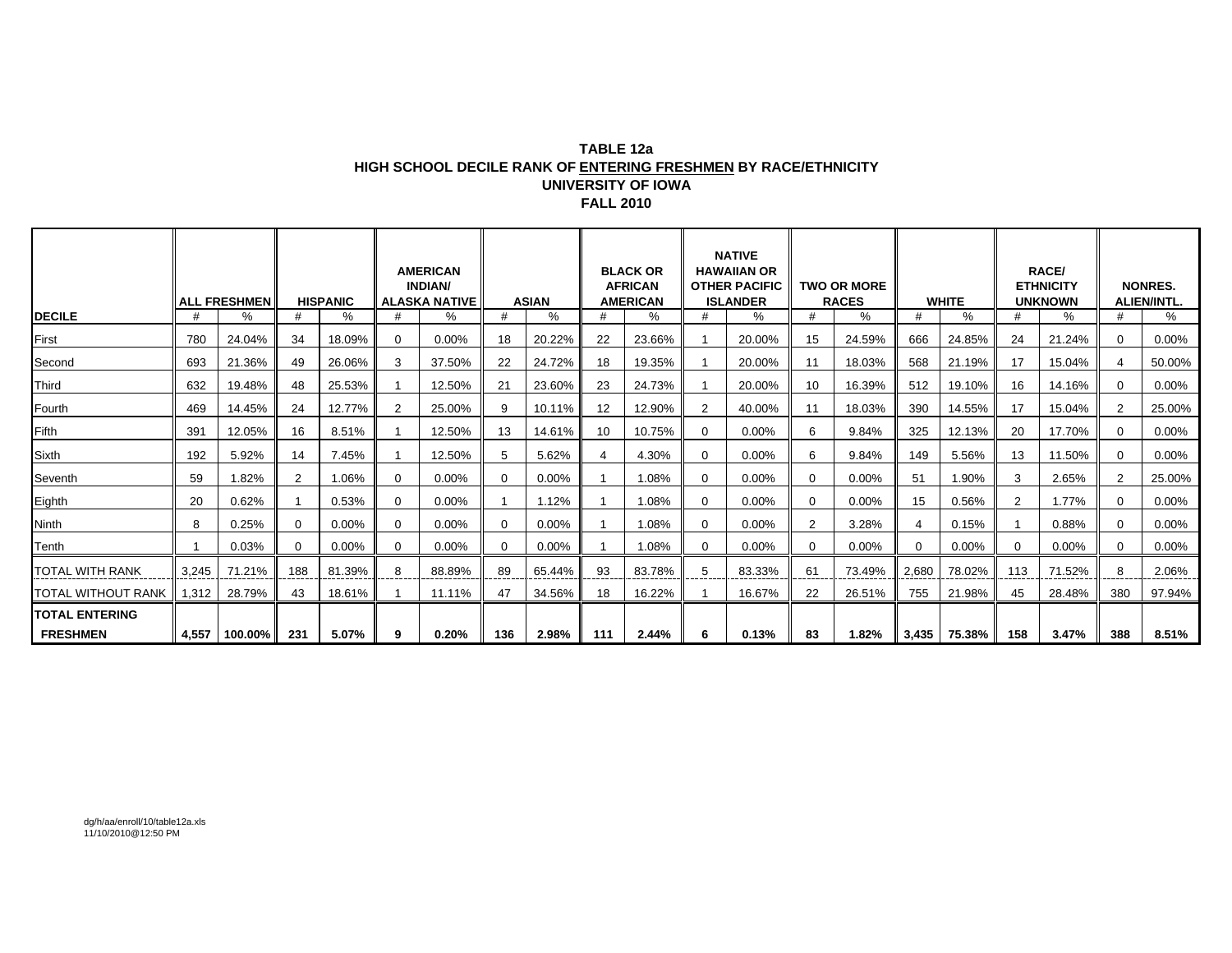#### **TABLE 12aHIGH SCHOOL DECILE RANK OF ENTERING FRESHMEN BY RACE/ETHNICITY UNIVERSITY OF IOWA FALL 2010**

|                        |       | <b>ALL FRESHMEN</b> |                | <b>HISPANIC</b> |                | <b>AMERICAN</b><br><b>INDIAN/</b><br><b>ALASKA NATIVE</b> |          | <b>ASIAN</b> |     | <b>BLACK OR</b><br><b>AFRICAN</b><br><b>AMERICAN</b> |                | <b>NATIVE</b><br><b>HAWAIIAN OR</b><br><b>OTHER PACIFIC</b><br><b>ISLANDER</b> |             | <b>TWO OR MORE</b><br><b>RACES</b> |       | <b>WHITE</b>   |                | RACE/<br><b>ETHNICITY</b><br><b>UNKNOWN</b> |     | <b>NONRES.</b><br><b>ALIEN/INTL.</b> |
|------------------------|-------|---------------------|----------------|-----------------|----------------|-----------------------------------------------------------|----------|--------------|-----|------------------------------------------------------|----------------|--------------------------------------------------------------------------------|-------------|------------------------------------|-------|----------------|----------------|---------------------------------------------|-----|--------------------------------------|
| <b>DECILE</b>          | #     | $\%$                |                | %               |                | %                                                         | #        | %            |     | ℅                                                    | #              | %                                                                              | #           | %                                  |       | %              | #              | %                                           |     | %                                    |
| First                  | 780   | 24.04%              | 34             | 18.09%          | $\Omega$       | 0.00%                                                     | 18       | 20.22%       | 22  | 23.66%                                               |                | 20.00%                                                                         | 15          | 24.59%                             | 666   | 24.85%         | 24             | 21.24%                                      |     | $0.00\%$                             |
| Second                 | 693   | 21.36%              | 49             | 26.06%          | 3              | 37.50%                                                    | 22       | 24.72%       | 18  | 19.35%                                               |                | 20.00%                                                                         | 11          | 18.03%                             | 568   | 21.19%         | 17             | 15.04%                                      |     | 50.00%                               |
| Third                  | 632   | 19.48%              | 48             | 25.53%          |                | 12.50%                                                    | 21       | 23.60%       | 23  | 24.73%                                               |                | 20.00%                                                                         | 10          | 16.39%                             | 512   | 19.10%         | 16             | 14.16%                                      |     | $0.00\%$                             |
| Fourth                 | 469   | 14.45%              | 24             | 12.77%          | $\overline{2}$ | 25.00%                                                    | 9        | 10.11%       | 12  | 12.90%                                               | $\overline{2}$ | 40.00%                                                                         | 11          | 18.03%                             | 390   | 14.55%         | 17             | 15.04%                                      |     | 25.00%                               |
| Fifth                  | 391   | 12.05%              | 16             | 8.51%           |                | 12.50%                                                    | 13       | 14.61%       | 10  | 10.75%                                               | 0              | 0.00%                                                                          | 6           | 9.84%                              | 325   | 12.13%         | 20             | 17.70%                                      | 0   | $0.00\%$                             |
| Sixth                  | 192   | 5.92%               | 14             | 7.45%           |                | 12.50%                                                    | 5        | 5.62%        |     | 4.30%                                                | $\mathbf{0}$   | $0.00\%$                                                                       | 6           | 9.84%                              | 149   | 5.56%          | 13             | 11.50%                                      |     | $0.00\%$                             |
| Seventh                | 59    | 1.82%               | $\overline{2}$ | 1.06%           | 0              | 0.00%                                                     | 0        | $0.00\%$     |     | 1.08%                                                | 0              | $0.00\%$                                                                       | $\mathbf 0$ | 0.00%                              | 51    | 1.90%          | 3              | 2.65%                                       |     | 25.00%                               |
| Eighth                 | 20    | 0.62%               |                | 0.53%           | $\Omega$       | 0.00%                                                     |          | 1.12%        |     | 1.08%                                                | 0              | $0.00\%$                                                                       | $\mathbf 0$ | 0.00%                              | 15    | 0.56%          | $\overline{2}$ | 1.77%                                       |     | $0.00\%$                             |
| Ninth                  | 8     | 0.25%               | <sup>0</sup>   | $0.00\%$        | $\Omega$       | 0.00%                                                     | $\Omega$ | 0.00%        |     | 1.08%                                                | 0              | $0.00\%$                                                                       | 2           | 3.28%                              |       | 0.15%          |                | 0.88%                                       |     | $0.00\%$                             |
| Tenth                  |       | 0.03%               | 0              | $0.00\%$        | $\Omega$       | 0.00%                                                     | $\Omega$ | $0.00\%$     |     | 1.08%                                                | 0              | $0.00\%$                                                                       | 0           | 0.00%                              |       | 0.00%          | $\Omega$       | $0.00\%$                                    |     | $0.00\%$                             |
| <b>TOTAL WITH RANK</b> | 3,245 | 71.21%              | 188            | 81.39%          | 8              | 88.89%                                                    | 89       | 65.44%       | 93  | 83.78%                                               | 5              | 83.33%                                                                         | 61          | 73.49%                             | 2,680 | 78.02%         | 113            | 71.52%                                      |     | 2.06%                                |
| TOTAL WITHOUT RANK     | 1,312 | 28.79%              | 43             | 18.61%          |                | 11.11%                                                    | 47       | 34.56%       | 18  | 16.22%                                               |                | 16.67%                                                                         | 22          | 26.51%                             | 755   | 21.98%         | 45             | 28.48%                                      | 380 | 97.94%                               |
| <b>TOTAL ENTERING</b>  |       |                     |                |                 |                |                                                           |          |              |     |                                                      |                |                                                                                |             |                                    |       |                |                |                                             |     |                                      |
| <b>FRESHMEN</b>        | 4,557 | 100.00%             | 231            | 5.07%           | 9              | 0.20%                                                     | 136      | 2.98%        | 111 | 2.44%                                                | 6              | 0.13%                                                                          | 83          | 1.82%                              |       | $3,435$ 75.38% | 158            | 3.47%                                       | 388 | 8.51%                                |

dg/h/aa/enroll/10/table12a.xls 11/10/2010@12:50 PM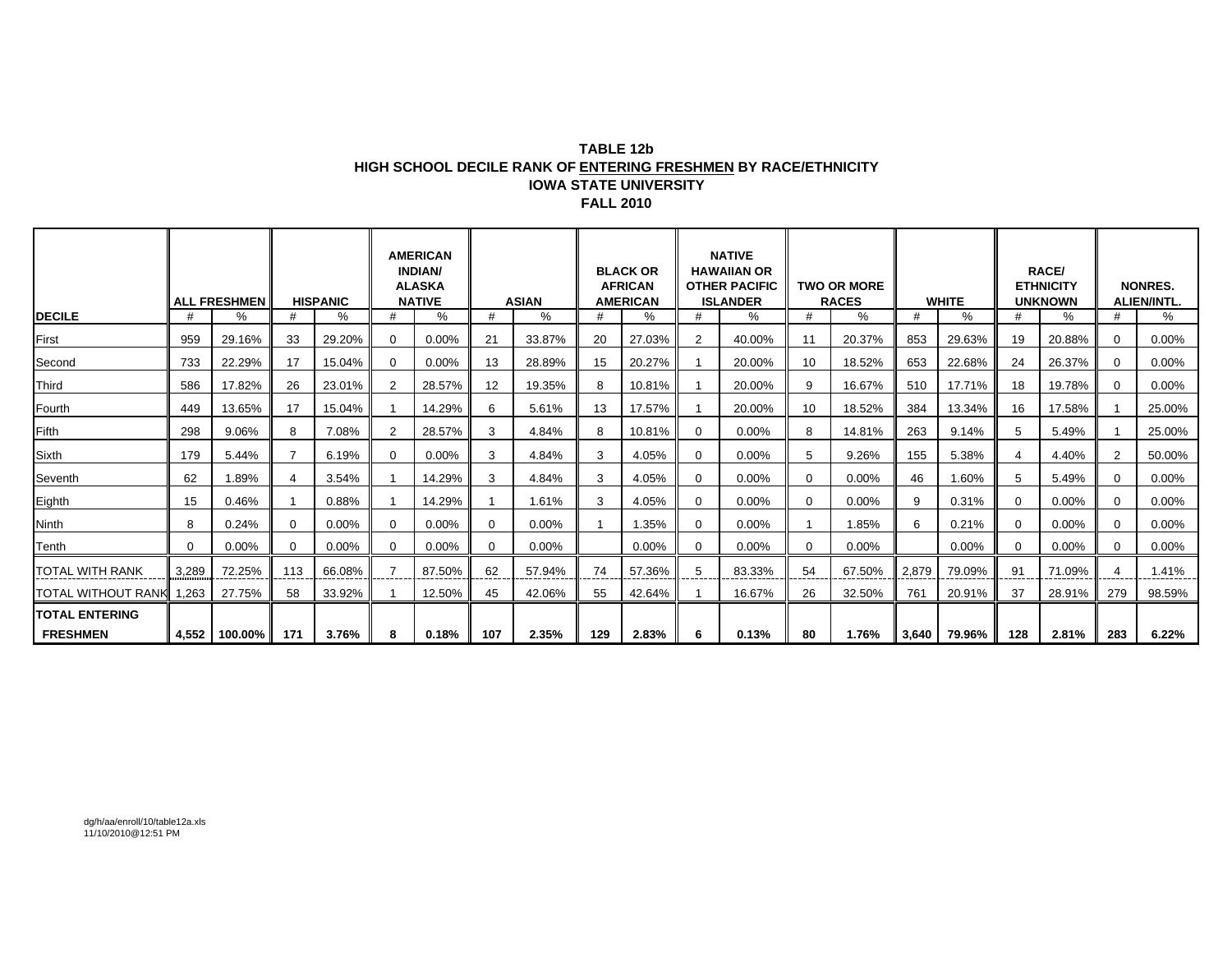#### **TABLE 12bHIGH SCHOOL DECILE RANK OF ENTERING FRESHMEN BY RACE/ETHNICITY IOWA STATE UNIVERSITY FALL 2010**

|                        |          |                     |          |                 |   | <b>AMERICAN</b><br><b>INDIAN/</b><br><b>ALASKA</b> |          |              |     | <b>BLACK OR</b><br><b>AFRICAN</b> |    | <b>NATIVE</b><br><b>HAWAIIAN OR</b><br><b>OTHER PACIFIC</b> |    | <b>TWO OR MORE</b> |             |              |                | RACE/<br><b>ETHNICITY</b> |          | <b>NONRES.</b>     |
|------------------------|----------|---------------------|----------|-----------------|---|----------------------------------------------------|----------|--------------|-----|-----------------------------------|----|-------------------------------------------------------------|----|--------------------|-------------|--------------|----------------|---------------------------|----------|--------------------|
|                        |          | <b>ALL FRESHMEN</b> |          | <b>HISPANIC</b> |   | <b>NATIVE</b>                                      |          | <b>ASIAN</b> |     | <b>AMERICAN</b>                   |    | <b>ISLANDER</b>                                             |    | <b>RACES</b>       |             | <b>WHITE</b> |                | <b>UNKNOWN</b>            |          | <b>ALIEN/INTL.</b> |
| <b>DECILE</b>          | #        | ℅                   |          | %               | # | %                                                  | #        | %            | #   | %                                 | #  | %                                                           |    | $\%$               | $_{\rm \#}$ | $\%$         | #              | %                         |          | %                  |
| First                  | 959      | 29.16%              | 33       | 29.20%          | 0 | 0.00%                                              | 21       | 33.87%       | 20  | 27.03%                            | 2  | 40.00%                                                      | 11 | 20.37%             | 853         | 29.63%       | 19             | 20.88%                    | $\Omega$ | $0.00\%$           |
| Second                 | 733      | 22.29%              | 17       | 15.04%          | 0 | $0.00\%$                                           | 13       | 28.89%       | 15  | 20.27%                            |    | 20.00%                                                      | 10 | 18.52%             | 653         | 22.68%       | 24             | 26.37%                    | $\Omega$ | 0.00%              |
| Third                  | 586      | 17.82%              | 26       | 23.01%          | 2 | 28.57%                                             | 12       | 19.35%       | 8   | 10.81%                            |    | 20.00%                                                      | q  | 16.67%             | 510         | 17.71%       | 18             | 19.78%                    | $\Omega$ | $0.00\%$           |
| Fourth                 | 449      | 13.65%              | 17       | 15.04%          |   | 14.29%                                             | 6        | 5.61%        | 13  | 17.57%                            |    | 20.00%                                                      | 10 | 18.52%             | 384         | 13.34%       | 16             | 17.58%                    |          | 25.00%             |
| <b>Fifth</b>           | 298      | 9.06%               | 8        | 7.08%           | 2 | 28.57%                                             | 3        | 4.84%        | 8   | 10.81%                            | 0  | $0.00\%$                                                    | 8  | 14.81%             | 263         | 9.14%        | 5              | 5.49%                     |          | 25.00%             |
| Sixth                  | 179      | 5.44%               |          | 6.19%           | 0 | 0.00%                                              | 3        | 4.84%        | 3   | 4.05%                             | 0  | $0.00\%$                                                    | 5  | 9.26%              | 155         | 5.38%        | $\overline{4}$ | 4.40%                     | 2        | 50.00%             |
| Seventh                | 62       | .89%                |          | 3.54%           |   | 14.29%                                             | 3        | 4.84%        | 3   | 4.05%                             | 0  | 0.00%                                                       | 0  | 0.00%              | 46          | 1.60%        | 5              | 5.49%                     | ∩        | $0.00\%$           |
| Eighth                 | 15       | 0.46%               |          | 0.88%           |   | 14.29%                                             |          | 1.61%        | 3   | 4.05%                             | 0  | $0.00\%$                                                    | 0  | 0.00%              | 9           | 0.31%        | $\mathbf 0$    | $0.00\%$                  | 0        | $0.00\%$           |
| <b>Ninth</b>           | 8        | 0.24%               | $\Omega$ | 0.00%           | 0 | 0.00%                                              | $\Omega$ | 0.00%        |     | 1.35%                             |    | 0.00%                                                       |    | 1.85%              | 6           | 0.21%        | $\Omega$       | $0.00\%$                  |          | $0.00\%$           |
| Tenth                  | $\Omega$ | $0.00\%$            | $\Omega$ | 0.00%           | 0 | $0.00\%$                                           | $\Omega$ | $0.00\%$     |     | $0.00\%$                          |    | $0.00\%$                                                    | 0  | $0.00\%$           |             | $0.00\%$     | $\Omega$       | $0.00\%$                  |          | $0.00\%$           |
| <b>TOTAL WITH RANK</b> | 3,289    | 72.25%              | 113      | 66.08%          |   | 87.50%                                             | 62       | 57.94%       | 74  | 57.36%                            | 5  | 83.33%                                                      | 54 | 67.50%             | 2,879       | 79.09%       | 91             | 71.09%                    |          | 1.41%              |
| TOTAL WITHOUT RANK     | 1,263    | 27.75%              | 58       | 33.92%          |   | 12.50%                                             | 45       | 42.06%       | 55  | 42.64%                            |    | 16.67%                                                      | 26 | 32.50%             | 761         | 20.91%       | 37             | 28.91%                    | 279      | 98.59%             |
| <b>TOTAL ENTERING</b>  |          |                     |          |                 |   |                                                    |          |              |     |                                   |    |                                                             |    |                    |             |              |                |                           |          |                    |
| <b>FRESHMEN</b>        |          | 4,552 100.00%       | 171      | 3.76%           | 8 | 0.18%                                              | 107      | 2.35%        | 129 | 2.83%                             | 6. | 0.13%                                                       | 80 | 1.76%              | 3,640       | 79.96%       | 128            | 2.81%                     | 283      | 6.22%              |

dg/h/aa/enroll/10/table12a.xls 11/10/2010@12:51 PM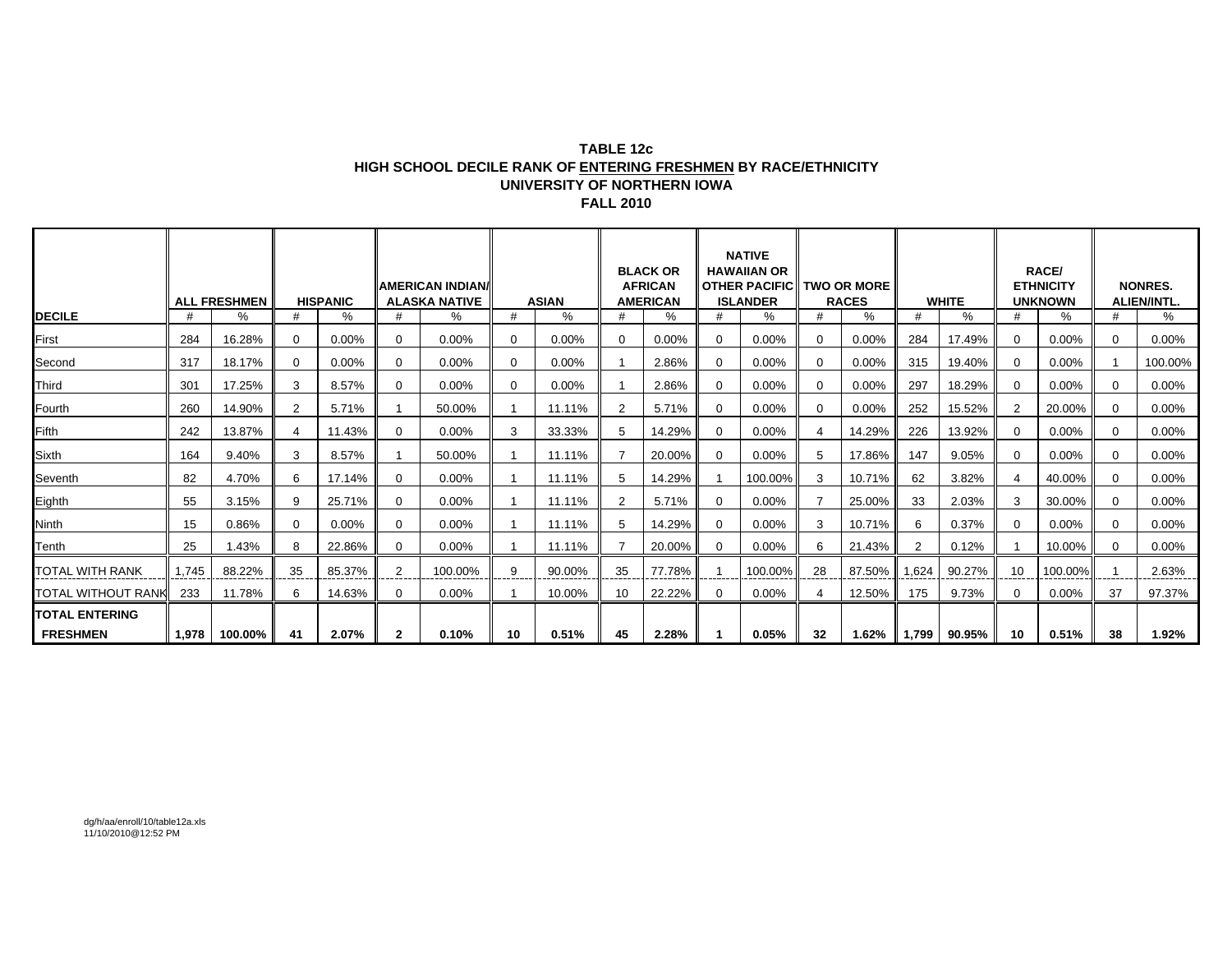#### **TABLE 12cHIGH SCHOOL DECILE RANK OF ENTERING FRESHMEN BY RACE/ETHNICITY UNIVERSITY OF NORTHERN IOWAFALL 2010**

|                       |       |                     |          |                 |              | <b>IAMERICAN INDIAN/</b> |    |              |                | <b>BLACK OR</b><br><b>AFRICAN</b> |          | <b>NATIVE</b><br><b>HAWAIIAN OR</b><br><b>OTHER PACIFIC TWO OR MORE</b> |                |                  |       |              |                | <b>RACE/</b><br><b>ETHNICITY</b> |          | <b>NONRES.</b>    |
|-----------------------|-------|---------------------|----------|-----------------|--------------|--------------------------|----|--------------|----------------|-----------------------------------|----------|-------------------------------------------------------------------------|----------------|------------------|-------|--------------|----------------|----------------------------------|----------|-------------------|
|                       |       | <b>ALL FRESHMEN</b> |          | <b>HISPANIC</b> |              | <b>ALASKA NATIVE</b>     |    | <b>ASIAN</b> |                | <b>AMERICAN</b>                   |          | <b>ISLANDER</b>                                                         |                | <b>RACES</b>     |       | <b>WHITE</b> |                | <b>UNKNOWN</b>                   |          | <b>ALIEN/INTL</b> |
| <b>DECILE</b>         | #     | %                   | #        | %               | #            | %                        | #  | %            | #              | %                                 | #        | %                                                                       | #              | %                | #     | %            | #              | %                                | #        | %                 |
| First                 | 284   | 16.28%              | $\Omega$ | $0.00\%$        | 0            | $0.00\%$                 | 0  | 0.00%        | 0              | $0.00\%$                          | 0        | $0.00\%$                                                                | $\Omega$       | $0.00\%$         | 284   | 17.49%       | $\mathbf{0}$   | $0.00\%$                         | 0        | $0.00\%$          |
| Second                | 317   | 18.17%              | $\Omega$ | 0.00%           | 0            | $0.00\%$                 | 0  | 0.00%        |                | 2.86%                             | $\Omega$ | $0.00\%$                                                                | $\Omega$       | $0.00\%$         | 315   | 19.40%       | $\mathbf{0}$   | $0.00\%$                         |          | 100.00%           |
| Third                 | 301   | 17.25%              | 3        | 8.57%           | $\Omega$     | 0.00%                    | 0  | 0.00%        |                | 2.86%                             | $\Omega$ | $0.00\%$                                                                | $\Omega$       | $0.00\%$         | 297   | 18.29%       | $\Omega$       | $0.00\%$                         | $\Omega$ | $0.00\%$          |
| Fourth                | 260   | 14.90%              | 2        | 5.71%           |              | 50.00%                   |    | 11.11%       | $\overline{2}$ | 5.71%                             | $\Omega$ | $0.00\%$                                                                | $\Omega$       | $0.00\%$         | 252   | 15.52%       | $\overline{2}$ | 20.00%                           | $\Omega$ | $0.00\%$          |
| Fifth                 | 242   | 13.87%              |          | 11.43%          | 0            | 0.00%                    | 3  | 33.33%       | 5              | 14.29%                            | $\Omega$ | $0.00\%$                                                                | $\overline{4}$ | 14.29%           | 226   | 13.92%       | $\mathbf{0}$   | 0.00%                            | 0        | 0.00%             |
| Sixth                 | 164   | 9.40%               | 3        | 8.57%           |              | 50.00%                   |    | 11.11%       |                | 20.00%                            | $\Omega$ | $0.00\%$                                                                | 5              | 17.86%           | 147   | 9.05%        | $\mathbf{0}$   | $0.00\%$                         | 0        | $0.00\%$          |
| Seventh               | 82    | 4.70%               | 6        | 17.14%          | 0            | 0.00%                    |    | 11.11%       | 5              | 14.29%                            |          | 100.00%                                                                 | 3              | 10.71%           | 62    | 3.82%        | 4              | 40.00%                           | $\Omega$ | $0.00\%$          |
| Eighth                | 55    | 3.15%               | 9        | 25.71%          | 0            | $0.00\%$                 |    | 11.11%       | 2              | 5.71%                             | $\Omega$ | $0.00\%$                                                                | 7              | 25.00%           | 33    | 2.03%        | 3              | 30.00%                           | 0        | $0.00\%$          |
| Ninth                 | 15    | 0.86%               | $\Omega$ | $0.00\%$        | $\Omega$     | 0.00%                    |    | 11.11%       | 5              | 14.29%                            | $\Omega$ | $0.00\%$                                                                | 3              | 10.71%           | 6     | 0.37%        | $\Omega$       | $0.00\%$                         | 0        | $0.00\%$          |
| Tenth                 | 25    | 1.43%               | 8        | 22.86%          | 0            | $0.00\%$                 |    | 11.11%       |                | 20.00%                            | $\Omega$ | $0.00\%$                                                                | 6              | 21.43%           |       | 0.12%        |                | 10.00%                           | 0        | $0.00\%$          |
| TOTAL WITH RANK       | 1.745 | 88.22%              | 35       | 85.37%          | 2            | 100.00%                  | 9  | 90.00%       | 35             | 77.78%                            |          | 100.00%                                                                 | 28             | 87.50%           | 1.624 | 90.27%       | 10             | 100.00%                          |          | 2.63%             |
| TOTAL WITHOUT RANK    | 233   | 11.78%              | 6        | 14.63%          | 0            | 0.00%                    |    | 10.00%       | 10             | 22.22%                            | 0        | $0.00\%$                                                                | 4              | 12.50%           | 175   | 9.73%        | $\mathbf{0}$   | 0.00%                            | 37       | 97.37%            |
| <b>TOTAL ENTERING</b> |       |                     |          |                 |              |                          |    |              |                |                                   |          |                                                                         |                |                  |       |              |                |                                  |          |                   |
| <b>FRESHMEN</b>       |       | 1,978 100.00%       | 41       | 2.07%           | $\mathbf{2}$ | 0.10%                    | 10 | 0.51%        | 45             | 2.28%                             |          | 0.05%                                                                   | 32             | $1.62\%$   1,799 |       | 90.95%       | 10             | 0.51%                            | 38       | 1.92%             |

dg/h/aa/enroll/10/table12a.xls 11/10/2010@12:52 PM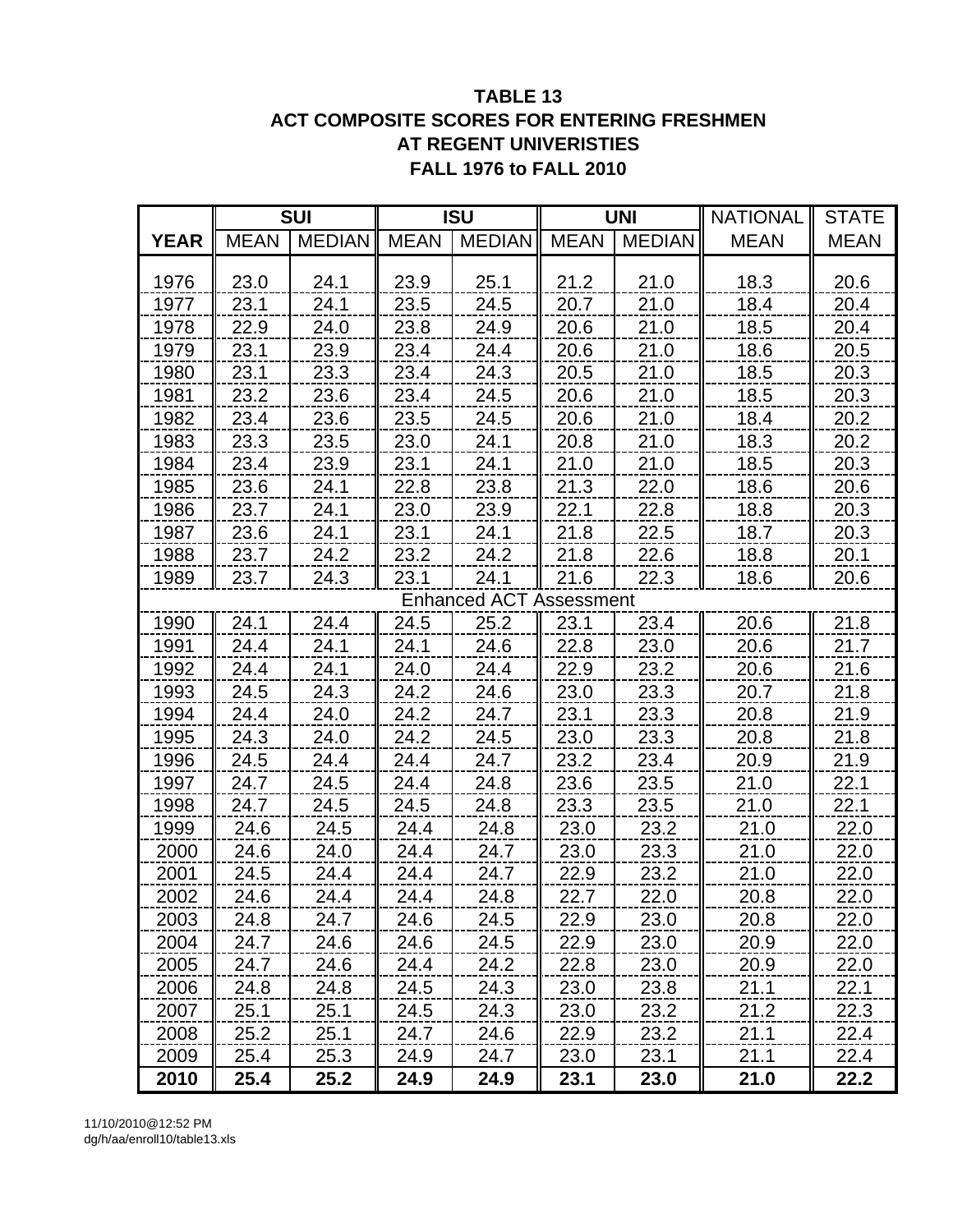# **TABLE 13 ACT COMPOSITE SCORES FOR ENTERING FRESHMEN AT REGENT UNIVERISTIES FALL 1976 to FALL 2010**

|             |             | <b>SUI</b>    |             | <b>ISU</b>                     |             | <b>UNI</b>    | <b>NATIONAL</b> | <b>STATE</b> |
|-------------|-------------|---------------|-------------|--------------------------------|-------------|---------------|-----------------|--------------|
| <b>YEAR</b> | <b>MEAN</b> | <b>MEDIAN</b> | <b>MEAN</b> | <b>MEDIAN</b>                  | <b>MEAN</b> | <b>MEDIAN</b> | <b>MEAN</b>     | <b>MEAN</b>  |
|             |             |               |             |                                |             |               |                 |              |
| 1976        | 23.0        | 24.1          | 23.9        | 25.1                           | 21.2        | 21.0          | 18.3            | 20.6         |
| 1977        | 23.1        | 24.1          | 23.5        | 24.5                           | 20.7        | 21.0          | 18.4            | 20.4         |
| 1978        | 22.9        | 24.0          | 23.8        | 24.9                           | 20.6        | 21.0          | 18.5            | 20.4         |
| 1979        | 23.1        | 23.9          | 23.4        | 24.4                           | 20.6        | 21.0          | 18.6            | 20.5         |
| 1980        | 23.1        | 23.3          | 23.4        | 24.3                           | 20.5        | 21.0          | 18.5            | 20.3         |
| 1981        | 23.2        | 23.6          | 23.4        | 24.5                           | 20.6        | 21.0          | 18.5            | 20.3         |
| 1982        | 23.4        | 23.6          | 23.5        | 24.5                           | 20.6        | 21.0          | 18.4            | 20.2         |
| 1983        | 23.3        | 23.5          | 23.0        | 24.1                           | 20.8        | 21.0          | 18.3            | 20.2         |
| 1984        | 23.4        | 23.9          | 23.1        | 24.1                           | 21.0        | 21.0          | 18.5            | 20.3         |
| 1985        | 23.6        | 24.1          | 22.8        | 23.8                           | 21.3        | 22.0          | 18.6            | 20.6         |
| 1986        | 23.7        | 24.1          | 23.0        | 23.9                           | 22.1        | 22.8          | 18.8            | 20.3         |
| 1987        | 23.6        | 24.1          | 23.1        | 24.1                           | 21.8        | 22.5          | 18.7            | 20.3         |
| 1988        | 23.7        | 24.2          | 23.2        | 24.2                           | 21.8        | 22.6          | 18.8            | 20.1         |
| 1989        | 23.7        | 24.3          | 23.1        | 24.1                           | 21.6        | 22.3          | 18.6            | 20.6         |
|             |             |               |             | <b>Enhanced ACT Assessment</b> |             |               |                 |              |
| 1990        | 24.1        | 24.4          | 24.5        | 25.2                           | 23.1        | 23.4          | 20.6            | 21.8         |
| 1991        | 24.4        | 24.1          | 24.1        | 24.6                           | 22.8        | 23.0          | 20.6            | 21.7         |
| 1992        | 24.4        | 24.1          | 24.0        | 24.4                           | 22.9        | 23.2          | 20.6            | 21.6         |
| 1993        | 24.5        | 24.3          | 24.2        | 24.6                           | 23.0        | 23.3          | 20.7            | 21.8         |
| 1994        | 24.4        | 24.0          | 24.2        | 24.7                           | 23.1        | 23.3          | 20.8            | 21.9         |
| 1995        | 24.3        | 24.0          | 24.2        | 24.5                           | 23.0        | 23.3          | 20.8            | 21.8         |
| 1996        | 24.5        | 24.4          | 24.4        | 24.7                           | 23.2        | 23.4          | 20.9            | 21.9         |
| 1997        | 24.7        | 24.5          | 24.4        | 24.8                           | 23.6        | 23.5          | 21.0            | 22.1         |
| 1998        | 24.7        | 24.5          | 24.5        | 24.8                           | 23.3        | 23.5          | 21.0            | 22.1         |
| 1999        | 24.6        | 24.5          | 24.4        | 24.8                           | 23.0        | 23.2          | 21.0            | 22.0         |
| 2000        | 24.6        | 24.0          | 24.4        | 24.7                           | 23.0        | 23.3          | 21.0            | 22.0         |
| 2001        | 24.5        | 24.4          | 24.4        | 24.7                           | 22.9        | 23.2          | 21.0            | 22.0         |
| 2002        | 24.6        | 24.4          | 24.4        | 24.8                           | 22.7        | 22.0          | 20.8            | 22.0         |
| 2003        | 24.8        | 24.7          | 24.6        | 24.5                           | 22.9        | 23.0          | 20.8            | 22.0         |
| 2004        | 24.7        | 24.6          | 24.6        | 24.5                           | 22.9        | 23.0          | 20.9            | 22.0         |
| 2005        | 24.7        | 24.6          | 24.4        | 24.2                           | 22.8        | 23.0          | 20.9            | 22.0         |
| 2006        | 24.8        | 24.8          | 24.5        | 24.3                           | 23.0        | 23.8          | 21.1            | 22.1         |
| 2007        | 25.1        | 25.1          | 24.5        | 24.3                           | 23.0        | 23.2          | 21.2            | 22.3         |
| 2008        | 25.2        | 25.1          | 24.7        | 24.6                           | 22.9        | 23.2          | 21.1            | 22.4         |
| 2009        | 25.4        | 25.3          | 24.9        | 24.7                           | 23.0        | 23.1          | 21.1            | 22.4         |
| 2010        | 25.4        | 25.2          | 24.9        | 24.9                           | 23.1        | 23.0          | 21.0            | 22.2         |

11/10/2010@12:52 PM dg/h/aa/enroll10/table13.xls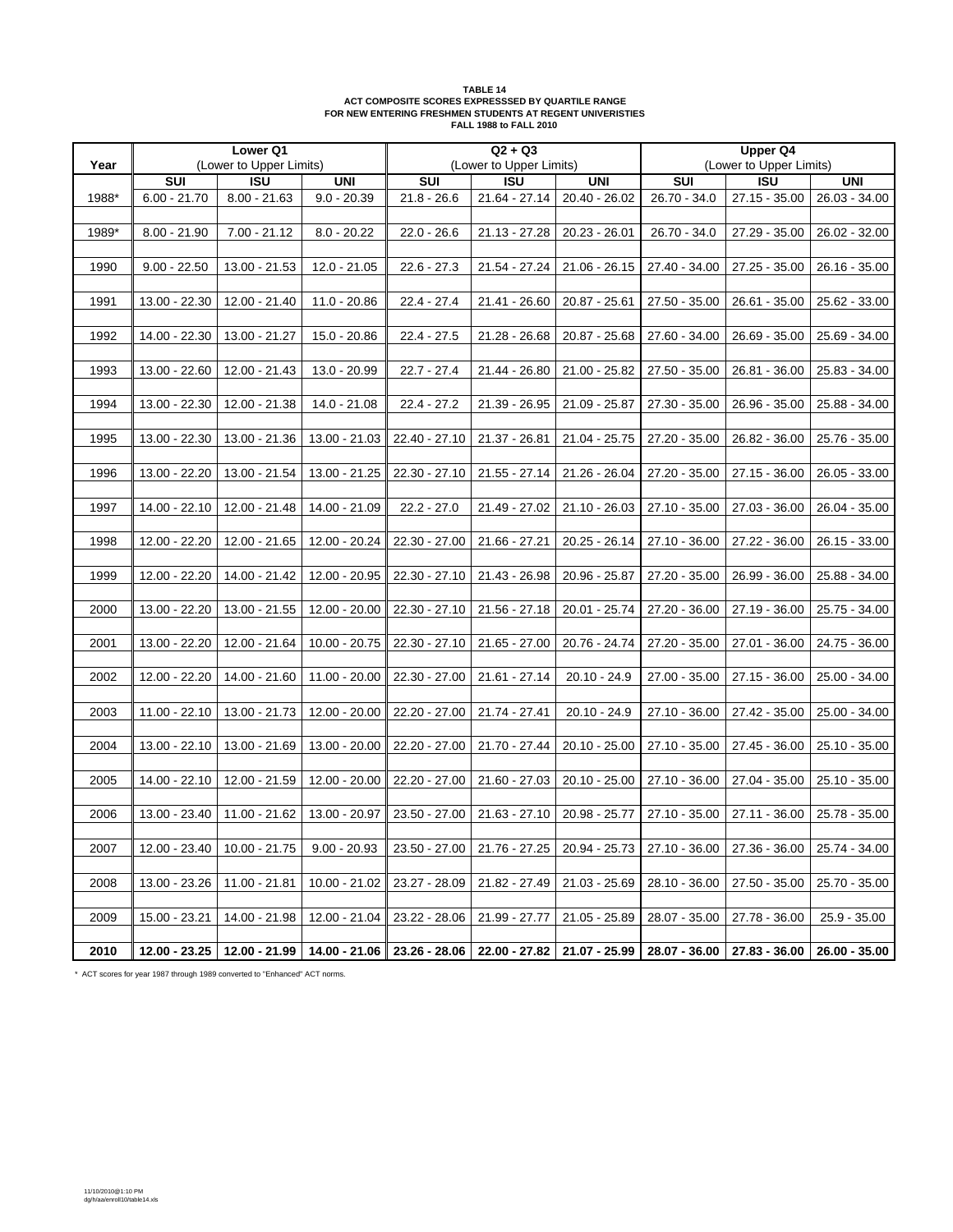| TARI F 14                                                 |
|-----------------------------------------------------------|
| ACT COMPOSITE SCORES EXPRESSSED BY QUARTILE RANGE         |
| FOR NEW ENTERING FRESHMEN STUDENTS AT REGENT UNIVERISTIES |
| <b>FALL 1988 to FALL 2010</b>                             |

|       |                 | Lower Q1                      |                             |                 | $Q2 + Q3$                   |                                                                                               |               | Upper Q4                |                               |
|-------|-----------------|-------------------------------|-----------------------------|-----------------|-----------------------------|-----------------------------------------------------------------------------------------------|---------------|-------------------------|-------------------------------|
| Year  |                 | (Lower to Upper Limits)       |                             |                 | (Lower to Upper Limits)     |                                                                                               |               | (Lower to Upper Limits) |                               |
|       | SUI             | $\overline{150}$              | <b>UNI</b>                  | SUI             | $\overline{150}$            | <b>UNI</b>                                                                                    | SUI           | $\overline{150}$        | <b>UNI</b>                    |
| 1988* | $6.00 - 21.70$  | $8.00 - 21.63$                | $9.0 - 20.39$               | $21.8 - 26.6$   | 21.64 - 27.14               | 20.40 - 26.02                                                                                 | 26.70 - 34.0  | 27.15 - 35.00           | 26.03 - 34.00                 |
|       |                 |                               |                             |                 |                             |                                                                                               |               |                         |                               |
| 1989* | $8.00 - 21.90$  | $7.00 - 21.12$                | $8.0 - 20.22$               | $22.0 - 26.6$   | $21.13 - 27.28$             | 20.23 - 26.01                                                                                 | 26.70 - 34.0  | 27.29 - 35.00           | 26.02 - 32.00                 |
|       |                 |                               |                             |                 |                             |                                                                                               |               |                         |                               |
| 1990  | $9.00 - 22.50$  | 13.00 - 21.53                 | 12.0 - 21.05                | $22.6 - 27.3$   | 21.54 - 27.24               | $21.06 - 26.15$                                                                               | 27.40 - 34.00 | 27.25 - 35.00           | 26.16 - 35.00                 |
|       |                 |                               |                             |                 |                             |                                                                                               |               |                         |                               |
| 1991  | 13.00 - 22.30   | 12.00 - 21.40                 | 11.0 - 20.86                | $22.4 - 27.4$   | 21.41 - 26.60               | 20.87 - 25.61                                                                                 | 27.50 - 35.00 | 26.61 - 35.00           | 25.62 - 33.00                 |
|       |                 |                               |                             |                 |                             |                                                                                               |               |                         |                               |
| 1992  | 14.00 - 22.30   | 13.00 - 21.27                 | 15.0 - 20.86                | $22.4 - 27.5$   | 21.28 - 26.68               | 20.87 - 25.68                                                                                 | 27.60 - 34.00 | 26.69 - 35.00           | 25.69 - 34.00                 |
|       |                 |                               |                             |                 |                             |                                                                                               |               |                         |                               |
| 1993  | 13.00 - 22.60   | 12.00 - 21.43                 | 13.0 - 20.99                | $22.7 - 27.4$   | 21.44 - 26.80               | 21.00 - 25.82                                                                                 | 27.50 - 35.00 | 26.81 - 36.00           | 25.83 - 34.00                 |
|       |                 |                               |                             |                 |                             |                                                                                               |               |                         |                               |
| 1994  | 13.00 - 22.30   | 12.00 - 21.38                 | 14.0 - 21.08                | $22.4 - 27.2$   | 21.39 - 26.95               | 21.09 - 25.87                                                                                 | 27.30 - 35.00 | 26.96 - 35.00           | 25.88 - 34.00                 |
| 1995  |                 |                               |                             |                 |                             |                                                                                               |               |                         |                               |
|       | 13.00 - 22.30   | 13.00 - 21.36                 | 13.00 - 21.03               | 22.40 - 27.10   | 21.37 - 26.81               | 21.04 - 25.75                                                                                 | 27.20 - 35.00 | 26.82 - 36.00           | 25.76 - 35.00                 |
| 1996  | 13.00 - 22.20   | 13.00 - 21.54                 | 13.00 - 21.25               | 22.30 - 27.10   | 21.55 - 27.14               | 21.26 - 26.04                                                                                 | 27.20 - 35.00 | 27.15 - 36.00           | 26.05 - 33.00                 |
|       |                 |                               |                             |                 |                             |                                                                                               |               |                         |                               |
| 1997  | 14.00 - 22.10   | 12.00 - 21.48                 | 14.00 - 21.09               | $22.2 - 27.0$   | 21.49 - 27.02               | 21.10 - 26.03                                                                                 | 27.10 - 35.00 | 27.03 - 36.00           | 26.04 - 35.00                 |
|       |                 |                               |                             |                 |                             |                                                                                               |               |                         |                               |
| 1998  | 12.00 - 22.20   | 12.00 - 21.65                 | 12.00 - 20.24               | 22.30 - 27.00   | 21.66 - 27.21               | $20.25 - 26.14$                                                                               | 27.10 - 36.00 | 27.22 - 36.00           | 26.15 - 33.00                 |
|       |                 |                               |                             |                 |                             |                                                                                               |               |                         |                               |
| 1999  | 12.00 - 22.20   | 14.00 - 21.42                 | 12.00 - 20.95               | $22.30 - 27.10$ | 21.43 - 26.98               | 20.96 - 25.87                                                                                 | 27.20 - 35.00 | 26.99 - 36.00           | 25.88 - 34.00                 |
|       |                 |                               |                             |                 |                             |                                                                                               |               |                         |                               |
| 2000  | 13.00 - 22.20   | 13.00 - 21.55                 | 12.00 - 20.00               | 22.30 - 27.10   | 21.56 - 27.18               | 20.01 - 25.74                                                                                 | 27.20 - 36.00 | 27.19 - 36.00           | 25.75 - 34.00                 |
|       |                 |                               |                             |                 |                             |                                                                                               |               |                         |                               |
| 2001  | 13.00 - 22.20   | 12.00 - 21.64                 | 10.00 - 20.75               | 22.30 - 27.10   | 21.65 - 27.00               | 20.76 - 24.74                                                                                 | 27.20 - 35.00 | 27.01 - 36.00           | 24.75 - 36.00                 |
|       |                 |                               |                             |                 |                             |                                                                                               |               |                         |                               |
| 2002  | 12.00 - 22.20   | 14.00 - 21.60                 | 11.00 - 20.00               | 22.30 - 27.00   | 21.61 - 27.14               | 20.10 - 24.9                                                                                  | 27.00 - 35.00 | $27.15 - 36.00$         | 25.00 - 34.00                 |
|       |                 |                               |                             |                 |                             |                                                                                               |               |                         |                               |
| 2003  | 11.00 - 22.10   | 13.00 - 21.73                 | 12.00 - 20.00               | 22.20 - 27.00   | 21.74 - 27.41               | 20.10 - 24.9                                                                                  | 27.10 - 36.00 | 27.42 - 35.00           | 25.00 - 34.00                 |
|       |                 |                               |                             |                 |                             |                                                                                               |               |                         |                               |
| 2004  | 13.00 - 22.10   | 13.00 - 21.69                 | 13.00 - 20.00               | $22.20 - 27.00$ | 21.70 - 27.44               | $20.10 - 25.00$                                                                               | 27.10 - 35.00 | 27.45 - 36.00           | 25.10 - 35.00                 |
| 2005  | 14.00 - 22.10   | 12.00 - 21.59                 | 12.00 - 20.00               | 22.20 - 27.00   | 21.60 - 27.03               | $20.10 - 25.00$                                                                               | 27.10 - 36.00 | 27.04 - 35.00           | 25.10 - 35.00                 |
|       |                 |                               |                             |                 |                             |                                                                                               |               |                         |                               |
| 2006  | 13.00 - 23.40   | 11.00 - 21.62                 | 13.00 - 20.97               | $23.50 - 27.00$ | 21.63 - 27.10               | 20.98 - 25.77                                                                                 | 27.10 - 35.00 | 27.11 - 36.00           | 25.78 - 35.00                 |
|       |                 |                               |                             |                 |                             |                                                                                               |               |                         |                               |
| 2007  |                 | 12.00 - 23.40   10.00 - 21.75 | $9.00 - 20.93$              |                 |                             | 23.50 - 27.00   21.76 - 27.25   20.94 - 25.73   27.10 - 36.00   27.36 - 36.00   25.74 - 34.00 |               |                         |                               |
|       |                 |                               |                             |                 |                             |                                                                                               |               |                         |                               |
| 2008  | 13.00 - 23.26   | 11.00 - 21.81                 | $10.00 - 21.02$             | 23.27 - 28.09   | 21.82 - 27.49 21.03 - 25.69 |                                                                                               | 28.10 - 36.00 | $27.50 - 35.00$         | 25.70 - 35.00                 |
|       |                 |                               |                             |                 |                             |                                                                                               |               |                         |                               |
| 2009  | 15.00 - 23.21   | 14.00 - 21.98                 | 12.00 - 21.04               | 23.22 - 28.06   | 21.99 - 27.77               | 21.05 - 25.89                                                                                 | 28.07 - 35.00 | 27.78 - 36.00           | $25.9 - 35.00$                |
|       |                 |                               |                             |                 |                             |                                                                                               |               |                         |                               |
| 2010  | $12.00 - 23.25$ |                               | 12.00 - 21.99 14.00 - 21.06 |                 |                             | 23.26 - 28.06   22.00 - 27.82   21.07 - 25.99   28.07 - 36.00                                 |               |                         | 27.83 - 36.00   26.00 - 35.00 |

\* ACT scores for year 1987 through 1989 converted to "Enhanced" ACT norms.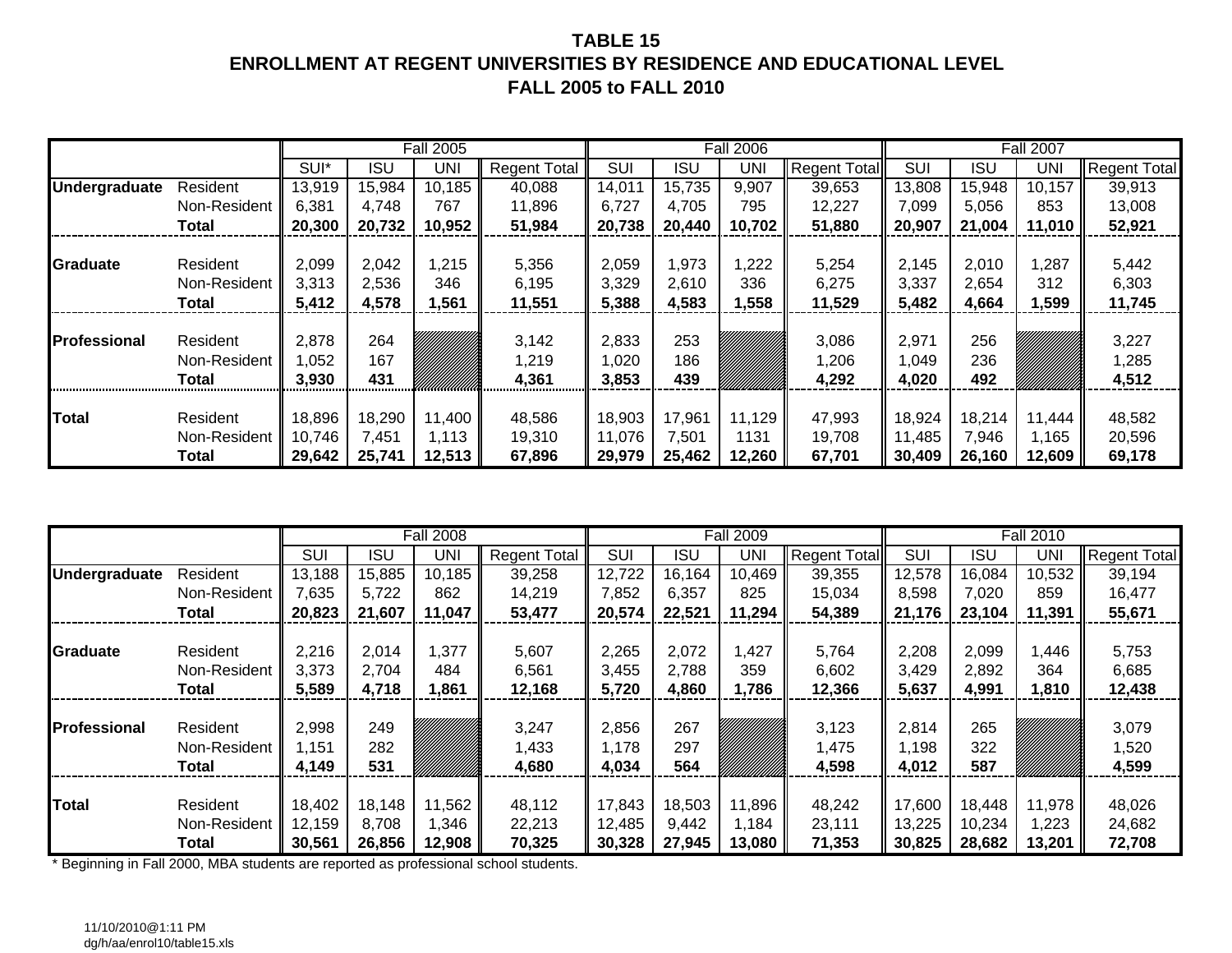# **TABLE 15ENROLLMENT AT REGENT UNIVERSITIES BY RESIDENCE AND EDUCATIONAL LEVELFALL 2005 to FALL 2010**

|                      |                                   |                          |                   | <b>Fall 2005</b> |                         |                          |                   | <b>Fall 2006</b> |                         |                          |                   | <b>Fall 2007</b> |                         |
|----------------------|-----------------------------------|--------------------------|-------------------|------------------|-------------------------|--------------------------|-------------------|------------------|-------------------------|--------------------------|-------------------|------------------|-------------------------|
|                      |                                   | SUI*                     | <b>ISU</b>        | UNI              | <b>Regent Total</b>     | <b>SUI</b>               | ISU               | UNI              | <b>Regent Total</b>     | SUI                      | <b>ISU</b>        | <b>UNI</b>       | <b>Regent Total</b>     |
| <b>Undergraduate</b> | Resident                          | 13,919                   | 15,984            | 10,185           | 40,088                  | 14,01'                   | 15,735            | 9,907            | 39,653                  | 13,808                   | 15,948            | 10,157           | 39,913                  |
|                      | Non-Resident                      | 6,381                    | 4,748             | 767              | 11,896                  | 6,727                    | 4,705             | 795              | 12,227                  | 7,099                    | 5,056             | 853              | 13,008                  |
|                      | Total                             | 20,300                   | 20,732            | 10,952           | 51,984                  | 20,738                   | 20,440            | 10,702           | 51,880                  | 20,907                   | 21,004            | 11,010           | 52,921                  |
|                      |                                   |                          |                   |                  |                         |                          |                   |                  |                         |                          |                   |                  |                         |
| Graduate             | Resident                          | 2,099                    | 2,042             | 1,215            | 5,356                   | 2,059                    | 1,973             | ,222             | 5,254                   | 2,145                    | 2,010             | 1,287            | 5,442                   |
|                      | Non-Resident                      | 3,313                    | 2,536             | 346              | 6,195                   | 3,329                    | 2,610             | 336              | 6,275                   | 3,337                    | 2,654             | 312              | 6,303                   |
|                      | Total                             | 5,412                    | 4,578             | 1,561            | 11,551                  | 5,388                    | 4,583             | ,558             | 11,529                  | 5,482                    | 4,664             | 1,599            | 11,745                  |
| <b>Professional</b>  | Resident<br>Non-Resident<br>Total | 2,878<br>052, ا<br>3,930 | 264<br>167<br>431 |                  | 3,142<br>1,219<br>4,361 | 2,833<br>020, ا<br>3,853 | 253<br>186<br>439 |                  | 3,086<br>1,206<br>4,292 | 2,971<br>049, ا<br>4,020 | 256<br>236<br>492 |                  | 3,227<br>1,285<br>4,512 |
| <b>Total</b>         | Resident                          | 18,896                   | 18,290            | 11,400           | 48,586                  | 18,903                   | 17,961            | 11,129           | 47,993                  | 18,924                   | 18,214            | 11,444           | 48,582                  |
|                      | Non-Resident<br>Total             | 10,746<br>29,642         | 7,451<br>25,741   | 1.113<br>12,513  | 19,310<br>67,896        | 11,076<br>29,979         | 7,501<br>25,462   | 1131<br>12,260   | 19,708<br>67,701        | 11,485<br>30,409         | 7,946<br>26,160   | 1,165<br>12,609  | 20,596<br>69,178        |

|                      |              |        |            | <b>Fall 2008</b> |                     |        |            | <b>Fall 2009</b> |              |        |            | <b>Fall 2010</b> |                     |
|----------------------|--------------|--------|------------|------------------|---------------------|--------|------------|------------------|--------------|--------|------------|------------------|---------------------|
|                      |              | SUI    | <b>ISU</b> | UNI              | <b>Regent Total</b> | SUI    | <b>ISU</b> | <b>UNI</b>       | Regent Total | SUI    | <b>ISU</b> | <b>UNI</b>       | <b>Regent Total</b> |
| <b>Undergraduate</b> | Resident     | 13,188 | 15,885     | 10,185           | 39,258              | 12,722 | 16,164     | 10,469           | 39,355       | 12,578 | 16,084     | 10,532           | 39,194              |
|                      | Non-Resident | 7,635  | 5,722      | 862              | 14,219              | 7,852  | 6,357      | 825              | 15,034       | 8,598  | 7,020      | 859              | 16,477              |
|                      | Total        | 20,823 | 21,607     | 11,047           | 53,477              | 20,574 | 22,521     | 11,294           | 54,389       | 21,176 | 23,104     | 11,391           | 55,671              |
|                      |              |        |            |                  |                     |        |            |                  |              |        |            |                  |                     |
| <b>Graduate</b>      | Resident     | 2,216  | 2,014      | ,377             | 5,607               | 2,265  | 2,072      | ,427             | 5,764        | 2,208  | 2,099      | ,446             | 5,753               |
|                      | Non-Resident | 3,373  | 2,704      | 484              | 6,561               | 3,455  | 2,788      | 359              | 6,602        | 3,429  | 2,892      | 364              | 6,685               |
|                      | <b>Total</b> | 5,589  | 4,718      | 1,861            | 12,168              | 5,720  | 4,860      | 1,786            | 12,366       | 5,637  | 4,991      | 1,810            | 12,438              |
|                      |              |        |            |                  |                     |        |            |                  |              |        |            |                  |                     |
| <b>IProfessional</b> | Resident     | 2,998  | 249        |                  | 3,247               | 2,856  | 267        |                  | 3,123        | 2,814  | 265        |                  | 3,079               |
|                      | Non-Resident | 1,151  | 282        |                  | 1,433               | 1,178  | 297        |                  | 1,475        | 1,198  | 322        |                  | 1,520               |
|                      | <b>Total</b> | 4,149  | 531        |                  | 4,680               | 4,034  | 564        |                  | 4,598        | 4,012  | 587        |                  | 4,599               |
|                      |              |        |            |                  |                     |        |            |                  |              |        |            |                  |                     |
| <b>Total</b>         | Resident     | 18,402 | 18,148     | 11,562           | 48,112              | 17,843 | 18,503     | 11,896           | 48,242       | 17,600 | 18,448     | 11,978           | 48,026              |
|                      | Non-Resident | 12,159 | 8,708      | .346             | 22,213              | 12,485 | 9,442      | 1,184            | 23,111       | 13,225 | 10,234     | 1,223            | 24,682              |
|                      | Total        | 30,561 | 26,856     | 12,908           | 70,325              | 30,328 | 27,945     | 13,080           | 71,353       | 30,825 | 28,682     | 13,201           | 72,708              |

\* Beginning in Fall 2000, MBA students are reported as professional school students.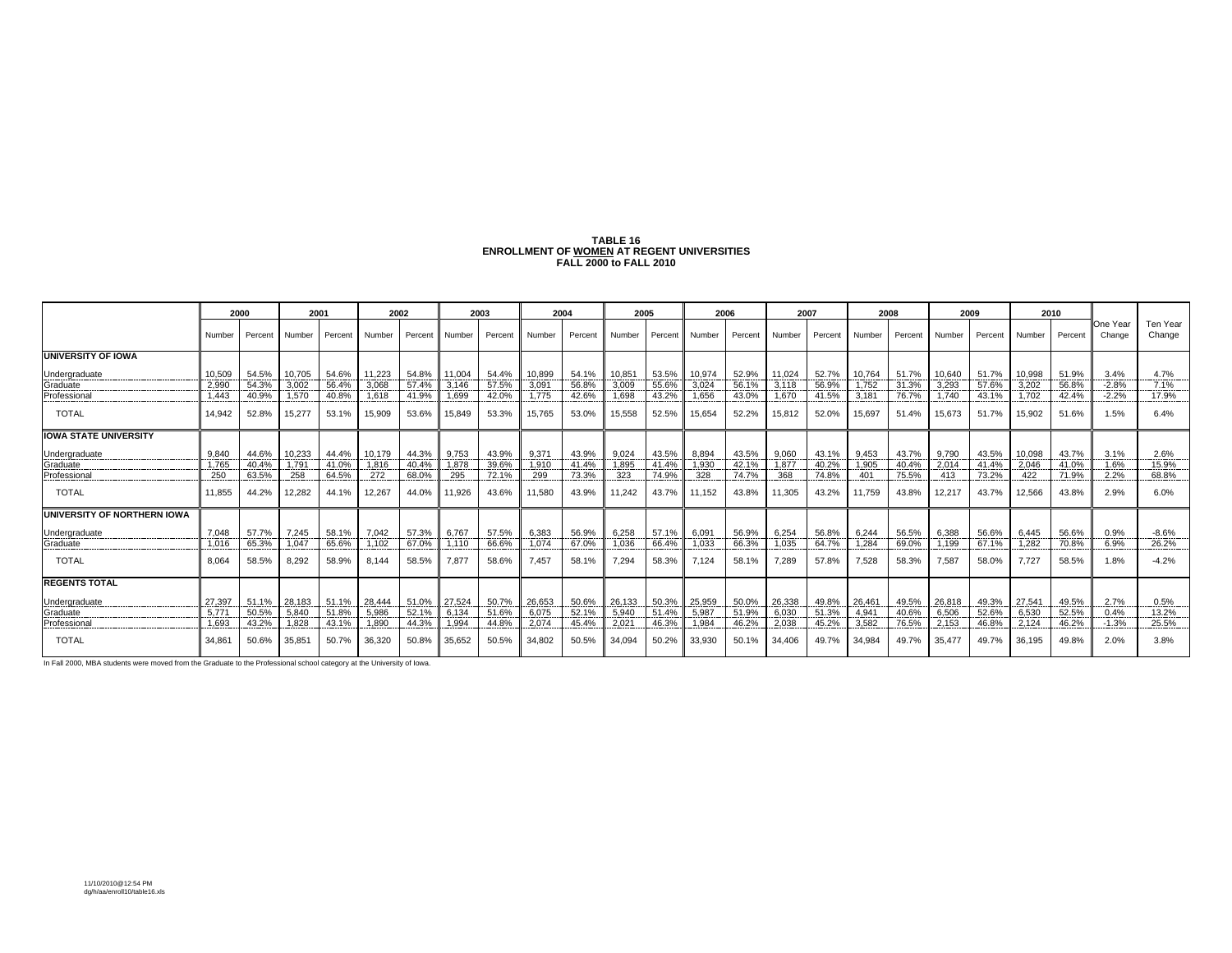| TABLE 16                                   |
|--------------------------------------------|
| ENROLLMENT OF WOMEN AT REGENT UNIVERSITIES |
| <b>FALL 2000 to FALL 2010</b>              |

|                              |        | 2000    | 2001         |              | 2002     |         |               | 2003    |        | 2004    |        | 2005    | 2006   |       | 2007           |         |                | 2008    |        | 2009           |              | 2010    |                    |                    |
|------------------------------|--------|---------|--------------|--------------|----------|---------|---------------|---------|--------|---------|--------|---------|--------|-------|----------------|---------|----------------|---------|--------|----------------|--------------|---------|--------------------|--------------------|
|                              | Number | Percent | Number       | Percent      | I Number | Percent | <b>Number</b> | Percent | Number | Percent | Number | Percent | Number |       | Percent Number | Percent | Number         | Percent | Number | Percent Number |              | Percent | One Year<br>Change | Ten Year<br>Change |
| <b>UNIVERSITY OF IOWA</b>    |        |         |              |              |          |         |               |         |        |         |        |         |        |       |                |         |                |         |        |                |              |         |                    |                    |
| Undergraduate                | 10.509 |         | 54.5% 10.705 | 54.6% 11.223 |          | 54.8%   | 11.004        | 54.4%   | 10.899 | 54.1%   | 10.851 | 53.5%   | 10.974 | 52.9% | 11.024         | 52.7%   | 10.764         | 51.7%   | 10.640 | 51.7%          | 10.998       | 51.9%   | 3.4%               | 4.7%               |
| Graduate                     | 2.990  | 54.3%   | 3.002        | 56.4%        | 3.068    | 57.4%   | 3.146         | 57.5%   | 3,09'  | 56.8%   | 3.009  | 55.6%   | 3.024  | 56.1% | 3.118          | 56.9%   | 1.752          | 31.3%   | 3.293  | 57.6%          | 3.202        | 56.8%   | $-2.8%$            | 7.1%               |
| Professional                 | 1.443  | 40.9%   | 1.570        | 40.8%        | 1.618    | 41.9%   | 1,699         | 42.0%   | 1.775  | 42.6%   | 1.698  | 43.2%   | 1.656  | 43.0% | 1.670          | 41.5%   | 3.181          | 76.7%   | 1.740  | 43.1%          | 1.702        | 42.4%   | $-2.2%$            | 17.9%              |
| <b>TOTAL</b>                 | 14.942 | 52.8%   | 15.277       | 53.1%        | 15.909   | 53.6%   | 15.849        | 53.3%   | 15.765 | 53.0%   | 15.558 | 52.5%   | 15.654 | 52.2% | 15,812         | 52.0%   | 15.697         | 51.4%   | 15.673 | 51.7%          | 15.902       | 51.6%   | 1.5%               | 6.4%               |
| <b>IOWA STATE UNIVERSITY</b> |        |         |              |              |          |         |               |         |        |         |        |         |        |       |                |         |                |         |        |                |              |         |                    |                    |
| Undergraduate                | 9.840  |         | 44.6% 10.233 | 44.4%        | 10.179   | 44.3%   | 9,753         | 43.9%   | 9.371  | 43.9%   | 9.024  | 43.5%   | 8.894  | 43.5% | 9.060          | 43.1%   | 9.453          | 43.7%   | 9.790  |                | 43.5% 10.098 | 43.7%   | 3.1%               | 2.6%               |
| Graduate                     | 1.765  | 40.4%   | 1.791        | 41.0%        | 1.816    | 40.4%   | 1.878         | 39.6%   | 1.910  | 41.4%   | 1.895  | 41.4%   | 1.930  | 42.1% | 1.877          | 40.2%   | 1.905          | 40.4%   | 2.014  | 41.4%          | 2.046        | 41.0%   | 1.6%               | 15.9%              |
| Professional                 | 250    | 63.5%   | 258          | 64.5%        | 272      | 68.0%   | 295           | 72.1%   | 299    | 73.3%   | 323    | 74.9%   | 328    | 74.7% | 368            | 74.8%   | 401            | 75.5%   | 413    | 73.2%          | 422          | 71.9%   | 2.2%               | 68.8%              |
| <b>TOTAL</b>                 | 11.855 | 44.2%   | 12.282       | 44.1%        | 12,267   | 44.0%   | 11,926        | 43.6%   | 11,580 | 43.9%   | 11.242 | 43.7%   | 11.152 | 43.8% | 11,305         | 43.2%   | 11.759         | 43.8%   | 12.217 | 43.7%          | 12,566       | 43.8%   | 2.9%               | 6.0%               |
| UNIVERSITY OF NORTHERN IOWA  |        |         |              |              |          |         |               |         |        |         |        |         |        |       |                |         |                |         |        |                |              |         |                    |                    |
| <b>Undergraduate</b>         | 7.048  | 57.7%   | 7.245        | 58.1% 7.042  |          | 57.3%   | 6.767         | 57.5%   | 6,383  | 56.9%   | 6.258  | 57.1%   | 6.091  | 56.9% | 6.254          | 56.8%   | 6.244          | 56.5%   | 6.388  | 56.6%          | 6.445        | 56.6%   | 0.9%               | $-8.6%$            |
| Graduate                     | 1.016  | 65.3%   | 1.047        | 65.6%        | 1.102    | 67.0%   | 1.110         | 66.6%   | 1.074  | 67.0%   | 1.036  | 66.4%   | 1.033  | 66.3% | 1.035          | 64.7%   | 1.284          | 69.0%   | 1.199  | 67.1%          | 1.282        | 70.8%   | 6.9%               | 26.2%              |
| <b>TOTAL</b>                 | 8.064  | 58.5%   | 8,292        | 58.9%        | 8.144    | 58.5%   | 7.877         | 58.6%   | 7.457  | 58.1%   | 7.294  | 58.3%   | 7.124  | 58.1% | 7.289          | 57.8%   | 7,528          | 58.3%   | 7.587  | 58.0%          | 7.727        | 58.5%   | 1.8%               | $-4.2%$            |
| <b>REGENTS TOTAL</b>         |        |         |              |              |          |         |               |         |        |         |        |         |        |       |                |         |                |         |        |                |              |         |                    |                    |
| Undergraduate                | 27.397 | 51.1%   | 28,183       | 51.1%        | 28,444   | 51.0%   | 27.524        | 50.7%   | 26,653 | 50.6%   | 26,133 | 50.3%   | 25,959 | 50.0% | 26,338         | 49.8%   | 26,461         | 49.5%   | 26,818 | 49.3%          | 27,541       | 49.5%   | 2.7%               | 0.5%               |
| Graduate                     | 5.77   | 50.5%   | 5.840        | 51.8%        | 5.986    | 52.1%   | 6.134         | 51.69   | 6.075  | 52.1%   | 5.940  | 51.4%   | 5.987  | 51.9% | 6.030          | 51.3%   | $4.94^{\circ}$ | 40.6%   | 6.506  | 52.6%          | 6.530        | 52.5%   | 0.4%               | 13.2%              |
| Professional                 | 1.693  | 43.2%   | 1.828        | 43.1%        | 1.890    | 44.3%   | 1.994         | 44.8%   | 2.074  | 45.4%   | 2.021  | 46.3%   | 1.984  | 46.2% | 2.038          | 45.2%   | 3.582          | 76.5%   | 2.153  | 46.8%          | 2.124        | 46.2%   | $-1.3%$            | 25.5%              |
| <b>TOTAL</b>                 | 34.861 | 50.6%   | 35.851       | 50.7%        | 36,320   | 50.8%   | 35.652        | 50.5%   | 34.802 | 50.5%   | 34.094 | 50.2%   | 33.930 | 50.1% | 34.406         | 49.7%   | 34.984         | 49.7%   | 35.477 | 49.7%          | 36.195       | 49.8%   | 2.0%               | 3.8%               |

In Fall 2000, MBA students were moved from the Graduate to the Professional school category at the University of Iowa.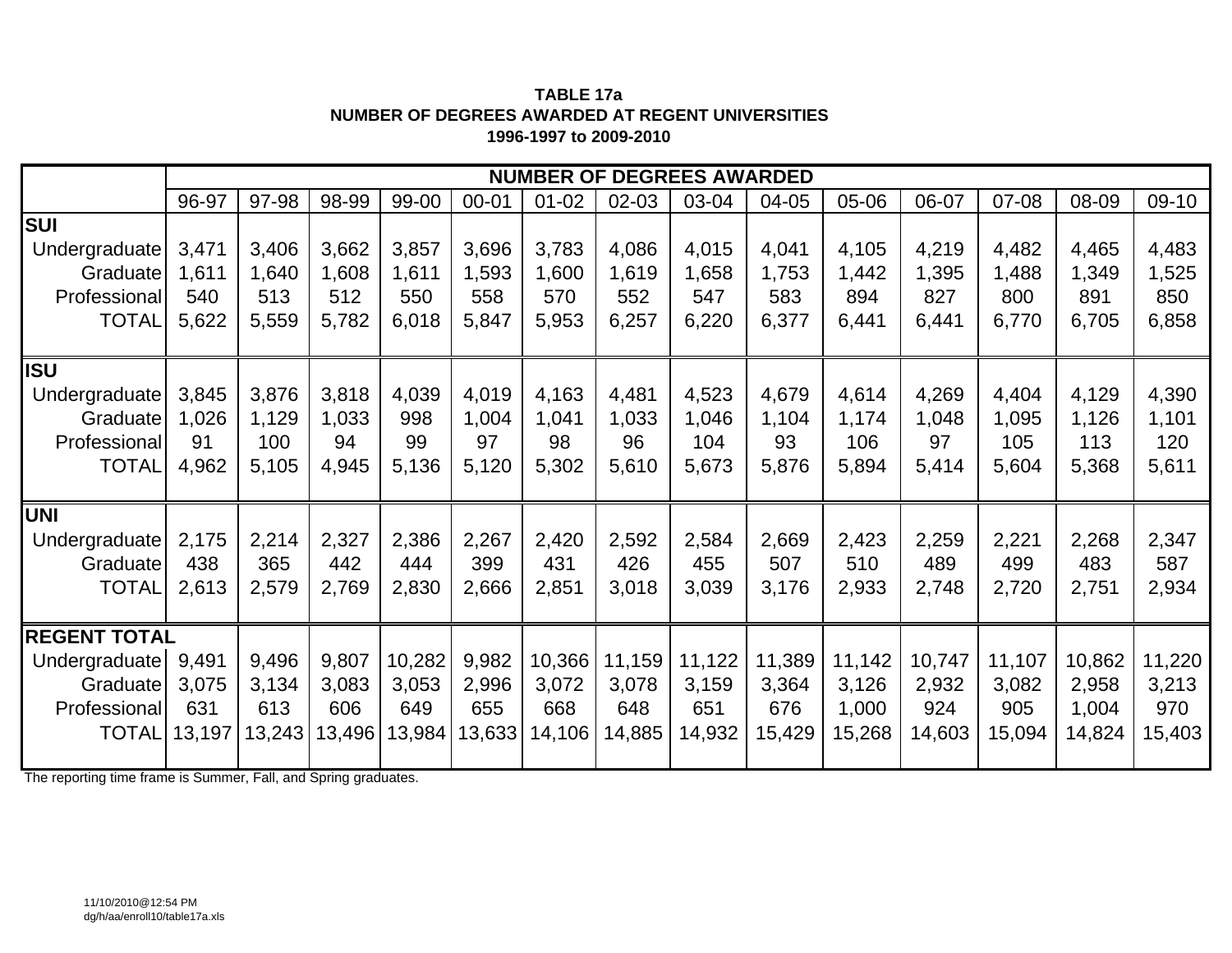**TABLE 17 a NUMBER OF DEGREES AWARDED AT REGENT UNIVERSITIES1996-1997 to 2009-2010**

|                     |        |        |        |        |           |           |        | <b>NUMBER OF DEGREES AWARDED</b> |        |        |        |        |        |        |
|---------------------|--------|--------|--------|--------|-----------|-----------|--------|----------------------------------|--------|--------|--------|--------|--------|--------|
|                     | 96-97  | 97-98  | 98-99  | 99-00  | $00 - 01$ | $01 - 02$ | 02-03  | 03-04                            | 04-05  | 05-06  | 06-07  | 07-08  | 08-09  | 09-10  |
| <b>SUI</b>          |        |        |        |        |           |           |        |                                  |        |        |        |        |        |        |
| Undergraduate       | 3,471  | 3,406  | 3,662  | 3,857  | 3,696     | 3,783     | 4,086  | 4,015                            | 4,041  | 4,105  | 4,219  | 4,482  | 4,465  | 4,483  |
| Graduate            | 1,611  | 1,640  | 1,608  | 1,611  | 1,593     | 1,600     | 1,619  | 1,658                            | 1,753  | 1,442  | 1,395  | 1,488  | 1,349  | 1,525  |
| Professional        | 540    | 513    | 512    | 550    | 558       | 570       | 552    | 547                              | 583    | 894    | 827    | 800    | 891    | 850    |
| <b>TOTAL</b>        | 5,622  | 5,559  | 5,782  | 6,018  | 5,847     | 5,953     | 6,257  | 6,220                            | 6,377  | 6,441  | 6,441  | 6,770  | 6,705  | 6,858  |
|                     |        |        |        |        |           |           |        |                                  |        |        |        |        |        |        |
| <b>ISU</b>          |        |        |        |        |           |           |        |                                  |        |        |        |        |        |        |
| Undergraduate       | 3,845  | 3,876  | 3,818  | 4,039  | 4,019     | 4,163     | 4,481  | 4,523                            | 4,679  | 4,614  | 4,269  | 4,404  | 4,129  | 4,390  |
| Graduate            | 1,026  | 1,129  | 1,033  | 998    | 1,004     | 1,041     | 1,033  | 1,046                            | 1,104  | 1,174  | 1,048  | 1,095  | 1,126  | 1,101  |
| Professional        | 91     | 100    | 94     | 99     | 97        | 98        | 96     | 104                              | 93     | 106    | 97     | 105    | 113    | 120    |
| <b>TOTAL</b>        | 4,962  | 5,105  | 4,945  | 5,136  | 5,120     | 5,302     | 5,610  | 5,673                            | 5,876  | 5,894  | 5,414  | 5,604  | 5,368  | 5,611  |
|                     |        |        |        |        |           |           |        |                                  |        |        |        |        |        |        |
| <b>UNI</b>          |        |        |        |        |           |           |        |                                  |        |        |        |        |        |        |
| Undergraduate       | 2,175  | 2,214  | 2,327  | 2,386  | 2,267     | 2,420     | 2,592  | 2,584                            | 2,669  | 2,423  | 2,259  | 2,221  | 2,268  | 2,347  |
| Graduate            | 438    | 365    | 442    | 444    | 399       | 431       | 426    | 455                              | 507    | 510    | 489    | 499    | 483    | 587    |
| <b>TOTAL</b>        | 2,613  | 2,579  | 2,769  | 2,830  | 2,666     | 2,851     | 3,018  | 3,039                            | 3,176  | 2,933  | 2,748  | 2,720  | 2,751  | 2,934  |
|                     |        |        |        |        |           |           |        |                                  |        |        |        |        |        |        |
| <b>REGENT TOTAL</b> |        |        |        |        |           |           |        |                                  |        |        |        |        |        |        |
| Undergraduate       | 9,491  | 9,496  | 9,807  | 10,282 | 9,982     | 10,366    | 11,159 | 11,122                           | 11,389 | 11,142 | 10,747 | 11,107 | 10,862 | 11,220 |
| Graduate            | 3,075  | 3,134  | 3,083  | 3,053  | 2,996     | 3,072     | 3,078  | 3,159                            | 3,364  | 3,126  | 2,932  | 3,082  | 2,958  | 3,213  |
| Professional        | 631    | 613    | 606    | 649    | 655       | 668       | 648    | 651                              | 676    | 1,000  | 924    | 905    | 1,004  | 970    |
| <b>TOTAL</b>        | 13,197 | 13,243 | 13,496 | 13,984 | 13,633    | 14,106    | 14,885 | 14,932                           | 15,429 | 15,268 | 14,603 | 15,094 | 14,824 | 15,403 |
|                     |        |        |        |        |           |           |        |                                  |        |        |        |        |        |        |

The reporting time frame is Summer, Fall, and Spring graduates.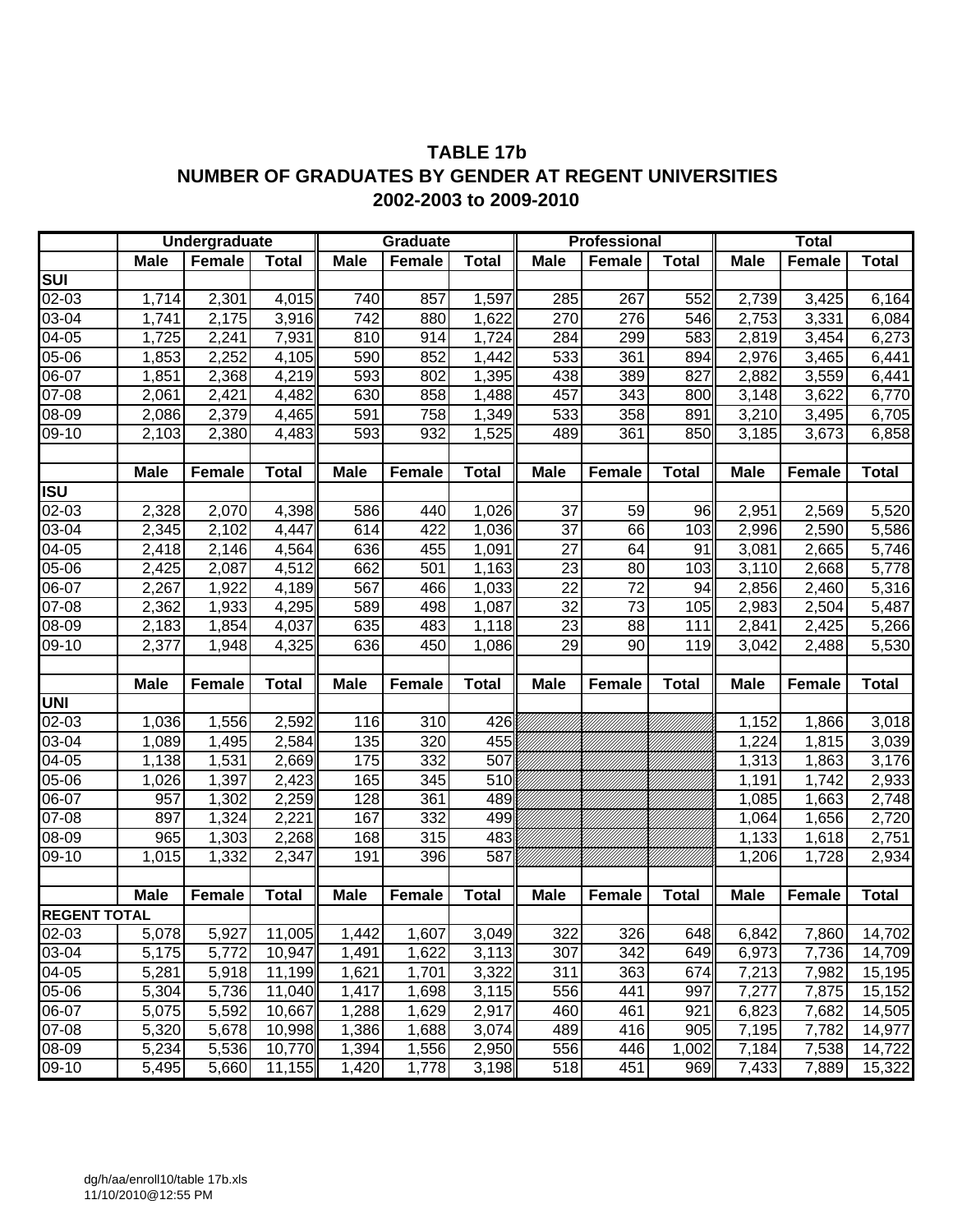# **TABLE 17b NUMBER OF GRADUATES BY GENDER AT REGENT UNIVERSITIES 2002-2003 to 2009-2010**

|                                             |             | Undergraduate |              |             | Graduate         |                  |                 | <b>Professional</b> |              |             | <b>Total</b>  |              |
|---------------------------------------------|-------------|---------------|--------------|-------------|------------------|------------------|-----------------|---------------------|--------------|-------------|---------------|--------------|
|                                             | <b>Male</b> | <b>Female</b> | <b>Total</b> | <b>Male</b> | Female           | <b>Total</b>     | <b>Male</b>     | Female              | <b>Total</b> | <b>Male</b> | Female        | <b>Total</b> |
| $\overline{\mathsf{s}\mathsf{u}\mathsf{u}}$ |             |               |              |             |                  |                  |                 |                     |              |             |               |              |
| 02-03                                       | 1,714       | 2,301         | 4,015        | 740         | 857              | 1,597            | 285             | 267                 | 552          | 2,739       | 3,425         | 6,164        |
| 03-04                                       | 1,741       | 2,175         | 3,916        | 742         | 880              | 1,622            | 270             | 276                 | 546          | 2,753       | 3,331         | 6,084        |
| 04-05                                       | 1,725       | 2,241         | 7,931        | 810         | 914              | 1,724            | 284             | 299                 | 583          | 2,819       | 3,454         | 6,273        |
| 05-06                                       | 1,853       | 2,252         | 4,105        | 590         | 852              | 1,442            | 533             | 361                 | 894          | 2,976       | 3,465         | 6,441        |
| $06-07$                                     | 1,851       | 2,368         | 4,219        | 593         | 802              | 1,395            | 438             | 389                 | 827          | 2,882       | 3,559         | 6,441        |
| $07 - 08$                                   | 2,061       | 2,421         | 4,482        | 630         | 858              | 1,488            | 457             | 343                 | 800          | 3,148       | 3,622         | 6,770        |
| $08 - 09$                                   | 2,086       | 2,379         | 4,465        | 591         | 758              | 1,349            | 533             | 358                 | 891          | 3,210       | 3,495         | 6,705        |
| $\overline{0}9-10$                          | 2,103       | 2,380         | 4,483        | 593         | 932              | 1,525            | 489             | 361                 | 850          | 3,185       | 3,673         | 6,858        |
|                                             |             |               |              |             |                  |                  |                 |                     |              |             |               |              |
|                                             | <b>Male</b> | Female        | <b>Total</b> | <b>Male</b> | Female           | <b>Total</b>     | <b>Male</b>     | <b>Female</b>       | <b>Total</b> | <b>Male</b> | <b>Female</b> | <b>Total</b> |
| ISU                                         |             |               |              |             |                  |                  |                 |                     |              |             |               |              |
| 02-03                                       | 2,328       | 2,070         | 4,398        | 586         | 440              | 1,026            | 37              | 59                  | 96           | 2,951       | 2,569         | 5,520        |
| 03-04                                       | 2,345       | 2,102         | 4,447        | 614         | 422              | 1,036            | $\overline{37}$ | 66                  | 103          | 2,996       | 2,590         | 5,586        |
| 04-05                                       | 2,418       | 2,146         | 4,564        | 636         | 455              | 1,091            | $\overline{27}$ | 64                  | 91           | 3,081       | 2,665         | 5,746        |
| 05-06                                       | 2,425       | 2,087         | 4,512        | 662         | 501              | 1,163            | 23              | 80                  | 103          | 3,110       | 2,668         | 5,778        |
| 06-07                                       | 2,267       | 1,922         | 4,189        | 567         | 466              | 1,033            | $\overline{22}$ | 72                  | 94           | 2,856       | 2,460         | 5,316        |
| 07-08                                       | 2,362       | 1,933         | 4,295        | 589         | 498              | 1,087            | $\overline{32}$ | $\overline{73}$     | 105          | 2,983       | 2,504         | 5,487        |
| 08-09                                       | 2,183       | 1,854         | 4,037        | 635         | 483              | 1,118            | $\overline{23}$ | 88                  | 111          | 2,841       | 2,425         | 5,266        |
| 09-10                                       | 2,377       | 1,948         | 4,325        | 636         | 450              | 1,086            | 29              | 90                  | 119          | 3,042       | 2,488         | 5,530        |
|                                             |             |               |              |             |                  |                  |                 |                     |              |             |               |              |
|                                             | <b>Male</b> | Female        | <b>Total</b> | <b>Male</b> | Female           | <b>Total</b>     | <b>Male</b>     | Female              | <b>Total</b> | <b>Male</b> | <b>Female</b> | <b>Total</b> |
| UNI                                         |             |               |              |             |                  |                  |                 |                     |              |             |               |              |
| $02 - 03$                                   | 1,036       | 1,556         | 2,592        | 116         | $\overline{310}$ | 426              |                 |                     |              | 1,152       | 1,866         | 3,018        |
| $03-04$                                     | 1,089       | 1,495         | 2,584        | 135         | 320              | 455              |                 |                     |              | 1,224       | 1,815         | 3,039        |
| 04-05                                       | 1,138       | 1,531         | 2,669        | 175         | 332              | 507              |                 |                     |              | 1,313       | 1,863         | 3,176        |
| 05-06                                       | 1,026       | 1,397         | 2,423        | 165         | 345              | $\overline{510}$ |                 |                     |              | 1,191       | 1,742         | 2,933        |
| 06-07                                       | 957         | 1,302         | 2,259        | 128         | 361              | 489              |                 |                     |              | 1,085       | 1,663         | 2,748        |
| 07-08                                       | 897         | 1,324         | 2,221        | 167         | 332              | 499              |                 |                     |              | 1,064       | 1,656         | 2,720        |
| $08 - 09$                                   | 965         | 1,303         | 2,268        | 168         | 315              | 483              |                 |                     |              | 1,133       | 1,618         | 2,751        |
| 09-10                                       | 1,015       | 1,332         | 2,347        | 191         | 396              | 587              |                 |                     |              | 1,206       | 1,728         | 2,934        |
|                                             |             |               |              |             |                  |                  |                 |                     |              |             |               |              |
|                                             | <b>Male</b> | Female        | <b>Total</b> | <b>Male</b> | <b>Female</b>    | <b>Total</b>     | <b>Male</b>     | <b>Female</b>       | <b>Total</b> | <b>Male</b> | <b>Female</b> | <b>Total</b> |
| <b>REGENT TOTAL</b>                         | 5,078       |               |              |             |                  |                  |                 |                     |              |             |               |              |
| 02-03                                       |             | 5,927         | 11,005       | 1,442       | 1,607            | 3,049            | 322             | 326                 | 648          | 6,842       | 7,860         | 14,702       |
| 03-04                                       | 5,175       | 5,772         | 10,947       | 1,491       | 1,622            | 3,113            | 307             | 342                 | 649          | 6,973       | 7,736         | 14,709       |
| 04-05                                       | 5,281       | 5,918         | 11,199       | 1,621       | 1,701            | 3,322            | 311             | 363                 | 674          | 7,213       | 7,982         | 15,195       |
| 05-06                                       | 5,304       | 5,736         | 11,040       | 1,417       | 1,698            | 3,115            | 556             | 441                 | 997          | 7,277       | 7,875         | 15,152       |
| 06-07                                       | 5,075       | 5,592         | 10,667       | 1,288       | 1,629            | 2,917            | 460             | 461                 | 921          | 6,823       | 7,682         | 14,505       |
| 07-08                                       | 5,320       | 5,678         | 10,998       | 1,386       | 1,688            | 3,074            | 489             | 416                 | 905          | 7,195       | 7,782         | 14,977       |
| 08-09                                       | 5,234       | 5,536         | 10,770       | 1,394       | 1,556            | 2,950            | 556             | 446                 | 1,002        | 7,184       | 7,538         | 14,722       |
| 09-10                                       | 5,495       | 5,660         | 11,155       | 1,420       | 1,778            | 3,198            | 518             | 451                 | 969          | 7,433       | 7,889         | 15,322       |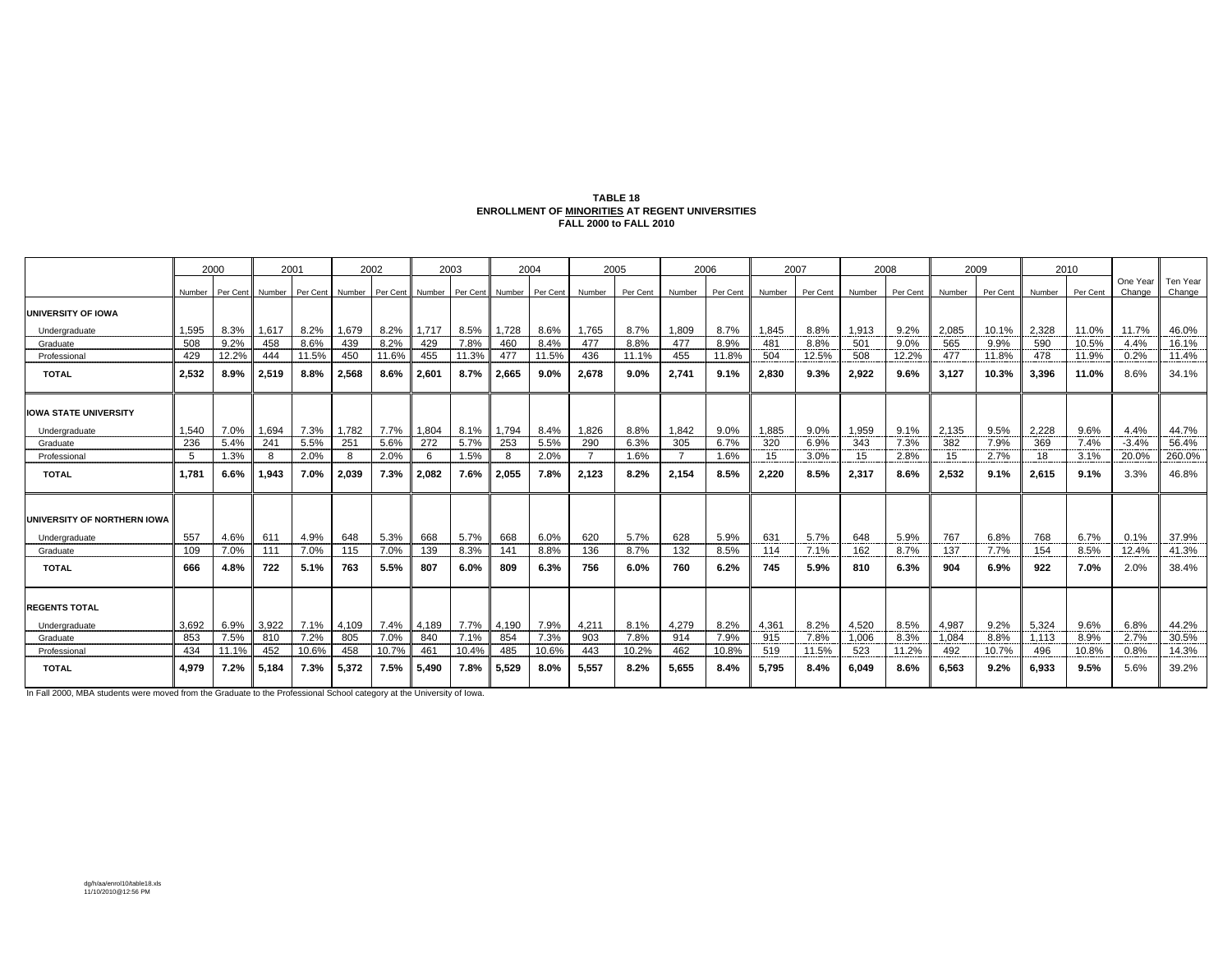#### **TABLE 18ENROLLMENT OF MINORITIES AT REGENT UNIVERSITIES FALL 2000 to FALL 2010**

|                              | 2000   |          | 2001   |                 | 2002  |                 | 2003  |                 | 2004  |          | 2005   |          | 2006   |          | 2007   |          | 2008   |          | 2009   |          | 2010   |          |                    |                    |
|------------------------------|--------|----------|--------|-----------------|-------|-----------------|-------|-----------------|-------|----------|--------|----------|--------|----------|--------|----------|--------|----------|--------|----------|--------|----------|--------------------|--------------------|
|                              | Number | Per Cent | Number | Per Cent Number |       | Per Cent Number |       | Per Cent Number |       | Per Cent | Number | Per Cent | Number | Per Cent | Number | Per Cent | Number | Per Cent | Number | Per Cent | Number | Per Cent | One Year<br>Change | Ten Year<br>Change |
| <b>UNIVERSITY OF IOWA</b>    |        |          |        |                 |       |                 |       |                 |       |          |        |          |        |          |        |          |        |          |        |          |        |          |                    |                    |
| Undergraduate                | 1,595  | 8.3%     | 1,617  | 8.2%            | 1,679 | 8.2%            | 1,717 | 8.5%            | 1,728 | 8.6%     | 1,765  | 8.7%     | 1,809  | 8.7%     | 1.845  | 8.8%     | 1.913  | 9.2%     | 2,085  | 10.1%    | 2,328  | 11.0%    | 11.7%              | 46.0%              |
| Graduate                     | 508    | 9.2%     | 458    | 8.6%            | 439   | 8.2%            | 429   | 7.8%            | 460   | 8.4%     | 477    | 8.8%     | 477    | 8.9%     | 481    | 8.8%     | 501    | 9.0%     | 565    | 9.9%     | 590    | 10.5%    | 4.4%               | 16.1%              |
| Professional                 | 429    | 12.2%    | 444    | 11.5%           | 450   | 11.6%           | 455   | 11.3%           | 477   | 11.5%    | 436    | 11.1%    | 455    | 11.8%    | 504    | 12.5%    | 508    | 12.2%    | 477    | 11.8%    | 478    | 11.9%    | 0.2%               | 11.4%              |
| <b>TOTAL</b>                 | 2,532  | 8.9%     | 2,519  | 8.8%            | 2,568 | 8.6%            | 2,601 | 8.7%            | 2,665 | 9.0%     | 2.678  | 9.0%     | 2,741  | 9.1%     | 2,830  | 9.3%     | 2,922  | 9.6%     | 3,127  | 10.3%    | 3,396  | 11.0%    | 8.6%               | 34.1%              |
| <b>IOWA STATE UNIVERSITY</b> |        |          |        |                 |       |                 |       |                 |       |          |        |          |        |          |        |          |        |          |        |          |        |          |                    |                    |
| Undergraduate                | 1,540  | 7.0%     | 1,694  | 7.3%            | 1,782 | 7.7%            | 1,804 | 8.1%            | 1,794 | 8.4%     | 1,826  | 8.8%     | 1,842  | 9.0%     | 1.885  | 9.0%     | 1.959  | 9.1%     | 2.135  | 9.5%     | 2.228  | 9.6%     | 4.4%               | 44.7%              |
| Graduate                     | 236    | 5.4%     | 241    | 5.5%            | 251   | 5.6%            | 272   | 5.7%            | 253   | 5.5%     | 290    | 6.3%     | 305    | 6.7%     | 320    | 6.9%     | 343    | 7.3%     | 382    | 7.9%     | 369    | 7.4%     | $-3.4%$            | 56.4%              |
| Professional                 | -5     | 1.3%     | 8      | 2.0%            | 8     | 2.0%            | -6    | 1.5%            | 8     | 2.0%     |        | 1.6%     | -7     | 1.6%     | 15     | 3.0%     | 15     | 2.8%     | 15     | 2.7%     | 18     | 3.1%     | 20.0%              | 260.0%             |
| <b>TOTAL</b>                 | 1.781  | 6.6%     | 1,943  | 7.0%            | 2,039 | 7.3%            | 2.082 | 7.6%            | 2,055 | 7.8%     | 2.123  | 8.2%     | 2.154  | 8.5%     | 2.220  | 8.5%     | 2.317  | 8.6%     | 2,532  | 9.1%     | 2,615  | 9.1%     | 3.3%               | 46.8%              |
| UNIVERSITY OF NORTHERN IOWA  |        |          |        |                 |       |                 |       |                 |       |          |        |          |        |          |        |          |        |          |        |          |        |          |                    |                    |
| Undergraduate                | 557    | 4.6%     | 611    | 4.9%            | 648   | 5.3%            | 668   | 5.7%            | 668   | 6.0%     | 620    | 5.7%     | 628    | 5.9%     | 631    | 5.7%     | 648    | 5.9%     | 767    | 6.8%     | 768    | 6.7%     | 0.1%               | 37.9%              |
| Graduate                     | 109    | 7.0%     | 111    | 7.0%            | 115   | 7.0%            | 139   | 8.3%            | 141   | 8.8%     | 136    | 8.7%     | 132    | 8.5%     | 114    | 7.1%     | 162    | 8.7%     | 137    | 7.7%     | 154    | 8.5%     | 12.4%              | 41.3%              |
| <b>TOTAL</b>                 | 666    | 4.8%     | 722    | 5.1%            | 763   | 5.5%            | 807   | 6.0%            | 809   | 6.3%     | 756    | 6.0%     | 760    | 6.2%     | 745    | 5.9%     | 810    | 6.3%     | 904    | 6.9%     | 922    | 7.0%     | 2.0%               | 38.4%              |
| <b>REGENTS TOTAL</b>         |        |          |        |                 |       |                 |       |                 |       |          |        |          |        |          |        |          |        |          |        |          |        |          |                    |                    |
| Undergraduate                | 3,692  | 6.9%     | 3,922  | 7.1%            | 4,109 | 7.4%            | 4,189 | 7.7%            | 4,190 | 7.9%     | 4,211  | 8.1%     | 4,279  | 8.2%     | 4,361  | 8.2%     | 4,520  | 8.5%     | 4,987  | 9.2%     | 5,324  | 9.6%     | 6.8%               | 44.2%              |
| Graduate                     | 853    | 7.5%     | 810    | 7.2%            | 805   | 7.0%            | 840   | 7.1%            | 854   | 7.3%     | 903    | 7.8%     | 914    | 7.9%     | 915    | 7.8%     | 1,006  | 8.3%     | 1.084  | 8.8%     | 1.113  | 8.9%     | 2.7%               | 30.5%              |
| Professional                 | 434    | 11.1%    | 452    | 10.6%           | 458   | 10.7%           | 461   | 10.4%           | 485   | 10.6%    | 443    | 10.2%    | 462    | 10.8%    | 519    | 11.5%    | 523    | 11.2%    | 492    | 10.7%    | 496    | 10.8%    | 0.8%               | 14.3%              |
| <b>TOTAL</b>                 | 4,979  | 7.2%     | 5,184  | 7.3%            | 5,372 | 7.5%            | 5,490 | 7.8%            | 5,529 | 8.0%     | 5,557  | 8.2%     | 5.655  | 8.4%     | 5.795  | 8.4%     | 6.049  | 8.6%     | 6,563  | 9.2%     | 6,933  | 9.5%     | 5.6%               | 39.2%              |

In Fall 2000, MBA students were moved from the Graduate to the Professional School category at the University of Iowa.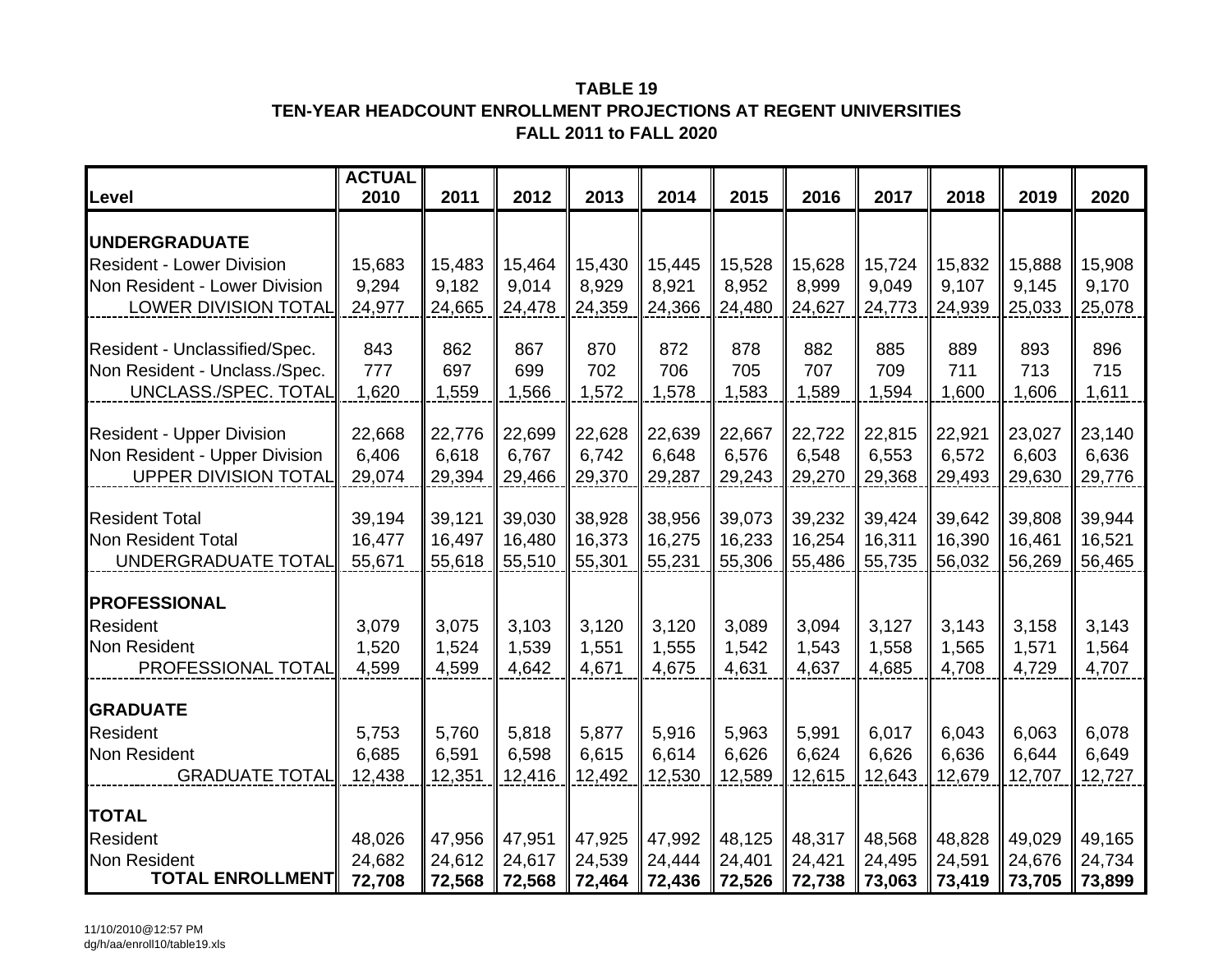## **TABLE 19TEN-YEAR HEADCOUNT ENROLLMENT PROJECTIONS AT REGENT UNIVERSITIES FALL 2011 to FALL 2020**

| Level                                                             | <b>ACTUAL</b><br>2010 | 2011            | 2012            | 2013            | 2014            | 2015            | 2016            | 2017            | 2018            | 2019            | 2020            |
|-------------------------------------------------------------------|-----------------------|-----------------|-----------------|-----------------|-----------------|-----------------|-----------------|-----------------|-----------------|-----------------|-----------------|
| <b>UNDERGRADUATE</b>                                              |                       |                 |                 |                 |                 |                 |                 |                 |                 |                 |                 |
| <b>Resident - Lower Division</b>                                  | 15,683                | 15,483          | 15,464          | 15,430          | 15,445          | 15,528          | 15,628          | 15,724          | 15,832          | 15,888          | 15,908          |
| Non Resident - Lower Division                                     | 9,294                 | 9,182           | 9,014           | 8,929           | 8,921           | 8,952           | 8,999           | 9,049           | 9,107           | 9,145           | 9,170           |
| <b>LOWER DIVISION TOTAL</b>                                       | 24,977                | 24,665          | 24,478          | 24,359          | 24,366          | 24,480          | 24,627          | 24,773          | 24,939          | 25,033          | 25,078          |
| Resident - Unclassified/Spec.                                     | 843                   | 862             | 867             | 870             | 872             | 878             | 882             | 885             | 889             | 893             | 896             |
| Non Resident - Unclass./Spec.                                     | 777                   | 697             | 699             | 702             | 706             | 705             | 707             | 709             | 711             | 713             | 715             |
| UNCLASS./SPEC. TOTAL                                              | 1,620                 | 1,559           | 1,566           | 1,572           | 1,578           | 1,583           | 1,589           | 1,594           | 1,600           | 1,606           | 1,611           |
|                                                                   |                       |                 |                 |                 |                 |                 |                 |                 |                 |                 |                 |
| <b>Resident - Upper Division</b><br>Non Resident - Upper Division | 22,668<br>6,406       | 22,776<br>6,618 | 22,699<br>6,767 | 22,628<br>6,742 | 22,639<br>6,648 | 22,667<br>6,576 | 22,722<br>6,548 | 22,815<br>6,553 | 22,921<br>6,572 | 23,027<br>6,603 | 23,140<br>6,636 |
| <b>UPPER DIVISION TOTAL</b>                                       | 29,074                | 29,394          | 29,466          | 29,370          | 29,287          | 29,243          | 29,270          | 29,368          | 29,493          | 29,630          | 29,776          |
|                                                                   |                       |                 |                 |                 |                 |                 |                 |                 |                 |                 |                 |
| <b>Resident Total</b>                                             | 39,194                | 39,121          | 39,030          | 38,928          | 38,956          | 39,073          | 39,232          | 39,424          | 39,642          | 39,808          | 39,944          |
| Non Resident Total                                                | 16,477                | 16,497          | 16,480          | 16,373          | 16,275          | 16,233          | 16,254          | 16,311          | 16,390          | 16,461          | 16,521          |
| UNDERGRADUATE TOTAL                                               | 55,671                | 55,618          | 55,510          | 55,301          | 55,231          | 55,306          | 55,486          | 55,735          | 56,032          | 56,269          | 56,465          |
| <b>PROFESSIONAL</b>                                               |                       |                 |                 |                 |                 |                 |                 |                 |                 |                 |                 |
| Resident                                                          | 3,079                 | 3,075           | 3,103           | 3,120           | 3,120           | 3,089           | 3,094           | 3,127           | 3,143           | 3,158           | 3,143           |
| Non Resident                                                      | 1,520                 | 1,524           | 1,539           | 1,551           | 1,555           | 1,542           | 1,543           | 1,558           | 1,565           | 1,571           | 1,564           |
| PROFESSIONAL TOTAL                                                | 4,599                 | 4,599           | 4,642           | 4,671           | 4,675           | 4,631           | 4,637           | 4,685           | 4,708           | 4,729           | 4,707           |
| <b>GRADUATE</b>                                                   |                       |                 |                 |                 |                 |                 |                 |                 |                 |                 |                 |
| Resident                                                          | 5,753                 | 5,760           | 5,818           | 5,877           | 5,916           | 5,963           | 5,991           | 6,017           | 6,043           | 6,063           | 6,078           |
| <b>Non Resident</b>                                               | 6,685                 | 6,591           | 6,598           | 6,615           | 6,614           | 6,626           | 6,624           | 6,626           | 6,636           | 6,644           | 6,649           |
| <b>GRADUATE TOTAL</b>                                             | 12,438                | 12,351          | 12,416          | 12,492          | 12,530          | 12,589          | 12,615          | 12,643          | 12,679          | 12,707          | 12,727          |
| <b>TOTAL</b>                                                      |                       |                 |                 |                 |                 |                 |                 |                 |                 |                 |                 |
| <b>Resident</b>                                                   | 48,026                | 47,956          | 47,951          | 47,925          | 47,992          | 48,125          | 48,317          | 48,568          | 48,828          | 49,029          | 49,165          |
| <b>Non Resident</b>                                               | 24,682                | 24,612          | 24,617          | 24,539          | 24,444          | 24,401          | 24,421          | 24,495          | 24,591          | 24,676          | 24,734          |
| <b>TOTAL ENROLLMENT</b>                                           | 72,708                | 72,568          | 72,568          | 72,464          | 72,436          | 72,526          | 72,738          | 73,063          | 73,419          | 73,705          | 73,899          |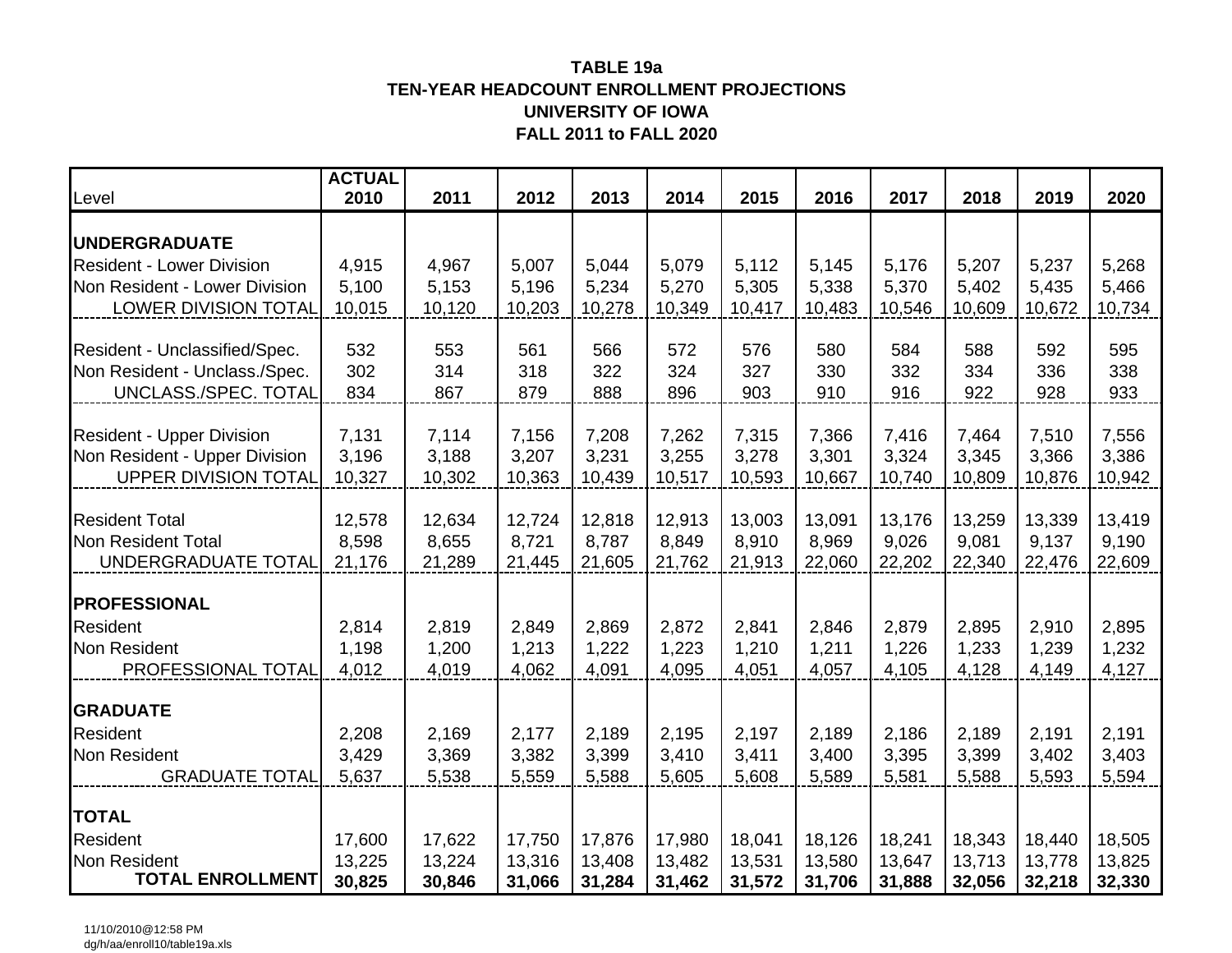### **TEN-YEAR HEADCOUNT ENROLLMENT PROJECTIONSUNIVERSITY OF IOWATABLE 19aFALL 2011 to FALL 2020**

| Level                                                             | <b>ACTUAL</b><br>2010 | 2011   | 2012   | 2013           | 2014           | 2015           | 2016           | 2017           | 2018           | 2019           | 2020   |
|-------------------------------------------------------------------|-----------------------|--------|--------|----------------|----------------|----------------|----------------|----------------|----------------|----------------|--------|
| <b>UNDERGRADUATE</b>                                              |                       |        |        |                |                |                |                |                |                |                |        |
| <b>Resident - Lower Division</b>                                  | 4,915                 | 4,967  | 5,007  | 5,044          | 5,079          | 5,112          | 5,145          | 5,176          | 5,207          | 5,237          | 5,268  |
| Non Resident - Lower Division                                     | 5,100                 | 5,153  | 5,196  | 5,234          | 5,270          | 5,305          | 5,338          | 5,370          | 5,402          | 5,435          | 5,466  |
| <b>LOWER DIVISION TOTAL</b>                                       | 10,015                | 10,120 | 10,203 | 10,278         | 10,349         | 10,417         | 10,483         | 10,546         | 10,609         | 10,672         | 10,734 |
| Resident - Unclassified/Spec.                                     | 532                   | 553    | 561    | 566            | 572            | 576            | 580            | 584            | 588            | 592            | 595    |
| Non Resident - Unclass./Spec.                                     | 302                   | 314    | 318    | 322            | 324            | 327            | 330            | 332            | 334            | 336            | 338    |
| UNCLASS./SPEC. TOTAL                                              | 834                   | 867    | 879    | 888            | 896            | 903            | 910            | 916            | 922            | 928            | 933    |
|                                                                   |                       | 7,114  | 7,156  |                |                |                |                |                |                |                | 7,556  |
| <b>Resident - Upper Division</b><br>Non Resident - Upper Division | 7,131<br>3,196        | 3,188  | 3,207  | 7,208<br>3,231 | 7,262<br>3,255 | 7,315<br>3,278 | 7,366<br>3,301 | 7,416<br>3,324 | 7,464<br>3,345 | 7,510<br>3,366 | 3,386  |
| <b>UPPER DIVISION TOTAL</b>                                       | 10,327                | 10,302 | 10,363 | 10,439         | 10,517         | 10,593         | 10,667         | 10,740         | 10,809         | 10,876         | 10,942 |
|                                                                   |                       |        |        |                |                |                |                |                |                |                |        |
| <b>Resident Total</b>                                             | 12,578                | 12,634 | 12,724 | 12,818         | 12,913         | 13,003         | 13,091         | 13,176         | 13,259         | 13,339         | 13,419 |
| Non Resident Total                                                | 8,598                 | 8,655  | 8,721  | 8,787          | 8,849          | 8,910          | 8,969          | 9,026          | 9,081          | 9,137          | 9,190  |
| UNDERGRADUATE TOTAL                                               | 21,176                | 21,289 | 21,445 | 21,605         | 21,762         | 21,913         | 22,060         | 22,202         | 22,340         | 22,476         | 22,609 |
| <b>PROFESSIONAL</b>                                               |                       |        |        |                |                |                |                |                |                |                |        |
| <b>Resident</b>                                                   | 2,814                 | 2,819  | 2,849  | 2,869          | 2,872          | 2,841          | 2,846          | 2,879          | 2,895          | 2,910          | 2,895  |
| <b>Non Resident</b>                                               | 1,198                 | 1,200  | 1,213  | 1,222          | 1,223          | 1,210          | 1,211          | 1,226          | 1,233          | 1,239          | 1,232  |
| PROFESSIONAL TOTAL                                                | 4,012                 | 4,019  | 4,062  | 4,091          | 4,095          | 4,051          | 4,057          | 4,105          | 4,128          | 4,149          | 4,127  |
| <b>GRADUATE</b>                                                   |                       |        |        |                |                |                |                |                |                |                |        |
| Resident                                                          | 2,208                 | 2,169  | 2,177  | 2,189          | 2,195          | 2,197          | 2,189          | 2,186          | 2,189          | 2,191          | 2,191  |
| <b>Non Resident</b>                                               | 3,429                 | 3,369  | 3,382  | 3,399          | 3,410          | 3,411          | 3,400          | 3,395          | 3,399          | 3,402          | 3,403  |
| <b>GRADUATE TOTAL</b>                                             | 5,637                 | 5,538  | 5,559  | 5,588          | 5,605          | 5,608          | 5,589          | 5,581          | 5,588          | 5,593          | 5,594  |
| <b>TOTAL</b>                                                      |                       |        |        |                |                |                |                |                |                |                |        |
| <b>Resident</b>                                                   | 17,600                | 17,622 | 17,750 | 17,876         | 17,980         | 18,041         | 18,126         | 18,241         | 18,343         | 18,440         | 18,505 |
| Non Resident                                                      | 13,225                | 13,224 | 13,316 | 13,408         | 13,482         | 13,531         | 13,580         | 13,647         | 13,713         | 13,778         | 13,825 |
| <b>TOTAL ENROLLMENT</b>                                           | 30,825                | 30,846 | 31,066 | 31,284         | 31,462         | 31,572         | 31,706         | 31,888         | 32,056         | 32,218         | 32,330 |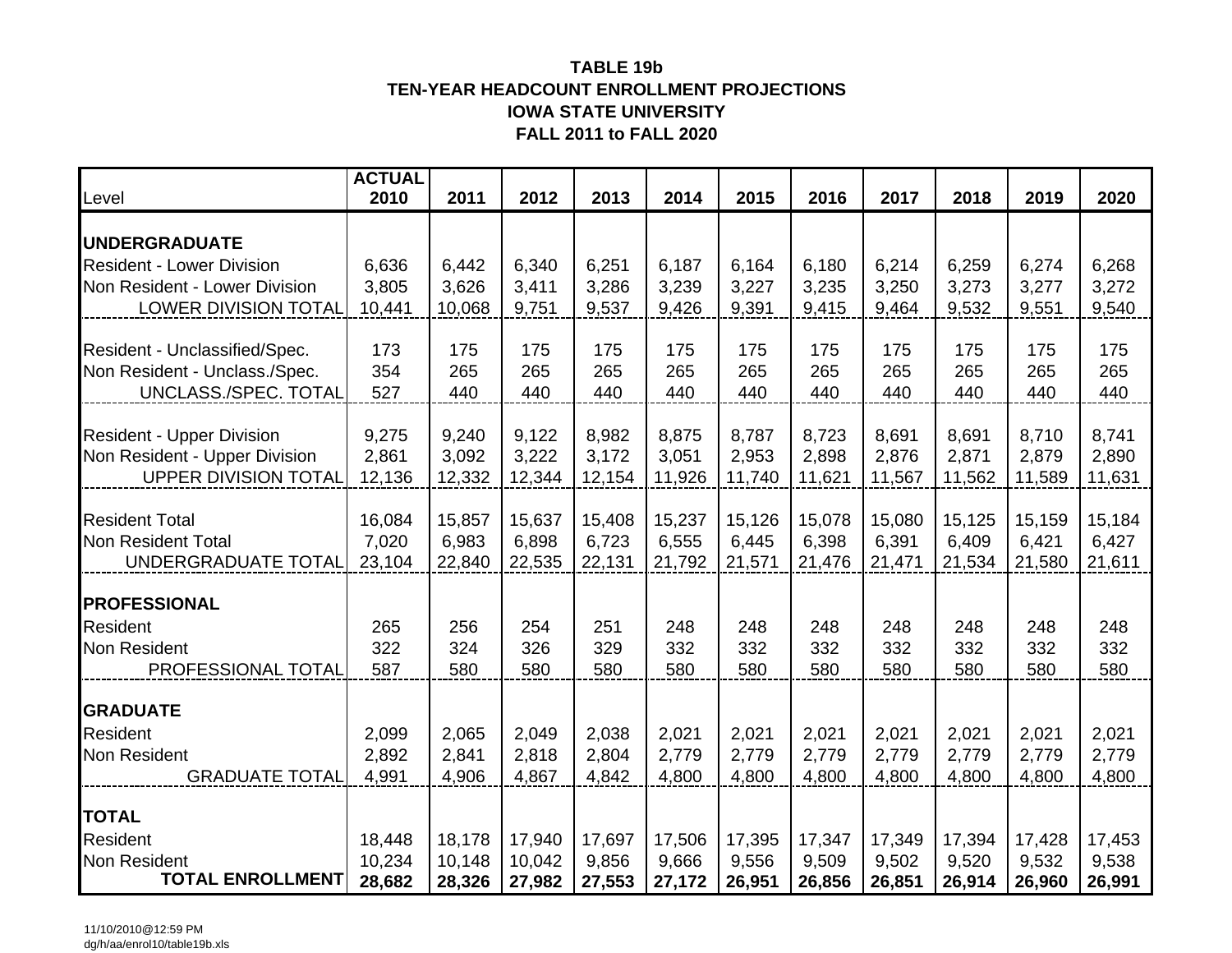## **TEN-YEAR HEADCOUNT ENROLLMENT PROJECTIONSIOWA STATE UNIVERSITYFALL 2011 to FALL 2020TABLE 19b**

| Level                            | <b>ACTUAL</b><br>2010 | 2011   | 2012   | 2013   | 2014   | 2015   | 2016   | 2017   | 2018   | 2019   | 2020   |
|----------------------------------|-----------------------|--------|--------|--------|--------|--------|--------|--------|--------|--------|--------|
|                                  |                       |        |        |        |        |        |        |        |        |        |        |
| <b>UNDERGRADUATE</b>             |                       |        |        |        |        |        |        |        |        |        |        |
| <b>Resident - Lower Division</b> | 6,636                 | 6,442  | 6,340  | 6,251  | 6,187  | 6,164  | 6,180  | 6,214  | 6,259  | 6,274  | 6,268  |
| Non Resident - Lower Division    | 3,805                 | 3,626  | 3,411  | 3,286  | 3,239  | 3,227  | 3,235  | 3,250  | 3,273  | 3,277  | 3,272  |
| <b>LOWER DIVISION TOTAL</b>      | 10,441                | 10,068 | 9,751  | 9,537  | 9,426  | 9,391  | 9,415  | 9,464  | 9,532  | 9,551  | 9,540  |
|                                  |                       |        |        |        |        |        |        |        |        |        |        |
| Resident - Unclassified/Spec.    | 173                   | 175    | 175    | 175    | 175    | 175    | 175    | 175    | 175    | 175    | 175    |
| Non Resident - Unclass./Spec.    | 354                   | 265    | 265    | 265    | 265    | 265    | 265    | 265    | 265    | 265    | 265    |
| UNCLASS./SPEC. TOTAL             | 527                   | 440    | 440    | 440    | 440    | 440    | 440    | 440    | 440    | 440    | 440    |
| <b>Resident - Upper Division</b> | 9,275                 | 9,240  | 9,122  | 8,982  | 8,875  | 8,787  | 8,723  | 8,691  | 8,691  | 8,710  | 8,741  |
| Non Resident - Upper Division    | 2,861                 | 3,092  | 3,222  | 3,172  | 3,051  | 2,953  | 2,898  | 2,876  | 2,871  | 2,879  | 2,890  |
| <b>UPPER DIVISION TOTAL</b>      | 12,136                | 12,332 | 12,344 | 12,154 | 11,926 | 11,740 | 11,621 | 11,567 | 11,562 | 11,589 | 11,631 |
|                                  |                       |        |        |        |        |        |        |        |        |        |        |
| <b>Resident Total</b>            | 16,084                | 15,857 | 15,637 | 15,408 | 15,237 | 15,126 | 15,078 | 15,080 | 15,125 | 15,159 | 15,184 |
| <b>Non Resident Total</b>        | 7,020                 | 6,983  | 6,898  | 6,723  | 6,555  | 6,445  | 6,398  | 6,391  | 6,409  | 6,421  | 6,427  |
| UNDERGRADUATE TOTAL              | 23,104                | 22,840 | 22,535 | 22,131 | 21,792 | 21,571 | 21,476 | 21,471 | 21,534 | 21,580 | 21,611 |
| <b>PROFESSIONAL</b>              |                       |        |        |        |        |        |        |        |        |        |        |
| Resident                         | 265                   | 256    | 254    | 251    | 248    | 248    | 248    | 248    | 248    | 248    | 248    |
| Non Resident                     | 322                   | 324    | 326    | 329    | 332    | 332    | 332    | 332    | 332    | 332    | 332    |
| PROFESSIONAL TOTAL               | 587                   | 580    | 580    | 580    | 580    | 580    | 580    | 580    | 580    | 580    | 580    |
|                                  |                       |        |        |        |        |        |        |        |        |        |        |
| <b>GRADUATE</b>                  |                       |        |        |        |        |        |        |        |        |        |        |
| Resident                         | 2,099                 | 2,065  | 2,049  | 2,038  | 2,021  | 2,021  | 2,021  | 2,021  | 2,021  | 2,021  | 2,021  |
| Non Resident                     | 2,892                 | 2,841  | 2,818  | 2,804  | 2,779  | 2,779  | 2,779  | 2,779  | 2,779  | 2,779  | 2,779  |
| <b>GRADUATE TOTAL</b>            | 4,991                 | 4,906  | 4,867  | 4,842  | 4,800  | 4,800  | 4,800  | 4,800  | 4,800  | 4,800  | 4,800  |
| <b>TOTAL</b>                     |                       |        |        |        |        |        |        |        |        |        |        |
| <b>Resident</b>                  | 18,448                | 18,178 | 17,940 | 17,697 | 17,506 | 17,395 | 17,347 | 17,349 | 17,394 | 17,428 | 17,453 |
| <b>Non Resident</b>              | 10,234                | 10,148 | 10,042 | 9,856  | 9,666  | 9,556  | 9,509  | 9,502  | 9,520  | 9,532  | 9,538  |
| <b>TOTAL ENROLLMENT</b>          | 28,682                | 28,326 | 27,982 | 27,553 | 27,172 | 26,951 | 26,856 | 26,851 | 26,914 | 26,960 | 26,991 |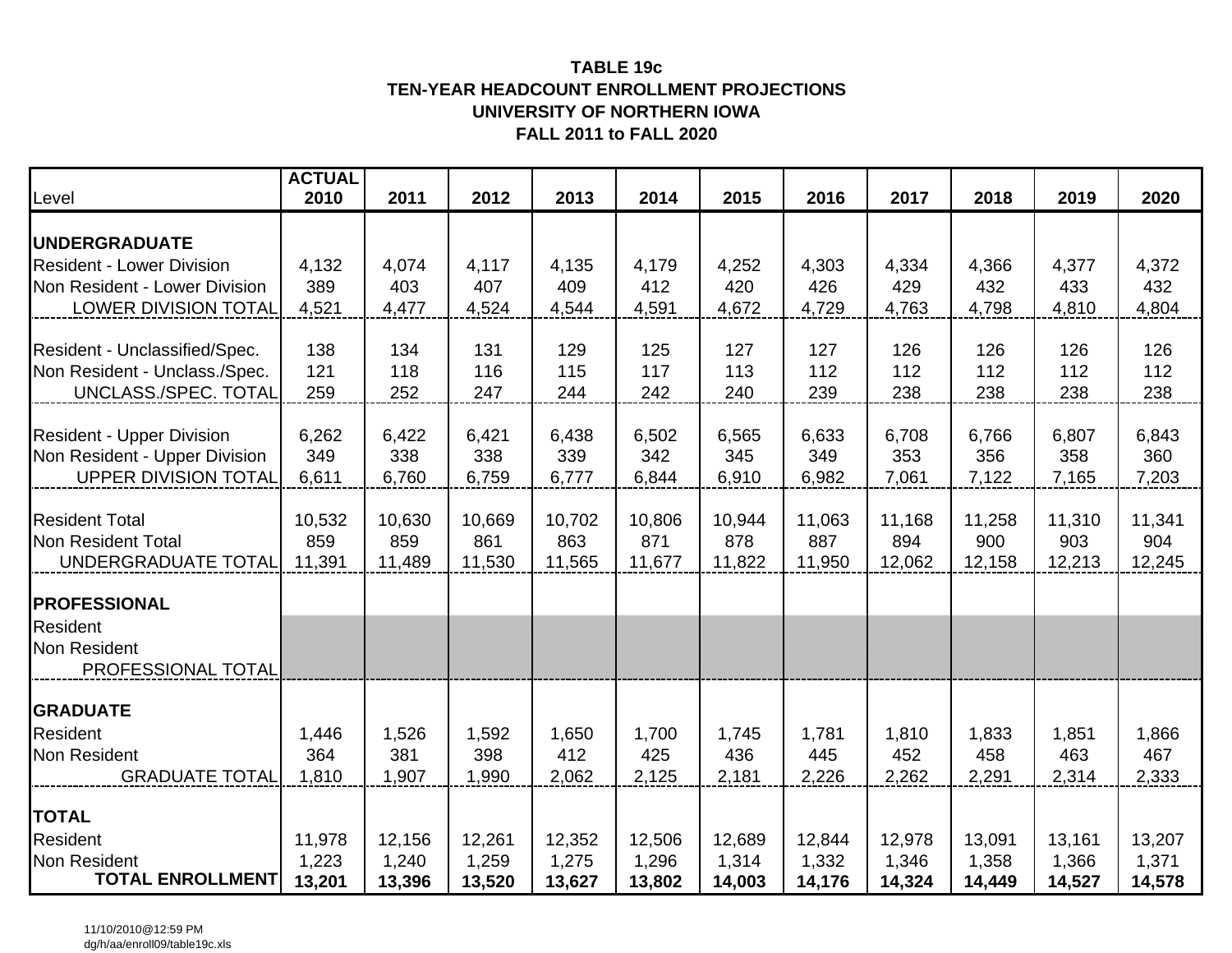### **TEN-YEAR HEADCOUNT ENROLLMENT PROJECTIONSUNIVERSITY OF NORTHERN IOWAFALL 2011 to FALL 2020TABLE 19c**

|                                                                | <b>ACTUAL</b><br>2010 |                 |                 |                 |                 |                 |                 |                 |                 |                 |                 |  |
|----------------------------------------------------------------|-----------------------|-----------------|-----------------|-----------------|-----------------|-----------------|-----------------|-----------------|-----------------|-----------------|-----------------|--|
| Level                                                          |                       | 2011            | 2012            | 2013            | 2014            | 2015            | 2016            | 2017            | 2018            | 2019            | 2020            |  |
| <b>UNDERGRADUATE</b>                                           |                       |                 |                 |                 |                 |                 |                 |                 |                 |                 |                 |  |
| <b>Resident - Lower Division</b>                               | 4,132                 | 4,074           | 4,117           | 4,135           | 4,179           | 4,252           | 4,303           | 4,334           | 4,366           | 4,377           | 4,372           |  |
| Non Resident - Lower Division                                  | 389                   | 403             | 407             | 409             | 412             | 420             | 426             | 429             | 432             | 433             | 432             |  |
| <b>LOWER DIVISION TOTAL</b>                                    | 4,521                 | 4,477           | 4,524           | 4,544           | 4,591           | 4,672           | 4,729           | 4,763           | 4,798           | 4,810           | 4,804           |  |
|                                                                |                       |                 |                 |                 |                 |                 |                 |                 |                 |                 |                 |  |
| Resident - Unclassified/Spec.<br>Non Resident - Unclass./Spec. | 138<br>121            | 134<br>118      | 131<br>116      | 129<br>115      | 125<br>117      | 127<br>113      | 127<br>112      | 126<br>112      | 126<br>112      | 126<br>112      | 126<br>112      |  |
| UNCLASS./SPEC. TOTAL                                           | 259                   | 252             | 247             | 244             | 242             | 240             | 239             | 238             | 238             | 238             | 238             |  |
|                                                                |                       |                 |                 |                 |                 |                 |                 |                 |                 |                 |                 |  |
| <b>Resident - Upper Division</b>                               | 6,262                 | 6,422           | 6,421           | 6,438           | 6,502           | 6,565           | 6,633           | 6,708           | 6,766           | 6,807           | 6,843           |  |
| Non Resident - Upper Division                                  | 349                   | 338             | 338             | 339             | 342             | 345             | 349             | 353             | 356             | 358             | 360             |  |
| <b>UPPER DIVISION TOTAL</b>                                    | 6,611                 | 6,760           | 6,759           | 6,777           | 6,844           | 6,910           | 6,982           | 7,061           | 7,122           | 7,165           | 7,203           |  |
| <b>Resident Total</b>                                          | 10,532                | 10,630          | 10,669          | 10,702          | 10,806          | 10,944          | 11,063          | 11,168          | 11,258          | 11,310          | 11,341          |  |
| Non Resident Total                                             | 859                   | 859             | 861             | 863             | 871             | 878             | 887             | 894             | 900             | 903             | 904             |  |
| UNDERGRADUATE TOTAL                                            | 11,391                | 11,489          | 11,530          | 11,565          | 11,677          | 11,822          | 11,950          | 12,062          | 12,158          | 12,213          | 12,245          |  |
| <b>PROFESSIONAL</b>                                            |                       |                 |                 |                 |                 |                 |                 |                 |                 |                 |                 |  |
| <b>Resident</b>                                                |                       |                 |                 |                 |                 |                 |                 |                 |                 |                 |                 |  |
| <b>Non Resident</b>                                            |                       |                 |                 |                 |                 |                 |                 |                 |                 |                 |                 |  |
| PROFESSIONAL TOTAL                                             |                       |                 |                 |                 |                 |                 |                 |                 |                 |                 |                 |  |
| <b>GRADUATE</b>                                                |                       |                 |                 |                 |                 |                 |                 |                 |                 |                 |                 |  |
| <b>Resident</b>                                                | 1,446                 | 1,526           | 1,592           | 1,650           | 1,700           | 1,745           | 1,781           | 1,810           | 1,833           | 1,851           | 1,866           |  |
| <b>Non Resident</b>                                            | 364                   | 381             | 398             | 412             | 425             | 436             | 445             | 452             | 458             | 463             | 467             |  |
| <b>GRADUATE TOTAL</b>                                          | 1,810                 | 1,907           | 1,990           | 2,062           | 2,125           | 2,181           | 2,226           | 2,262           | 2,291           | 2,314           | 2,333           |  |
|                                                                |                       |                 |                 |                 |                 |                 |                 |                 |                 |                 |                 |  |
| <b>TOTAL</b>                                                   |                       |                 |                 |                 |                 |                 |                 |                 |                 |                 |                 |  |
| <b>Resident</b><br><b>Non Resident</b>                         | 11,978<br>1,223       | 12,156<br>1,240 | 12,261<br>1,259 | 12,352<br>1,275 | 12,506<br>1,296 | 12,689<br>1,314 | 12,844          | 12,978<br>1,346 | 13,091<br>1,358 | 13,161<br>1,366 | 13,207<br>1,371 |  |
| <b>TOTAL ENROLLMENT</b>                                        | 13,201                | 13,396          | 13,520          | 13,627          | 13,802          | 14,003          | 1,332<br>14,176 | 14,324          | 14,449          | 14,527          | 14,578          |  |

11/10/2010@12:59 PMdg/h/aa/enroll09/table19c.xls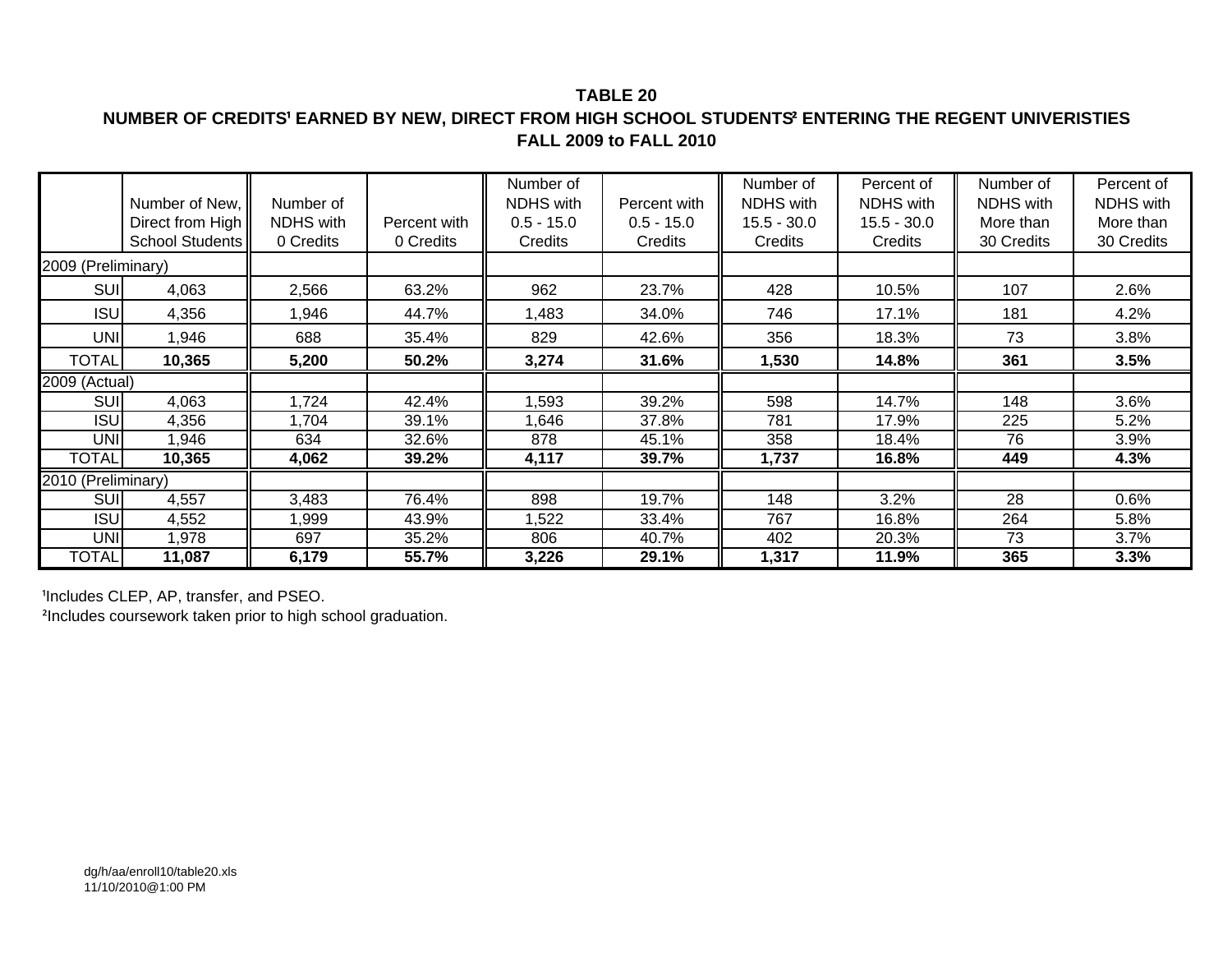### **TABLE 20**

# **NUMBER OF CREDITS¹ EARNED BY NEW, DIRECT FROM HIGH SCHOOL STUDENTS² ENTERING THE REGENT UNIVERISTIES FALL 2009 to FALL 2010**

|                    | Number of New,   | Number of        |              | Number of<br><b>NDHS</b> with | Percent with | Number of<br>NDHS with | Percent of<br><b>NDHS</b> with | Number of<br><b>NDHS</b> with | Percent of<br><b>NDHS</b> with |
|--------------------|------------------|------------------|--------------|-------------------------------|--------------|------------------------|--------------------------------|-------------------------------|--------------------------------|
|                    | Direct from High | <b>NDHS</b> with | Percent with | $0.5 - 15.0$                  | $0.5 - 15.0$ | $15.5 - 30.0$          | $15.5 - 30.0$                  | More than                     | More than                      |
|                    | School Students  | 0 Credits        | 0 Credits    | Credits                       | Credits      | Credits                | Credits                        | 30 Credits                    | 30 Credits                     |
| 2009 (Preliminary) |                  |                  |              |                               |              |                        |                                |                               |                                |
| <b>SUI</b>         | 4,063            | 2,566            | 63.2%        | 962                           | 23.7%        | 428                    | 10.5%                          | 107                           | 2.6%                           |
| <b>ISU</b>         | 4,356            | ,946             | 44.7%        | 1,483                         | 34.0%        | 746                    | 17.1%                          | 181                           | 4.2%                           |
| <b>UNI</b>         | 1,946            | 688              | 35.4%        | 829                           | 42.6%        | 356                    | 18.3%                          | 73                            | 3.8%                           |
| <b>TOTAL</b>       | 10,365           | 5,200            | 50.2%        | 3,274                         | 31.6%        | 1,530                  | 14.8%                          | 361                           | 3.5%                           |
| 2009 (Actual)      |                  |                  |              |                               |              |                        |                                |                               |                                |
| <b>SUI</b>         | 4,063            | ,724             | 42.4%        | 1,593                         | 39.2%        | 598                    | 14.7%                          | 148                           | 3.6%                           |
| <b>ISU</b>         | 4,356            | .704             | 39.1%        | 1,646                         | 37.8%        | 781                    | 17.9%                          | 225                           | 5.2%                           |
| <b>UNI</b>         | 1,946            | 634              | 32.6%        | 878                           | 45.1%        | 358                    | 18.4%                          | 76                            | 3.9%                           |
| <b>TOTAL</b>       | 10,365           | 4,062            | 39.2%        | 4,117                         | 39.7%        | 1,737                  | 16.8%                          | 449                           | 4.3%                           |
| 2010 (Preliminary) |                  |                  |              |                               |              |                        |                                |                               |                                |
| <b>SUI</b>         | 4,557            | 3,483            | 76.4%        | 898                           | 19.7%        | 148                    | $3.2\%$                        | 28                            | 0.6%                           |
| <b>ISU</b>         | 4,552            | ,999             | 43.9%        | 1,522                         | 33.4%        | 767                    | 16.8%                          | 264                           | 5.8%                           |
| <b>UNI</b>         | 1,978            | 697              | 35.2%        | 806                           | 40.7%        | 402                    | 20.3%                          | 73                            | 3.7%                           |
| <b>TOTAL</b>       | 11,087           | 6,179            | 55.7%        | 3,226                         | 29.1%        | 1,317                  | 11.9%                          | 365                           | 3.3%                           |

<sup>1</sup>Includes CLEP, AP, transfer, and PSEO.

<sup>²</sup>Includes coursework taken prior to high school graduation.